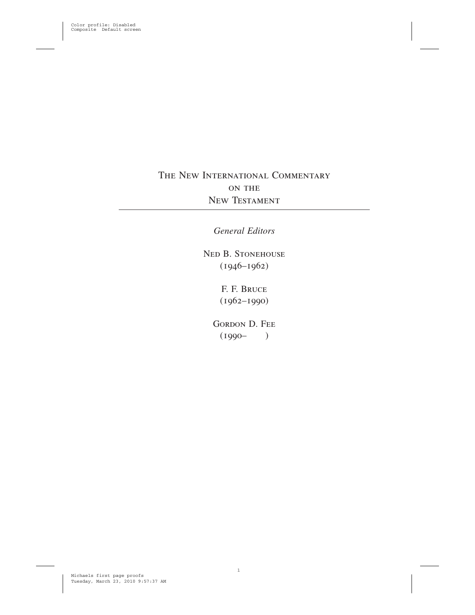# The New International Commentary on the New Testament

# *General Editors*

Ned B. Stonehouse (1946–1962)

> F. F. Bruce (1962–1990)

GORDON D. FEE  $(1990 - )$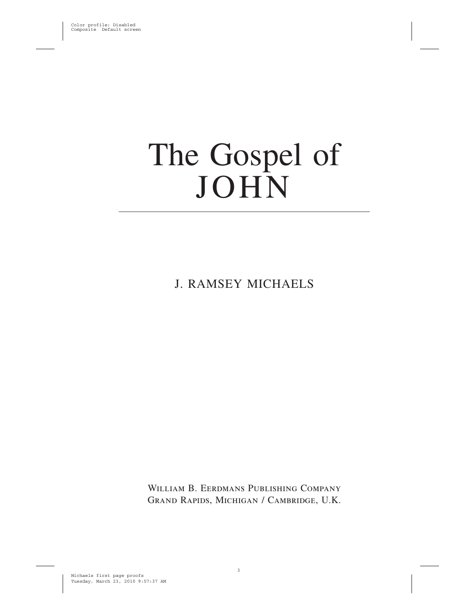# The Gospel of JOHN

J. RAMSEY MICHAELS

William B. Eerdmans Publishing Company Grand Rapids, Michigan / Cambridge, U.K.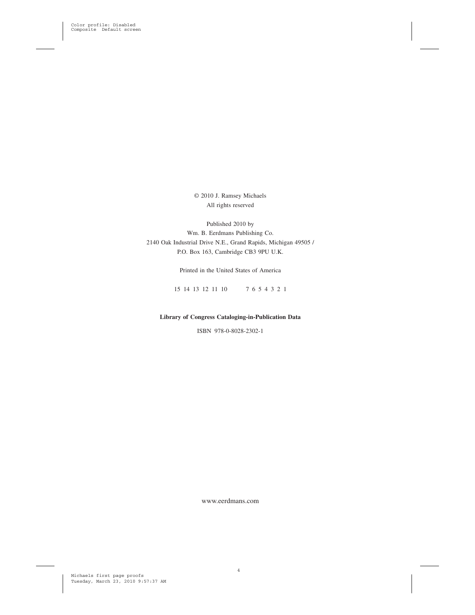© 2010 J. Ramsey Michaels All rights reserved

Published 2010 by Wm. B. Eerdmans Publishing Co. 2140 Oak Industrial Drive N.E., Grand Rapids, Michigan 49505 / P.O. Box 163, Cambridge CB3 9PU U.K.

Printed in the United States of America

15 14 13 12 11 10 7 6 5 4 3 2 1

**Library of Congress Cataloging-in-Publication Data**

ISBN 978-0-8028-2302-1

www.eerdmans.com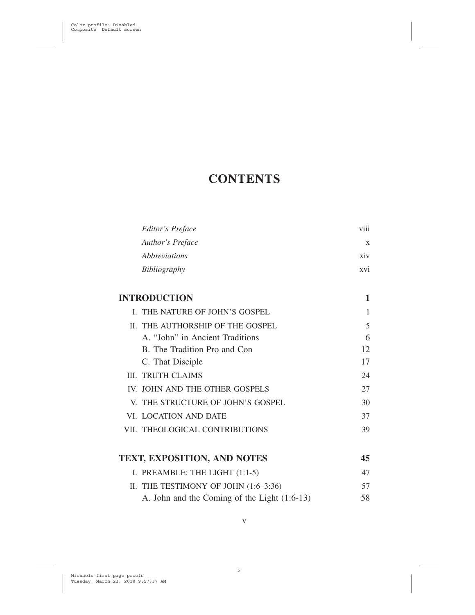# **CONTENTS**

| Editor's Preface                 | $\cdots$<br>V111 |
|----------------------------------|------------------|
| Author's Preface                 | X                |
| Abbreviations                    | XIV              |
| <i>Bibliography</i>              | XVI              |
|                                  |                  |
| <b>INTRODUCTION</b>              |                  |
| I. THE NATURE OF JOHN'S GOSPEL   |                  |
| II. THE AUTHORSHIP OF THE GOSPEL |                  |

| A. "John" in Ancient Traditions   |    |
|-----------------------------------|----|
| B. The Tradition Pro and Con      | 12 |
| C. That Disciple                  | 17 |
| <b>III. TRUTH CLAIMS</b>          | 24 |
| IV. JOHN AND THE OTHER GOSPELS    | 27 |
| V. THE STRUCTURE OF JOHN'S GOSPEL | 30 |
| VI. LOCATION AND DATE             | 37 |

|  | VII. THEOLOGICAL CONTRIBUTIONS |  |
|--|--------------------------------|--|

| <b>TEXT, EXPOSITION, AND NOTES</b>           |    |
|----------------------------------------------|----|
| I. PREAMBLE: THE LIGHT $(1:1-5)$             | 47 |
| II. THE TESTIMONY OF JOHN $(1:6-3:36)$       | 57 |
| A. John and the Coming of the Light (1:6-13) | 58 |

5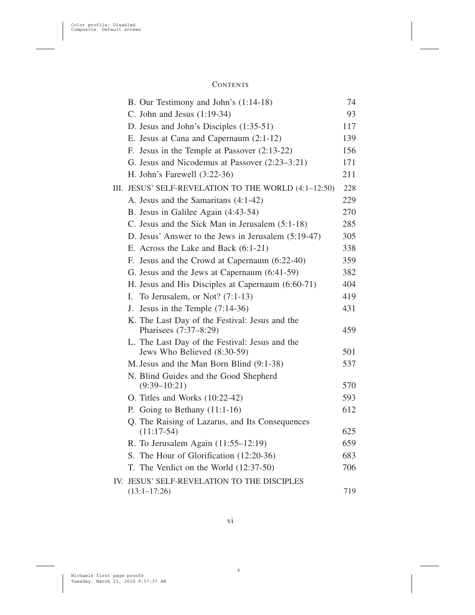| NTEN <sup>°</sup><br>╲ |
|------------------------|
|------------------------|

|     | B. Our Testimony and John's (1:14-18)                           | 74  |
|-----|-----------------------------------------------------------------|-----|
|     | C. John and Jesus $(1:19-34)$                                   | 93  |
|     | D. Jesus and John's Disciples (1:35-51)                         | 117 |
|     | E. Jesus at Cana and Capernaum (2:1-12)                         | 139 |
|     | F. Jesus in the Temple at Passover $(2:13-22)$                  | 156 |
|     | G. Jesus and Nicodemus at Passover (2:23–3:21)                  | 171 |
|     | H. John's Farewell (3:22-36)                                    | 211 |
|     | III. JESUS' SELF-REVELATION TO THE WORLD (4:1-12:50)            | 228 |
|     | A. Jesus and the Samaritans (4:1-42)                            | 229 |
|     | B. Jesus in Galilee Again (4:43-54)                             | 270 |
|     | C. Jesus and the Sick Man in Jerusalem (5:1-18)                 | 285 |
|     | D. Jesus' Answer to the Jews in Jerusalem (5:19-47)             | 305 |
|     | E. Across the Lake and Back (6:1-21)                            | 338 |
|     | F. Jesus and the Crowd at Capernaum (6:22-40)                   | 359 |
|     | G. Jesus and the Jews at Capernaum (6:41-59)                    | 382 |
|     | H. Jesus and His Disciples at Capernaum (6:60-71)               | 404 |
|     | I. To Jerusalem, or Not? $(7:1-13)$                             | 419 |
|     | J. Jesus in the Temple $(7:14-36)$                              | 431 |
|     | K. The Last Day of the Festival: Jesus and the                  |     |
|     | Pharisees (7:37-8:29)                                           | 459 |
|     | L. The Last Day of the Festival: Jesus and the                  |     |
|     | Jews Who Believed (8:30-59)                                     | 501 |
|     | M. Jesus and the Man Born Blind (9:1-38)                        | 537 |
|     | N. Blind Guides and the Good Shepherd<br>$(9:39 - 10:21)$       | 570 |
|     | O. Titles and Works $(10:22-42)$                                | 593 |
|     |                                                                 | 612 |
|     | P. Going to Bethany $(11:1-16)$                                 |     |
|     | Q. The Raising of Lazarus, and Its Consequences<br>$(11:17-54)$ | 625 |
|     | R. To Jerusalem Again (11:55-12:19)                             | 659 |
|     | S. The Hour of Glorification (12:20-36)                         | 683 |
|     | T. The Verdict on the World (12:37-50)                          | 706 |
| IV. | JESUS' SELF-REVELATION TO THE DISCIPLES                         |     |
|     | $(13:1-17:26)$                                                  | 719 |
|     |                                                                 |     |

6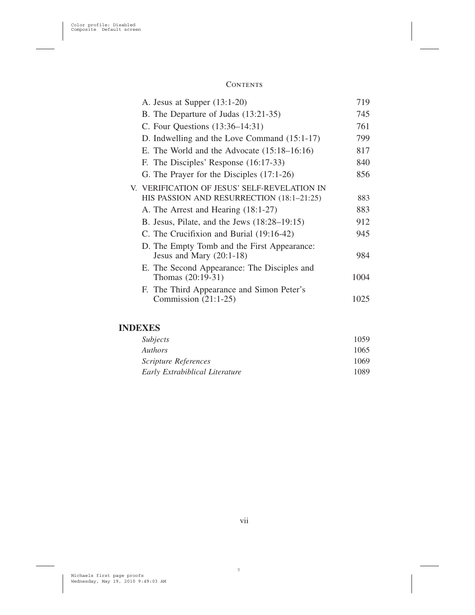## **CONTENTS**

| A. Jesus at Supper $(13:1-20)$                                            | 719  |
|---------------------------------------------------------------------------|------|
| B. The Departure of Judas (13:21-35)                                      | 745  |
| C. Four Questions $(13:36-14:31)$                                         | 761  |
| D. Indwelling and the Love Command $(15:1-17)$                            | 799  |
| E. The World and the Advocate $(15:18-16:16)$                             | 817  |
| F. The Disciples' Response (16:17-33)                                     | 840  |
| G. The Prayer for the Disciples $(17:1-26)$                               | 856  |
| V. VERIFICATION OF JESUS' SELF-REVELATION IN                              |      |
| HIS PASSION AND RESURRECTION (18:1-21:25)                                 | 883  |
| A. The Arrest and Hearing (18:1-27)                                       | 883  |
| B. Jesus, Pilate, and the Jews $(18:28-19:15)$                            | 912  |
| C. The Crucifixion and Burial (19:16-42)                                  | 945  |
| D. The Empty Tomb and the First Appearance:<br>Jesus and Mary $(20:1-18)$ | 984  |
| E. The Second Appearance: The Disciples and<br>Thomas $(20:19-31)$        | 1004 |
| F. The Third Appearance and Simon Peter's<br>Commission $(21:1-25)$       | 1025 |

# **INDEXES**

| Subjects                       | 1059 |
|--------------------------------|------|
| <i>Authors</i>                 | 1065 |
| <i>Scripture References</i>    | 1069 |
| Early Extrabiblical Literature | 1089 |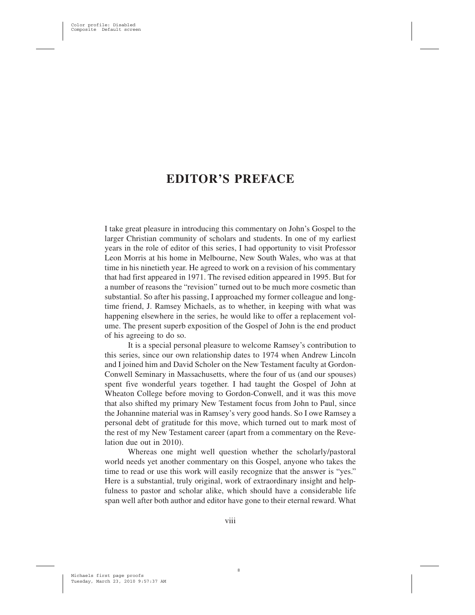# **EDITOR'S PREFACE**

I take great pleasure in introducing this commentary on John's Gospel to the larger Christian community of scholars and students. In one of my earliest years in the role of editor of this series, I had opportunity to visit Professor Leon Morris at his home in Melbourne, New South Wales, who was at that time in his ninetieth year. He agreed to work on a revision of his commentary that had first appeared in 1971. The revised edition appeared in 1995. But for a number of reasons the "revision" turned out to be much more cosmetic than substantial. So after his passing, I approached my former colleague and longtime friend, J. Ramsey Michaels, as to whether, in keeping with what was happening elsewhere in the series, he would like to offer a replacement volume. The present superb exposition of the Gospel of John is the end product of his agreeing to do so.

It is a special personal pleasure to welcome Ramsey's contribution to this series, since our own relationship dates to 1974 when Andrew Lincoln and I joined him and David Scholer on the New Testament faculty at Gordon-Conwell Seminary in Massachusetts, where the four of us (and our spouses) spent five wonderful years together. I had taught the Gospel of John at Wheaton College before moving to Gordon-Conwell, and it was this move that also shifted my primary New Testament focus from John to Paul, since the Johannine material was in Ramsey's very good hands. So I owe Ramsey a personal debt of gratitude for this move, which turned out to mark most of the rest of my New Testament career (apart from a commentary on the Revelation due out in 2010).

Whereas one might well question whether the scholarly/pastoral world needs yet another commentary on this Gospel, anyone who takes the time to read or use this work will easily recognize that the answer is "yes." Here is a substantial, truly original, work of extraordinary insight and helpfulness to pastor and scholar alike, which should have a considerable life span well after both author and editor have gone to their eternal reward. What

viii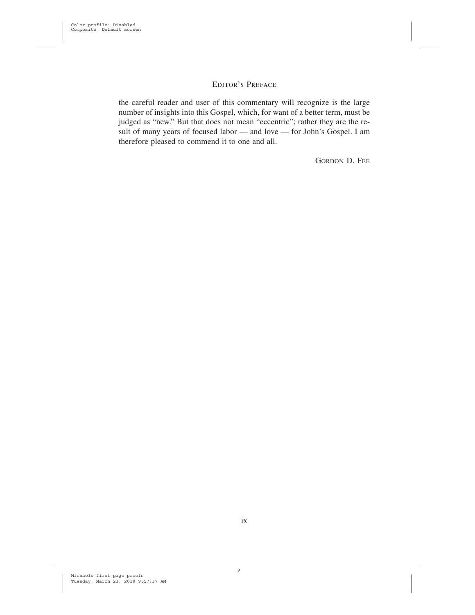#### Editor's Preface

the careful reader and user of this commentary will recognize is the large number of insights into this Gospel, which, for want of a better term, must be judged as "new." But that does not mean "eccentric"; rather they are the result of many years of focused labor — and love — for John's Gospel. I am therefore pleased to commend it to one and all.

GORDON D. FEE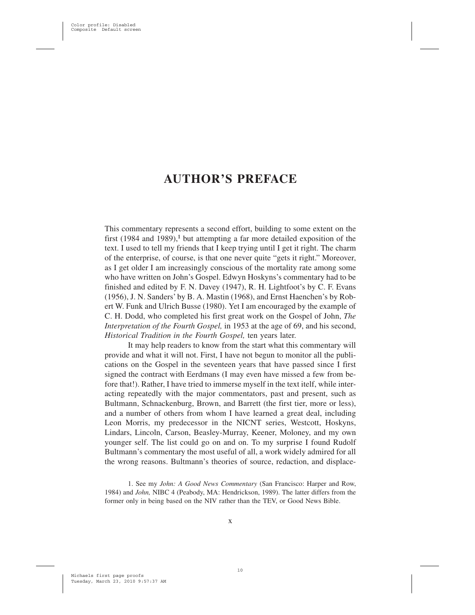# **AUTHOR'S PREFACE**

This commentary represents a second effort, building to some extent on the first (1984 and 1989),<sup>1</sup> but attempting a far more detailed exposition of the text. I used to tell my friends that I keep trying until I get it right. The charm of the enterprise, of course, is that one never quite "gets it right." Moreover, as I get older I am increasingly conscious of the mortality rate among some who have written on John's Gospel. Edwyn Hoskyns's commentary had to be finished and edited by F. N. Davey (1947), R. H. Lightfoot's by C. F. Evans (1956), J. N. Sanders' by B. A. Mastin (1968), and Ernst Haenchen's by Robert W. Funk and Ulrich Busse (1980). Yet I am encouraged by the example of C. H. Dodd, who completed his first great work on the Gospel of John, *The Interpretation of the Fourth Gospel,* in 1953 at the age of 69, and his second, *Historical Tradition in the Fourth Gospel,* ten years later.

It may help readers to know from the start what this commentary will provide and what it will not. First, I have not begun to monitor all the publications on the Gospel in the seventeen years that have passed since I first signed the contract with Eerdmans (I may even have missed a few from before that!). Rather, I have tried to immerse myself in the text itelf, while interacting repeatedly with the major commentators, past and present, such as Bultmann, Schnackenburg, Brown, and Barrett (the first tier, more or less), and a number of others from whom I have learned a great deal, including Leon Morris, my predecessor in the NICNT series, Westcott, Hoskyns, Lindars, Lincoln, Carson, Beasley-Murray, Keener, Moloney, and my own younger self. The list could go on and on. To my surprise I found Rudolf Bultmann's commentary the most useful of all, a work widely admired for all the wrong reasons. Bultmann's theories of source, redaction, and displace-

1. See my *John: A Good News Commentary* (San Francisco: Harper and Row, 1984) and *John,* NIBC 4 (Peabody, MA: Hendrickson, 1989). The latter differs from the former only in being based on the NIV rather than the TEV, or Good News Bible.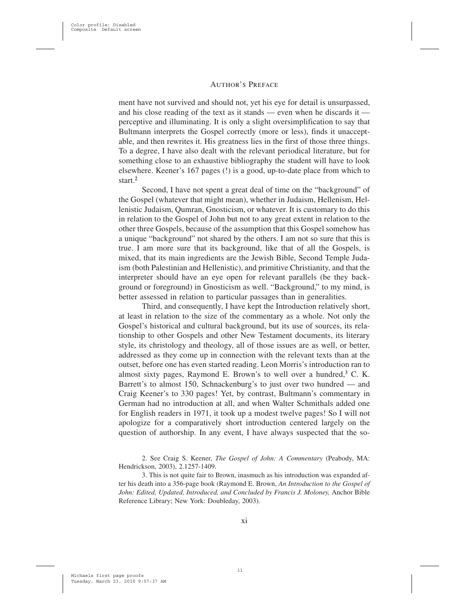#### Author's Preface

ment have not survived and should not, yet his eye for detail is unsurpassed, and his close reading of the text as it stands — even when he discards it perceptive and illuminating. It is only a slight oversimplification to say that Bultmann interprets the Gospel correctly (more or less), finds it unacceptable, and then rewrites it. His greatness lies in the first of those three things. To a degree, I have also dealt with the relevant periodical literature, but for something close to an exhaustive bibliography the student will have to look elsewhere. Keener's 167 pages (!) is a good, up-to-date place from which to start.<sup>2</sup>

Second, I have not spent a great deal of time on the "background" of the Gospel (whatever that might mean), whether in Judaism, Hellenism, Hellenistic Judaism, Qumran, Gnosticism, or whatever. It is customary to do this in relation to the Gospel of John but not to any great extent in relation to the other three Gospels, because of the assumption that this Gospel somehow has a unique "background" not shared by the others. I am not so sure that this is true. I am more sure that its background, like that of all the Gospels, is mixed, that its main ingredients are the Jewish Bible, Second Temple Judaism (both Palestinian and Hellenistic), and primitive Christianity, and that the interpreter should have an eye open for relevant parallels (be they background or foreground) in Gnosticism as well. "Background," to my mind, is better assessed in relation to particular passages than in generalities.

Third, and consequently, I have kept the Introduction relatively short, at least in relation to the size of the commentary as a whole. Not only the Gospel's historical and cultural background, but its use of sources, its relationship to other Gospels and other New Testament documents, its literary style, its christology and theology, all of those issues are as well, or better, addressed as they come up in connection with the relevant texts than at the outset, before one has even started reading. Leon Morris's introduction ran to almost sixty pages, Raymond E. Brown's to well over a hundred, $3 \text{ C}$ . K. Barrett's to almost 150, Schnackenburg's to just over two hundred — and Craig Keener's to 330 pages! Yet, by contrast, Bultmann's commentary in German had no introduction at all, and when Walter Schmithals added one for English readers in 1971, it took up a modest twelve pages! So I will not apologize for a comparatively short introduction centered largely on the question of authorship. In any event, I have always suspected that the so-

2. See Craig S. Keener, *The Gospel of John: A Commentary* (Peabody, MA: Hendrickson, 2003), 2.1257-1409.

3. This is not quite fair to Brown, inasmuch as his introduction was expanded after his death into a 356-page book (Raymond E. Brown, *An Introduction to the Gospel of John: Edited, Updated, Introduced, and Concluded by Francis J. Moloney,* Anchor Bible Reference Library; New York: Doubleday, 2003).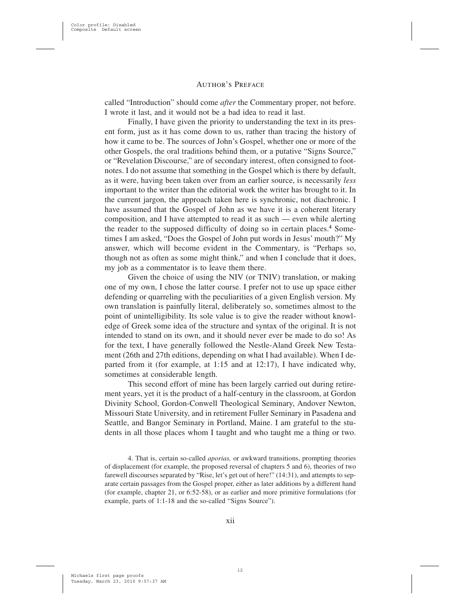called "Introduction" should come *after* the Commentary proper, not before. I wrote it last, and it would not be a bad idea to read it last.

Finally, I have given the priority to understanding the text in its present form, just as it has come down to us, rather than tracing the history of how it came to be. The sources of John's Gospel, whether one or more of the other Gospels, the oral traditions behind them, or a putative "Signs Source," or "Revelation Discourse," are of secondary interest, often consigned to footnotes. I do not assume that something in the Gospel which is there by default, as it were, having been taken over from an earlier source, is necessarily *less* important to the writer than the editorial work the writer has brought to it. In the current jargon, the approach taken here is synchronic, not diachronic. I have assumed that the Gospel of John as we have it is a coherent literary composition, and I have attempted to read it as such — even while alerting the reader to the supposed difficulty of doing so in certain places.<sup>4</sup> Sometimes I am asked, "Does the Gospel of John put words in Jesus' mouth?" My answer, which will become evident in the Commentary, is "Perhaps so, though not as often as some might think," and when I conclude that it does, my job as a commentator is to leave them there.

Given the choice of using the NIV (or TNIV) translation, or making one of my own, I chose the latter course. I prefer not to use up space either defending or quarreling with the peculiarities of a given English version. My own translation is painfully literal, deliberately so, sometimes almost to the point of unintelligibility. Its sole value is to give the reader without knowledge of Greek some idea of the structure and syntax of the original. It is not intended to stand on its own, and it should never ever be made to do so! As for the text, I have generally followed the Nestle-Aland Greek New Testament (26th and 27th editions, depending on what I had available). When I departed from it (for example, at 1:15 and at 12:17), I have indicated why, sometimes at considerable length.

This second effort of mine has been largely carried out during retirement years, yet it is the product of a half-century in the classroom, at Gordon Divinity School, Gordon-Conwell Theological Seminary, Andover Newton, Missouri State University, and in retirement Fuller Seminary in Pasadena and Seattle, and Bangor Seminary in Portland, Maine. I am grateful to the students in all those places whom I taught and who taught me a thing or two.

4. That is, certain so-called *aporias,* or awkward transitions, prompting theories of displacement (for example, the proposed reversal of chapters 5 and 6), theories of two farewell discourses separated by "Rise, let's get out of here!" (14:31), and attempts to separate certain passages from the Gospel proper, either as later additions by a different hand (for example, chapter 21, or 6:52-58), or as earlier and more primitive formulations (for example, parts of 1:1-18 and the so-called "Signs Source").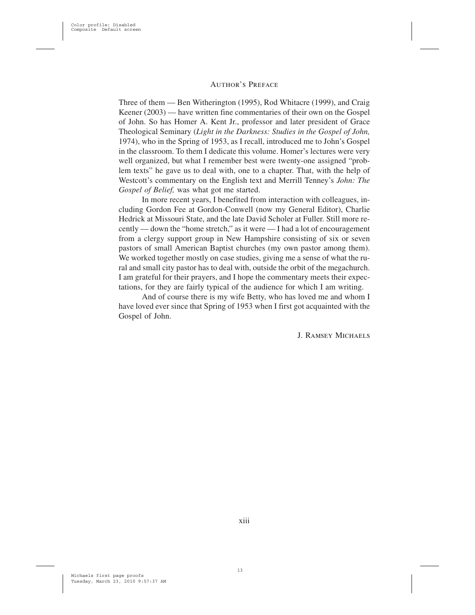Three of them — Ben Witherington (1995), Rod Whitacre (1999), and Craig Keener (2003) — have written fine commentaries of their own on the Gospel of John. So has Homer A. Kent Jr., professor and later president of Grace Theological Seminary (*Light in the Darkness: Studies in the Gospel of John,* 1974), who in the Spring of 1953, as I recall, introduced me to John's Gospel in the classroom. To them I dedicate this volume. Homer's lectures were very well organized, but what I remember best were twenty-one assigned "problem texts" he gave us to deal with, one to a chapter. That, with the help of Westcott's commentary on the English text and Merrill Tenney's *John: The Gospel of Belief,* was what got me started.

In more recent years, I benefited from interaction with colleagues, including Gordon Fee at Gordon-Conwell (now my General Editor), Charlie Hedrick at Missouri State, and the late David Scholer at Fuller. Still more recently — down the "home stretch," as it were — I had a lot of encouragement from a clergy support group in New Hampshire consisting of six or seven pastors of small American Baptist churches (my own pastor among them). We worked together mostly on case studies, giving me a sense of what the rural and small city pastor has to deal with, outside the orbit of the megachurch. I am grateful for their prayers, and I hope the commentary meets their expectations, for they are fairly typical of the audience for which I am writing.

And of course there is my wife Betty, who has loved me and whom I have loved ever since that Spring of 1953 when I first got acquainted with the Gospel of John.

J. Ramsey Michaels

13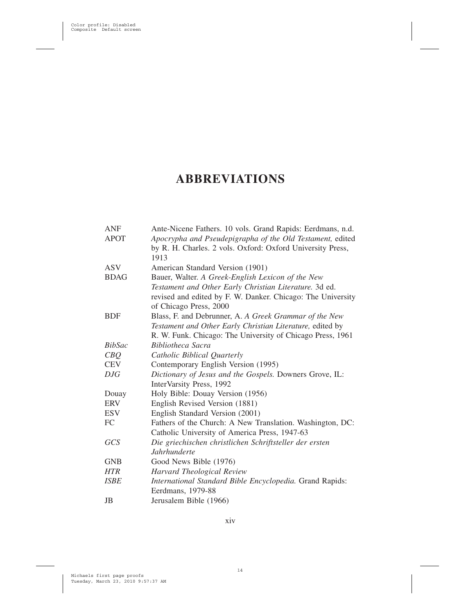# **ABBREVIATIONS**

| Ante-Nicene Fathers. 10 vols. Grand Rapids: Eerdmans, n.d.  |
|-------------------------------------------------------------|
| Apocrypha and Pseudepigrapha of the Old Testament, edited   |
| by R. H. Charles. 2 vols. Oxford: Oxford University Press,  |
| 1913                                                        |
| American Standard Version (1901)                            |
| Bauer, Walter. A Greek-English Lexicon of the New           |
| Testament and Other Early Christian Literature. 3d ed.      |
| revised and edited by F. W. Danker. Chicago: The University |
| of Chicago Press, 2000                                      |
| Blass, F. and Debrunner, A. A Greek Grammar of the New      |
| Testament and Other Early Christian Literature, edited by   |
| R. W. Funk. Chicago: The University of Chicago Press, 1961  |
| <b>Bibliotheca Sacra</b>                                    |
| Catholic Biblical Quarterly                                 |
| Contemporary English Version (1995)                         |
| Dictionary of Jesus and the Gospels. Downers Grove, IL:     |
| InterVarsity Press, 1992                                    |
| Holy Bible: Douay Version (1956)                            |
| English Revised Version (1881)                              |
| English Standard Version (2001)                             |
| Fathers of the Church: A New Translation. Washington, DC:   |
| Catholic University of America Press, 1947-63               |
| Die griechischen christlichen Schriftsteller der ersten     |
| <b>Jahrhunderte</b>                                         |
| Good News Bible (1976)                                      |
| Harvard Theological Review                                  |
| International Standard Bible Encyclopedia. Grand Rapids:    |
| Eerdmans, 1979-88                                           |
| Jerusalem Bible (1966)                                      |
|                                                             |

xiv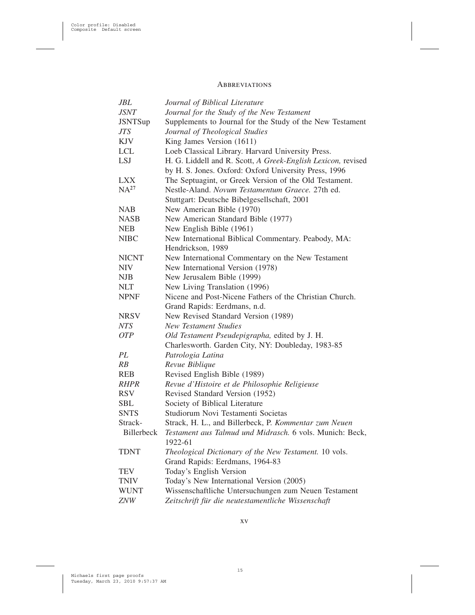## **ABBREVIATIONS**

| JBL              | Journal of Biblical Literature                               |
|------------------|--------------------------------------------------------------|
| <i>JSNT</i>      | Journal for the Study of the New Testament                   |
| <b>JSNTSup</b>   | Supplements to Journal for the Study of the New Testament    |
| <b>JTS</b>       | Journal of Theological Studies                               |
| <b>KJV</b>       | King James Version (1611)                                    |
| <b>LCL</b>       | Loeb Classical Library. Harvard University Press.            |
| <b>LSJ</b>       | H. G. Liddell and R. Scott, A Greek-English Lexicon, revised |
|                  | by H. S. Jones. Oxford: Oxford University Press, 1996        |
| <b>LXX</b>       | The Septuagint, or Greek Version of the Old Testament.       |
| NA <sup>27</sup> | Nestle-Aland. Novum Testamentum Graece. 27th ed.             |
|                  | Stuttgart: Deutsche Bibelgesellschaft, 2001                  |
| <b>NAB</b>       | New American Bible (1970)                                    |
| <b>NASB</b>      | New American Standard Bible (1977)                           |
| <b>NEB</b>       | New English Bible (1961)                                     |
| <b>NIBC</b>      | New International Biblical Commentary. Peabody, MA:          |
|                  | Hendrickson, 1989                                            |
| <b>NICNT</b>     | New International Commentary on the New Testament            |
| <b>NIV</b>       | New International Version (1978)                             |
| <b>NJB</b>       | New Jerusalem Bible (1999)                                   |
| <b>NLT</b>       | New Living Translation (1996)                                |
| <b>NPNF</b>      | Nicene and Post-Nicene Fathers of the Christian Church.      |
|                  | Grand Rapids: Eerdmans, n.d.                                 |
| <b>NRSV</b>      | New Revised Standard Version (1989)                          |
| <b>NTS</b>       | <b>New Testament Studies</b>                                 |
| <b>OTP</b>       | Old Testament Pseudepigrapha, edited by J. H.                |
|                  | Charlesworth. Garden City, NY: Doubleday, 1983-85            |
| PL               | Patrologia Latina                                            |
| RB               | Revue Biblique                                               |
| <b>REB</b>       | Revised English Bible (1989)                                 |
| <b>RHPR</b>      | Revue d'Histoire et de Philosophie Religieuse                |
| <b>RSV</b>       | Revised Standard Version (1952)                              |
| <b>SBL</b>       | Society of Biblical Literature                               |
| <b>SNTS</b>      | Studiorum Novi Testamenti Societas                           |
| Strack-          | Strack, H. L., and Billerbeck, P. Kommentar zum Neuen        |
| Billerbeck       | Testament aus Talmud und Midrasch. 6 vols. Munich: Beck,     |
|                  | 1922-61                                                      |
| TDNT             | Theological Dictionary of the New Testament. 10 vols.        |
|                  | Grand Rapids: Eerdmans, 1964-83                              |
| <b>TEV</b>       | Today's English Version                                      |
| <b>TNIV</b>      | Today's New International Version (2005)                     |
| <b>WUNT</b>      | Wissenschaftliche Untersuchungen zum Neuen Testament         |
| <i>ZNW</i>       | Zeitschrift für die neutestamentliche Wissenschaft           |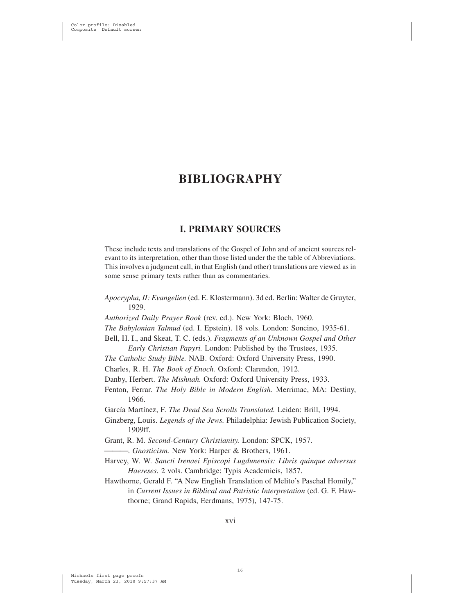# **BIBLIOGRAPHY**

## **I. PRIMARY SOURCES**

These include texts and translations of the Gospel of John and of ancient sources relevant to its interpretation, other than those listed under the the table of Abbreviations. This involves a judgment call, in that English (and other) translations are viewed as in some sense primary texts rather than as commentaries.

- *Apocrypha, II: Evangelien* (ed. E. Klostermann). 3d ed. Berlin: Walter de Gruyter, 1929.
- *Authorized Daily Prayer Book* (rev. ed.). New York: Bloch, 1960.
- *The Babylonian Talmud* (ed. I. Epstein). 18 vols. London: Soncino, 1935-61.
- Bell, H. I., and Skeat, T. C. (eds.). *Fragments of an Unknown Gospel and Other Early Christian Papyri.* London: Published by the Trustees, 1935.
- *The Catholic Study Bible.* NAB. Oxford: Oxford University Press, 1990.
- Charles, R. H. *The Book of Enoch.* Oxford: Clarendon, 1912.
- Danby, Herbert. *The Mishnah.* Oxford: Oxford University Press, 1933.
- Fenton, Ferrar. *The Holy Bible in Modern English.* Merrimac, MA: Destiny, 1966.
- García Martínez, F. *The Dead Sea Scrolls Translated.* Leiden: Brill, 1994.
- Ginzberg, Louis. *Legends of the Jews.* Philadelphia: Jewish Publication Society, 1909ff.

Grant, R. M. *Second-Century Christianity.* London: SPCK, 1957.

- ¾¾¾. *Gnosticism.* New York: Harper & Brothers, 1961.
- Harvey, W. W. *Sancti Irenaei Episcopi Lugdunensis: Libris quinque adversus Haereses.* 2 vols. Cambridge: Typis Academicis, 1857.
- Hawthorne, Gerald F. "A New English Translation of Melito's Paschal Homily," in *Current Issues in Biblical and Patristic Interpretation* (ed. G. F. Hawthorne; Grand Rapids, Eerdmans, 1975), 147-75.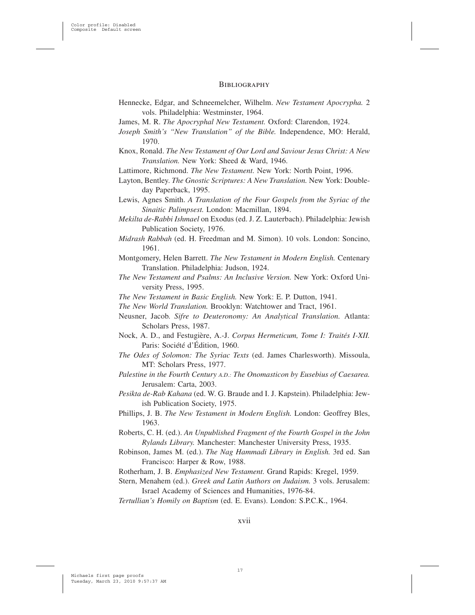- Hennecke, Edgar, and Schneemelcher, Wilhelm. *New Testament Apocrypha.* 2 vols. Philadelphia: Westminster, 1964.
- James, M. R. *The Apocryphal New Testament.* Oxford: Clarendon, 1924.
- *Joseph Smith's "New Translation" of the Bible.* Independence, MO: Herald, 1970.
- Knox, Ronald. *The New Testament of Our Lord and Saviour Jesus Christ: A New Translation.* New York: Sheed & Ward, 1946.
- Lattimore, Richmond. *The New Testament.* New York: North Point, 1996.
- Layton, Bentley. *The Gnostic Scriptures: A New Translation.* New York: Doubleday Paperback, 1995.
- Lewis, Agnes Smith. *A Translation of the Four Gospels from the Syriac of the Sinaitic Palimpsest.* London: Macmillan, 1894.
- *Mekilta de-Rabbi Ishmael* on Exodus (ed. J. Z. Lauterbach). Philadelphia: Jewish Publication Society, 1976.
- *Midrash Rabbah* (ed. H. Freedman and M. Simon). 10 vols. London: Soncino, 1961.
- Montgomery, Helen Barrett. *The New Testament in Modern English.* Centenary Translation. Philadelphia: Judson, 1924.
- *The New Testament and Psalms: An Inclusive Version.* New York: Oxford University Press, 1995.
- *The New Testament in Basic English.* New York: E. P. Dutton, 1941.
- *The New World Translation.* Brooklyn: Watchtower and Tract, 1961.
- Neusner, Jacob. *Sifre to Deuteronomy: An Analytical Translation.* Atlanta: Scholars Press, 1987.
- Nock, A. D., and Festugière, A.-J. *Corpus Hermeticum, Tome I: Traités I-XII.* Paris: Société d'Édition, 1960.
- *The Odes of Solomon: The Syriac Texts* (ed. James Charlesworth). Missoula, MT: Scholars Press, 1977.
- *Palestine in the Fourth Century A.D.: The Onomasticon by Eusebius of Caesarea.* Jerusalem: Carta, 2003.
- *Pesikta de-Rab Kahana* (ed. W. G. Braude and I. J. Kapstein). Philadelphia: Jewish Publication Society, 1975.
- Phillips, J. B. *The New Testament in Modern English.* London: Geoffrey Bles, 1963.
- Roberts, C. H. (ed.). *An Unpublished Fragment of the Fourth Gospel in the John Rylands Library.* Manchester: Manchester University Press, 1935.
- Robinson, James M. (ed.). *The Nag Hammadi Library in English.* 3rd ed. San Francisco: Harper & Row, 1988.
- Rotherham, J. B. *Emphasized New Testament.* Grand Rapids: Kregel, 1959.
- Stern, Menahem (ed.). *Greek and Latin Authors on Judaism.* 3 vols. Jerusalem: Israel Academy of Sciences and Humanities, 1976-84.

*Tertullian's Homily on Baptism* (ed. E. Evans). London: S.P.C.K., 1964.

xvii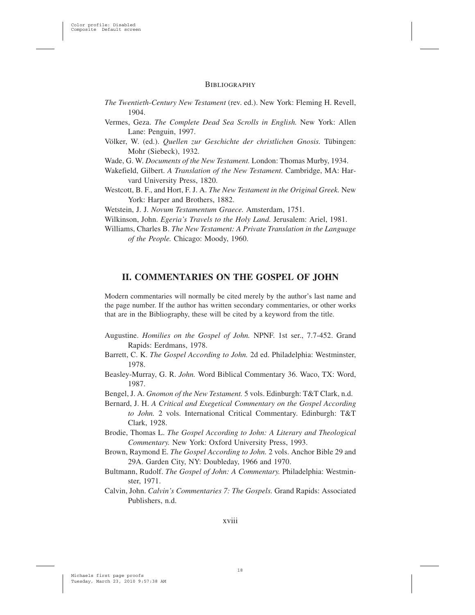- *The Twentieth-Century New Testament* (rev. ed.). New York: Fleming H. Revell, 1904.
- Vermes, Geza. *The Complete Dead Sea Scrolls in English.* New York: Allen Lane: Penguin, 1997.
- Völker, W. (ed.). *Quellen zur Geschichte der christlichen Gnosis.* Tübingen: Mohr (Siebeck), 1932.
- Wade, G. W. *Documents of the New Testament.* London: Thomas Murby, 1934.
- Wakefield, Gilbert. *A Translation of the New Testament.* Cambridge, MA: Harvard University Press, 1820.
- Westcott, B. F., and Hort, F. J. A. *The New Testament in the Original Greek.* New York: Harper and Brothers, 1882.
- Wetstein, J. J. *Novum Testamentum Graece.* Amsterdam, 1751.
- Wilkinson, John. *Egeria's Travels to the Holy Land.* Jerusalem: Ariel, 1981.
- Williams, Charles B. *The New Testament: A Private Translation in the Language of the People.* Chicago: Moody, 1960.

## **II. COMMENTARIES ON THE GOSPEL OF JOHN**

Modern commentaries will normally be cited merely by the author's last name and the page number. If the author has written secondary commentaries, or other works that are in the Bibliography, these will be cited by a keyword from the title.

- Augustine. *Homilies on the Gospel of John.* NPNF. 1st ser., 7.7-452. Grand Rapids: Eerdmans, 1978.
- Barrett, C. K. *The Gospel According to John.* 2d ed. Philadelphia: Westminster, 1978.
- Beasley-Murray, G. R. *John.* Word Biblical Commentary 36. Waco, TX: Word, 1987.
- Bengel, J. A. *Gnomon of the New Testament.* 5 vols. Edinburgh: T&T Clark, n.d.

Bernard, J. H. *A Critical and Exegetical Commentary on the Gospel According to John.* 2 vols. International Critical Commentary. Edinburgh: T&T Clark, 1928.

- Brodie, Thomas L. *The Gospel According to John: A Literary and Theological Commentary.* New York: Oxford University Press, 1993.
- Brown, Raymond E. *The Gospel According to John.* 2 vols. Anchor Bible 29 and 29A. Garden City, NY: Doubleday, 1966 and 1970.
- Bultmann, Rudolf. *The Gospel of John: A Commentary.* Philadelphia: Westminster, 1971.
- Calvin, John. *Calvin's Commentaries 7: The Gospels.* Grand Rapids: Associated Publishers, n.d.

xviii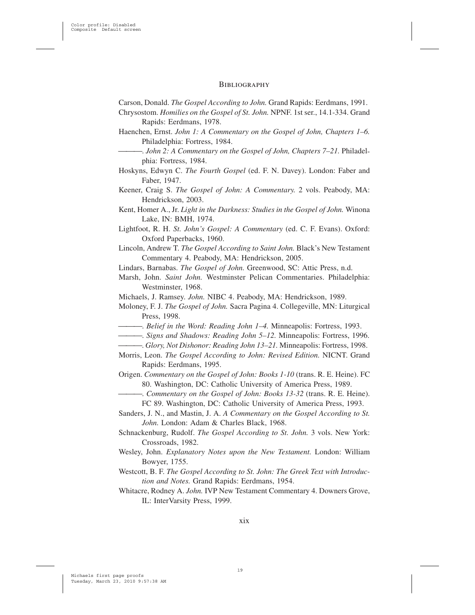Carson, Donald. *The Gospel According to John.* Grand Rapids: Eerdmans, 1991.

- Chrysostom. *Homilies on the Gospel of St. John.* NPNF. 1st ser., 14.1-334. Grand Rapids: Eerdmans, 1978.
- Haenchen, Ernst. *John 1: A Commentary on the Gospel of John, Chapters 1–6.* Philadelphia: Fortress, 1984.
- ¾¾¾. *John 2: A Commentary on the Gospel of John, Chapters 7–21.* Philadelphia: Fortress, 1984.
- Hoskyns, Edwyn C. *The Fourth Gospel* (ed. F. N. Davey). London: Faber and Faber, 1947.
- Keener, Craig S. *The Gospel of John: A Commentary.* 2 vols. Peabody, MA: Hendrickson, 2003.
- Kent, Homer A., Jr. *Light in the Darkness: Studies in the Gospel of John.* Winona Lake, IN: BMH, 1974.
- Lightfoot, R. H. *St. John's Gospel: A Commentary* (ed. C. F. Evans). Oxford: Oxford Paperbacks, 1960.
- Lincoln, Andrew T. *The Gospel According to Saint John.* Black's New Testament Commentary 4. Peabody, MA: Hendrickson, 2005.
- Lindars, Barnabas. *The Gospel of John.* Greenwood, SC: Attic Press, n.d.
- Marsh, John. *Saint John.* Westminster Pelican Commentaries. Philadelphia: Westminster, 1968.
- Michaels, J. Ramsey. *John.* NIBC 4. Peabody, MA: Hendrickson, 1989.
- Moloney, F. J. *The Gospel of John.* Sacra Pagina 4. Collegeville, MN: Liturgical Press, 1998.
- ¾¾¾. *Belief in the Word: Reading John 1–4.* Minneapolis: Fortress, 1993.
- ¾¾¾. *Signs and Shadows: Reading John 5–12.* Minneapolis: Fortress, 1996.
- ¾¾¾. *Glory, Not Dishonor: Reading John 13–21.* Minneapolis: Fortress, 1998.
- Morris, Leon. *The Gospel According to John: Revised Edition.* NICNT. Grand Rapids: Eerdmans, 1995.
- Origen. *Commentary on the Gospel of John: Books 1-10* (trans. R. E. Heine). FC 80. Washington, DC: Catholic University of America Press, 1989.
- ¾¾¾. *Commentary on the Gospel of John: Books 13-32* (trans. R. E. Heine). FC 89. Washington, DC: Catholic University of America Press, 1993.
- Sanders, J. N., and Mastin, J. A. *A Commentary on the Gospel According to St. John.* London: Adam & Charles Black, 1968.
- Schnackenburg, Rudolf. *The Gospel According to St. John.* 3 vols. New York: Crossroads, 1982.
- Wesley, John. *Explanatory Notes upon the New Testament.* London: William Bowyer, 1755.
- Westcott, B. F. *The Gospel According to St. John: The Greek Text with Introduction and Notes.* Grand Rapids: Eerdmans, 1954.
- Whitacre, Rodney A. *John.* IVP New Testament Commentary 4. Downers Grove, IL: InterVarsity Press, 1999.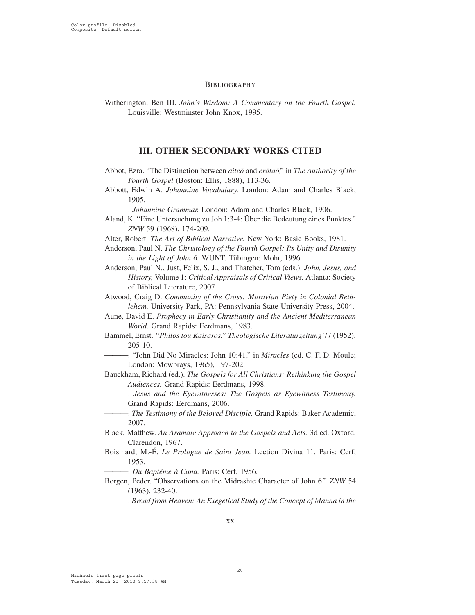Witherington, Ben III. *John's Wisdom: A Commentary on the Fourth Gospel.* Louisville: Westminster John Knox, 1995.

## **III. OTHER SECONDARY WORKS CITED**

Abbot, Ezra. "The Distinction between *aite*<sup>*z*</sup> and *erZta*<sup>*z*</sup>," in *The Authority of the Fourth Gospel* (Boston: Ellis, 1888), 113-36. Abbott, Edwin A. *Johannine Vocabulary.* London: Adam and Charles Black, 1905. ¾¾¾. *Johannine Grammar.* London: Adam and Charles Black, 1906. Aland, K. "Eine Untersuchung zu Joh 1:3-4: Über die Bedeutung eines Punktes." *ZNW* 59 (1968), 174-209. Alter, Robert. *The Art of Biblical Narrative.* New York: Basic Books, 1981. Anderson, Paul N. *The Christology of the Fourth Gospel: Its Unity and Disunity in the Light of John 6.* WUNT. Tübingen: Mohr, 1996. Anderson, Paul N., Just, Felix, S. J., and Thatcher, Tom (eds.). *John, Jesus, and History,* Volume 1: *Critical Appraisals of Critical Views.* Atlanta: Society of Biblical Literature, 2007. Atwood, Craig D. *Community of the Cross: Moravian Piety in Colonial Bethlehem.* University Park, PA: Pennsylvania State University Press, 2004. Aune, David E. *Prophecy in Early Christianity and the Ancient Mediterranean World.* Grand Rapids: Eerdmans, 1983. Bammel, Ernst. *"Philos tou Kaisaros." Theologische Literaturzeitung* 77 (1952), 205-10. ¾¾¾. "John Did No Miracles: John 10:41," in *Miracles* (ed. C. F. D. Moule; London: Mowbrays, 1965), 197-202. Bauckham, Richard (ed.). *The Gospels for All Christians: Rethinking the Gospel Audiences.* Grand Rapids: Eerdmans, 1998. ¾¾¾. *Jesus and the Eyewitnesses: The Gospels as Eyewitness Testimony.* Grand Rapids: Eerdmans, 2006. ¾¾¾. *The Testimony of the Beloved Disciple.* Grand Rapids: Baker Academic, 2007. Black, Matthew. *An Aramaic Approach to the Gospels and Acts.* 3d ed. Oxford, Clarendon, 1967. Boismard, M.-É. *Le Prologue de Saint Jean.* Lection Divina 11. Paris: Cerf, 1953. ¾¾¾. *Du Baptême à Cana.* Paris: Cerf, 1956. Borgen, Peder. "Observations on the Midrashic Character of John 6." *ZNW* 54 (1963), 232-40. ¾¾¾. *Bread from Heaven: An Exegetical Study of the Concept of Manna in the*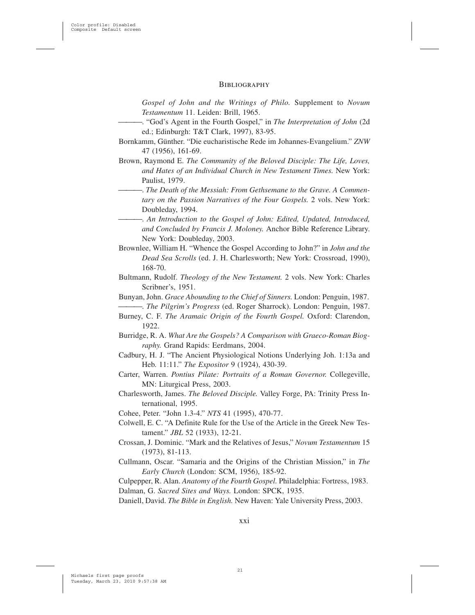*Gospel of John and the Writings of Philo.* Supplement to *Novum Testamentum* 11. Leiden: Brill, 1965.

- ¾¾¾. "God's Agent in the Fourth Gospel," in *The Interpretation of John* (2d ed.; Edinburgh: T&T Clark, 1997), 83-95.
- Bornkamm, Günther. "Die eucharistische Rede im Johannes-Evangelium." *ZNW* 47 (1956), 161-69.
- Brown, Raymond E. *The Community of the Beloved Disciple: The Life, Loves, and Hates of an Individual Church in New Testament Times.* New York: Paulist, 1979.
	- $-$ . The Death of the Messiah: From Gethsemane to the Grave. A Commen*tary on the Passion Narratives of the Four Gospels.* 2 vols. New York: Doubleday, 1994.
- ¾¾¾. *An Introduction to the Gospel of John: Edited, Updated, Introduced, and Concluded by Francis J. Moloney.* Anchor Bible Reference Library. New York: Doubleday, 2003.
- Brownlee, William H. "Whence the Gospel According to John?" in *John and the Dead Sea Scrolls* (ed. J. H. Charlesworth; New York: Crossroad, 1990), 168-70.
- Bultmann, Rudolf. *Theology of the New Testament.* 2 vols. New York: Charles Scribner's, 1951.
- Bunyan, John. *Grace Abounding to the Chief of Sinners.* London: Penguin, 1987. ¾¾¾. *The Pilgrim's Progress* (ed. Roger Sharrock). London: Penguin, 1987.
- Burney, C. F. *The Aramaic Origin of the Fourth Gospel.* Oxford: Clarendon, 1922.
- Burridge, R. A. *What Are the Gospels? A Comparison with Graeco-Roman Biography.* Grand Rapids: Eerdmans, 2004.
- Cadbury, H. J. "The Ancient Physiological Notions Underlying Joh. 1:13a and Heb. 11:11." *The Expositor* 9 (1924), 430-39.
- Carter, Warren. *Pontius Pilate: Portraits of a Roman Governor.* Collegeville, MN: Liturgical Press, 2003.
- Charlesworth, James. *The Beloved Disciple.* Valley Forge, PA: Trinity Press International, 1995.
- Cohee, Peter. "John 1.3-4." *NTS* 41 (1995), 470-77.
- Colwell, E. C. "A Definite Rule for the Use of the Article in the Greek New Testament." *JBL* 52 (1933), 12-21.
- Crossan, J. Dominic. "Mark and the Relatives of Jesus," *Novum Testamentum* 15 (1973), 81-113.
- Cullmann, Oscar. "Samaria and the Origins of the Christian Mission," in *The Early Church* (London: SCM, 1956), 185-92.
- Culpepper, R. Alan. *Anatomy of the Fourth Gospel.* Philadelphia: Fortress, 1983. Dalman, G. *Sacred Sites and Ways.* London: SPCK, 1935.
- Daniell, David. *The Bible in English.* New Haven: Yale University Press, 2003.

xxi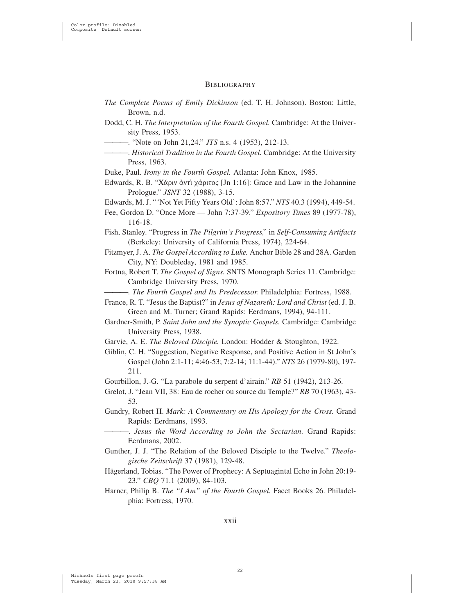- *The Complete Poems of Emily Dickinson* (ed. T. H. Johnson). Boston: Little, Brown, n.d.
- Dodd, C. H. *The Interpretation of the Fourth Gospel.* Cambridge: At the University Press, 1953.
- ¾¾¾. "Note on John 21,24." *JTS* n.s. 4 (1953), 212-13.
- ¾¾¾. *Historical Tradition in the Fourth Gospel.* Cambridge: At the University Press, 1963.
- Duke, Paul. *Irony in the Fourth Gospel.* Atlanta: John Knox, 1985.
- Edwards, R. B. "Χάριν ἀντὶ χάριτος [Jn 1:16]: Grace and Law in the Johannine Prologue." *JSNT* 32 (1988), 3-15.
- Edwards, M. J. "'Not Yet Fifty Years Old': John 8:57." *NTS* 40.3 (1994), 449-54.
- Fee, Gordon D. "Once More John 7:37-39." *Expository Times* 89 (1977-78), 116-18.
- Fish, Stanley. "Progress in *The Pilgrim's Progress,*" in *Self-Consuming Artifacts* (Berkeley: University of California Press, 1974), 224-64.
- Fitzmyer, J. A. *The Gospel According to Luke.* Anchor Bible 28 and 28A. Garden City, NY: Doubleday, 1981 and 1985.
- Fortna, Robert T. *The Gospel of Signs.* SNTS Monograph Series 11. Cambridge: Cambridge University Press, 1970.
	- ¾¾¾. *The Fourth Gospel and Its Predecessor.* Philadelphia: Fortress, 1988.
- France, R. T. "Jesus the Baptist?" in *Jesus of Nazareth: Lord and Christ* (ed. J. B. Green and M. Turner; Grand Rapids: Eerdmans, 1994), 94-111.
- Gardner-Smith, P. *Saint John and the Synoptic Gospels.* Cambridge: Cambridge University Press, 1938.
- Garvie, A. E. *The Beloved Disciple.* London: Hodder & Stoughton, 1922.
- Giblin, C. H. "Suggestion, Negative Response, and Positive Action in St John's Gospel (John 2:1-11; 4:46-53; 7:2-14; 11:1-44)." *NTS* 26 (1979-80), 197- 211.
- Gourbillon, J.-G. "La parabole du serpent d'airain." *RB* 51 (1942), 213-26.
- Grelot, J. "Jean VII, 38: Eau de rocher ou source du Temple?" *RB* 70 (1963), 43- 53.
- Gundry, Robert H. *Mark: A Commentary on His Apology for the Cross.* Grand Rapids: Eerdmans, 1993.
- ¾¾¾. *Jesus the Word According to John the Sectarian.* Grand Rapids: Eerdmans, 2002.
- Gunther, J. J. "The Relation of the Beloved Disciple to the Twelve." *Theologische Zeitschrift* 37 (1981), 129-48.
- Hägerland, Tobias. "The Power of Prophecy: A Septuagintal Echo in John 20:19- 23." *CBQ* 71.1 (2009), 84-103.
- Harner, Philip B. *The "I Am" of the Fourth Gospel.* Facet Books 26. Philadelphia: Fortress, 1970.

xxii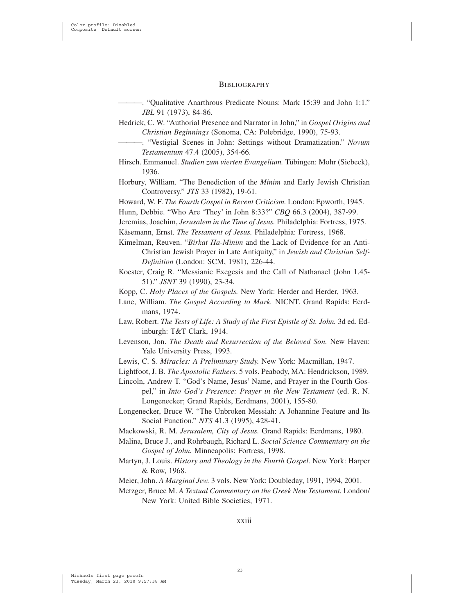- ¾¾¾. "Qualitative Anarthrous Predicate Nouns: Mark 15:39 and John 1:1." *JBL* 91 (1973), 84-86.
- Hedrick, C. W. "Authorial Presence and Narrator in John," in *Gospel Origins and Christian Beginnings* (Sonoma, CA: Polebridge, 1990), 75-93.
- ¾¾¾. "Vestigial Scenes in John: Settings without Dramatization." *Novum Testamentum* 47.4 (2005), 354-66.
- Hirsch. Emmanuel. *Studien zum vierten Evangelium.* Tübingen: Mohr (Siebeck), 1936.
- Horbury, William. "The Benediction of the *Minim* and Early Jewish Christian Controversy." *JTS* 33 (1982), 19-61.
- Howard, W. F. *The Fourth Gospel in Recent Criticism.* London: Epworth, 1945.
- Hunn, Debbie. "Who Are 'They' in John 8:33?" *CBQ* 66.3 (2004), 387-99.
- Jeremias, Joachim, *Jerusalem in the Time of Jesus.* Philadelphia: Fortress, 1975.
- Käsemann, Ernst. *The Testament of Jesus.* Philadelphia: Fortress, 1968.
- Kimelman, Reuven. "*Birkat Ha-Minim* and the Lack of Evidence for an Anti-Christian Jewish Prayer in Late Antiquity," in *Jewish and Christian Self-Definition* (London: SCM, 1981), 226-44.
- Koester, Craig R. "Messianic Exegesis and the Call of Nathanael (John 1.45- 51)." *JSNT* 39 (1990), 23-34.
- Kopp, C. *Holy Places of the Gospels.* New York: Herder and Herder, 1963.
- Lane, William. *The Gospel According to Mark.* NICNT. Grand Rapids: Eerdmans, 1974.
- Law, Robert. *The Tests of Life: A Study of the First Epistle of St. John.* 3d ed. Edinburgh: T&T Clark, 1914.
- Levenson, Jon. *The Death and Resurrection of the Beloved Son.* New Haven: Yale University Press, 1993.
- Lewis, C. S. *Miracles: A Preliminary Study.* New York: Macmillan, 1947.
- Lightfoot, J. B. *The Apostolic Fathers.* 5 vols. Peabody, MA: Hendrickson, 1989.
- Lincoln, Andrew T. "God's Name, Jesus' Name, and Prayer in the Fourth Gospel," in *Into God's Presence: Prayer in the New Testament* (ed. R. N. Longenecker; Grand Rapids, Eerdmans, 2001), 155-80.
- Longenecker, Bruce W. "The Unbroken Messiah: A Johannine Feature and Its Social Function." *NTS* 41.3 (1995), 428-41.
- Mackowski, R. M. *Jerusalem, City of Jesus.* Grand Rapids: Eerdmans, 1980.
- Malina, Bruce J., and Rohrbaugh, Richard L. *Social Science Commentary on the Gospel of John.* Minneapolis: Fortress, 1998.
- Martyn, J. Louis. *History and Theology in the Fourth Gospel.* New York: Harper & Row, 1968.
- Meier, John. *A Marginal Jew.* 3 vols. New York: Doubleday, 1991, 1994, 2001.
- Metzger, Bruce M. *A Textual Commentary on the Greek New Testament.* London/ New York: United Bible Societies, 1971.

xxiii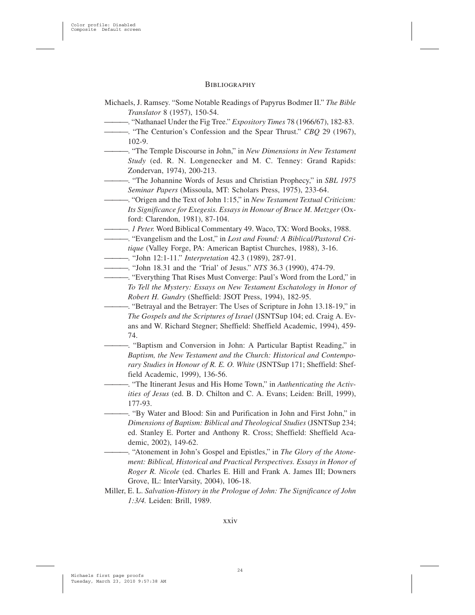- Michaels, J. Ramsey. "Some Notable Readings of Papyrus Bodmer II." *The Bible Translator* 8 (1957), 150-54.
	- ¾¾¾. "Nathanael Under the Fig Tree." *Expository Times* 78 (1966/67), 182-83.
	- ¾¾¾. "The Centurion's Confession and the Spear Thrust." *CBQ* 29 (1967), 102-9.
	- ¾¾¾. "The Temple Discourse in John," in *New Dimensions in New Testament Study* (ed. R. N. Longenecker and M. C. Tenney: Grand Rapids: Zondervan, 1974), 200-213.
	- ¾¾¾. "The Johannine Words of Jesus and Christian Prophecy," in *SBL 1975 Seminar Papers* (Missoula, MT: Scholars Press, 1975), 233-64.
		- ¾¾¾. "Origen and the Text of John 1:15," in *New Testament Textual Criticism: Its Significance for Exegesis. Essays in Honour of Bruce M. Metzger* (Oxford: Clarendon, 1981), 87-104.
	- ¾¾¾. *1 Peter.* Word Biblical Commentary 49. Waco, TX: Word Books, 1988.
		- ¾¾¾. "Evangelism and the Lost," in *Lost and Found: A Biblical/Pastoral Critique* (Valley Forge, PA: American Baptist Churches, 1988), 3-16.
	- ¾¾¾. "John 12:1-11." *Interpretation* 42.3 (1989), 287-91.
- ¾¾¾. "John 18.31 and the 'Trial' of Jesus." *NTS* 36.3 (1990), 474-79.
	- ¾¾¾. "Everything That Rises Must Converge: Paul's Word from the Lord," in *To Tell the Mystery: Essays on New Testament Eschatology in Honor of Robert H. Gundry* (Sheffield: JSOT Press, 1994), 182-95.
		- ¾¾¾. "Betrayal and the Betrayer: The Uses of Scripture in John 13.18-19," in *The Gospels and the Scriptures of Israel* (JSNTSup 104; ed. Craig A. Evans and W. Richard Stegner; Sheffield: Sheffield Academic, 1994), 459- 74.
		- ¾¾¾. "Baptism and Conversion in John: A Particular Baptist Reading," in *Baptism, the New Testament and the Church: Historical and Contemporary Studies in Honour of R. E. O. White* (JSNTSup 171; Sheffield: Sheffield Academic, 1999), 136-56.
		- ¾¾¾. "The Itinerant Jesus and His Home Town," in *Authenticating the Activities of Jesus* (ed. B. D. Chilton and C. A. Evans; Leiden: Brill, 1999), 177-93.
	- ¾¾¾. "By Water and Blood: Sin and Purification in John and First John," in *Dimensions of Baptism: Biblical and Theological Studies* (JSNTSup 234; ed. Stanley E. Porter and Anthony R. Cross; Sheffield: Sheffield Academic, 2002), 149-62.
	- ¾¾¾. "Atonement in John's Gospel and Epistles," in *The Glory of the Atonement: Biblical, Historical and Practical Perspectives. Essays in Honor of Roger R. Nicole* (ed. Charles E. Hill and Frank A. James III; Downers Grove, IL: InterVarsity, 2004), 106-18.
- Miller, E. L. *Salvation-History in the Prologue of John: The Significance of John 1:3/4.* Leiden: Brill, 1989.

xxiv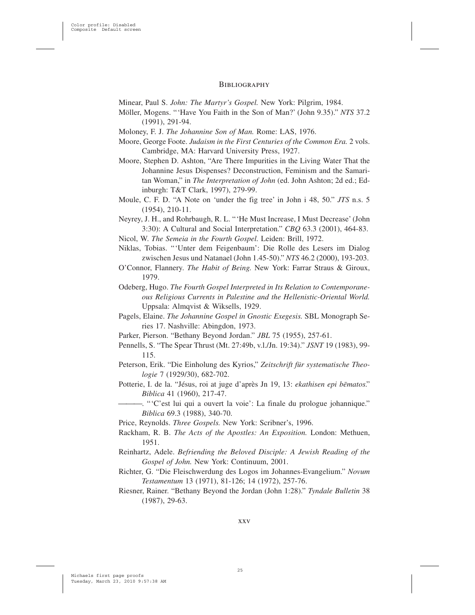Minear, Paul S. *John: The Martyr's Gospel.* New York: Pilgrim, 1984.

- Möller, Mogens. "'Have You Faith in the Son of Man?' (John 9.35)." *NTS* 37.2 (1991), 291-94.
- Moloney, F. J. *The Johannine Son of Man.* Rome: LAS, 1976.
- Moore, George Foote. *Judaism in the First Centuries of the Common Era.* 2 vols. Cambridge, MA: Harvard University Press, 1927.
- Moore, Stephen D. Ashton, "Are There Impurities in the Living Water That the Johannine Jesus Dispenses? Deconstruction, Feminism and the Samaritan Woman," in *The Interpretation of John* (ed. John Ashton; 2d ed.; Edinburgh: T&T Clark, 1997), 279-99.
- Moule, C. F. D. "A Note on 'under the fig tree' in John i 48, 50." *JTS* n.s. 5 (1954), 210-11.
- Neyrey, J. H., and Rohrbaugh, R. L. "'He Must Increase, I Must Decrease' (John 3:30): A Cultural and Social Interpretation." *CBQ* 63.3 (2001), 464-83.
- Nicol, W. *The Semeia in the Fourth Gospel.* Leiden: Brill, 1972.
- Niklas, Tobias. "'Unter dem Feigenbaum': Die Rolle des Lesers im Dialog zwischen Jesus und Natanael (John 1.45-50)." *NTS* 46.2 (2000), 193-203.
- O'Connor, Flannery. *The Habit of Being.* New York: Farrar Straus & Giroux, 1979.
- Odeberg, Hugo. *The Fourth Gospel Interpreted in Its Relation to Contemporaneous Religious Currents in Palestine and the Hellenistic-Oriental World.* Uppsala: Almqvist & Wiksells, 1929.
- Pagels, Elaine. *The Johannine Gospel in Gnostic Exegesis.* SBL Monograph Series 17. Nashville: Abingdon, 1973.
- Parker, Pierson. "Bethany Beyond Jordan." *JBL* 75 (1955), 257-61.
- Pennells, S. "The Spear Thrust (Mt. 27:49b, v.l./Jn. 19:34)." *JSNT* 19 (1983), 99- 115.
- Peterson, Erik. "Die Einholung des Kyrios," *Zeitschrift für systematische Theologie* 7 (1929/30), 682-702.
- Potterie, I. de la. "Jésus, roi at juge d'après Jn 19, 13: *ekathisen epi bēmatos.*" *Biblica* 41 (1960), 217-47.
	- ¾¾¾. "'C'est lui qui a ouvert la voie': La finale du prologue johannique." *Biblica* 69.3 (1988), 340-70.

Price, Reynolds. *Three Gospels.* New York: Scribner's, 1996.

- Rackham, R. B. *The Acts of the Apostles: An Exposition.* London: Methuen, 1951.
- Reinhartz, Adele. *Befriending the Beloved Disciple: A Jewish Reading of the Gospel of John.* New York: Continuum, 2001.
- Richter, G. "Die Fleischwerdung des Logos im Johannes-Evangelium." *Novum Testamentum* 13 (1971), 81-126; 14 (1972), 257-76.
- Riesner, Rainer. "Bethany Beyond the Jordan (John 1:28)." *Tyndale Bulletin* 38 (1987), 29-63.

xxv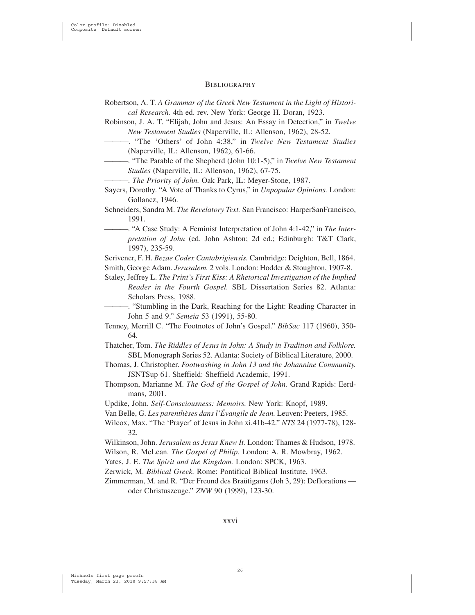Robertson, A. T. *A Grammar of the Greek New Testament in the Light of Historical Research.* 4th ed. rev. New York: George H. Doran, 1923.

- Robinson, J. A. T. "Elijah, John and Jesus: An Essay in Detection," in *Twelve New Testament Studies* (Naperville, IL: Allenson, 1962), 28-52.
- ¾¾¾. "The 'Others' of John 4:38," in *Twelve New Testament Studies* (Naperville, IL: Allenson, 1962), 61-66.

¾¾¾. "The Parable of the Shepherd (John 10:1-5)," in *Twelve New Testament Studies* (Naperville, IL: Allenson, 1962), 67-75.

- -. *The Priority of John.* Oak Park, IL: Meyer-Stone, 1987.
- Sayers, Dorothy. "A Vote of Thanks to Cyrus," in *Unpopular Opinions.* London: Gollancz, 1946.

Schneiders, Sandra M. *The Revelatory Text.* San Francisco: HarperSanFrancisco, 1991.

<sup>1</sup> A Case Study: A Feminist Interpretation of John 4:1-42," in *The Interpretation of John* (ed. John Ashton; 2d ed.; Edinburgh: T&T Clark, 1997), 235-59.

Scrivener, F. H. *Bezae Codex Cantabrigiensis.* Cambridge: Deighton, Bell, 1864. Smith, George Adam. *Jerusalem.* 2 vols. London: Hodder & Stoughton, 1907-8.

Staley, Jeffrey L. *The Print's First Kiss: A Rhetorical Investigation of the Implied Reader in the Fourth Gospel.* SBL Dissertation Series 82. Atlanta: Scholars Press, 1988.

¾¾¾. "Stumbling in the Dark, Reaching for the Light: Reading Character in John 5 and 9." *Semeia* 53 (1991), 55-80.

Tenney, Merrill C. "The Footnotes of John's Gospel." *BibSac* 117 (1960), 350- 64.

Thatcher, Tom. *The Riddles of Jesus in John: A Study in Tradition and Folklore.* SBL Monograph Series 52. Atlanta: Society of Biblical Literature, 2000.

- Thomas, J. Christopher. *Footwashing in John 13 and the Johannine Community.* JSNTSup 61. Sheffield: Sheffield Academic, 1991.
- Thompson, Marianne M. *The God of the Gospel of John.* Grand Rapids: Eerdmans, 2001.
- Updike, John. *Self-Consciousness: Memoirs.* New York: Knopf, 1989.
- Van Belle, G. *Les parenthèses dans l'Évangile de Jean.* Leuven: Peeters, 1985.
- Wilcox, Max. "The 'Prayer' of Jesus in John xi.41b-42." *NTS* 24 (1977-78), 128- 32.
- Wilkinson, John. *Jerusalem as Jesus Knew It.* London: Thames & Hudson, 1978.
- Wilson, R. McLean. *The Gospel of Philip.* London: A. R. Mowbray, 1962.
- Yates, J. E. *The Spirit and the Kingdom.* London: SPCK, 1963.
- Zerwick, M. *Biblical Greek.* Rome: Pontifical Biblical Institute, 1963.
- Zimmerman, M. and R. "Der Freund des Braütigams (Joh 3, 29): Deflorations oder Christuszeuge." *ZNW* 90 (1999), 123-30.

xxvi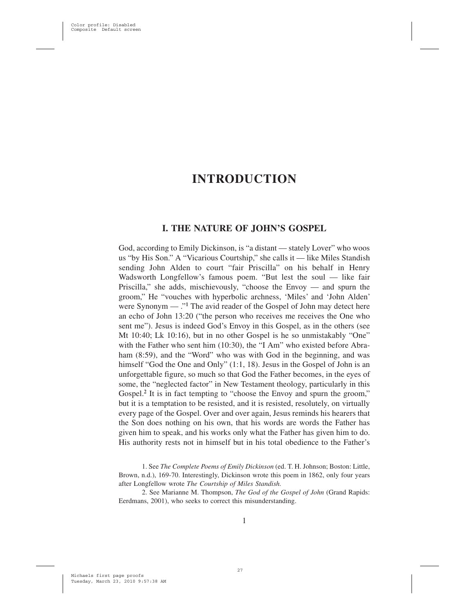# **INTRODUCTION**

## **I. THE NATURE OF JOHN'S GOSPEL**

God, according to Emily Dickinson, is "a distant — stately Lover" who woos us "by His Son." A "Vicarious Courtship," she calls it — like Miles Standish sending John Alden to court "fair Priscilla" on his behalf in Henry Wadsworth Longfellow's famous poem. "But lest the soul — like fair Priscilla," she adds, mischievously, "choose the Envoy — and spurn the groom," He "vouches with hyperbolic archness, 'Miles' and 'John Alden' were Synonym — ."1 The avid reader of the Gospel of John may detect here an echo of John 13:20 ("the person who receives me receives the One who sent me"). Jesus is indeed God's Envoy in this Gospel, as in the others (see Mt 10:40; Lk 10:16), but in no other Gospel is he so unmistakably "One" with the Father who sent him (10:30), the "I Am" who existed before Abraham (8:59), and the "Word" who was with God in the beginning, and was himself "God the One and Only" (1:1, 18). Jesus in the Gospel of John is an unforgettable figure, so much so that God the Father becomes, in the eyes of some, the "neglected factor" in New Testament theology, particularly in this Gospel.<sup>2</sup> It is in fact tempting to "choose the Envoy and spurn the groom," but it is a temptation to be resisted, and it is resisted, resolutely, on virtually every page of the Gospel. Over and over again, Jesus reminds his hearers that the Son does nothing on his own, that his words are words the Father has given him to speak, and his works only what the Father has given him to do. His authority rests not in himself but in his total obedience to the Father's

1. See *The Complete Poems of Emily Dickinson* (ed. T. H. Johnson; Boston: Little, Brown, n.d.), 169-70. Interestingly, Dickinson wrote this poem in 1862, only four years after Longfellow wrote *The Courtship of Miles Standish.*

2. See Marianne M. Thompson, *The God of the Gospel of John* (Grand Rapids: Eerdmans, 2001), who seeks to correct this misunderstanding.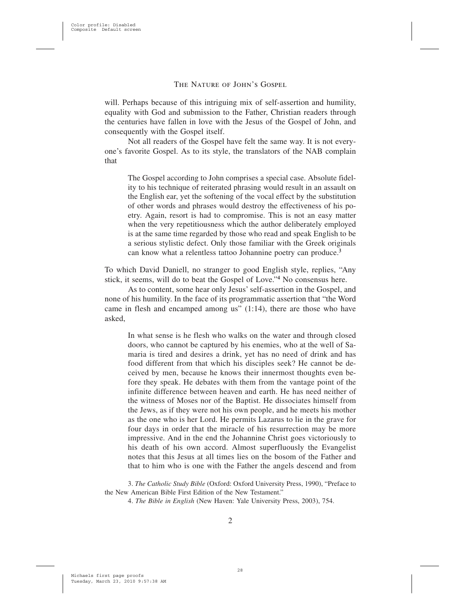will. Perhaps because of this intriguing mix of self-assertion and humility, equality with God and submission to the Father, Christian readers through the centuries have fallen in love with the Jesus of the Gospel of John, and consequently with the Gospel itself.

Not all readers of the Gospel have felt the same way. It is not everyone's favorite Gospel. As to its style, the translators of the NAB complain that

The Gospel according to John comprises a special case. Absolute fidelity to his technique of reiterated phrasing would result in an assault on the English ear, yet the softening of the vocal effect by the substitution of other words and phrases would destroy the effectiveness of his poetry. Again, resort is had to compromise. This is not an easy matter when the very repetitiousness which the author deliberately employed is at the same time regarded by those who read and speak English to be a serious stylistic defect. Only those familiar with the Greek originals can know what a relentless tattoo Johannine poetry can produce.3

To which David Daniell, no stranger to good English style, replies, "Any stick, it seems, will do to beat the Gospel of Love."4 No consensus here.

As to content, some hear only Jesus' self-assertion in the Gospel, and none of his humility. In the face of its programmatic assertion that "the Word came in flesh and encamped among us" (1:14), there are those who have asked,

In what sense is he flesh who walks on the water and through closed doors, who cannot be captured by his enemies, who at the well of Samaria is tired and desires a drink, yet has no need of drink and has food different from that which his disciples seek? He cannot be deceived by men, because he knows their innermost thoughts even before they speak. He debates with them from the vantage point of the infinite difference between heaven and earth. He has need neither of the witness of Moses nor of the Baptist. He dissociates himself from the Jews, as if they were not his own people, and he meets his mother as the one who is her Lord. He permits Lazarus to lie in the grave for four days in order that the miracle of his resurrection may be more impressive. And in the end the Johannine Christ goes victoriously to his death of his own accord. Almost superfluously the Evangelist notes that this Jesus at all times lies on the bosom of the Father and that to him who is one with the Father the angels descend and from

3. *The Catholic Study Bible* (Oxford: Oxford University Press, 1990), "Preface to the New American Bible First Edition of the New Testament."

4. *The Bible in English* (New Haven: Yale University Press, 2003), 754.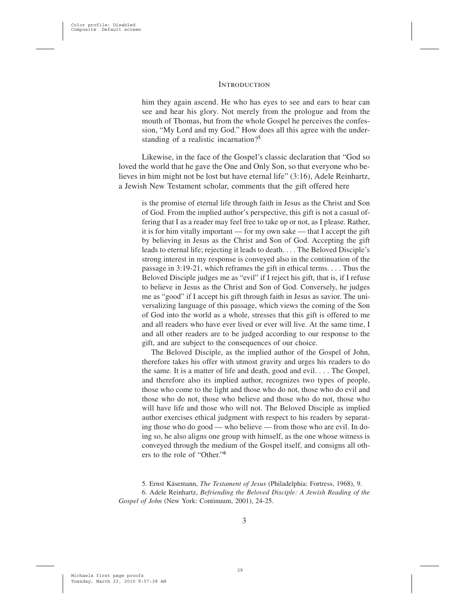#### **INTRODUCTION**

him they again ascend. He who has eyes to see and ears to hear can see and hear his glory. Not merely from the prologue and from the mouth of Thomas, but from the whole Gospel he perceives the confession, "My Lord and my God." How does all this agree with the understanding of a realistic incarnation?5

Likewise, in the face of the Gospel's classic declaration that "God so loved the world that he gave the One and Only Son, so that everyone who believes in him might not be lost but have eternal life" (3:16), Adele Reinhartz, a Jewish New Testament scholar, comments that the gift offered here

is the promise of eternal life through faith in Jesus as the Christ and Son of God. From the implied author's perspective, this gift is not a casual offering that I as a reader may feel free to take up or not, as I please. Rather, it is for him vitally important — for my own sake — that I accept the gift by believing in Jesus as the Christ and Son of God. Accepting the gift leads to eternal life; rejecting it leads to death. . . . The Beloved Disciple's strong interest in my response is conveyed also in the continuation of the passage in 3:19-21, which reframes the gift in ethical terms.... Thus the Beloved Disciple judges me as "evil" if I reject his gift, that is, if I refuse to believe in Jesus as the Christ and Son of God. Conversely, he judges me as "good" if I accept his gift through faith in Jesus as savior. The universalizing language of this passage, which views the coming of the Son of God into the world as a whole, stresses that this gift is offered to me and all readers who have ever lived or ever will live. At the same time, I and all other readers are to be judged according to our response to the gift, and are subject to the consequences of our choice.

The Beloved Disciple, as the implied author of the Gospel of John, therefore takes his offer with utmost gravity and urges his readers to do the same. It is a matter of life and death, good and evil. . . . The Gospel, and therefore also its implied author, recognizes two types of people, those who come to the light and those who do not, those who do evil and those who do not, those who believe and those who do not, those who will have life and those who will not. The Beloved Disciple as implied author exercises ethical judgment with respect to his readers by separating those who do good — who believe — from those who are evil. In doing so, he also aligns one group with himself, as the one whose witness is conveyed through the medium of the Gospel itself, and consigns all others to the role of "Other."6

<sup>5.</sup> Ernst Käsemann, *The Testament of Jesus* (Philadelphia: Fortress, 1968), 9.

<sup>6.</sup> Adele Reinhartz, *Befriending the Beloved Disciple: A Jewish Reading of the Gospel of John* (New York: Continuum, 2001), 24-25.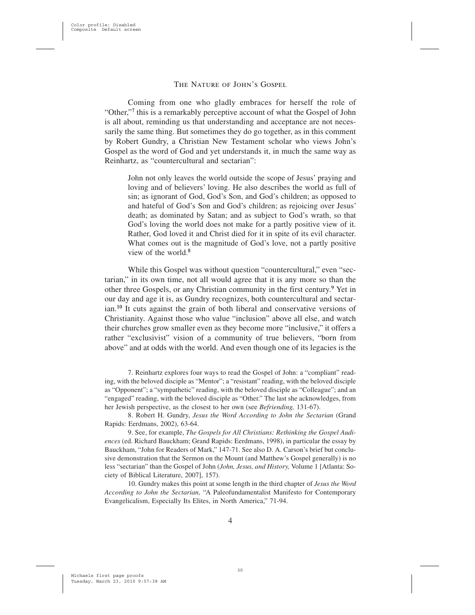#### THE NATURE OF JOHN'S GOSPEL

Coming from one who gladly embraces for herself the role of "Other,"7 this is a remarkably perceptive account of what the Gospel of John is all about, reminding us that understanding and acceptance are not necessarily the same thing. But sometimes they do go together, as in this comment by Robert Gundry, a Christian New Testament scholar who views John's Gospel as the word of God and yet understands it, in much the same way as Reinhartz, as "countercultural and sectarian":

John not only leaves the world outside the scope of Jesus' praying and loving and of believers' loving. He also describes the world as full of sin; as ignorant of God, God's Son, and God's children; as opposed to and hateful of God's Son and God's children; as rejoicing over Jesus' death; as dominated by Satan; and as subject to God's wrath, so that God's loving the world does not make for a partly positive view of it. Rather, God loved it and Christ died for it in spite of its evil character. What comes out is the magnitude of God's love, not a partly positive view of the world.8

While this Gospel was without question "countercultural," even "sectarian," in its own time, not all would agree that it is any more so than the other three Gospels, or any Christian community in the first century.9 Yet in our day and age it is, as Gundry recognizes, both countercultural and sectarian.10 It cuts against the grain of both liberal and conservative versions of Christianity. Against those who value "inclusion" above all else, and watch their churches grow smaller even as they become more "inclusive," it offers a rather "exclusivist" vision of a community of true believers, "born from above" and at odds with the world. And even though one of its legacies is the

7. Reinhartz explores four ways to read the Gospel of John: a "compliant" reading, with the beloved disciple as "Mentor"; a "resistant" reading, with the beloved disciple as "Opponent"; a "sympathetic" reading, with the beloved disciple as "Colleague"; and an "engaged" reading, with the beloved disciple as "Other." The last she acknowledges, from her Jewish perspective, as the closest to her own (see *Befriending,* 131-67).

8. Robert H. Gundry, *Jesus the Word According to John the Sectarian* (Grand Rapids: Eerdmans, 2002), 63-64.

9. See, for example, *The Gospels for All Christians: Rethinking the Gospel Audiences* (ed. Richard Bauckham; Grand Rapids: Eerdmans, 1998), in particular the essay by Bauckham, "John for Readers of Mark," 147-71. See also D. A. Carson's brief but conclusive demonstration that the Sermon on the Mount (and Matthew's Gospel generally) is no less "sectarian" than the Gospel of John (*John, Jesus, and History,* Volume 1 [Atlanta: Society of Biblical Literature, 2007], 157).

10. Gundry makes this point at some length in the third chapter of *Jesus the Word According to John the Sectarian,* "A Paleofundamentalist Manifesto for Contemporary Evangelicalism, Especially Its Elites, in North America," 71-94.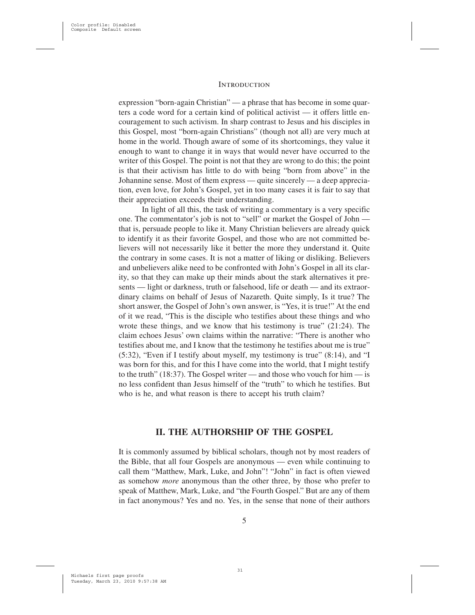#### **INTRODUCTION**

expression "born-again Christian" — a phrase that has become in some quarters a code word for a certain kind of political activist — it offers little encouragement to such activism. In sharp contrast to Jesus and his disciples in this Gospel, most "born-again Christians" (though not all) are very much at home in the world. Though aware of some of its shortcomings, they value it enough to want to change it in ways that would never have occurred to the writer of this Gospel. The point is not that they are wrong to do this; the point is that their activism has little to do with being "born from above" in the Johannine sense. Most of them express — quite sincerely — a deep appreciation, even love, for John's Gospel, yet in too many cases it is fair to say that their appreciation exceeds their understanding.

In light of all this, the task of writing a commentary is a very specific one. The commentator's job is not to "sell" or market the Gospel of John that is, persuade people to like it. Many Christian believers are already quick to identify it as their favorite Gospel, and those who are not committed believers will not necessarily like it better the more they understand it. Quite the contrary in some cases. It is not a matter of liking or disliking. Believers and unbelievers alike need to be confronted with John's Gospel in all its clarity, so that they can make up their minds about the stark alternatives it presents — light or darkness, truth or falsehood, life or death — and its extraordinary claims on behalf of Jesus of Nazareth. Quite simply, Is it true? The short answer, the Gospel of John's own answer, is "Yes, it is true!" At the end of it we read, "This is the disciple who testifies about these things and who wrote these things, and we know that his testimony is true" (21:24). The claim echoes Jesus' own claims within the narrative: "There is another who testifies about me, and I know that the testimony he testifies about me is true" (5:32), "Even if I testify about myself, my testimony is true" (8:14), and "I was born for this, and for this I have come into the world, that I might testify to the truth"  $(18:37)$ . The Gospel writer — and those who vouch for him — is no less confident than Jesus himself of the "truth" to which he testifies. But who is he, and what reason is there to accept his truth claim?

## **II. THE AUTHORSHIP OF THE GOSPEL**

It is commonly assumed by biblical scholars, though not by most readers of the Bible, that all four Gospels are anonymous — even while continuing to call them "Matthew, Mark, Luke, and John"! "John" in fact is often viewed as somehow *more* anonymous than the other three, by those who prefer to speak of Matthew, Mark, Luke, and "the Fourth Gospel." But are any of them in fact anonymous? Yes and no. Yes, in the sense that none of their authors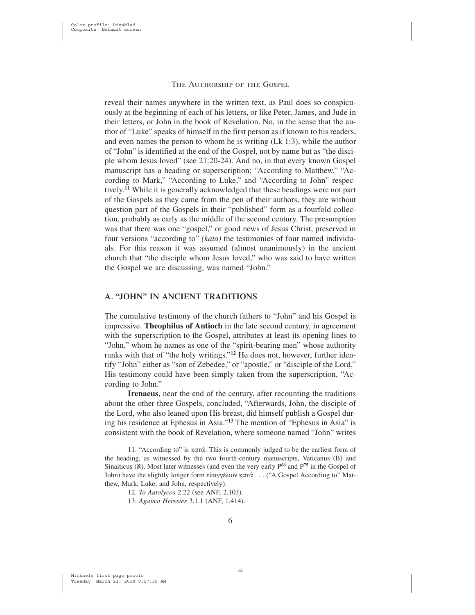reveal their names anywhere in the written text, as Paul does so conspicuously at the beginning of each of his letters, or like Peter, James, and Jude in their letters, or John in the book of Revelation. No, in the sense that the author of "Luke" speaks of himself in the first person as if known to his readers, and even names the person to whom he is writing (Lk 1:3), while the author of "John" is identified at the end of the Gospel, not by name but as "the disciple whom Jesus loved" (see 21:20-24). And no, in that every known Gospel manuscript has a heading or superscription: "According to Matthew," "According to Mark," "According to Luke," and "According to John" respectively.11 While it is generally acknowledged that these headings were not part of the Gospels as they came from the pen of their authors, they are without question part of the Gospels in their "published" form as a fourfold collection, probably as early as the middle of the second century. The presumption was that there was one "gospel," or good news of Jesus Christ, preserved in four versions "according to" *(kata)* the testimonies of four named individuals. For this reason it was assumed (almost unanimously) in the ancient church that "the disciple whom Jesus loved," who was said to have written the Gospel we are discussing, was named "John."

## **A. "JOHN" IN ANCIENT TRADITIONS**

The cumulative testimony of the church fathers to "John" and his Gospel is impressive. **Theophilus of Antioch** in the late second century, in agreement with the superscription to the Gospel, attributes at least its opening lines to "John," whom he names as one of the "spirit-bearing men" whose authority ranks with that of "the holy writings."<sup>12</sup> He does not, however, further identify "John" either as "son of Zebedee," or "apostle," or "disciple of the Lord." His testimony could have been simply taken from the superscription, "According to John."

**Irenaeus**, near the end of the century, after recounting the traditions about the other three Gospels, concluded, "Afterwards, John, the disciple of the Lord, who also leaned upon His breast, did himself publish a Gospel during his residence at Ephesus in Asia."13 The mention of "Ephesus in Asia" is consistent with the book of Revelation, where someone named "John" writes

11. "According to" is  $\kappa \alpha \tau \dot{\alpha}$ . This is commonly judged to be the earliest form of the heading, as witnessed by the two fourth-century manuscripts, Vaticanus (B) and Sinaiticus ( $\mathbf{\hat{X}}$ ). Most later witnesses (and even the very early P<sup>66</sup> and P<sup>75</sup> in the Gospel of John) have the slightly longer form εὐαγγέλιον κατά . . . ("A Gospel According to" Matthew, Mark, Luke, and John, respectively).

12. *To Autolycos* 2.22 (see ANF, 2.103).

13. *Against Heresies* 3.1.1 (ANF, 1.414).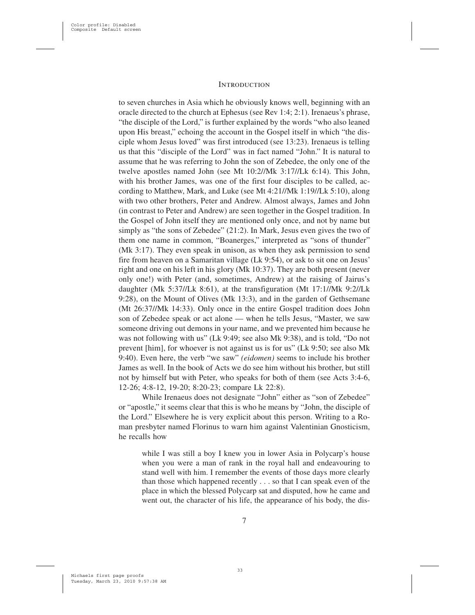#### **INTRODUCTION**

to seven churches in Asia which he obviously knows well, beginning with an oracle directed to the church at Ephesus (see Rev 1:4; 2:1). Irenaeus's phrase, "the disciple of the Lord," is further explained by the words "who also leaned upon His breast," echoing the account in the Gospel itself in which "the disciple whom Jesus loved" was first introduced (see 13:23). Irenaeus is telling us that this "disciple of the Lord" was in fact named "John." It is natural to assume that he was referring to John the son of Zebedee, the only one of the twelve apostles named John (see Mt 10:2//Mk 3:17//Lk 6:14). This John, with his brother James, was one of the first four disciples to be called, according to Matthew, Mark, and Luke (see Mt 4:21//Mk 1:19//Lk 5:10), along with two other brothers, Peter and Andrew. Almost always, James and John (in contrast to Peter and Andrew) are seen together in the Gospel tradition. In the Gospel of John itself they are mentioned only once, and not by name but simply as "the sons of Zebedee" (21:2). In Mark, Jesus even gives the two of them one name in common, "Boanerges," interpreted as "sons of thunder" (Mk 3:17). They even speak in unison, as when they ask permission to send fire from heaven on a Samaritan village (Lk 9:54), or ask to sit one on Jesus' right and one on his left in his glory (Mk 10:37). They are both present (never only one!) with Peter (and, sometimes, Andrew) at the raising of Jairus's daughter (Mk 5:37//Lk 8:61), at the transfiguration (Mt 17:1//Mk 9:2//Lk 9:28), on the Mount of Olives (Mk 13:3), and in the garden of Gethsemane (Mt 26:37//Mk 14:33). Only once in the entire Gospel tradition does John son of Zebedee speak or act alone — when he tells Jesus, "Master, we saw someone driving out demons in your name, and we prevented him because he was not following with us" (Lk 9:49; see also Mk 9:38), and is told, "Do not prevent [him], for whoever is not against us is for us" (Lk 9:50; see also Mk 9:40). Even here, the verb "we saw" *(eidomen)* seems to include his brother James as well. In the book of Acts we do see him without his brother, but still not by himself but with Peter, who speaks for both of them (see Acts 3:4-6, 12-26; 4:8-12, 19-20; 8:20-23; compare Lk 22:8).

While Irenaeus does not designate "John" either as "son of Zebedee" or "apostle," it seems clear that this is who he means by "John, the disciple of the Lord." Elsewhere he is very explicit about this person. Writing to a Roman presbyter named Florinus to warn him against Valentinian Gnosticism, he recalls how

while I was still a boy I knew you in lower Asia in Polycarp's house when you were a man of rank in the royal hall and endeavouring to stand well with him. I remember the events of those days more clearly than those which happened recently . . . so that I can speak even of the place in which the blessed Polycarp sat and disputed, how he came and went out, the character of his life, the appearance of his body, the dis-

7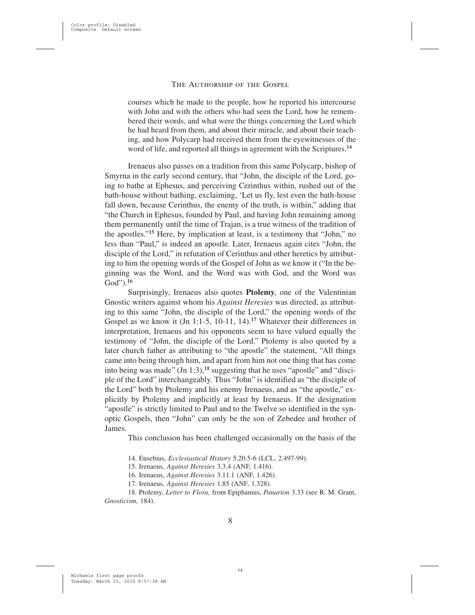courses which he made to the people, how he reported his intercourse with John and with the others who had seen the Lord, how he remembered their words, and what were the things concerning the Lord which he had heard from them, and about their miracle, and about their teaching, and how Polycarp had received them from the eyewitnesses of the word of life, and reported all things in agreement with the Scriptures.<sup>14</sup>

Irenaeus also passes on a tradition from this same Polycarp, bishop of Smyrna in the early second century, that "John, the disciple of the Lord, going to bathe at Ephesus, and perceiving Cerinthus within, rushed out of the bath-house without bathing, exclaiming, 'Let us fly, lest even the bath-house fall down, because Cerinthus, the enemy of the truth, is within," adding that "the Church in Ephesus, founded by Paul, and having John remaining among them permanently until the time of Trajan, is a true witness of the tradition of the apostles."15 Here, by implication at least, is a testimony that "John," no less than "Paul," is indeed an apostle. Later, Irenaeus again cites "John, the disciple of the Lord," in refutation of Cerinthus and other heretics by attributing to him the opening words of the Gospel of John as we know it ("In the beginning was the Word, and the Word was with God, and the Word was  $God$ ").<sup>16</sup>

Surprisingly, Irenaeus also quotes **Ptolemy**, one of the Valentinian Gnostic writers against whom his *Against Heresies* was directed, as attributing to this same "John, the disciple of the Lord," the opening words of the Gospel as we know it (Jn 1:1-5, 10-11, 14).<sup>17</sup> Whatever their differences in interpretation, Irenaeus and his opponents seem to have valued equally the testimony of "John, the disciple of the Lord." Ptolemy is also quoted by a later church father as attributing to "the apostle" the statement, "All things came into being through him, and apart from him not one thing that has come into being was made" (Jn 1:3),<sup>18</sup> suggesting that he uses "apostle" and "disciple of the Lord" interchangeably. Thus "John" is identified as "the disciple of the Lord" both by Ptolemy and his enemy Irenaeus, and as "the apostle," explicitly by Ptolemy and implicitly at least by Irenaeus. If the designation "apostle" is strictly limited to Paul and to the Twelve so identified in the synoptic Gospels, then "John" can only be the son of Zebedee and brother of James.

This conclusion has been challenged occasionally on the basis of the

14. Eusebius, *Ecclesiastical History* 5.20.5-6 (LCL, 2.497-99).

15. Irenaeus, *Against Heresies* 3.3.4 (ANF, 1.416).

16. Irenaeus, *Against Heresies* 3.11.1 (ANF, 1.426).

17. Irenaeus, *Against Heresies* 1.85 (ANF, 1.328).

18. Ptolemy, *Letter to Flora,* from Epiphanius, *Panarion* 3.33 (see R. M. Grant, *Gnosticism,* 184).

34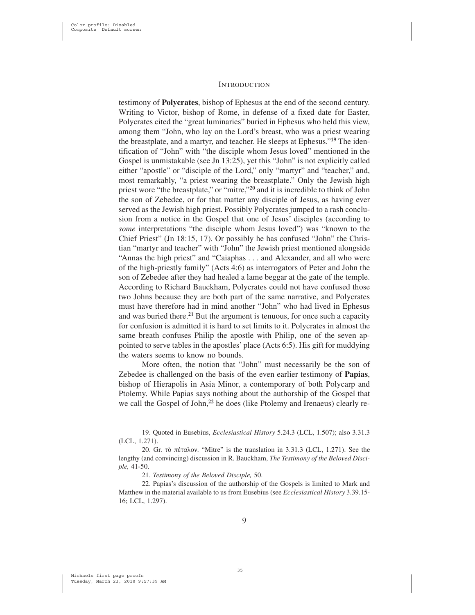testimony of **Polycrates**, bishop of Ephesus at the end of the second century. Writing to Victor, bishop of Rome, in defense of a fixed date for Easter, Polycrates cited the "great luminaries" buried in Ephesus who held this view, among them "John, who lay on the Lord's breast, who was a priest wearing the breastplate, and a martyr, and teacher. He sleeps at Ephesus."19 The identification of "John" with "the disciple whom Jesus loved" mentioned in the Gospel is unmistakable (see Jn 13:25), yet this "John" is not explicitly called either "apostle" or "disciple of the Lord," only "martyr" and "teacher," and, most remarkably, "a priest wearing the breastplate." Only the Jewish high priest wore "the breastplate," or "mitre,"20 and it is incredible to think of John the son of Zebedee, or for that matter any disciple of Jesus, as having ever served as the Jewish high priest. Possibly Polycrates jumped to a rash conclusion from a notice in the Gospel that one of Jesus' disciples (according to *some* interpretations "the disciple whom Jesus loved") was "known to the Chief Priest" (Jn 18:15, 17). Or possibly he has confused "John" the Christian "martyr and teacher" with "John" the Jewish priest mentioned alongside "Annas the high priest" and "Caiaphas . . . and Alexander, and all who were of the high-priestly family" (Acts 4:6) as interrogators of Peter and John the son of Zebedee after they had healed a lame beggar at the gate of the temple. According to Richard Bauckham, Polycrates could not have confused those two Johns because they are both part of the same narrative, and Polycrates must have therefore had in mind another "John" who had lived in Ephesus and was buried there.<sup>21</sup> But the argument is tenuous, for once such a capacity for confusion is admitted it is hard to set limits to it. Polycrates in almost the same breath confuses Philip the apostle with Philip, one of the seven appointed to serve tables in the apostles' place (Acts 6:5). His gift for muddying the waters seems to know no bounds.

More often, the notion that "John" must necessarily be the son of Zebedee is challenged on the basis of the even earlier testimony of **Papias**, bishop of Hierapolis in Asia Minor, a contemporary of both Polycarp and Ptolemy. While Papias says nothing about the authorship of the Gospel that we call the Gospel of John,<sup>22</sup> he does (like Ptolemy and Irenaeus) clearly re-

19. Quoted in Eusebius, *Ecclesiastical History* 5.24.3 (LCL, 1.507); also 3.31.3 (LCL, 1.271).

20. Gr. τὸ πέταλον. "Mitre" is the translation in 3.31.3 (LCL, 1.271). See the lengthy (and convincing) discussion in R. Bauckham, *The Testimony of the Beloved Disciple,* 41-50.

21. *Testimony of the Beloved Disciple,* 50.

22. Papias's discussion of the authorship of the Gospels is limited to Mark and Matthew in the material available to us from Eusebius (see *Ecclesiastical History* 3.39.15- 16; LCL, 1.297).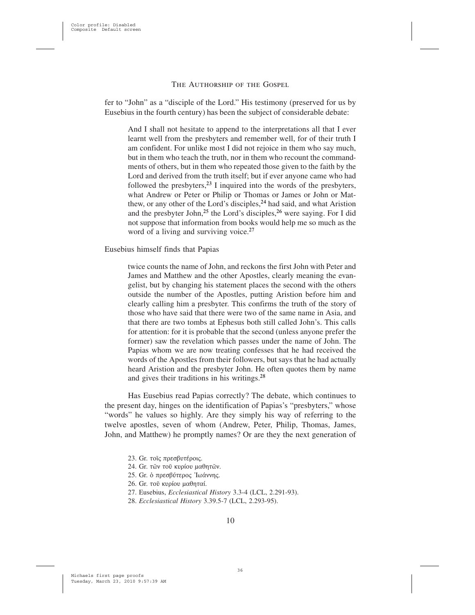#### The Authorship of the Gospel

fer to "John" as a "disciple of the Lord." His testimony (preserved for us by Eusebius in the fourth century) has been the subject of considerable debate:

And I shall not hesitate to append to the interpretations all that I ever learnt well from the presbyters and remember well, for of their truth I am confident. For unlike most I did not rejoice in them who say much, but in them who teach the truth, nor in them who recount the commandments of others, but in them who repeated those given to the faith by the Lord and derived from the truth itself; but if ever anyone came who had followed the presbyters, $^{23}$  I inquired into the words of the presbyters, what Andrew or Peter or Philip or Thomas or James or John or Matthew, or any other of the Lord's disciples,  $24$  had said, and what Aristion and the presbyter John,<sup>25</sup> the Lord's disciples,<sup>26</sup> were saying. For I did not suppose that information from books would help me so much as the word of a living and surviving voice.<sup>27</sup>

Eusebius himself finds that Papias

twice counts the name of John, and reckons the first John with Peter and James and Matthew and the other Apostles, clearly meaning the evangelist, but by changing his statement places the second with the others outside the number of the Apostles, putting Aristion before him and clearly calling him a presbyter. This confirms the truth of the story of those who have said that there were two of the same name in Asia, and that there are two tombs at Ephesus both still called John's. This calls for attention: for it is probable that the second (unless anyone prefer the former) saw the revelation which passes under the name of John. The Papias whom we are now treating confesses that he had received the words of the Apostles from their followers, but says that he had actually heard Aristion and the presbyter John. He often quotes them by name and gives their traditions in his writings.28

Has Eusebius read Papias correctly? The debate, which continues to the present day, hinges on the identification of Papias's "presbyters," whose "words" he values so highly. Are they simply his way of referring to the twelve apostles, seven of whom (Andrew, Peter, Philip, Thomas, James, John, and Matthew) he promptly names? Or are they the next generation of

- 23. Gr. τοΐς πρεσβυτέροις.
- 24. Gr. των τοῦ κυρίου μαθητών.
- 25. Gr. ο πρεσβύτερος Ιωάννης.
- 26. Gr. τοῦ κυρίου μαθηταί.
- 27. Eusebius, *Ecclesiastical History* 3.3-4 (LCL, 2.291-93).
- 28. *Ecclesiastical History* 3.39.5-7 (LCL, 2.293-95).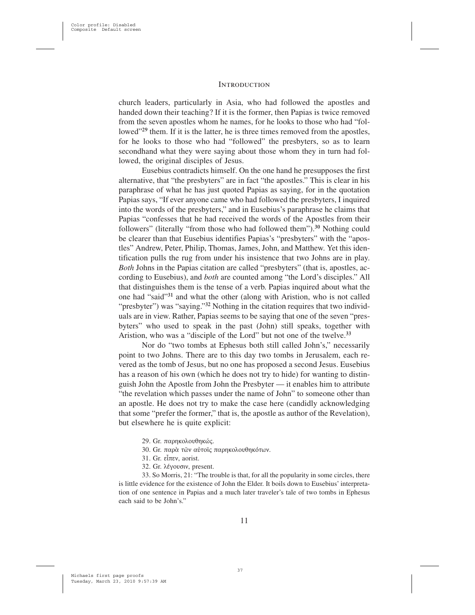church leaders, particularly in Asia, who had followed the apostles and handed down their teaching? If it is the former, then Papias is twice removed from the seven apostles whom he names, for he looks to those who had "followed"<sup>29</sup> them. If it is the latter, he is three times removed from the apostles, for he looks to those who had "followed" the presbyters, so as to learn secondhand what they were saying about those whom they in turn had followed, the original disciples of Jesus.

Eusebius contradicts himself. On the one hand he presupposes the first alternative, that "the presbyters" are in fact "the apostles." This is clear in his paraphrase of what he has just quoted Papias as saying, for in the quotation Papias says, "If ever anyone came who had followed the presbyters, I inquired into the words of the presbyters," and in Eusebius's paraphrase he claims that Papias "confesses that he had received the words of the Apostles from their followers" (literally "from those who had followed them").<sup>30</sup> Nothing could be clearer than that Eusebius identifies Papias's "presbyters" with the "apostles" Andrew, Peter, Philip, Thomas, James, John, and Matthew. Yet this identification pulls the rug from under his insistence that two Johns are in play. *Both* Johns in the Papias citation are called "presbyters" (that is, apostles, according to Eusebius), and *both* are counted among "the Lord's disciples." All that distinguishes them is the tense of a verb. Papias inquired about what the one had "said"31 and what the other (along with Aristion, who is not called "presbyter") was "saying."<sup>32</sup> Nothing in the citation requires that two individuals are in view. Rather, Papias seems to be saying that one of the seven "presbyters" who used to speak in the past (John) still speaks, together with Aristion, who was a "disciple of the Lord" but not one of the twelve.<sup>33</sup>

Nor do "two tombs at Ephesus both still called John's," necessarily point to two Johns. There are to this day two tombs in Jerusalem, each revered as the tomb of Jesus, but no one has proposed a second Jesus. Eusebius has a reason of his own (which he does not try to hide) for wanting to distinguish John the Apostle from John the Presbyter — it enables him to attribute "the revelation which passes under the name of John" to someone other than an apostle. He does not try to make the case here (candidly acknowledging that some "prefer the former," that is, the apostle as author of the Revelation), but elsewhere he is quite explicit:

- 29. Gr. παρηκολουθηκώς.
- 30. Gr. παρά των αύτοις παρηκολουθηκότων.
- 31. Gr.  $\epsilon\overline{\iota}\pi\varepsilon v$ , aorist.
- 32. Gr. λέγουσιν, present.

33. So Morris, 21: "The trouble is that, for all the popularity in some circles, there is little evidence for the existence of John the Elder. It boils down to Eusebius' interpretation of one sentence in Papias and a much later traveler's tale of two tombs in Ephesus each said to be John's."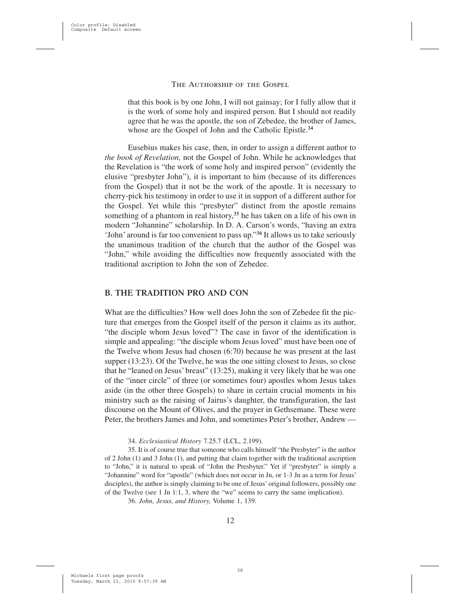that this book is by one John, I will not gainsay; for I fully allow that it is the work of some holy and inspired person. But I should not readily agree that he was the apostle, the son of Zebedee, the brother of James, whose are the Gospel of John and the Catholic Epistle.<sup>34</sup>

Eusebius makes his case, then, in order to assign a different author to *the book of Revelation,* not the Gospel of John. While he acknowledges that the Revelation is "the work of some holy and inspired person" (evidently the elusive "presbyter John"), it is important to him (because of its differences from the Gospel) that it not be the work of the apostle. It is necessary to cherry-pick his testimony in order to use it in support of a different author for the Gospel. Yet while this "presbyter" distinct from the apostle remains something of a phantom in real history,<sup>35</sup> he has taken on a life of his own in modern "Johannine" scholarship. In D. A. Carson's words, "having an extra 'John' around is far too convenient to pass up."36 It allows us to take seriously the unanimous tradition of the church that the author of the Gospel was "John," while avoiding the difficulties now frequently associated with the traditional ascription to John the son of Zebedee.

## **B. THE TRADITION PRO AND CON**

What are the difficulties? How well does John the son of Zebedee fit the picture that emerges from the Gospel itself of the person it claims as its author, "the disciple whom Jesus loved"? The case in favor of the identification is simple and appealing: "the disciple whom Jesus loved" must have been one of the Twelve whom Jesus had chosen (6:70) because he was present at the last supper (13:23). Of the Twelve, he was the one sitting closest to Jesus, so close that he "leaned on Jesus' breast" (13:25), making it very likely that he was one of the "inner circle" of three (or sometimes four) apostles whom Jesus takes aside (in the other three Gospels) to share in certain crucial moments in his ministry such as the raising of Jairus's daughter, the transfiguration, the last discourse on the Mount of Olives, and the prayer in Gethsemane. These were Peter, the brothers James and John, and sometimes Peter's brother, Andrew —

34. *Ecclesiastical History* 7.25.7 (LCL, 2.199).

35. It is of course true that someone who calls himself "the Presbyter" is the author of 2 John (1) and 3 John (1), and putting that claim together with the traditional ascription to "John," it is natural to speak of "John the Presbyter." Yet if "presbyter" is simply a "Johannine" word for "apostle" (which does not occur in Jn, or 1-3 Jn as a term for Jesus' disciples), the author is simply claiming to be one of Jesus' original followers, possibly one of the Twelve (see 1 Jn 1:1, 3, where the "we" seems to carry the same implication).

36. *John, Jesus, and History,* Volume 1, 139.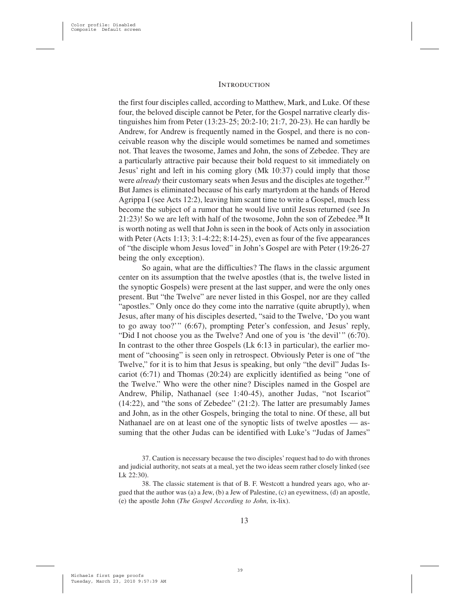the first four disciples called, according to Matthew, Mark, and Luke. Of these four, the beloved disciple cannot be Peter, for the Gospel narrative clearly distinguishes him from Peter (13:23-25; 20:2-10; 21:7, 20-23). He can hardly be Andrew, for Andrew is frequently named in the Gospel, and there is no conceivable reason why the disciple would sometimes be named and sometimes not. That leaves the twosome, James and John, the sons of Zebedee. They are a particularly attractive pair because their bold request to sit immediately on Jesus' right and left in his coming glory (Mk 10:37) could imply that those were *already* their customary seats when Jesus and the disciples ate together.<sup>37</sup> But James is eliminated because of his early martyrdom at the hands of Herod Agrippa I (see Acts 12:2), leaving him scant time to write a Gospel, much less become the subject of a rumor that he would live until Jesus returned (see Jn 21:23)! So we are left with half of the twosome, John the son of Zebedee.<sup>38</sup> It is worth noting as well that John is seen in the book of Acts only in association with Peter (Acts  $1:13$ ;  $3:1-4:22$ ;  $8:14-25$ ), even as four of the five appearances of "the disciple whom Jesus loved" in John's Gospel are with Peter (19:26-27 being the only exception).

So again, what are the difficulties? The flaws in the classic argument center on its assumption that the twelve apostles (that is, the twelve listed in the synoptic Gospels) were present at the last supper, and were the only ones present. But "the Twelve" are never listed in this Gospel, nor are they called "apostles." Only once do they come into the narrative (quite abruptly), when Jesus, after many of his disciples deserted, "said to the Twelve, 'Do you want to go away too?'" (6:67), prompting Peter's confession, and Jesus' reply, "Did I not choose you as the Twelve? And one of you is 'the devil'" (6:70). In contrast to the other three Gospels (Lk 6:13 in particular), the earlier moment of "choosing" is seen only in retrospect. Obviously Peter is one of "the Twelve," for it is to him that Jesus is speaking, but only "the devil" Judas Iscariot (6:71) and Thomas (20:24) are explicitly identified as being "one of the Twelve." Who were the other nine? Disciples named in the Gospel are Andrew, Philip, Nathanael (see 1:40-45), another Judas, "not Iscariot" (14:22), and "the sons of Zebedee" (21:2). The latter are presumably James and John, as in the other Gospels, bringing the total to nine. Of these, all but Nathanael are on at least one of the synoptic lists of twelve apostles — assuming that the other Judas can be identified with Luke's "Judas of James"

<sup>37.</sup> Caution is necessary because the two disciples' request had to do with thrones and judicial authority, not seats at a meal, yet the two ideas seem rather closely linked (see Lk 22:30).

<sup>38.</sup> The classic statement is that of B. F. Westcott a hundred years ago, who argued that the author was (a) a Jew, (b) a Jew of Palestine, (c) an eyewitness, (d) an apostle, (e) the apostle John (*The Gospel According to John,* ix-lix).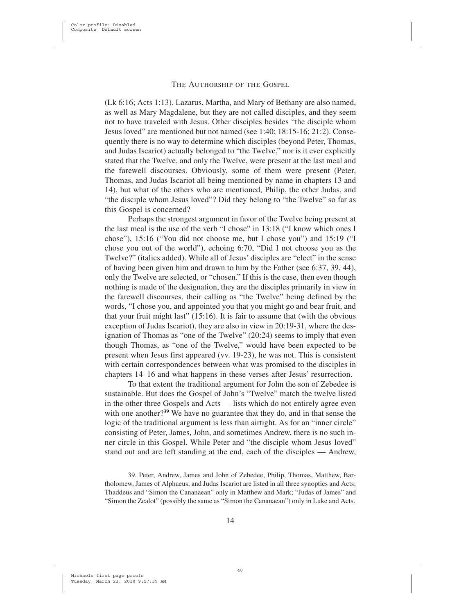(Lk 6:16; Acts 1:13). Lazarus, Martha, and Mary of Bethany are also named, as well as Mary Magdalene, but they are not called disciples, and they seem not to have traveled with Jesus. Other disciples besides "the disciple whom Jesus loved" are mentioned but not named (see 1:40; 18:15-16; 21:2). Consequently there is no way to determine which disciples (beyond Peter, Thomas, and Judas Iscariot) actually belonged to "the Twelve," nor is it ever explicitly stated that the Twelve, and only the Twelve, were present at the last meal and the farewell discourses. Obviously, some of them were present (Peter, Thomas, and Judas Iscariot all being mentioned by name in chapters 13 and 14), but what of the others who are mentioned, Philip, the other Judas, and "the disciple whom Jesus loved"? Did they belong to "the Twelve" so far as this Gospel is concerned?

Perhaps the strongest argument in favor of the Twelve being present at the last meal is the use of the verb "I chose" in 13:18 ("I know which ones I chose"), 15:16 ("You did not choose me, but I chose you") and 15:19 ("I chose you out of the world"), echoing 6:70, "Did I not choose you as the Twelve?" (italics added). While all of Jesus' disciples are "elect" in the sense of having been given him and drawn to him by the Father (see 6:37, 39, 44), only the Twelve are selected, or "chosen." If this is the case, then even though nothing is made of the designation, they are the disciples primarily in view in the farewell discourses, their calling as "the Twelve" being defined by the words, "I chose you, and appointed you that you might go and bear fruit, and that your fruit might last" (15:16). It is fair to assume that (with the obvious exception of Judas Iscariot), they are also in view in 20:19-31, where the designation of Thomas as "one of the Twelve" (20:24) seems to imply that even though Thomas, as "one of the Twelve," would have been expected to be present when Jesus first appeared (vv. 19-23), he was not. This is consistent with certain correspondences between what was promised to the disciples in chapters 14–16 and what happens in these verses after Jesus' resurrection.

To that extent the traditional argument for John the son of Zebedee is sustainable. But does the Gospel of John's "Twelve" match the twelve listed in the other three Gospels and Acts — lists which do not entirely agree even with one another?<sup>39</sup> We have no guarantee that they do, and in that sense the logic of the traditional argument is less than airtight. As for an "inner circle" consisting of Peter, James, John, and sometimes Andrew, there is no such inner circle in this Gospel. While Peter and "the disciple whom Jesus loved" stand out and are left standing at the end, each of the disciples — Andrew,

39. Peter, Andrew, James and John of Zebedee, Philip, Thomas, Matthew, Bartholomew, James of Alphaeus, and Judas Iscariot are listed in all three synoptics and Acts; Thaddeus and "Simon the Cananaean" only in Matthew and Mark; "Judas of James" and "Simon the Zealot" (possibly the same as "Simon the Cananaean") only in Luke and Acts.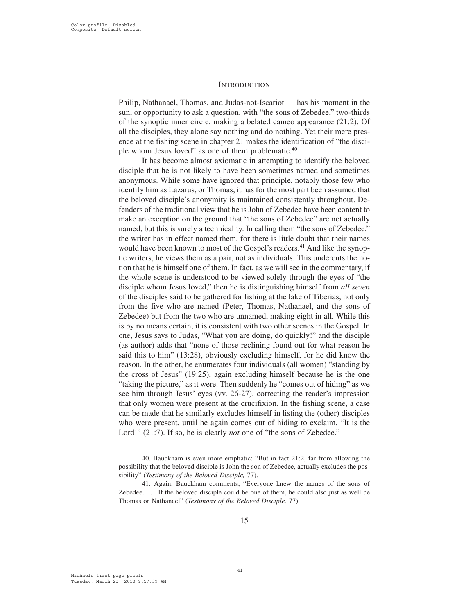Philip, Nathanael, Thomas, and Judas-not-Iscariot — has his moment in the sun, or opportunity to ask a question, with "the sons of Zebedee," two-thirds of the synoptic inner circle, making a belated cameo appearance (21:2). Of all the disciples, they alone say nothing and do nothing. Yet their mere presence at the fishing scene in chapter 21 makes the identification of "the disciple whom Jesus loved" as one of them problematic.40

It has become almost axiomatic in attempting to identify the beloved disciple that he is not likely to have been sometimes named and sometimes anonymous. While some have ignored that principle, notably those few who identify him as Lazarus, or Thomas, it has for the most part been assumed that the beloved disciple's anonymity is maintained consistently throughout. Defenders of the traditional view that he is John of Zebedee have been content to make an exception on the ground that "the sons of Zebedee" are not actually named, but this is surely a technicality. In calling them "the sons of Zebedee," the writer has in effect named them, for there is little doubt that their names would have been known to most of the Gospel's readers.<sup>41</sup> And like the synoptic writers, he views them as a pair, not as individuals. This undercuts the notion that he is himself one of them. In fact, as we will see in the commentary, if the whole scene is understood to be viewed solely through the eyes of "the disciple whom Jesus loved," then he is distinguishing himself from *all seven* of the disciples said to be gathered for fishing at the lake of Tiberias, not only from the five who are named (Peter, Thomas, Nathanael, and the sons of Zebedee) but from the two who are unnamed, making eight in all. While this is by no means certain, it is consistent with two other scenes in the Gospel. In one, Jesus says to Judas, "What you are doing, do quickly!" and the disciple (as author) adds that "none of those reclining found out for what reason he said this to him" (13:28), obviously excluding himself, for he did know the reason. In the other, he enumerates four individuals (all women) "standing by the cross of Jesus" (19:25), again excluding himself because he is the one "taking the picture," as it were. Then suddenly he "comes out of hiding" as we see him through Jesus' eyes (vv. 26-27), correcting the reader's impression that only women were present at the crucifixion. In the fishing scene, a case can be made that he similarly excludes himself in listing the (other) disciples who were present, until he again comes out of hiding to exclaim, "It is the Lord!" (21:7). If so, he is clearly *not* one of "the sons of Zebedee."

<sup>40.</sup> Bauckham is even more emphatic: "But in fact 21:2, far from allowing the possibility that the beloved disciple is John the son of Zebedee, actually excludes the possibility" (*Testimony of the Beloved Disciple,* 77).

<sup>41.</sup> Again, Bauckham comments, "Everyone knew the names of the sons of Zebedee. . . . If the beloved disciple could be one of them, he could also just as well be Thomas or Nathanael" (*Testimony of the Beloved Disciple,* 77).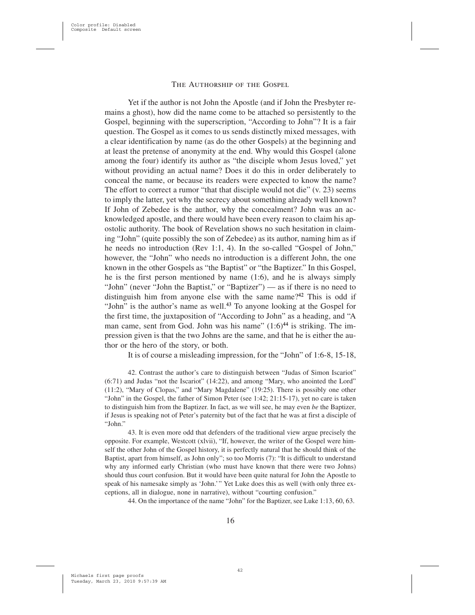### The Authorship of the Gospel

Yet if the author is not John the Apostle (and if John the Presbyter remains a ghost), how did the name come to be attached so persistently to the Gospel, beginning with the superscription, "According to John"? It is a fair question. The Gospel as it comes to us sends distinctly mixed messages, with a clear identification by name (as do the other Gospels) at the beginning and at least the pretense of anonymity at the end. Why would this Gospel (alone among the four) identify its author as "the disciple whom Jesus loved," yet without providing an actual name? Does it do this in order deliberately to conceal the name, or because its readers were expected to know the name? The effort to correct a rumor "that that disciple would not die" (v. 23) seems to imply the latter, yet why the secrecy about something already well known? If John of Zebedee is the author, why the concealment? John was an acknowledged apostle, and there would have been every reason to claim his apostolic authority. The book of Revelation shows no such hesitation in claiming "John" (quite possibly the son of Zebedee) as its author, naming him as if he needs no introduction (Rev 1:1, 4). In the so-called "Gospel of John," however, the "John" who needs no introduction is a different John, the one known in the other Gospels as "the Baptist" or "the Baptizer." In this Gospel, he is the first person mentioned by name (1:6), and he is always simply "John" (never "John the Baptist," or "Baptizer") — as if there is no need to distinguish him from anyone else with the same name?42 This is odd if "John" is the author's name as well.<sup>43</sup> To anyone looking at the Gospel for the first time, the juxtaposition of "According to John" as a heading, and "A man came, sent from God. John was his name"  $(1:6)^{44}$  is striking. The impression given is that the two Johns are the same, and that he is either the author or the hero of the story, or both.

It is of course a misleading impression, for the "John" of 1:6-8, 15-18,

42. Contrast the author's care to distinguish between "Judas of Simon Iscariot" (6:71) and Judas "not the Iscariot" (14:22), and among "Mary, who anointed the Lord" (11:2), "Mary of Clopas," and "Mary Magdalene" (19:25). There is possibly one other "John" in the Gospel, the father of Simon Peter (see 1:42; 21:15-17), yet no care is taken to distinguish him from the Baptizer. In fact, as we will see, he may even *be* the Baptizer, if Jesus is speaking not of Peter's paternity but of the fact that he was at first a disciple of "John."

43. It is even more odd that defenders of the traditional view argue precisely the opposite. For example, Westcott (xlvii), "If, however, the writer of the Gospel were himself the other John of the Gospel history, it is perfectly natural that he should think of the Baptist, apart from himself, as John only"; so too Morris (7): "It is difficult to understand why any informed early Christian (who must have known that there were two Johns) should thus court confusion. But it would have been quite natural for John the Apostle to speak of his namesake simply as 'John.'" Yet Luke does this as well (with only three exceptions, all in dialogue, none in narrative), without "courting confusion."

44. On the importance of the name "John" for the Baptizer, see Luke 1:13, 60, 63.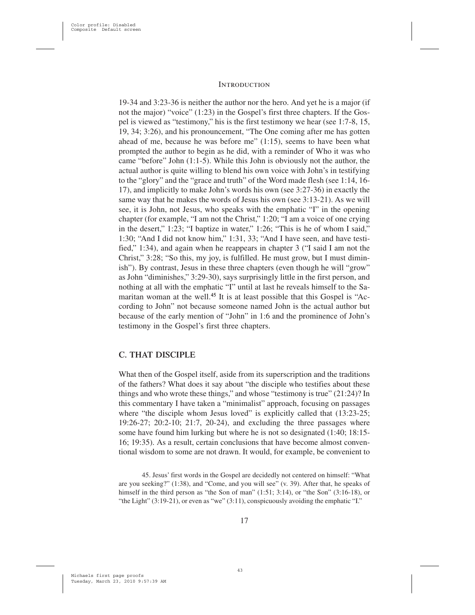19-34 and 3:23-36 is neither the author nor the hero. And yet he is a major (if not the major) "voice" (1:23) in the Gospel's first three chapters. If the Gospel is viewed as "testimony," his is the first testimony we hear (see 1:7-8, 15, 19, 34; 3:26), and his pronouncement, "The One coming after me has gotten ahead of me, because he was before me" (1:15), seems to have been what prompted the author to begin as he did, with a reminder of Who it was who came "before" John (1:1-5). While this John is obviously not the author, the actual author is quite willing to blend his own voice with John's in testifying to the "glory" and the "grace and truth" of the Word made flesh (see 1:14, 16- 17), and implicitly to make John's words his own (see 3:27-36) in exactly the same way that he makes the words of Jesus his own (see 3:13-21). As we will see, it is John, not Jesus, who speaks with the emphatic "I" in the opening chapter (for example, "I am not the Christ," 1:20; "I am a voice of one crying in the desert," 1:23; "I baptize in water," 1:26; "This is he of whom I said," 1:30; "And I did not know him," 1:31, 33; "And I have seen, and have testified," 1:34), and again when he reappears in chapter 3 ("I said I am not the Christ," 3:28; "So this, my joy, is fulfilled. He must grow, but I must diminish"). By contrast, Jesus in these three chapters (even though he will "grow" as John "diminishes," 3:29-30), says surprisingly little in the first person, and nothing at all with the emphatic "I" until at last he reveals himself to the Samaritan woman at the well.45 It is at least possible that this Gospel is "According to John" not because someone named John is the actual author but because of the early mention of "John" in 1:6 and the prominence of John's testimony in the Gospel's first three chapters.

## **C. THAT DISCIPLE**

What then of the Gospel itself, aside from its superscription and the traditions of the fathers? What does it say about "the disciple who testifies about these things and who wrote these things," and whose "testimony is true" (21:24)? In this commentary I have taken a "minimalist" approach, focusing on passages where "the disciple whom Jesus loved" is explicitly called that  $(13:23-25;$ 19:26-27; 20:2-10; 21:7, 20-24), and excluding the three passages where some have found him lurking but where he is not so designated (1:40; 18:15- 16; 19:35). As a result, certain conclusions that have become almost conventional wisdom to some are not drawn. It would, for example, be convenient to

45. Jesus' first words in the Gospel are decidedly not centered on himself: "What are you seeking?" (1:38), and "Come, and you will see" (v. 39). After that, he speaks of himself in the third person as "the Son of man" (1:51; 3:14), or "the Son" (3:16-18), or "the Light" (3:19-21), or even as "we" (3:11), conspicuously avoiding the emphatic "I."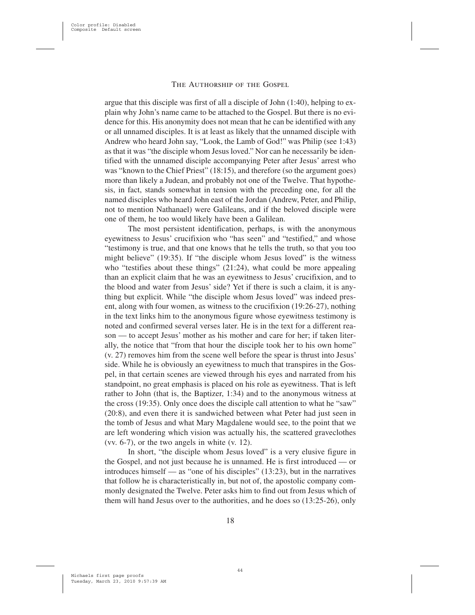argue that this disciple was first of all a disciple of John (1:40), helping to explain why John's name came to be attached to the Gospel. But there is no evidence for this. His anonymity does not mean that he can be identified with any or all unnamed disciples. It is at least as likely that the unnamed disciple with Andrew who heard John say, "Look, the Lamb of God!" was Philip (see 1:43) as that it was "the disciple whom Jesus loved." Nor can he necessarily be identified with the unnamed disciple accompanying Peter after Jesus' arrest who was "known to the Chief Priest" (18:15), and therefore (so the argument goes) more than likely a Judean, and probably not one of the Twelve. That hypothesis, in fact, stands somewhat in tension with the preceding one, for all the named disciples who heard John east of the Jordan (Andrew, Peter, and Philip, not to mention Nathanael) were Galileans, and if the beloved disciple were one of them, he too would likely have been a Galilean.

The most persistent identification, perhaps, is with the anonymous eyewitness to Jesus' crucifixion who "has seen" and "testified," and whose "testimony is true, and that one knows that he tells the truth, so that you too might believe" (19:35). If "the disciple whom Jesus loved" is the witness who "testifies about these things" (21:24), what could be more appealing than an explicit claim that he was an eyewitness to Jesus' crucifixion, and to the blood and water from Jesus' side? Yet if there is such a claim, it is anything but explicit. While "the disciple whom Jesus loved" was indeed present, along with four women, as witness to the crucifixion (19:26-27), nothing in the text links him to the anonymous figure whose eyewitness testimony is noted and confirmed several verses later. He is in the text for a different reason — to accept Jesus' mother as his mother and care for her; if taken literally, the notice that "from that hour the disciple took her to his own home" (v. 27) removes him from the scene well before the spear is thrust into Jesus' side. While he is obviously an eyewitness to much that transpires in the Gospel, in that certain scenes are viewed through his eyes and narrated from his standpoint, no great emphasis is placed on his role as eyewitness. That is left rather to John (that is, the Baptizer, 1:34) and to the anonymous witness at the cross (19:35). Only once does the disciple call attention to what he "saw" (20:8), and even there it is sandwiched between what Peter had just seen in the tomb of Jesus and what Mary Magdalene would see, to the point that we are left wondering which vision was actually his, the scattered graveclothes (vv. 6-7), or the two angels in white (v. 12).

In short, "the disciple whom Jesus loved" is a very elusive figure in the Gospel, and not just because he is unnamed. He is first introduced — or introduces himself — as "one of his disciples" (13:23), but in the narratives that follow he is characteristically in, but not of, the apostolic company commonly designated the Twelve. Peter asks him to find out from Jesus which of them will hand Jesus over to the authorities, and he does so (13:25-26), only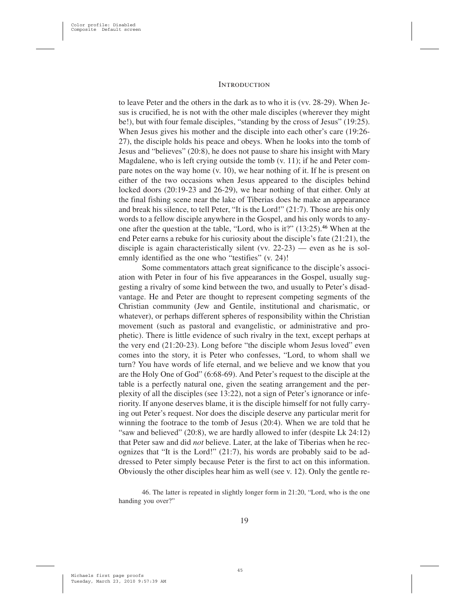to leave Peter and the others in the dark as to who it is (vv. 28-29). When Jesus is crucified, he is not with the other male disciples (wherever they might be!), but with four female disciples, "standing by the cross of Jesus" (19:25). When Jesus gives his mother and the disciple into each other's care (19:26- 27), the disciple holds his peace and obeys. When he looks into the tomb of Jesus and "believes" (20:8), he does not pause to share his insight with Mary Magdalene, who is left crying outside the tomb (v. 11); if he and Peter compare notes on the way home (v. 10), we hear nothing of it. If he is present on either of the two occasions when Jesus appeared to the disciples behind locked doors (20:19-23 and 26-29), we hear nothing of that either. Only at the final fishing scene near the lake of Tiberias does he make an appearance and break his silence, to tell Peter, "It is the Lord!" (21:7). Those are his only words to a fellow disciple anywhere in the Gospel, and his only words to anyone after the question at the table, "Lord, who is it?"  $(13:25)$ .<sup>46</sup> When at the end Peter earns a rebuke for his curiosity about the disciple's fate (21:21), the disciple is again characteristically silent (vv.  $22-23$ ) — even as he is solemnly identified as the one who "testifies" (v. 24)!

Some commentators attach great significance to the disciple's association with Peter in four of his five appearances in the Gospel, usually suggesting a rivalry of some kind between the two, and usually to Peter's disadvantage. He and Peter are thought to represent competing segments of the Christian community (Jew and Gentile, institutional and charismatic, or whatever), or perhaps different spheres of responsibility within the Christian movement (such as pastoral and evangelistic, or administrative and prophetic). There is little evidence of such rivalry in the text, except perhaps at the very end (21:20-23). Long before "the disciple whom Jesus loved" even comes into the story, it is Peter who confesses, "Lord, to whom shall we turn? You have words of life eternal, and we believe and we know that you are the Holy One of God" (6:68-69). And Peter's request to the disciple at the table is a perfectly natural one, given the seating arrangement and the perplexity of all the disciples (see 13:22), not a sign of Peter's ignorance or inferiority. If anyone deserves blame, it is the disciple himself for not fully carrying out Peter's request. Nor does the disciple deserve any particular merit for winning the footrace to the tomb of Jesus (20:4). When we are told that he "saw and believed" (20:8), we are hardly allowed to infer (despite Lk 24:12) that Peter saw and did *not* believe. Later, at the lake of Tiberias when he recognizes that "It is the Lord!" (21:7), his words are probably said to be addressed to Peter simply because Peter is the first to act on this information. Obviously the other disciples hear him as well (see v. 12). Only the gentle re-

46. The latter is repeated in slightly longer form in 21:20, "Lord, who is the one handing you over?"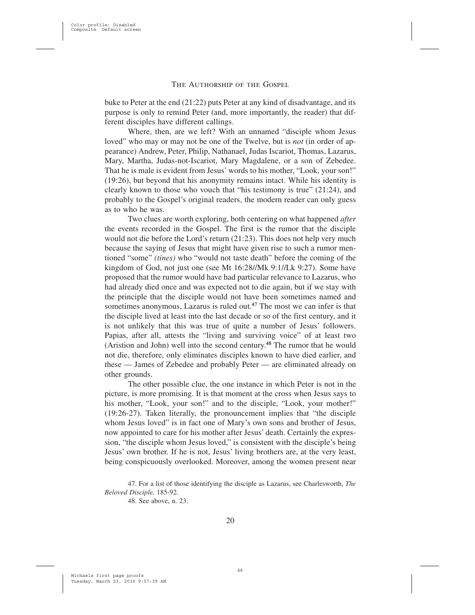buke to Peter at the end (21:22) puts Peter at any kind of disadvantage, and its purpose is only to remind Peter (and, more importantly, the reader) that different disciples have different callings.

Where, then, are we left? With an unnamed "disciple whom Jesus loved" who may or may not be one of the Twelve, but is *not* (in order of appearance) Andrew, Peter, Philip, Nathanael, Judas Iscariot, Thomas, Lazarus, Mary, Martha, Judas-not-Iscariot, Mary Magdalene, or a son of Zebedee. That he is male is evident from Jesus' words to his mother, "Look, your son!" (19:26), but beyond that his anonymity remains intact. While his identity is clearly known to those who vouch that "his testimony is true" (21:24), and probably to the Gospel's original readers, the modern reader can only guess as to who he was.

Two clues are worth exploring, both centering on what happened *after* the events recorded in the Gospel. The first is the rumor that the disciple would not die before the Lord's return (21:23). This does not help very much because the saying of Jesus that might have given rise to such a rumor mentioned "some" *(tines)* who "would not taste death" before the coming of the kingdom of God, not just one (see Mt 16:28//Mk 9:1//Lk 9:27). Some have proposed that the rumor would have had particular relevance to Lazarus, who had already died once and was expected not to die again, but if we stay with the principle that the disciple would not have been sometimes named and sometimes anonymous, Lazarus is ruled out.<sup>47</sup> The most we can infer is that the disciple lived at least into the last decade or so of the first century, and it is not unlikely that this was true of quite a number of Jesus' followers. Papias, after all, attests the "living and surviving voice" of at least two (Aristion and John) well into the second century.48 The rumor that he would not die, therefore, only eliminates disciples known to have died earlier, and these — James of Zebedee and probably Peter — are eliminated already on other grounds.

The other possible clue, the one instance in which Peter is not in the picture, is more promising. It is that moment at the cross when Jesus says to his mother, "Look, your son!" and to the disciple, "Look, your mother!" (19:26-27). Taken literally, the pronouncement implies that "the disciple whom Jesus loved" is in fact one of Mary's own sons and brother of Jesus, now appointed to care for his mother after Jesus' death. Certainly the expression, "the disciple whom Jesus loved," is consistent with the disciple's being Jesus' own brother. If he is not, Jesus' living brothers are, at the very least, being conspicuously overlooked. Moreover, among the women present near

48. See above, n. 23.

<sup>47.</sup> For a list of those identifying the disciple as Lazarus, see Charlesworth, *The Beloved Disciple,* 185-92.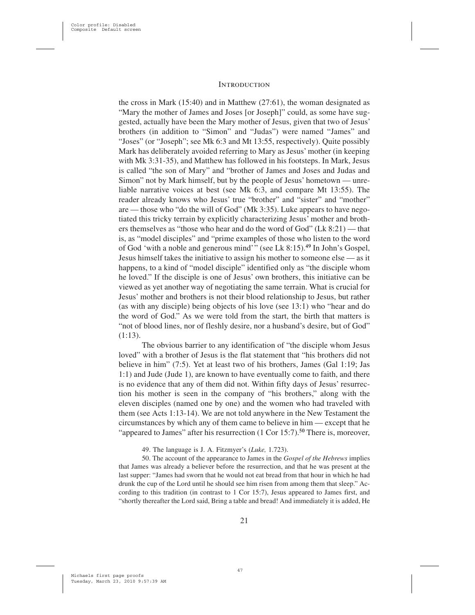the cross in Mark (15:40) and in Matthew (27:61), the woman designated as "Mary the mother of James and Joses [or Joseph]" could, as some have suggested, actually have been the Mary mother of Jesus, given that two of Jesus' brothers (in addition to "Simon" and "Judas") were named "James" and "Joses" (or "Joseph"; see Mk 6:3 and Mt 13:55, respectively). Quite possibly Mark has deliberately avoided referring to Mary as Jesus' mother (in keeping with Mk 3:31-35), and Matthew has followed in his footsteps. In Mark, Jesus is called "the son of Mary" and "brother of James and Joses and Judas and Simon" not by Mark himself, but by the people of Jesus' hometown — unreliable narrative voices at best (see Mk 6:3, and compare Mt 13:55). The reader already knows who Jesus' true "brother" and "sister" and "mother" are — those who "do the will of God" (Mk 3:35). Luke appears to have negotiated this tricky terrain by explicitly characterizing Jesus' mother and brothers themselves as "those who hear and do the word of God" (Lk 8:21) — that is, as "model disciples" and "prime examples of those who listen to the word of God 'with a noble and generous mind'" (see Lk 8:15).49 In John's Gospel, Jesus himself takes the initiative to assign his mother to someone else — as it happens, to a kind of "model disciple" identified only as "the disciple whom he loved." If the disciple is one of Jesus' own brothers, this initiative can be viewed as yet another way of negotiating the same terrain. What is crucial for Jesus' mother and brothers is not their blood relationship to Jesus, but rather (as with any disciple) being objects of his love (see 13:1) who "hear and do the word of God." As we were told from the start, the birth that matters is "not of blood lines, nor of fleshly desire, nor a husband's desire, but of God" (1:13).

The obvious barrier to any identification of "the disciple whom Jesus loved" with a brother of Jesus is the flat statement that "his brothers did not believe in him" (7:5). Yet at least two of his brothers, James (Gal 1:19; Jas 1:1) and Jude (Jude 1), are known to have eventually come to faith, and there is no evidence that any of them did not. Within fifty days of Jesus' resurrection his mother is seen in the company of "his brothers," along with the eleven disciples (named one by one) and the women who had traveled with them (see Acts 1:13-14). We are not told anywhere in the New Testament the circumstances by which any of them came to believe in him — except that he "appeared to James" after his resurrection (1 Cor 15:7).<sup>50</sup> There is, moreover,

49. The language is J. A. Fitzmyer's (*Luke,* 1.723).

50. The account of the appearance to James in the *Gospel of the Hebrews* implies that James was already a believer before the resurrection, and that he was present at the last supper: "James had sworn that he would not eat bread from that hour in which he had drunk the cup of the Lord until he should see him risen from among them that sleep." According to this tradition (in contrast to 1 Cor 15:7), Jesus appeared to James first, and "shortly thereafter the Lord said, Bring a table and bread! And immediately it is added, He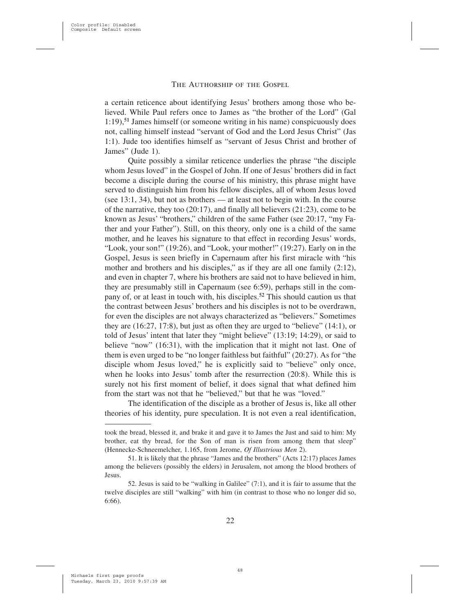a certain reticence about identifying Jesus' brothers among those who believed. While Paul refers once to James as "the brother of the Lord" (Gal 1:19),51 James himself (or someone writing in his name) conspicuously does not, calling himself instead "servant of God and the Lord Jesus Christ" (Jas 1:1). Jude too identifies himself as "servant of Jesus Christ and brother of James" (Jude 1).

Quite possibly a similar reticence underlies the phrase "the disciple whom Jesus loved" in the Gospel of John. If one of Jesus' brothers did in fact become a disciple during the course of his ministry, this phrase might have served to distinguish him from his fellow disciples, all of whom Jesus loved (see 13:1, 34), but not as brothers — at least not to begin with. In the course of the narrative, they too (20:17), and finally all believers (21:23), come to be known as Jesus' "brothers," children of the same Father (see 20:17, "my Father and your Father"). Still, on this theory, only one is a child of the same mother, and he leaves his signature to that effect in recording Jesus' words, "Look, your son!" (19:26), and "Look, your mother!" (19:27). Early on in the Gospel, Jesus is seen briefly in Capernaum after his first miracle with "his mother and brothers and his disciples," as if they are all one family (2:12), and even in chapter 7, where his brothers are said not to have believed in him, they are presumably still in Capernaum (see 6:59), perhaps still in the company of, or at least in touch with, his disciples.<sup>52</sup> This should caution us that the contrast between Jesus' brothers and his disciples is not to be overdrawn, for even the disciples are not always characterized as "believers." Sometimes they are (16:27, 17:8), but just as often they are urged to "believe" (14:1), or told of Jesus' intent that later they "might believe" (13:19; 14:29), or said to believe "now" (16:31), with the implication that it might not last. One of them is even urged to be "no longer faithless but faithful" (20:27). As for "the disciple whom Jesus loved," he is explicitly said to "believe" only once, when he looks into Jesus' tomb after the resurrection (20:8). While this is surely not his first moment of belief, it does signal that what defined him from the start was not that he "believed," but that he was "loved."

The identification of the disciple as a brother of Jesus is, like all other theories of his identity, pure speculation. It is not even a real identification,

took the bread, blessed it, and brake it and gave it to James the Just and said to him: My brother, eat thy bread, for the Son of man is risen from among them that sleep" (Hennecke-Schneemelcher, 1.165, from Jerome, *Of Illustrious Men* 2).

<sup>51.</sup> It is likely that the phrase "James and the brothers" (Acts 12:17) places James among the believers (possibly the elders) in Jerusalem, not among the blood brothers of Jesus.

<sup>52.</sup> Jesus is said to be "walking in Galilee" (7:1), and it is fair to assume that the twelve disciples are still "walking" with him (in contrast to those who no longer did so, 6:66).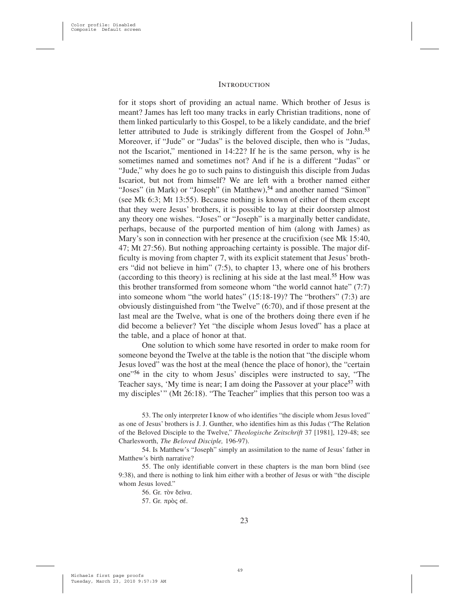for it stops short of providing an actual name. Which brother of Jesus is meant? James has left too many tracks in early Christian traditions, none of them linked particularly to this Gospel, to be a likely candidate, and the brief letter attributed to Jude is strikingly different from the Gospel of John.<sup>53</sup> Moreover, if "Jude" or "Judas" is the beloved disciple, then who is "Judas, not the Iscariot," mentioned in 14:22? If he is the same person, why is he sometimes named and sometimes not? And if he is a different "Judas" or "Jude," why does he go to such pains to distinguish this disciple from Judas Iscariot, but not from himself? We are left with a brother named either "Joses" (in Mark) or "Joseph" (in Matthew),<sup>54</sup> and another named "Simon" (see Mk 6:3; Mt 13:55). Because nothing is known of either of them except that they were Jesus' brothers, it is possible to lay at their doorstep almost any theory one wishes. "Joses" or "Joseph" is a marginally better candidate, perhaps, because of the purported mention of him (along with James) as Mary's son in connection with her presence at the crucifixion (see Mk 15:40, 47; Mt 27:56). But nothing approaching certainty is possible. The major difficulty is moving from chapter 7, with its explicit statement that Jesus' brothers "did not believe in him" (7:5), to chapter 13, where one of his brothers (according to this theory) is reclining at his side at the last meal.55 How was this brother transformed from someone whom "the world cannot hate" (7:7) into someone whom "the world hates" (15:18-19)? The "brothers" (7:3) are obviously distinguished from "the Twelve" (6:70), and if those present at the last meal are the Twelve, what is one of the brothers doing there even if he did become a believer? Yet "the disciple whom Jesus loved" has a place at the table, and a place of honor at that.

One solution to which some have resorted in order to make room for someone beyond the Twelve at the table is the notion that "the disciple whom Jesus loved" was the host at the meal (hence the place of honor), the "certain one"56 in the city to whom Jesus' disciples were instructed to say, "The Teacher says, 'My time is near; I am doing the Passover at your place<sup>57</sup> with my disciples'" (Mt 26:18). "The Teacher" implies that this person too was a

53. The only interpreter I know of who identifies "the disciple whom Jesus loved" as one of Jesus' brothers is J. J. Gunther, who identifies him as this Judas ("The Relation of the Beloved Disciple to the Twelve," *Theologische Zeitschrift* 37 [1981], 129-48; see Charlesworth, *The Beloved Disciple,* 196-97).

54. Is Matthew's "Joseph" simply an assimilation to the name of Jesus' father in Matthew's birth narrative?

55. The only identifiable convert in these chapters is the man born blind (see 9:38), and there is nothing to link him either with a brother of Jesus or with "the disciple whom Jesus loved."

56. Gr. τὸν δεῖνα.

57. Gr. πρός σέ.

Michaels first page proofs Tuesday, March 23, 2010 9:57:39 AM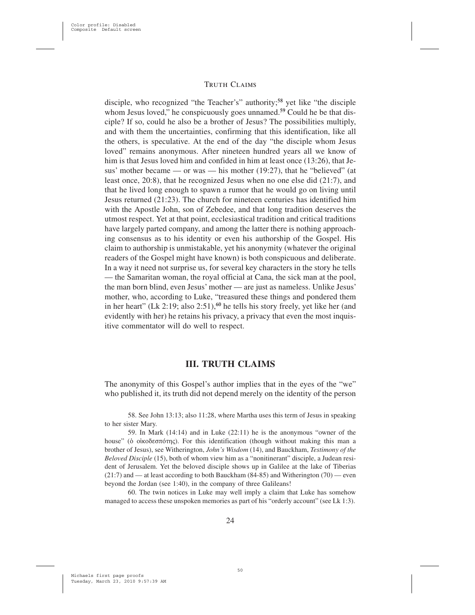disciple, who recognized "the Teacher's" authority;<sup>58</sup> yet like "the disciple" whom Jesus loved," he conspicuously goes unnamed.<sup>59</sup> Could he be that disciple? If so, could he also be a brother of Jesus? The possibilities multiply, and with them the uncertainties, confirming that this identification, like all the others, is speculative. At the end of the day "the disciple whom Jesus loved" remains anonymous. After nineteen hundred years all we know of him is that Jesus loved him and confided in him at least once (13:26), that Jesus' mother became — or was — his mother  $(19:27)$ , that he "believed" (at least once, 20:8), that he recognized Jesus when no one else did (21:7), and that he lived long enough to spawn a rumor that he would go on living until Jesus returned (21:23). The church for nineteen centuries has identified him with the Apostle John, son of Zebedee, and that long tradition deserves the utmost respect. Yet at that point, ecclesiastical tradition and critical traditions have largely parted company, and among the latter there is nothing approaching consensus as to his identity or even his authorship of the Gospel. His claim to authorship is unmistakable, yet his anonymity (whatever the original readers of the Gospel might have known) is both conspicuous and deliberate. In a way it need not surprise us, for several key characters in the story he tells — the Samaritan woman, the royal official at Cana, the sick man at the pool, the man born blind, even Jesus' mother — are just as nameless. Unlike Jesus' mother, who, according to Luke, "treasured these things and pondered them in her heart" (Lk 2:19; also  $2:51$ ),<sup>60</sup> he tells his story freely, yet like her (and evidently with her) he retains his privacy, a privacy that even the most inquisitive commentator will do well to respect.

## **III. TRUTH CLAIMS**

The anonymity of this Gospel's author implies that in the eyes of the "we" who published it, its truth did not depend merely on the identity of the person

58. See John 13:13; also 11:28, where Martha uses this term of Jesus in speaking to her sister Mary.

59. In Mark (14:14) and in Luke (22:11) he is the anonymous "owner of the house" (δ οἰκοδεσπότης). For this identification (though without making this man a brother of Jesus), see Witherington, *John's Wisdom* (14), and Bauckham, *Testimony of the Beloved Disciple* (15), both of whom view him as a "nonitinerant" disciple, a Judean resident of Jerusalem. Yet the beloved disciple shows up in Galilee at the lake of Tiberias (21:7) and — at least according to both Bauckham (84-85) and Witherington (70) — even beyond the Jordan (see 1:40), in the company of three Galileans!

60. The twin notices in Luke may well imply a claim that Luke has somehow managed to access these unspoken memories as part of his "orderly account" (see Lk 1:3).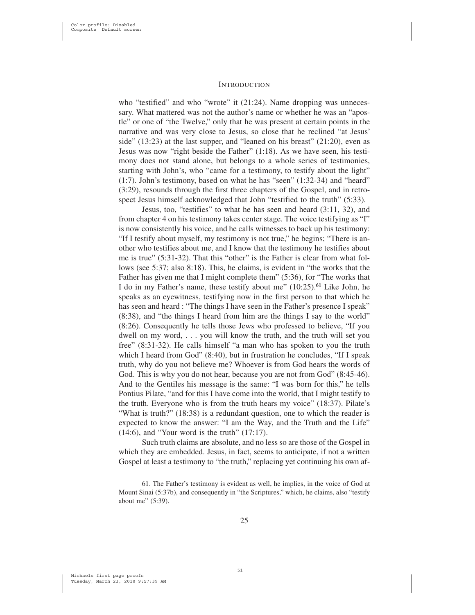who "testified" and who "wrote" it (21:24). Name dropping was unnecessary. What mattered was not the author's name or whether he was an "apostle" or one of "the Twelve," only that he was present at certain points in the narrative and was very close to Jesus, so close that he reclined "at Jesus' side" (13:23) at the last supper, and "leaned on his breast" (21:20), even as Jesus was now "right beside the Father" (1:18). As we have seen, his testimony does not stand alone, but belongs to a whole series of testimonies, starting with John's, who "came for a testimony, to testify about the light" (1:7). John's testimony, based on what he has "seen" (1:32-34) and "heard" (3:29), resounds through the first three chapters of the Gospel, and in retrospect Jesus himself acknowledged that John "testified to the truth" (5:33).

Jesus, too, "testifies" to what he has seen and heard (3:11, 32), and from chapter 4 on his testimony takes center stage. The voice testifying as "I" is now consistently his voice, and he calls witnesses to back up his testimony: "If I testify about myself, my testimony is not true," he begins; "There is another who testifies about me, and I know that the testimony he testifies about me is true" (5:31-32). That this "other" is the Father is clear from what follows (see 5:37; also 8:18). This, he claims, is evident in "the works that the Father has given me that I might complete them" (5:36), for "The works that I do in my Father's name, these testify about me" (10:25).<sup>61</sup> Like John, he speaks as an eyewitness, testifying now in the first person to that which he has seen and heard : "The things I have seen in the Father's presence I speak" (8:38), and "the things I heard from him are the things I say to the world" (8:26). Consequently he tells those Jews who professed to believe, "If you dwell on my word, . . . you will know the truth, and the truth will set you free" (8:31-32). He calls himself "a man who has spoken to you the truth which I heard from God" (8:40), but in frustration he concludes, "If I speak truth, why do you not believe me? Whoever is from God hears the words of God. This is why you do not hear, because you are not from God" (8:45-46). And to the Gentiles his message is the same: "I was born for this," he tells Pontius Pilate, "and for this I have come into the world, that I might testify to the truth. Everyone who is from the truth hears my voice" (18:37). Pilate's "What is truth?" (18:38) is a redundant question, one to which the reader is expected to know the answer: "I am the Way, and the Truth and the Life"  $(14:6)$ , and "Your word is the truth"  $(17:17)$ .

Such truth claims are absolute, and no less so are those of the Gospel in which they are embedded. Jesus, in fact, seems to anticipate, if not a written Gospel at least a testimony to "the truth," replacing yet continuing his own af-

<sup>61.</sup> The Father's testimony is evident as well, he implies, in the voice of God at Mount Sinai (5:37b), and consequently in "the Scriptures," which, he claims, also "testify about me" (5:39).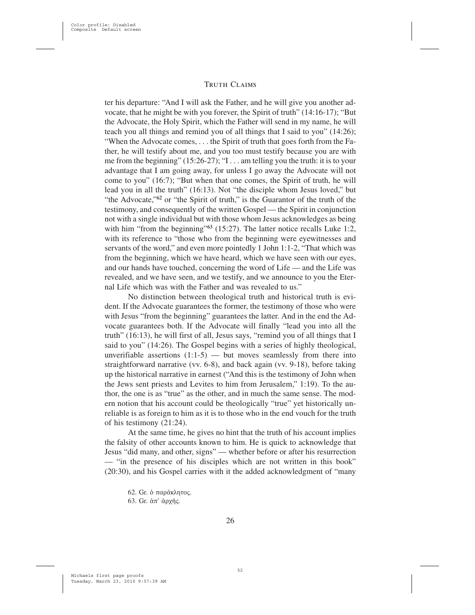ter his departure: "And I will ask the Father, and he will give you another advocate, that he might be with you forever, the Spirit of truth" (14:16-17); "But the Advocate, the Holy Spirit, which the Father will send in my name, he will teach you all things and remind you of all things that I said to you" (14:26); "When the Advocate comes, . . . the Spirit of truth that goes forth from the Father, he will testify about me, and you too must testify because you are with me from the beginning"  $(15:26-27)$ ; "I . . . am telling you the truth: it is to your advantage that I am going away, for unless I go away the Advocate will not come to you" (16:7); "But when that one comes, the Spirit of truth, he will lead you in all the truth" (16:13). Not "the disciple whom Jesus loved," but "the Advocate,"62 or "the Spirit of truth," is the Guarantor of the truth of the testimony, and consequently of the written Gospel — the Spirit in conjunction not with a single individual but with those whom Jesus acknowledges as being with him "from the beginning"<sup>63</sup> (15:27). The latter notice recalls Luke 1:2, with its reference to "those who from the beginning were eyewitnesses and servants of the word," and even more pointedly 1 John 1:1-2, "That which was from the beginning, which we have heard, which we have seen with our eyes, and our hands have touched, concerning the word of Life — and the Life was revealed, and we have seen, and we testify, and we announce to you the Eternal Life which was with the Father and was revealed to us."

No distinction between theological truth and historical truth is evident. If the Advocate guarantees the former, the testimony of those who were with Jesus "from the beginning" guarantees the latter. And in the end the Advocate guarantees both. If the Advocate will finally "lead you into all the truth" (16:13), he will first of all, Jesus says, "remind you of all things that I said to you" (14:26). The Gospel begins with a series of highly theological, unverifiable assertions  $(1:1-5)$  — but moves seamlessly from there into straightforward narrative (vv. 6-8), and back again (vv. 9-18), before taking up the historical narrative in earnest ("And this is the testimony of John when the Jews sent priests and Levites to him from Jerusalem," 1:19). To the author, the one is as "true" as the other, and in much the same sense. The modern notion that his account could be theologically "true" yet historically unreliable is as foreign to him as it is to those who in the end vouch for the truth of his testimony (21:24).

At the same time, he gives no hint that the truth of his account implies the falsity of other accounts known to him. He is quick to acknowledge that Jesus "did many, and other, signs" — whether before or after his resurrection — "in the presence of his disciples which are not written in this book" (20:30), and his Gospel carries with it the added acknowledgment of "many

62. Gr. δ παράκλητος. 63. Gr.  $\alpha \pi$ ' άρχης.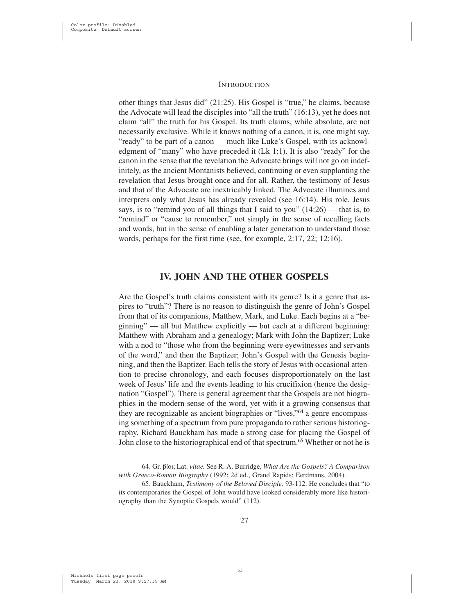other things that Jesus did" (21:25). His Gospel is "true," he claims, because the Advocate will lead the disciples into "all the truth" (16:13), yet he does not claim "all" the truth for his Gospel. Its truth claims, while absolute, are not necessarily exclusive. While it knows nothing of a canon, it is, one might say, "ready" to be part of a canon — much like Luke's Gospel, with its acknowledgment of "many" who have preceded it (Lk 1:1). It is also "ready" for the canon in the sense that the revelation the Advocate brings will not go on indefinitely, as the ancient Montanists believed, continuing or even supplanting the revelation that Jesus brought once and for all. Rather, the testimony of Jesus and that of the Advocate are inextricably linked. The Advocate illumines and interprets only what Jesus has already revealed (see 16:14). His role, Jesus says, is to "remind you of all things that I said to you"  $(14:26)$  — that is, to "remind" or "cause to remember," not simply in the sense of recalling facts and words, but in the sense of enabling a later generation to understand those words, perhaps for the first time (see, for example, 2:17, 22; 12:16).

## **IV. JOHN AND THE OTHER GOSPELS**

Are the Gospel's truth claims consistent with its genre? Is it a genre that aspires to "truth"? There is no reason to distinguish the genre of John's Gospel from that of its companions, Matthew, Mark, and Luke. Each begins at a "be $ginning"$  — all but Matthew explicitly — but each at a different beginning: Matthew with Abraham and a genealogy; Mark with John the Baptizer; Luke with a nod to "those who from the beginning were eyewitnesses and servants of the word," and then the Baptizer; John's Gospel with the Genesis beginning, and then the Baptizer. Each tells the story of Jesus with occasional attention to precise chronology, and each focuses disproportionately on the last week of Jesus' life and the events leading to his crucifixion (hence the designation "Gospel"). There is general agreement that the Gospels are not biographies in the modern sense of the word, yet with it a growing consensus that they are recognizable as ancient biographies or "lives,"64 a genre encompassing something of a spectrum from pure propaganda to rather serious historiography. Richard Bauckham has made a strong case for placing the Gospel of John close to the historiographical end of that spectrum.<sup>65</sup> Whether or not he is

<sup>64.</sup> Gr. b¾oi; Lat. *vitae.* See R. A. Burridge, *What Are the Gospels? A Comparison with Graeco-Roman Biography* (1992; 2d ed., Grand Rapids: Eerdmans, 2004).

<sup>65.</sup> Bauckham, *Testimony of the Beloved Disciple,* 93-112. He concludes that "to its contemporaries the Gospel of John would have looked considerably more like historiography than the Synoptic Gospels would" (112).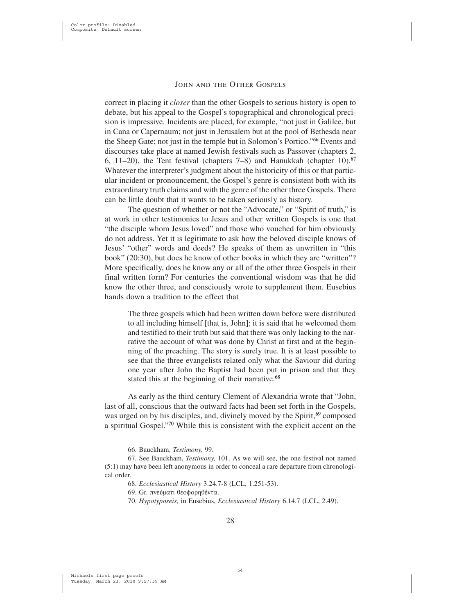#### JOHN AND THE OTHER GOSPELS

correct in placing it *closer* than the other Gospels to serious history is open to debate, but his appeal to the Gospel's topographical and chronological precision is impressive. Incidents are placed, for example, "not just in Galilee, but in Cana or Capernaum; not just in Jerusalem but at the pool of Bethesda near the Sheep Gate; not just in the temple but in Solomon's Portico."66 Events and discourses take place at named Jewish festivals such as Passover (chapters 2, 6, 11–20), the Tent festival (chapters  $7-8$ ) and Hanukkah (chapter 10).<sup>67</sup> Whatever the interpreter's judgment about the historicity of this or that particular incident or pronouncement, the Gospel's genre is consistent both with its extraordinary truth claims and with the genre of the other three Gospels. There can be little doubt that it wants to be taken seriously as history.

The question of whether or not the "Advocate," or "Spirit of truth," is at work in other testimonies to Jesus and other written Gospels is one that "the disciple whom Jesus loved" and those who vouched for him obviously do not address. Yet it is legitimate to ask how the beloved disciple knows of Jesus' "other" words and deeds? He speaks of them as unwritten in "this book" (20:30), but does he know of other books in which they are "written"? More specifically, does he know any or all of the other three Gospels in their final written form? For centuries the conventional wisdom was that he did know the other three, and consciously wrote to supplement them. Eusebius hands down a tradition to the effect that

The three gospels which had been written down before were distributed to all including himself [that is, John]; it is said that he welcomed them and testified to their truth but said that there was only lacking to the narrative the account of what was done by Christ at first and at the beginning of the preaching. The story is surely true. It is at least possible to see that the three evangelists related only what the Saviour did during one year after John the Baptist had been put in prison and that they stated this at the beginning of their narrative.<sup>68</sup>

As early as the third century Clement of Alexandria wrote that "John, last of all, conscious that the outward facts had been set forth in the Gospels, was urged on by his disciples, and, divinely moved by the Spirit,<sup>69</sup> composed a spiritual Gospel."70 While this is consistent with the explicit accent on the

66. Bauckham, *Testimony,* 99.

67. See Bauckham, *Testimony,* 101. As we will see, the one festival not named (5:1) may have been left anonymous in order to conceal a rare departure from chronological order.

68. *Ecclesiastical History* 3.24.7-8 (LCL, 1.251-53).

69. Gr. πνεύματι θεοφορηθέντα.

70. *Hypotyposeis,* in Eusebius, *Ecclesiastical History* 6.14.7 (LCL, 2.49).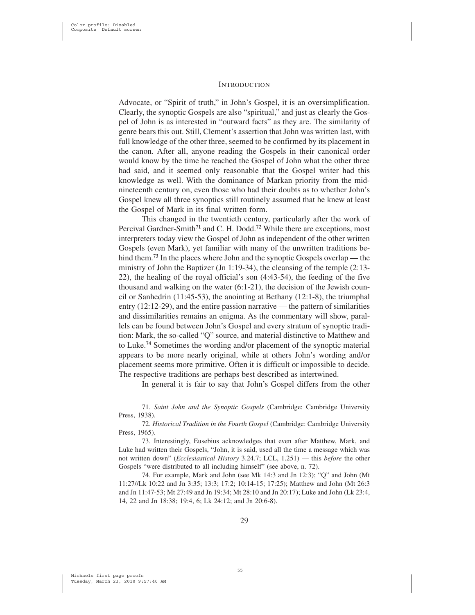Advocate, or "Spirit of truth," in John's Gospel, it is an oversimplification. Clearly, the synoptic Gospels are also "spiritual," and just as clearly the Gospel of John is as interested in "outward facts" as they are. The similarity of genre bears this out. Still, Clement's assertion that John was written last, with full knowledge of the other three, seemed to be confirmed by its placement in the canon. After all, anyone reading the Gospels in their canonical order would know by the time he reached the Gospel of John what the other three had said, and it seemed only reasonable that the Gospel writer had this knowledge as well. With the dominance of Markan priority from the midnineteenth century on, even those who had their doubts as to whether John's Gospel knew all three synoptics still routinely assumed that he knew at least the Gospel of Mark in its final written form.

This changed in the twentieth century, particularly after the work of Percival Gardner-Smith<sup>71</sup> and C. H. Dodd.<sup>72</sup> While there are exceptions, most interpreters today view the Gospel of John as independent of the other written Gospels (even Mark), yet familiar with many of the unwritten traditions behind them.<sup>73</sup> In the places where John and the synoptic Gospels overlap — the ministry of John the Baptizer (Jn 1:19-34), the cleansing of the temple (2:13- 22), the healing of the royal official's son (4:43-54), the feeding of the five thousand and walking on the water (6:1-21), the decision of the Jewish council or Sanhedrin  $(11:45-53)$ , the anointing at Bethany  $(12:1-8)$ , the triumphal entry (12:12-29), and the entire passion narrative — the pattern of similarities and dissimilarities remains an enigma. As the commentary will show, parallels can be found between John's Gospel and every stratum of synoptic tradition: Mark, the so-called "Q" source, and material distinctive to Matthew and to Luke.74 Sometimes the wording and/or placement of the synoptic material appears to be more nearly original, while at others John's wording and/or placement seems more primitive. Often it is difficult or impossible to decide. The respective traditions are perhaps best described as intertwined.

In general it is fair to say that John's Gospel differs from the other

71. *Saint John and the Synoptic Gospels* (Cambridge: Cambridge University Press, 1938).

72. *Historical Tradition in the Fourth Gospel* (Cambridge: Cambridge University Press, 1965).

73. Interestingly, Eusebius acknowledges that even after Matthew, Mark, and Luke had written their Gospels, "John, it is said, used all the time a message which was not written down" (*Ecclesiastical History* 3.24.7; LCL, 1.251) — this *before* the other Gospels "were distributed to all including himself" (see above, n. 72).

74. For example, Mark and John (see Mk 14:3 and Jn 12:3); "Q" and John (Mt 11:27//Lk 10:22 and Jn 3:35; 13:3; 17:2; 10:14-15; 17:25); Matthew and John (Mt 26:3 and Jn 11:47-53; Mt 27:49 and Jn 19:34; Mt 28:10 and Jn 20:17); Luke and John (Lk 23:4, 14, 22 and Jn 18:38; 19:4, 6; Lk 24:12; and Jn 20:6-8).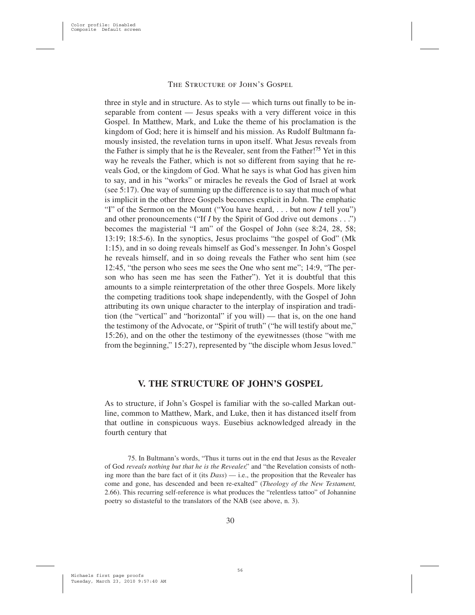three in style and in structure. As to style — which turns out finally to be inseparable from content — Jesus speaks with a very different voice in this Gospel. In Matthew, Mark, and Luke the theme of his proclamation is the kingdom of God; here it is himself and his mission. As Rudolf Bultmann famously insisted, the revelation turns in upon itself. What Jesus reveals from the Father is simply that he is the Revealer, sent from the Father!75 Yet in this way he reveals the Father, which is not so different from saying that he reveals God, or the kingdom of God. What he says is what God has given him to say, and in his "works" or miracles he reveals the God of Israel at work (see 5:17). One way of summing up the difference is to say that much of what is implicit in the other three Gospels becomes explicit in John. The emphatic "I" of the Sermon on the Mount ("You have heard, . . . but now *I* tell you") and other pronouncements ("If *I* by the Spirit of God drive out demons . . .") becomes the magisterial "I am" of the Gospel of John (see 8:24, 28, 58; 13:19; 18:5-6). In the synoptics, Jesus proclaims "the gospel of God" (Mk 1:15), and in so doing reveals himself as God's messenger. In John's Gospel he reveals himself, and in so doing reveals the Father who sent him (see 12:45, "the person who sees me sees the One who sent me"; 14:9, "The person who has seen me has seen the Father"). Yet it is doubtful that this amounts to a simple reinterpretation of the other three Gospels. More likely the competing traditions took shape independently, with the Gospel of John attributing its own unique character to the interplay of inspiration and tradition (the "vertical" and "horizontal" if you will) — that is, on the one hand the testimony of the Advocate, or "Spirit of truth" ("he will testify about me," 15:26), and on the other the testimony of the eyewitnesses (those "with me from the beginning," 15:27), represented by "the disciple whom Jesus loved."

## **V. THE STRUCTURE OF JOHN'S GOSPEL**

As to structure, if John's Gospel is familiar with the so-called Markan outline, common to Matthew, Mark, and Luke, then it has distanced itself from that outline in conspicuous ways. Eusebius acknowledged already in the fourth century that

<sup>75.</sup> In Bultmann's words, "Thus it turns out in the end that Jesus as the Revealer of God *reveals nothing but that he is the Revealer,*" and "the Revelation consists of nothing more than the bare fact of it (its *Dass*) — i.e., the proposition that the Revealer has come and gone, has descended and been re-exalted" (*Theology of the New Testament,* 2.66). This recurring self-reference is what produces the "relentless tattoo" of Johannine poetry so distasteful to the translators of the NAB (see above, n. 3).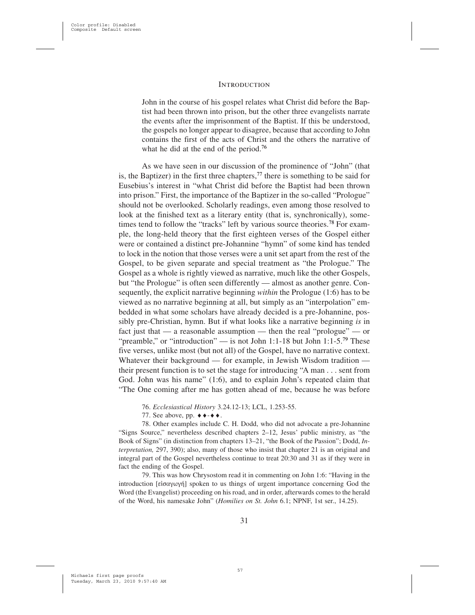John in the course of his gospel relates what Christ did before the Baptist had been thrown into prison, but the other three evangelists narrate the events after the imprisonment of the Baptist. If this be understood, the gospels no longer appear to disagree, because that according to John contains the first of the acts of Christ and the others the narrative of what he did at the end of the period.<sup>76</sup>

As we have seen in our discussion of the prominence of "John" (that is, the Baptizer) in the first three chapters, $77$  there is something to be said for Eusebius's interest in "what Christ did before the Baptist had been thrown into prison." First, the importance of the Baptizer in the so-called "Prologue" should not be overlooked. Scholarly readings, even among those resolved to look at the finished text as a literary entity (that is, synchronically), sometimes tend to follow the "tracks" left by various source theories.<sup>78</sup> For example, the long-held theory that the first eighteen verses of the Gospel either were or contained a distinct pre-Johannine "hymn" of some kind has tended to lock in the notion that those verses were a unit set apart from the rest of the Gospel, to be given separate and special treatment as "the Prologue." The Gospel as a whole is rightly viewed as narrative, much like the other Gospels, but "the Prologue" is often seen differently — almost as another genre. Consequently, the explicit narrative beginning *within* the Prologue (1:6) has to be viewed as no narrative beginning at all, but simply as an "interpolation" embedded in what some scholars have already decided is a pre-Johannine, possibly pre-Christian, hymn. But if what looks like a narrative beginning *is* in fact just that — a reasonable assumption — then the real "prologue" — or "preamble," or "introduction" — is not John 1:1-18 but John 1:1-5.<sup>79</sup> These five verses, unlike most (but not all) of the Gospel, have no narrative context. Whatever their background — for example, in Jewish Wisdom tradition their present function is to set the stage for introducing "A man... sent from God. John was his name" (1:6), and to explain John's repeated claim that "The One coming after me has gotten ahead of me, because he was before

76. *Ecclesiastical History* 3.24.12-13; LCL, 1.253-55.

77. See above, pp.  $\leftrightarrow \leftrightarrow \bullet$ .

78. Other examples include C. H. Dodd, who did not advocate a pre-Johannine "Signs Source," nevertheless described chapters 2–12, Jesus' public ministry, as "the Book of Signs" (in distinction from chapters 13–21, "the Book of the Passion"; Dodd, *Interpretation,* 297, 390); also, many of those who insist that chapter 21 is an original and integral part of the Gospel nevertheless continue to treat 20:30 and 31 as if they were in fact the ending of the Gospel.

79. This was how Chrysostom read it in commenting on John 1:6: "Having in the introduction [ $\epsilon$ i $\sigma$ αγωγή] spoken to us things of urgent importance concerning God the Word (the Evangelist) proceeding on his road, and in order, afterwards comes to the herald of the Word, his namesake John" (*Homilies on St. John* 6.1; NPNF, 1st ser., 14.25).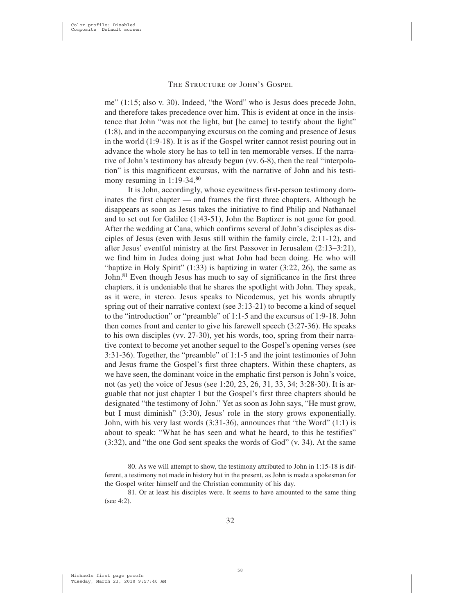me" (1:15; also v. 30). Indeed, "the Word" who is Jesus does precede John, and therefore takes precedence over him. This is evident at once in the insistence that John "was not the light, but [he came] to testify about the light" (1:8), and in the accompanying excursus on the coming and presence of Jesus in the world (1:9-18). It is as if the Gospel writer cannot resist pouring out in advance the whole story he has to tell in ten memorable verses. If the narrative of John's testimony has already begun (vv. 6-8), then the real "interpolation" is this magnificent excursus, with the narrative of John and his testimony resuming in 1:19-34.<sup>80</sup>

It is John, accordingly, whose eyewitness first-person testimony dominates the first chapter — and frames the first three chapters. Although he disappears as soon as Jesus takes the initiative to find Philip and Nathanael and to set out for Galilee (1:43-51), John the Baptizer is not gone for good. After the wedding at Cana, which confirms several of John's disciples as disciples of Jesus (even with Jesus still within the family circle, 2:11-12), and after Jesus' eventful ministry at the first Passover in Jerusalem (2:13–3:21), we find him in Judea doing just what John had been doing. He who will "baptize in Holy Spirit" (1:33) is baptizing in water (3:22, 26), the same as John.81 Even though Jesus has much to say of significance in the first three chapters, it is undeniable that he shares the spotlight with John. They speak, as it were, in stereo. Jesus speaks to Nicodemus, yet his words abruptly spring out of their narrative context (see 3:13-21) to become a kind of sequel to the "introduction" or "preamble" of 1:1-5 and the excursus of 1:9-18. John then comes front and center to give his farewell speech (3:27-36). He speaks to his own disciples (vv. 27-30), yet his words, too, spring from their narrative context to become yet another sequel to the Gospel's opening verses (see 3:31-36). Together, the "preamble" of 1:1-5 and the joint testimonies of John and Jesus frame the Gospel's first three chapters. Within these chapters, as we have seen, the dominant voice in the emphatic first person is John's voice, not (as yet) the voice of Jesus (see 1:20, 23, 26, 31, 33, 34; 3:28-30). It is arguable that not just chapter 1 but the Gospel's first three chapters should be designated "the testimony of John." Yet as soon as John says, "He must grow, but I must diminish" (3:30), Jesus' role in the story grows exponentially. John, with his very last words (3:31-36), announces that "the Word" (1:1) is about to speak: "What he has seen and what he heard, to this he testifies" (3:32), and "the one God sent speaks the words of God" (v. 34). At the same

<sup>80.</sup> As we will attempt to show, the testimony attributed to John in 1:15-18 is different, a testimony not made in history but in the present, as John is made a spokesman for the Gospel writer himself and the Christian community of his day.

<sup>81.</sup> Or at least his disciples were. It seems to have amounted to the same thing (see 4:2).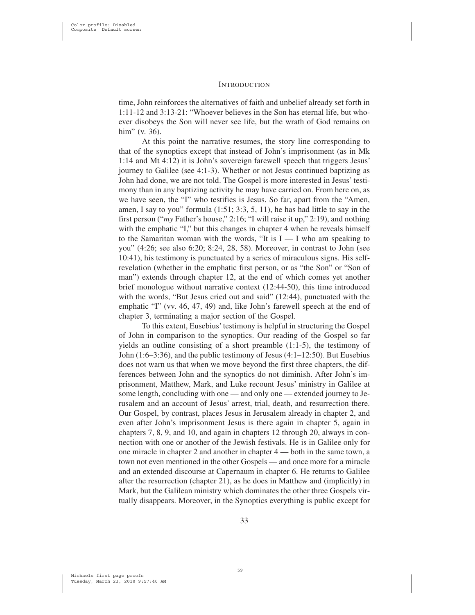time, John reinforces the alternatives of faith and unbelief already set forth in 1:11-12 and 3:13-21: "Whoever believes in the Son has eternal life, but whoever disobeys the Son will never see life, but the wrath of God remains on him" (v. 36).

At this point the narrative resumes, the story line corresponding to that of the synoptics except that instead of John's imprisonment (as in Mk 1:14 and Mt 4:12) it is John's sovereign farewell speech that triggers Jesus' journey to Galilee (see 4:1-3). Whether or not Jesus continued baptizing as John had done, we are not told. The Gospel is more interested in Jesus' testimony than in any baptizing activity he may have carried on. From here on, as we have seen, the "I" who testifies is Jesus. So far, apart from the "Amen, amen, I say to you" formula (1:51; 3:3, 5, 11), he has had little to say in the first person ("*my* Father's house," 2:16; "I will raise it up," 2:19), and nothing with the emphatic "I," but this changes in chapter 4 when he reveals himself to the Samaritan woman with the words, "It is  $I - I$  who am speaking to you" (4:26; see also 6:20; 8:24, 28, 58). Moreover, in contrast to John (see 10:41), his testimony is punctuated by a series of miraculous signs. His selfrevelation (whether in the emphatic first person, or as "the Son" or "Son of man") extends through chapter 12, at the end of which comes yet another brief monologue without narrative context (12:44-50), this time introduced with the words, "But Jesus cried out and said" (12:44), punctuated with the emphatic "I" (vv. 46, 47, 49) and, like John's farewell speech at the end of chapter 3, terminating a major section of the Gospel.

To this extent, Eusebius' testimony is helpful in structuring the Gospel of John in comparison to the synoptics. Our reading of the Gospel so far yields an outline consisting of a short preamble (1:1-5), the testimony of John  $(1:6-3:36)$ , and the public testimony of Jesus  $(4:1-12:50)$ . But Eusebius does not warn us that when we move beyond the first three chapters, the differences between John and the synoptics do not diminish. After John's imprisonment, Matthew, Mark, and Luke recount Jesus' ministry in Galilee at some length, concluding with one — and only one — extended journey to Jerusalem and an account of Jesus' arrest, trial, death, and resurrection there. Our Gospel, by contrast, places Jesus in Jerusalem already in chapter 2, and even after John's imprisonment Jesus is there again in chapter 5, again in chapters 7, 8, 9, and 10, and again in chapters 12 through 20, always in connection with one or another of the Jewish festivals. He is in Galilee only for one miracle in chapter 2 and another in chapter 4 — both in the same town, a town not even mentioned in the other Gospels — and once more for a miracle and an extended discourse at Capernaum in chapter 6. He returns to Galilee after the resurrection (chapter 21), as he does in Matthew and (implicitly) in Mark, but the Galilean ministry which dominates the other three Gospels virtually disappears. Moreover, in the Synoptics everything is public except for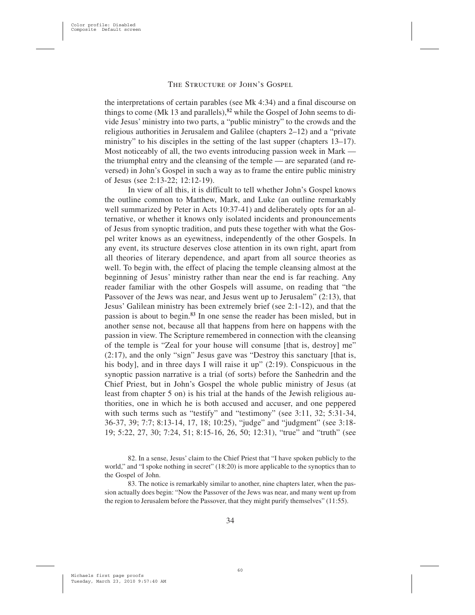the interpretations of certain parables (see Mk 4:34) and a final discourse on things to come (Mk 13 and parallels), $82$  while the Gospel of John seems to divide Jesus' ministry into two parts, a "public ministry" to the crowds and the religious authorities in Jerusalem and Galilee (chapters 2–12) and a "private ministry" to his disciples in the setting of the last supper (chapters 13–17). Most noticeably of all, the two events introducing passion week in Mark the triumphal entry and the cleansing of the temple — are separated (and reversed) in John's Gospel in such a way as to frame the entire public ministry of Jesus (see 2:13-22; 12:12-19).

In view of all this, it is difficult to tell whether John's Gospel knows the outline common to Matthew, Mark, and Luke (an outline remarkably well summarized by Peter in Acts 10:37-41) and deliberately opts for an alternative, or whether it knows only isolated incidents and pronouncements of Jesus from synoptic tradition, and puts these together with what the Gospel writer knows as an eyewitness, independently of the other Gospels. In any event, its structure deserves close attention in its own right, apart from all theories of literary dependence, and apart from all source theories as well. To begin with, the effect of placing the temple cleansing almost at the beginning of Jesus' ministry rather than near the end is far reaching. Any reader familiar with the other Gospels will assume, on reading that "the Passover of the Jews was near, and Jesus went up to Jerusalem" (2:13), that Jesus' Galilean ministry has been extremely brief (see 2:1-12), and that the passion is about to begin.83 In one sense the reader has been misled, but in another sense not, because all that happens from here on happens with the passion in view. The Scripture remembered in connection with the cleansing of the temple is "Zeal for your house will consume [that is, destroy] me" (2:17), and the only "sign" Jesus gave was "Destroy this sanctuary [that is, his body], and in three days I will raise it up" (2:19). Conspicuous in the synoptic passion narrative is a trial (of sorts) before the Sanhedrin and the Chief Priest, but in John's Gospel the whole public ministry of Jesus (at least from chapter 5 on) is his trial at the hands of the Jewish religious authorities, one in which he is both accused and accuser, and one peppered with such terms such as "testify" and "testimony" (see 3:11, 32; 5:31-34, 36-37, 39; 7:7; 8:13-14, 17, 18; 10:25), "judge" and "judgment" (see 3:18- 19; 5:22, 27, 30; 7:24, 51; 8:15-16, 26, 50; 12:31), "true" and "truth" (see

83. The notice is remarkably similar to another, nine chapters later, when the passion actually does begin: "Now the Passover of the Jews was near, and many went up from the region to Jerusalem before the Passover, that they might purify themselves" (11:55).

<sup>82.</sup> In a sense, Jesus' claim to the Chief Priest that "I have spoken publicly to the world," and "I spoke nothing in secret" (18:20) is more applicable to the synoptics than to the Gospel of John.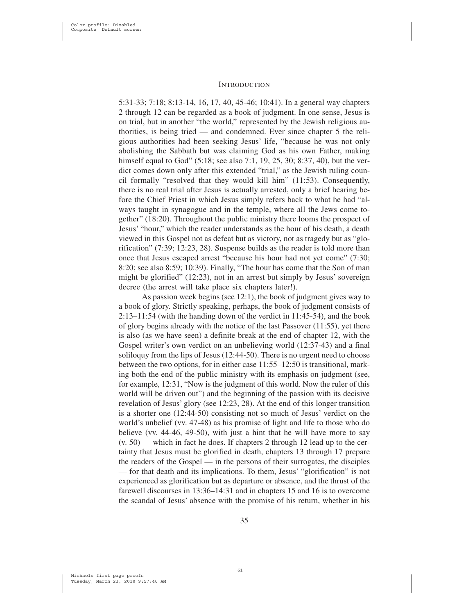5:31-33; 7:18; 8:13-14, 16, 17, 40, 45-46; 10:41). In a general way chapters 2 through 12 can be regarded as a book of judgment. In one sense, Jesus is on trial, but in another "the world," represented by the Jewish religious authorities, is being tried — and condemned. Ever since chapter 5 the religious authorities had been seeking Jesus' life, "because he was not only abolishing the Sabbath but was claiming God as his own Father, making himself equal to God" (5:18; see also 7:1, 19, 25, 30; 8:37, 40), but the verdict comes down only after this extended "trial," as the Jewish ruling council formally "resolved that they would kill him" (11:53). Consequently, there is no real trial after Jesus is actually arrested, only a brief hearing before the Chief Priest in which Jesus simply refers back to what he had "always taught in synagogue and in the temple, where all the Jews come together" (18:20). Throughout the public ministry there looms the prospect of Jesus' "hour," which the reader understands as the hour of his death, a death viewed in this Gospel not as defeat but as victory, not as tragedy but as "glorification" (7:39; 12:23, 28). Suspense builds as the reader is told more than once that Jesus escaped arrest "because his hour had not yet come" (7:30; 8:20; see also 8:59; 10:39). Finally, "The hour has come that the Son of man might be glorified" (12:23), not in an arrest but simply by Jesus' sovereign decree (the arrest will take place six chapters later!).

As passion week begins (see 12:1), the book of judgment gives way to a book of glory. Strictly speaking, perhaps, the book of judgment consists of 2:13–11:54 (with the handing down of the verdict in 11:45-54), and the book of glory begins already with the notice of the last Passover (11:55), yet there is also (as we have seen) a definite break at the end of chapter 12, with the Gospel writer's own verdict on an unbelieving world (12:37-43) and a final soliloquy from the lips of Jesus (12:44-50). There is no urgent need to choose between the two options, for in either case 11:55–12:50 is transitional, marking both the end of the public ministry with its emphasis on judgment (see, for example, 12:31, "Now is the judgment of this world. Now the ruler of this world will be driven out") and the beginning of the passion with its decisive revelation of Jesus' glory (see 12:23, 28). At the end of this longer transition is a shorter one (12:44-50) consisting not so much of Jesus' verdict on the world's unbelief (vv. 47-48) as his promise of light and life to those who do believe (vv. 44-46, 49-50), with just a hint that he will have more to say (v. 50) — which in fact he does. If chapters 2 through 12 lead up to the certainty that Jesus must be glorified in death, chapters 13 through 17 prepare the readers of the Gospel — in the persons of their surrogates, the disciples — for that death and its implications. To them, Jesus' "glorification" is not experienced as glorification but as departure or absence, and the thrust of the farewell discourses in 13:36–14:31 and in chapters 15 and 16 is to overcome the scandal of Jesus' absence with the promise of his return, whether in his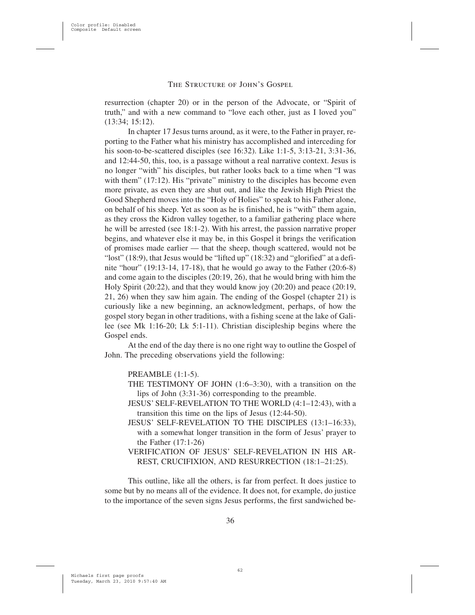resurrection (chapter 20) or in the person of the Advocate, or "Spirit of truth," and with a new command to "love each other, just as I loved you" (13:34; 15:12).

In chapter 17 Jesus turns around, as it were, to the Father in prayer, reporting to the Father what his ministry has accomplished and interceding for his soon-to-be-scattered disciples (see 16:32). Like 1:1-5, 3:13-21, 3:31-36, and 12:44-50, this, too, is a passage without a real narrative context. Jesus is no longer "with" his disciples, but rather looks back to a time when "I was with them" (17:12). His "private" ministry to the disciples has become even more private, as even they are shut out, and like the Jewish High Priest the Good Shepherd moves into the "Holy of Holies" to speak to his Father alone, on behalf of his sheep. Yet as soon as he is finished, he is "with" them again, as they cross the Kidron valley together, to a familiar gathering place where he will be arrested (see 18:1-2). With his arrest, the passion narrative proper begins, and whatever else it may be, in this Gospel it brings the verification of promises made earlier — that the sheep, though scattered, would not be "lost" (18:9), that Jesus would be "lifted up" (18:32) and "glorified" at a definite "hour"  $(19:13-14, 17-18)$ , that he would go away to the Father  $(20:6-8)$ and come again to the disciples (20:19, 26), that he would bring with him the Holy Spirit (20:22), and that they would know joy (20:20) and peace (20:19, 21, 26) when they saw him again. The ending of the Gospel (chapter 21) is curiously like a new beginning, an acknowledgment, perhaps, of how the gospel story began in other traditions, with a fishing scene at the lake of Galilee (see Mk 1:16-20; Lk 5:1-11). Christian discipleship begins where the Gospel ends.

At the end of the day there is no one right way to outline the Gospel of John. The preceding observations yield the following:

## PREAMBLE (1:1-5).

- THE TESTIMONY OF JOHN (1:6–3:30), with a transition on the lips of John (3:31-36) corresponding to the preamble.
- JESUS' SELF-REVELATION TO THE WORLD (4:1–12:43), with a transition this time on the lips of Jesus (12:44-50).
- JESUS' SELF-REVELATION TO THE DISCIPLES (13:1–16:33), with a somewhat longer transition in the form of Jesus' prayer to the Father (17:1-26)
- VERIFICATION OF JESUS' SELF-REVELATION IN HIS AR-REST, CRUCIFIXION, AND RESURRECTION (18:1–21:25).

This outline, like all the others, is far from perfect. It does justice to some but by no means all of the evidence. It does not, for example, do justice to the importance of the seven signs Jesus performs, the first sandwiched be-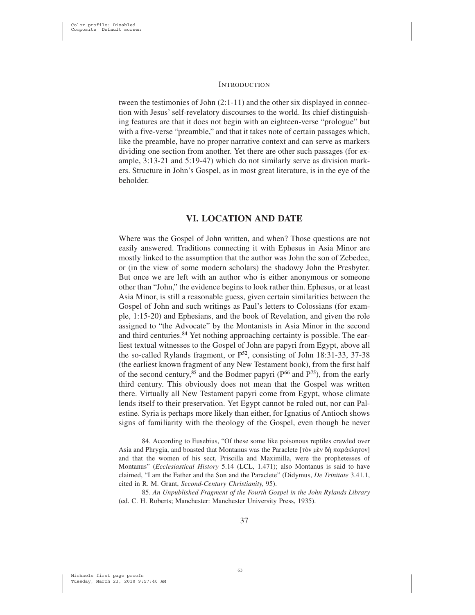tween the testimonies of John (2:1-11) and the other six displayed in connection with Jesus' self-revelatory discourses to the world. Its chief distinguishing features are that it does not begin with an eighteen-verse "prologue" but with a five-verse "preamble," and that it takes note of certain passages which, like the preamble, have no proper narrative context and can serve as markers dividing one section from another. Yet there are other such passages (for example, 3:13-21 and 5:19-47) which do not similarly serve as division markers. Structure in John's Gospel, as in most great literature, is in the eye of the beholder.

## **VI. LOCATION AND DATE**

Where was the Gospel of John written, and when? Those questions are not easily answered. Traditions connecting it with Ephesus in Asia Minor are mostly linked to the assumption that the author was John the son of Zebedee, or (in the view of some modern scholars) the shadowy John the Presbyter. But once we are left with an author who is either anonymous or someone other than "John," the evidence begins to look rather thin. Ephesus, or at least Asia Minor, is still a reasonable guess, given certain similarities between the Gospel of John and such writings as Paul's letters to Colossians (for example, 1:15-20) and Ephesians, and the book of Revelation, and given the role assigned to "the Advocate" by the Montanists in Asia Minor in the second and third centuries.84 Yet nothing approaching certainty is possible. The earliest textual witnesses to the Gospel of John are papyri from Egypt, above all the so-called Rylands fragment, or  $P^{52}$ , consisting of John 18:31-33, 37-38 (the earliest known fragment of any New Testament book), from the first half of the second century,  $85$  and the Bodmer papyri ( $P^{66}$  and  $P^{75}$ ), from the early third century. This obviously does not mean that the Gospel was written there. Virtually all New Testament papyri come from Egypt, whose climate lends itself to their preservation. Yet Egypt cannot be ruled out, nor can Palestine. Syria is perhaps more likely than either, for Ignatius of Antioch shows signs of familiarity with the theology of the Gospel, even though he never

84. According to Eusebius, "Of these some like poisonous reptiles crawled over Asia and Phrygia, and boasted that Montanus was the Paraclete [ $\tau$ ờν μὲν δὴ παράκλητον] and that the women of his sect, Priscilla and Maximilla, were the prophetesses of Montanus" (*Ecclesiastical History* 5.14 (LCL, 1.471); also Montanus is said to have claimed, "I am the Father and the Son and the Paraclete" (Didymus, *De Trinitate* 3.41.1, cited in R. M. Grant, *Second-Century Christianity,* 95).

85. *An Unpublished Fragment of the Fourth Gospel in the John Rylands Library* (ed. C. H. Roberts; Manchester: Manchester University Press, 1935).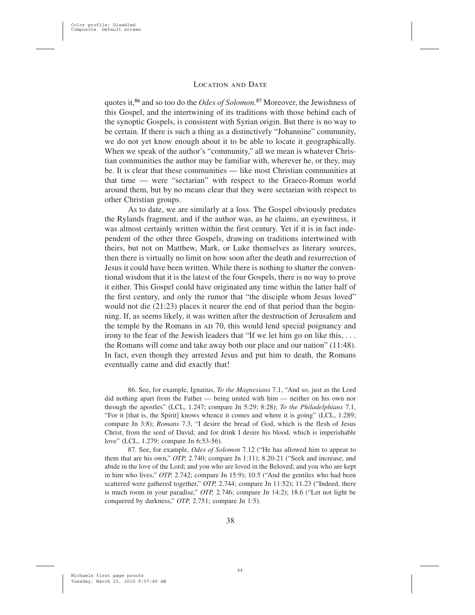quotes it,86 and so too do the *Odes of Solomon.*87 Moreover, the Jewishness of this Gospel, and the intertwining of its traditions with those behind each of the synoptic Gospels, is consistent with Syrian origin. But there is no way to be certain. If there is such a thing as a distinctively "Johannine" community, we do not yet know enough about it to be able to locate it geographically. When we speak of the author's "community," all we mean is whatever Christian communities the author may be familiar with, wherever he, or they, may be. It is clear that these communities — like most Christian communities at that time — were "sectarian" with respect to the Graeco-Roman world around them, but by no means clear that they were sectarian with respect to other Christian groups.

As to date, we are similarly at a loss. The Gospel obviously predates the Rylands fragment, and if the author was, as he claims, an eyewitness, it was almost certainly written within the first century. Yet if it is in fact independent of the other three Gospels, drawing on traditions intertwined with theirs, but not on Matthew, Mark, or Luke themselves as literary sources, then there is virtually no limit on how soon after the death and resurrection of Jesus it could have been written. While there is nothing to shatter the conventional wisdom that it is the latest of the four Gospels, there is no way to prove it either. This Gospel could have originated any time within the latter half of the first century, and only the rumor that "the disciple whom Jesus loved" would not die (21:23) places it nearer the end of that period than the beginning. If, as seems likely, it was written after the destruction of Jerusalem and the temple by the Romans in AD 70, this would lend special poignancy and irony to the fear of the Jewish leaders that "If we let him go on like this,... the Romans will come and take away both our place and our nation" (11:48). In fact, even though they arrested Jesus and put him to death, the Romans eventually came and did exactly that!

86. See, for example, Ignatius, *To the Magnesians* 7.1, "And so, just as the Lord did nothing apart from the Father — being united with him — neither on his own nor through the apostles" (LCL, 1.247; compare Jn 5:29; 8:28); *To the Philadelphians* 7.1, "For it [that is, the Spirit] knows whence it comes and where it is going" (LCL, 1.289; compare Jn 3:8); *Romans* 7.3, "I desire the bread of God, which is the flesh of Jesus Christ, from the seed of David; and for drink I desire his blood, which is imperishable love" (LCL, 1.279; compare Jn 6:53-56).

87. See, for example, *Odes of Solomon* 7.12 ("He has allowed him to appear to them that are his own," *OTP,* 2.740; compare Jn 1:11); 8.20-21 ("Seek and increase, and abide in the love of the Lord; and you who are loved in the Beloved; and you who are kept in him who lives," *OTP,* 2.742; compare Jn 15:9); 10:5 ("And the gentiles who had been scattered were gathered together," *OTP,* 2.744; compare Jn 11:52); 11.23 ("Indeed, there is much room in your paradise," *OTP,* 2.746; compare Jn 14:2); 18.6 ("Let not light be conquered by darkness," *OTP,* 2.751; compare Jn 1:5).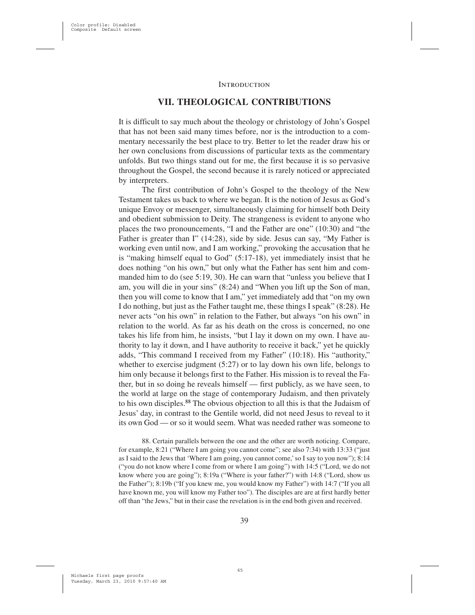## **VII. THEOLOGICAL CONTRIBUTIONS**

It is difficult to say much about the theology or christology of John's Gospel that has not been said many times before, nor is the introduction to a commentary necessarily the best place to try. Better to let the reader draw his or her own conclusions from discussions of particular texts as the commentary unfolds. But two things stand out for me, the first because it is so pervasive throughout the Gospel, the second because it is rarely noticed or appreciated by interpreters.

The first contribution of John's Gospel to the theology of the New Testament takes us back to where we began. It is the notion of Jesus as God's unique Envoy or messenger, simultaneously claiming for himself both Deity and obedient submission to Deity. The strangeness is evident to anyone who places the two pronouncements, "I and the Father are one" (10:30) and "the Father is greater than I" (14:28), side by side. Jesus can say, "My Father is working even until now, and I am working," provoking the accusation that he is "making himself equal to God" (5:17-18), yet immediately insist that he does nothing "on his own," but only what the Father has sent him and commanded him to do (see 5:19, 30). He can warn that "unless you believe that I am, you will die in your sins" (8:24) and "When you lift up the Son of man, then you will come to know that I am," yet immediately add that "on my own I do nothing, but just as the Father taught me, these things I speak" (8:28). He never acts "on his own" in relation to the Father, but always "on his own" in relation to the world. As far as his death on the cross is concerned, no one takes his life from him, he insists, "but I lay it down on my own. I have authority to lay it down, and I have authority to receive it back," yet he quickly adds, "This command I received from my Father" (10:18). His "authority," whether to exercise judgment (5:27) or to lay down his own life, belongs to him only because it belongs first to the Father. His mission is to reveal the Father, but in so doing he reveals himself — first publicly, as we have seen, to the world at large on the stage of contemporary Judaism, and then privately to his own disciples.88 The obvious objection to all this is that the Judaism of Jesus' day, in contrast to the Gentile world, did not need Jesus to reveal to it its own God — or so it would seem. What was needed rather was someone to

88. Certain parallels between the one and the other are worth noticing. Compare, for example, 8:21 ("Where I am going you cannot come"; see also 7:34) with 13:33 ("just as I said to the Jews that 'Where I am going, you cannot come,' so I say to you now"); 8:14 ("you do not know where I come from or where I am going") with 14:5 ("Lord, we do not know where you are going"); 8:19a ("Where is your father?") with 14:8 ("Lord, show us the Father"); 8:19b ("If you knew me, you would know my Father") with 14:7 ("If you all have known me, you will know my Father too"). The disciples are are at first hardly better off than "the Jews," but in their case the revelation is in the end both given and received.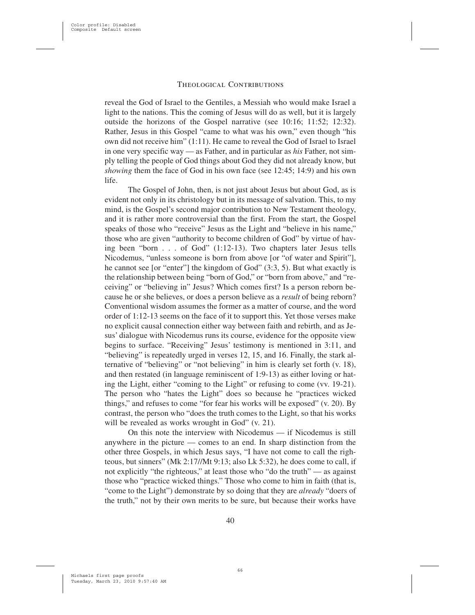reveal the God of Israel to the Gentiles, a Messiah who would make Israel a light to the nations. This the coming of Jesus will do as well, but it is largely outside the horizons of the Gospel narrative (see 10:16; 11:52; 12:32). Rather, Jesus in this Gospel "came to what was his own," even though "his own did not receive him" (1:11). He came to reveal the God of Israel to Israel in one very specific way — as Father, and in particular as *his* Father, not simply telling the people of God things about God they did not already know, but *showing* them the face of God in his own face (see 12:45; 14:9) and his own life.

The Gospel of John, then, is not just about Jesus but about God, as is evident not only in its christology but in its message of salvation. This, to my mind, is the Gospel's second major contribution to New Testament theology, and it is rather more controversial than the first. From the start, the Gospel speaks of those who "receive" Jesus as the Light and "believe in his name," those who are given "authority to become children of God" by virtue of having been "born . . . of God" (1:12-13). Two chapters later Jesus tells Nicodemus, "unless someone is born from above [or "of water and Spirit"], he cannot see [or "enter"] the kingdom of God" (3:3, 5). But what exactly is the relationship between being "born of God," or "born from above," and "receiving" or "believing in" Jesus? Which comes first? Is a person reborn because he or she believes, or does a person believe as a *result* of being reborn? Conventional wisdom assumes the former as a matter of course, and the word order of 1:12-13 seems on the face of it to support this. Yet those verses make no explicit causal connection either way between faith and rebirth, and as Jesus' dialogue with Nicodemus runs its course, evidence for the opposite view begins to surface. "Receiving" Jesus' testimony is mentioned in 3:11, and "believing" is repeatedly urged in verses 12, 15, and 16. Finally, the stark alternative of "believing" or "not believing" in him is clearly set forth (v. 18), and then restated (in language reminiscent of 1:9-13) as either loving or hating the Light, either "coming to the Light" or refusing to come (vv. 19-21). The person who "hates the Light" does so because he "practices wicked things," and refuses to come "for fear his works will be exposed" (v. 20). By contrast, the person who "does the truth comes to the Light, so that his works will be revealed as works wrought in God" (v. 21).

On this note the interview with Nicodemus — if Nicodemus is still anywhere in the picture — comes to an end. In sharp distinction from the other three Gospels, in which Jesus says, "I have not come to call the righteous, but sinners" (Mk 2:17//Mt 9:13; also Lk 5:32), he does come to call, if not explicitly "the righteous," at least those who "do the truth" — as against those who "practice wicked things." Those who come to him in faith (that is, "come to the Light") demonstrate by so doing that they are *already* "doers of the truth," not by their own merits to be sure, but because their works have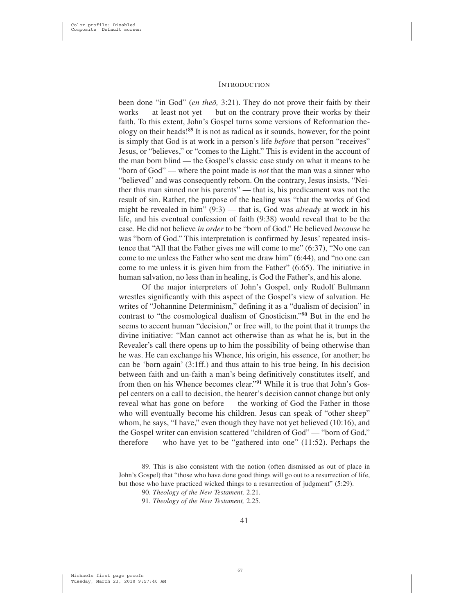been done "in God" (*en the* $\bar{o}$ , 3:21). They do not prove their faith by their works — at least not yet — but on the contrary prove their works by their faith. To this extent, John's Gospel turns some versions of Reformation theology on their heads!89 It is not as radical as it sounds, however, for the point is simply that God is at work in a person's life *before* that person "receives" Jesus, or "believes," or "comes to the Light." This is evident in the account of the man born blind — the Gospel's classic case study on what it means to be "born of God" — where the point made is *not* that the man was a sinner who "believed" and was consequently reborn. On the contrary, Jesus insists, "Neither this man sinned nor his parents" — that is, his predicament was not the result of sin. Rather, the purpose of the healing was "that the works of God might be revealed in him" (9:3) — that is, God was *already* at work in his life, and his eventual confession of faith (9:38) would reveal that to be the case. He did not believe *in order* to be "born of God." He believed *because* he was "born of God." This interpretation is confirmed by Jesus' repeated insistence that "All that the Father gives me will come to me" (6:37), "No one can come to me unless the Father who sent me draw him" (6:44), and "no one can come to me unless it is given him from the Father" (6:65). The initiative in human salvation, no less than in healing, is God the Father's, and his alone.

Of the major interpreters of John's Gospel, only Rudolf Bultmann wrestles significantly with this aspect of the Gospel's view of salvation. He writes of "Johannine Determinism," defining it as a "dualism of decision" in contrast to "the cosmological dualism of Gnosticism."90 But in the end he seems to accent human "decision," or free will, to the point that it trumps the divine initiative: "Man cannot act otherwise than as what he is, but in the Revealer's call there opens up to him the possibility of being otherwise than he was. He can exchange his Whence, his origin, his essence, for another; he can be 'born again' (3:1ff.) and thus attain to his true being. In his decision between faith and un-faith a man's being definitively constitutes itself, and from then on his Whence becomes clear."91 While it is true that John's Gospel centers on a call to decision, the hearer's decision cannot change but only reveal what has gone on before — the working of God the Father in those who will eventually become his children. Jesus can speak of "other sheep" whom, he says, "I have," even though they have not yet believed (10:16), and the Gospel writer can envision scattered "children of God" — "born of God," therefore — who have yet to be "gathered into one"  $(11:52)$ . Perhaps the

<sup>89.</sup> This is also consistent with the notion (often dismissed as out of place in John's Gospel) that "those who have done good things will go out to a resurrection of life, but those who have practiced wicked things to a resurrection of judgment" (5:29).

<sup>90.</sup> *Theology of the New Testament,* 2.21.

<sup>91.</sup> *Theology of the New Testament,* 2.25.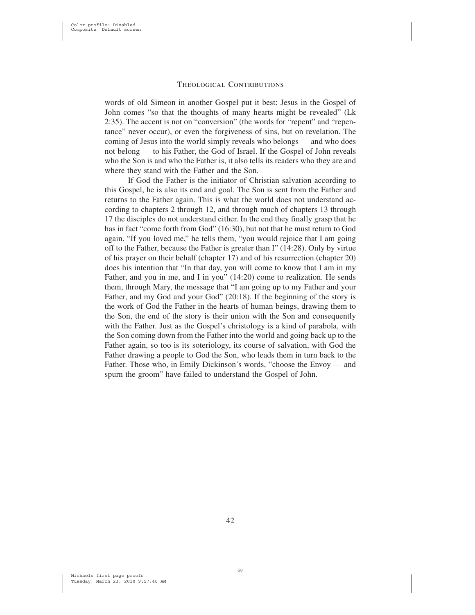words of old Simeon in another Gospel put it best: Jesus in the Gospel of John comes "so that the thoughts of many hearts might be revealed" (Lk 2:35). The accent is not on "conversion" (the words for "repent" and "repentance" never occur), or even the forgiveness of sins, but on revelation. The coming of Jesus into the world simply reveals who belongs — and who does not belong — to his Father, the God of Israel. If the Gospel of John reveals who the Son is and who the Father is, it also tells its readers who they are and where they stand with the Father and the Son.

If God the Father is the initiator of Christian salvation according to this Gospel, he is also its end and goal. The Son is sent from the Father and returns to the Father again. This is what the world does not understand according to chapters 2 through 12, and through much of chapters 13 through 17 the disciples do not understand either. In the end they finally grasp that he has in fact "come forth from God" (16:30), but not that he must return to God again. "If you loved me," he tells them, "you would rejoice that I am going off to the Father, because the Father is greater than I" (14:28). Only by virtue of his prayer on their behalf (chapter 17) and of his resurrection (chapter 20) does his intention that "In that day, you will come to know that I am in my Father, and you in me, and I in you" (14:20) come to realization. He sends them, through Mary, the message that "I am going up to my Father and your Father, and my God and your God" (20:18). If the beginning of the story is the work of God the Father in the hearts of human beings, drawing them to the Son, the end of the story is their union with the Son and consequently with the Father. Just as the Gospel's christology is a kind of parabola, with the Son coming down from the Father into the world and going back up to the Father again, so too is its soteriology, its course of salvation, with God the Father drawing a people to God the Son, who leads them in turn back to the Father. Those who, in Emily Dickinson's words, "choose the Envoy — and spurn the groom" have failed to understand the Gospel of John.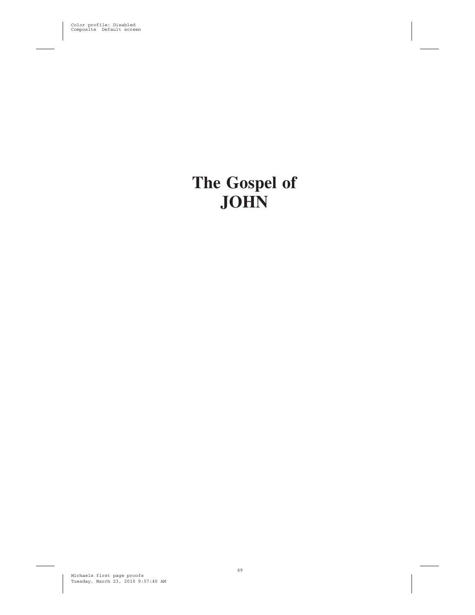# **The Gospel of JOHN**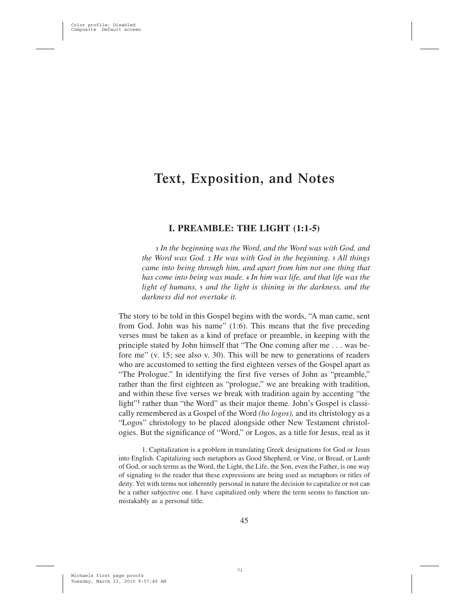## **Text, Exposition, and Notes**

## **I. PREAMBLE: THE LIGHT (1:1-5)**

*1 In the beginning was the Word, and the Word was with God, and the Word was God. 2 He was with God in the beginning. 3 All things came into being through him, and apart from him not one thing that has come into being was made. 4 In him was life, and that life was the light of humans, 5 and the light is shining in the darkness, and the darkness did not overtake it.*

The story to be told in this Gospel begins with the words, "A man came, sent from God. John was his name" (1:6). This means that the five preceding verses must be taken as a kind of preface or preamble, in keeping with the principle stated by John himself that "The One coming after me . . . was before me" (v. 15; see also v. 30). This will be new to generations of readers who are accustomed to setting the first eighteen verses of the Gospel apart as "The Prologue." In identifying the first five verses of John as "preamble," rather than the first eighteen as "prologue," we are breaking with tradition, and within these five verses we break with tradition again by accenting "the light"<sup>1</sup> rather than "the Word" as their major theme. John's Gospel is classically remembered as a Gospel of the Word *(ho logos),* and its christology as a "Logos" christology to be placed alongside other New Testament christologies. But the significance of "Word," or Logos, as a title for Jesus, real as it

1. Capitalization is a problem in translating Greek designations for God or Jesus into English. Capitalizing such metaphors as Good Shepherd, or Vine, or Bread, or Lamb of God, or such terms as the Word, the Light, the Life, the Son, even the Father, is one way of signaling to the reader that these expressions are being used as metaphors or titles of deity. Yet with terms not inherently personal in nature the decision to capitalize or not can be a rather subjective one. I have capitalized only where the term seems to function unmistakably as a personal title.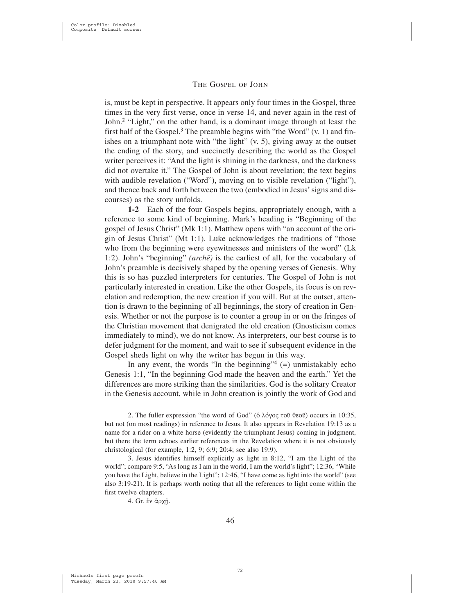is, must be kept in perspective. It appears only four times in the Gospel, three times in the very first verse, once in verse 14, and never again in the rest of John.2 "Light," on the other hand, is a dominant image through at least the first half of the Gospel.<sup>3</sup> The preamble begins with "the Word"  $(v, 1)$  and finishes on a triumphant note with "the light" (v. 5), giving away at the outset the ending of the story, and succinctly describing the world as the Gospel writer perceives it: "And the light is shining in the darkness, and the darkness did not overtake it." The Gospel of John is about revelation; the text begins with audible revelation ("Word"), moving on to visible revelation ("light"), and thence back and forth between the two (embodied in Jesus' signs and discourses) as the story unfolds.

**1-2** Each of the four Gospels begins, appropriately enough, with a reference to some kind of beginning. Mark's heading is "Beginning of the gospel of Jesus Christ" (Mk 1:1). Matthew opens with "an account of the origin of Jesus Christ" (Mt 1:1). Luke acknowledges the traditions of "those who from the beginning were eyewitnesses and ministers of the word" (Lk 1:2). John's "beginning" *(arch3)* is the earliest of all, for the vocabulary of John's preamble is decisively shaped by the opening verses of Genesis. Why this is so has puzzled interpreters for centuries. The Gospel of John is not particularly interested in creation. Like the other Gospels, its focus is on revelation and redemption, the new creation if you will. But at the outset, attention is drawn to the beginning of all beginnings, the story of creation in Genesis. Whether or not the purpose is to counter a group in or on the fringes of the Christian movement that denigrated the old creation (Gnosticism comes immediately to mind), we do not know. As interpreters, our best course is to defer judgment for the moment, and wait to see if subsequent evidence in the Gospel sheds light on why the writer has begun in this way.

In any event, the words "In the beginning"<sup>4</sup>  $(=)$  unmistakably echo Genesis 1:1, "In the beginning God made the heaven and the earth." Yet the differences are more striking than the similarities. God is the solitary Creator in the Genesis account, while in John creation is jointly the work of God and

2. The fuller expression "the word of God" ( $\delta \lambda$ όγος τοῦ θεοῦ) occurs in 10:35, but not (on most readings) in reference to Jesus. It also appears in Revelation 19:13 as a name for a rider on a white horse (evidently the triumphant Jesus) coming in judgment, but there the term echoes earlier references in the Revelation where it is not obviously christological (for example, 1:2, 9; 6:9; 20:4; see also 19:9).

3. Jesus identifies himself explicitly as light in 8:12, "I am the Light of the world"; compare 9:5, "As long as I am in the world, I am the world's light"; 12:36, "While you have the Light, believe in the Light"; 12:46, "I have come as light into the world" (see also 3:19-21). It is perhaps worth noting that all the references to light come within the first twelve chapters.

4. Gr. έν άρχη.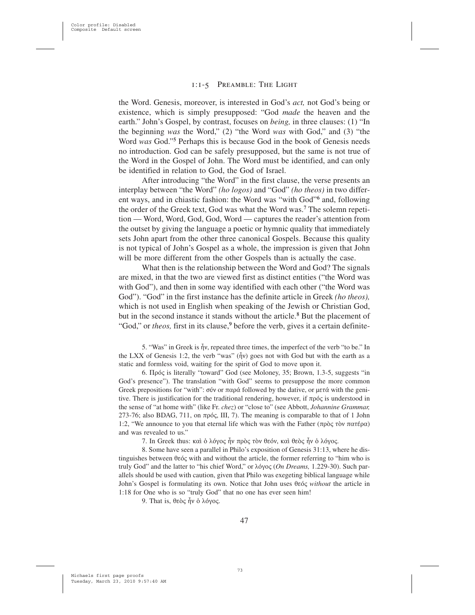the Word. Genesis, moreover, is interested in God's *act,* not God's being or existence, which is simply presupposed: "God *made* the heaven and the earth." John's Gospel, by contrast, focuses on *being,* in three clauses: (1) "In the beginning *was* the Word," (2) "the Word *was* with God," and (3) "the Word *was* God."5 Perhaps this is because God in the book of Genesis needs no introduction. God can be safely presupposed, but the same is not true of the Word in the Gospel of John. The Word must be identified, and can only be identified in relation to God, the God of Israel.

After introducing "the Word" in the first clause, the verse presents an interplay between "the Word" *(ho logos)* and "God" *(ho theos)* in two different ways, and in chiastic fashion: the Word was "with God"6 and, following the order of the Greek text, God was what the Word was.7 The solemn repetition — Word, Word, God, God, Word — captures the reader's attention from the outset by giving the language a poetic or hymnic quality that immediately sets John apart from the other three canonical Gospels. Because this quality is not typical of John's Gospel as a whole, the impression is given that John will be more different from the other Gospels than is actually the case.

What then is the relationship between the Word and God? The signals are mixed, in that the two are viewed first as distinct entities ("the Word was with God"), and then in some way identified with each other ("the Word was God"). "God" in the first instance has the definite article in Greek *(ho theos),* which is not used in English when speaking of the Jewish or Christian God, but in the second instance it stands without the article.<sup>8</sup> But the placement of "God," or *theos*, first in its clause,<sup>9</sup> before the verb, gives it a certain definite-

5. "Was" in Greek is  $\tilde{\eta}v$ , repeated three times, the imperfect of the verb "to be." In the LXX of Genesis 1:2, the verb "was"  $(\hat{\eta}v)$  goes not with God but with the earth as a static and formless void, waiting for the spirit of God to move upon it.

6.  $\Pi$ póc is literally "toward" God (see Moloney, 35; Brown, 1.3-5, suggests "in God's presence"). The translation "with God" seems to presuppose the more common Greek prepositions for "with":  $\sigma \psi$  or  $\pi \alpha \rho \alpha$  followed by the dative, or  $\mu \epsilon \tau \alpha$  with the genitive. There is justification for the traditional rendering, however, if  $\pi \rho \phi \varsigma$  is understood in the sense of "at home with" (like Fr. *chez*) or "close to" (see Abbott, *Johannine Grammar,* 273-76; also BDAG, 711, on  $\pi \rho \phi \zeta$ , III, 7). The meaning is comparable to that of 1 John 1:2, "We announce to you that eternal life which was with the Father ( $\pi \rho \delta \zeta \tau \delta \gamma \pi \pi \epsilon \rho \alpha$ ) and was revealed to us."

7. In Greek thus: καὶ ὁ λόγος ἦν πρὸς τὸν θεόν, καὶ θεὸς ἦν ὁ λόγος.

8. Some have seen a parallel in Philo's exposition of Genesis 31:13, where he distinguishes between  $\theta \in \mathcal{E}$  with and without the article, the former referring to "him who is truly God" and the latter to "his chief Word," or λόγος (*On Dreams*, 1.229-30). Such parallels should be used with caution, given that Philo was exegeting biblical language while John's Gospel is formulating its own. Notice that John uses  $\theta \epsilon \phi \zeta$  *without* the article in 1:18 for One who is so "truly God" that no one has ever seen him!

9. That is,  $\theta \epsilon \dot{\alpha}$ ς ἦν ὁ λόγος.

Michaels first page proofs Tuesday, March 23, 2010 9:57:40 AM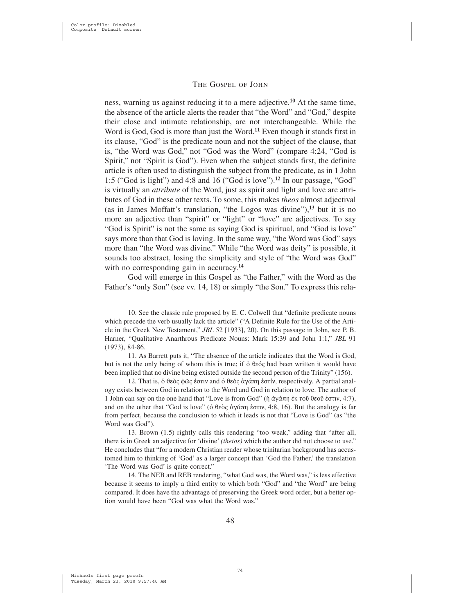ness, warning us against reducing it to a mere adjective.10 At the same time, the absence of the article alerts the reader that "the Word" and "God," despite their close and intimate relationship, are not interchangeable. While the Word is God, God is more than just the Word.<sup>11</sup> Even though it stands first in its clause, "God" is the predicate noun and not the subject of the clause, that is, "the Word was God," not "God was the Word" (compare 4:24, "God is Spirit," not "Spirit is God"). Even when the subject stands first, the definite article is often used to distinguish the subject from the predicate, as in 1 John 1:5 ("God is light") and 4:8 and 16 ("God is love").12 In our passage, "God" is virtually an *attribute* of the Word, just as spirit and light and love are attributes of God in these other texts. To some, this makes *theos* almost adjectival (as in James Moffatt's translation, "the Logos was divine"), $^{13}$  but it is no more an adjective than "spirit" or "light" or "love" are adjectives. To say "God is Spirit" is not the same as saying God is spiritual, and "God is love" says more than that God is loving. In the same way, "the Word was God" says more than "the Word was divine." While "the Word was deity" is possible, it sounds too abstract, losing the simplicity and style of "the Word was God" with no corresponding gain in accuracy.<sup>14</sup>

God will emerge in this Gospel as "the Father," with the Word as the Father's "only Son" (see vv. 14, 18) or simply "the Son." To express this rela-

10. See the classic rule proposed by E. C. Colwell that "definite predicate nouns which precede the verb usually lack the article" ("A Definite Rule for the Use of the Article in the Greek New Testament," *JBL* 52 [1933], 20). On this passage in John, see P. B. Harner, "Qualitative Anarthrous Predicate Nouns: Mark 15:39 and John 1:1," *JBL* 91 (1973), 84-86.

11. As Barrett puts it, "The absence of the article indicates that the Word is God, but is not the only being of whom this is true; if  $\delta \theta \epsilon \delta \zeta$  had been written it would have been implied that no divine being existed outside the second person of the Trinity" (156).

12. That is, δ θεὸς φῶς ἐστιν and δ θεὸς ἀγάπη ἐστίν, respectively. A partial analogy exists between God in relation to the Word and God in relation to love. The author of 1 John can say on the one hand that "Love is from God" (ή ἀγάπη ἐκ τοῦ θεοῦ ἐστιν, 4:7), and on the other that "God is love" ( $\delta \theta \epsilon \delta \zeta \dot{\alpha} \gamma \dot{\alpha} \pi \eta \dot{\epsilon} \sigma \tau \dot{\gamma}$ , 4:8, 16). But the analogy is far from perfect, because the conclusion to which it leads is not that "Love is God" (as "the Word was God").

13. Brown (1.5) rightly calls this rendering "too weak," adding that "after all, there is in Greek an adjective for 'divine'*(theios)* which the author did not choose to use." He concludes that "for a modern Christian reader whose trinitarian background has accustomed him to thinking of 'God' as a larger concept than 'God the Father,' the translation 'The Word was God' is quite correct."

14. The NEB and REB rendering, "what God was, the Word was," is less effective because it seems to imply a third entity to which both "God" and "the Word" are being compared. It does have the advantage of preserving the Greek word order, but a better option would have been "God was what the Word was."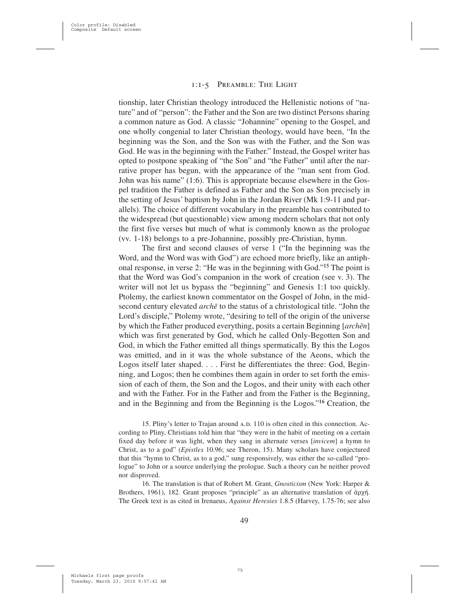tionship, later Christian theology introduced the Hellenistic notions of "nature" and of "person": the Father and the Son are two distinct Persons sharing a common nature as God. A classic "Johannine" opening to the Gospel, and one wholly congenial to later Christian theology, would have been, "In the beginning was the Son, and the Son was with the Father, and the Son was God. He was in the beginning with the Father." Instead, the Gospel writer has opted to postpone speaking of "the Son" and "the Father" until after the narrative proper has begun, with the appearance of the "man sent from God. John was his name" (1:6). This is appropriate because elsewhere in the Gospel tradition the Father is defined as Father and the Son as Son precisely in the setting of Jesus' baptism by John in the Jordan River (Mk 1:9-11 and parallels). The choice of different vocabulary in the preamble has contributed to the widespread (but questionable) view among modern scholars that not only the first five verses but much of what is commonly known as the prologue (vv. 1-18) belongs to a pre-Johannine, possibly pre-Christian, hymn.

The first and second clauses of verse 1 ("In the beginning was the Word, and the Word was with God") are echoed more briefly, like an antiphonal response, in verse 2: "He was in the beginning with God."15 The point is that the Word was God's companion in the work of creation (see v. 3). The writer will not let us bypass the "beginning" and Genesis 1:1 too quickly. Ptolemy, the earliest known commentator on the Gospel of John, in the midsecond century elevated *arch3* to the status of a christological title. "John the Lord's disciple," Ptolemy wrote, "desiring to tell of the origin of the universe by which the Father produced everything, posits a certain Beginning [*arch3n*] which was first generated by God, which he called Only-Begotten Son and God, in which the Father emitted all things spermatically. By this the Logos was emitted, and in it was the whole substance of the Aeons, which the Logos itself later shaped.... First he differentiates the three: God, Beginning, and Logos; then he combines them again in order to set forth the emission of each of them, the Son and the Logos, and their unity with each other and with the Father. For in the Father and from the Father is the Beginning, and in the Beginning and from the Beginning is the Logos."16 Creation, the

15. Pliny's letter to Trajan around A.D. 110 is often cited in this connection. According to Pliny, Christians told him that "they were in the habit of meeting on a certain fixed day before it was light, when they sang in alternate verses [*invicem*] a hymn to Christ, as to a god" (*Epistles* 10.96; see Theron, 15). Many scholars have conjectured that this "hymn to Christ, as to a god," sung responsively, was either the so-called "prologue" to John or a source underlying the prologue. Such a theory can be neither proved nor disproved.

16. The translation is that of Robert M. Grant, *Gnosticism* (New York: Harper & Brothers, 1961), 182. Grant proposes "principle" as an alternative translation of  $\dot{\alpha}$  pxn. The Greek text is as cited in Irenaeus, *Against Heresies* 1.8.5 (Harvey, 1.75-76; see also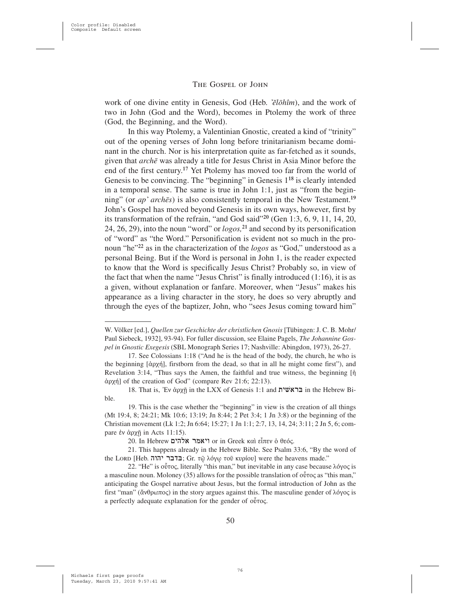work of one divine entity in Genesis, God (Heb.  $\check{e}$ *l* $\check{o}$ *hîm*), and the work of two in John (God and the Word), becomes in Ptolemy the work of three (God, the Beginning, and the Word).

In this way Ptolemy, a Valentinian Gnostic, created a kind of "trinity" out of the opening verses of John long before trinitarianism became dominant in the church. Nor is his interpretation quite as far-fetched as it sounds, given that *arch3* was already a title for Jesus Christ in Asia Minor before the end of the first century.17 Yet Ptolemy has moved too far from the world of Genesis to be convincing. The "beginning" in Genesis 118 is clearly intended in a temporal sense. The same is true in John 1:1, just as "from the beginning" (or  $ap<sup>3</sup> arch\bar{e}s$ ) is also consistently temporal in the New Testament.<sup>19</sup> John's Gospel has moved beyond Genesis in its own ways, however, first by its transformation of the refrain, "and God said"20 (Gen 1:3, 6, 9, 11, 14, 20, 24, 26, 29), into the noun "word" or *logos,*21 and second by its personification of "word" as "the Word." Personification is evident not so much in the pronoun "he"22 as in the characterization of the *logos* as "God," understood as a personal Being. But if the Word is personal in John 1, is the reader expected to know that the Word is specifically Jesus Christ? Probably so, in view of the fact that when the name "Jesus Christ" is finally introduced (1:16), it is as a given, without explanation or fanfare. Moreover, when "Jesus" makes his appearance as a living character in the story, he does so very abruptly and through the eyes of the baptizer, John, who "sees Jesus coming toward him"

19. This is the case whether the "beginning" in view is the creation of all things (Mt 19:4, 8; 24:21; Mk 10:6; 13:19; Jn 8:44; 2 Pet 3:4; 1 Jn 3:8) or the beginning of the Christian movement (Lk 1:2; Jn 6:64; 15:27; 1 Jn 1:1; 2:7, 13, 14, 24; 3:11; 2 Jn 5, 6; compare  $\dot{\epsilon}$   $\gamma$   $\dot{\alpha}$   $\gamma$  $\ddot{\eta}$  in Acts 11:15).

20. In Hebrew ויאמר אלהים or in Greek καὶ εἶπεν ὁ θεός.

21. This happens already in the Hebrew Bible. See Psalm 33:6, "By the word of the Lord [Heb. בדבר יהוה; Gr. τῷ λόγῳ τοῦ κυρίου] were the heavens made."

22. "He" is  $\omega$  o  $\sigma$ , literally "this man," but inevitable in any case because  $\lambda \omega$  is a masculine noun. Moloney (35) allows for the possible translation of  $\omega$ roc as "this man," anticipating the Gospel narrative about Jesus, but the formal introduction of John as the first "man" ( $\check{\alpha}$ νθρωπος) in the story argues against this. The masculine gender of  $\lambda$ όγος is a perfectly adequate explanation for the gender of  $\omega$ <sub>0</sub>  $\sigma$ <sub>0</sub>.

W. Völker [ed.], *Quellen zur Geschichte der christlichen Gnosis* [Tübingen: J. C. B. Mohr/ Paul Siebeck, 1932], 93-94). For fuller discussion, see Elaine Pagels, *The Johannine Gospel in Gnostic Exegesis* (SBL Monograph Series 17; Nashville: Abingdon, 1973), 26-27.

<sup>17.</sup> See Colossians 1:18 ("And he is the head of the body, the church, he who is the beginning  $[\dot{\alpha} \rho \chi \dot{\eta}]$ , firstborn from the dead, so that in all he might come first"), and Revelation 3:14, "Thus says the Amen, the faithful and true witness, the beginning  $[\hat{\eta}]$  $\alpha$ ( $\alpha$ ) of the creation of God" (compare Rev 21:6; 22:13).

<sup>18.</sup> That is, 'Ev  $\alpha$ <sub>P</sub> $\gamma$  in the LXX of Genesis 1:1 and **Extra in the Hebrew Bi**ble.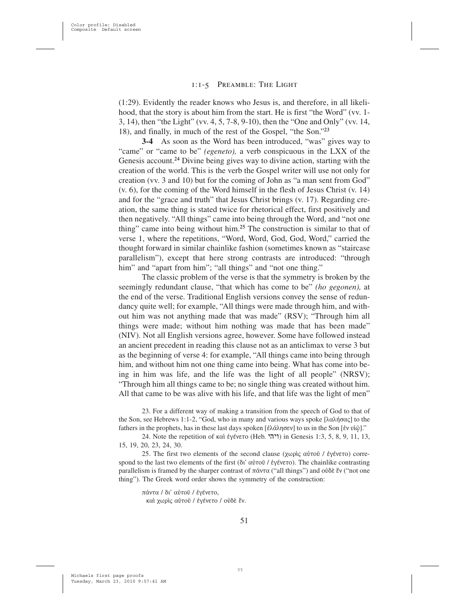(1:29). Evidently the reader knows who Jesus is, and therefore, in all likelihood, that the story is about him from the start. He is first "the Word" (vv. 1- 3, 14), then "the Light" (vv. 4, 5, 7-8, 9-10), then the "One and Only" (vv. 14, 18), and finally, in much of the rest of the Gospel, "the Son."23

**3-4** As soon as the Word has been introduced, "was" gives way to "came" or "came to be" *(egeneto),* a verb conspicuous in the LXX of the Genesis account.24 Divine being gives way to divine action, starting with the creation of the world. This is the verb the Gospel writer will use not only for creation (vv. 3 and 10) but for the coming of John as "a man sent from God" (v. 6), for the coming of the Word himself in the flesh of Jesus Christ (v. 14) and for the "grace and truth" that Jesus Christ brings (v. 17). Regarding creation, the same thing is stated twice for rhetorical effect, first positively and then negatively. "All things" came into being through the Word, and "not one thing" came into being without him.25 The construction is similar to that of verse 1, where the repetitions, "Word, Word, God, God, Word," carried the thought forward in similar chainlike fashion (sometimes known as "staircase parallelism"), except that here strong contrasts are introduced: "through him" and "apart from him"; "all things" and "not one thing."

The classic problem of the verse is that the symmetry is broken by the seemingly redundant clause, "that which has come to be" *(ho gegonen),* at the end of the verse. Traditional English versions convey the sense of redundancy quite well; for example, "All things were made through him, and without him was not anything made that was made" (RSV); "Through him all things were made; without him nothing was made that has been made" (NIV). Not all English versions agree, however. Some have followed instead an ancient precedent in reading this clause not as an anticlimax to verse 3 but as the beginning of verse 4: for example, "All things came into being through him, and without him not one thing came into being. What has come into being in him was life, and the life was the light of all people" (NRSV); "Through him all things came to be; no single thing was created without him. All that came to be was alive with his life, and that life was the light of men"

23. For a different way of making a transition from the speech of God to that of the Son, see Hebrews 1:1-2, "God, who in many and various ways spoke  $[\lambda \alpha \lambda \eta \sigma \alpha \zeta]$  to the fathers in the prophets, has in these last days spoken  $\left[\frac{\partial}{\partial \lambda} \frac{\partial}{\partial \phi} \right]$  to us in the Son  $\left[\frac{\partial}{\partial y} \right]$ ."

24. Note the repetition of  $\kappa \alpha i \dot{\epsilon} \gamma \dot{\epsilon} \nu \dot{\epsilon} \nu \dot{\epsilon} \nu \dot{\epsilon}$  ( $\gamma \dot{\epsilon} \nu \dot{\epsilon} \nu \dot{\epsilon} \nu \dot{\epsilon} \nu \dot{\epsilon} \nu \dot{\epsilon} \nu \dot{\epsilon} \nu \dot{\epsilon} \nu \dot{\epsilon} \nu \dot{\epsilon} \nu \dot{\epsilon} \nu \dot{\epsilon} \nu \dot{\epsilon} \nu \dot{\epsilon} \nu \dot{\epsilon} \nu \dot{\epsilon} \nu \dot{\epsilon} \nu \dot{\epsilon} \nu \dot{\epsilon} \nu \dot{\epsilon} \nu \dot{\epsilon} \nu$ 15, 19, 20, 23, 24, 30.

25. The first two elements of the second clause (χωρὶς αὐτοῦ / ἐγένετο) correspond to the last two elements of the first ( $\delta$ i'  $\alpha\dot{\alpha}$ τοῦ / ἐγένετο). The chainlike contrasting parallelism is framed by the sharper contrast of  $\pi \dot{\alpha} \nu \tau \alpha$  ("all things") and où  $\delta \dot{\epsilon} \dot{\epsilon} \nu$  ("not one thing"). The Greek word order shows the symmetry of the construction:

πάντα / δι' αύτοῦ / ἐγένετο, καί χωρίς αύτοῦ / έγένετο / οὐδε ἕν.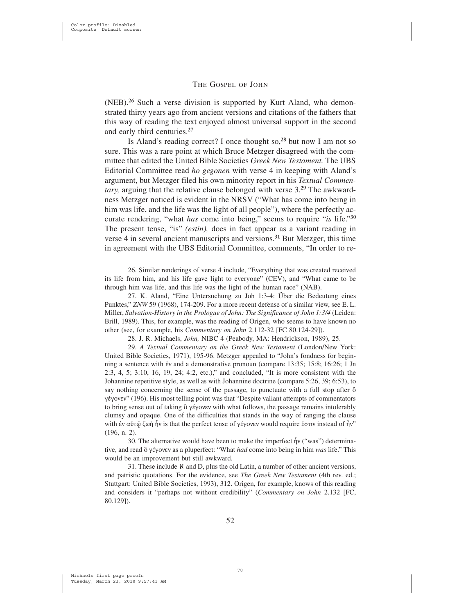(NEB).26 Such a verse division is supported by Kurt Aland, who demonstrated thirty years ago from ancient versions and citations of the fathers that this way of reading the text enjoyed almost universal support in the second and early third centuries.27

Is Aland's reading correct? I once thought so, $28$  but now I am not so sure. This was a rare point at which Bruce Metzger disagreed with the committee that edited the United Bible Societies *Greek New Testament.* The UBS Editorial Committee read *ho gegonen* with verse 4 in keeping with Aland's argument, but Metzger filed his own minority report in his *Textual Commentary*, arguing that the relative clause belonged with verse 3.<sup>29</sup> The awkwardness Metzger noticed is evident in the NRSV ("What has come into being in him was life, and the life was the light of all people"), where the perfectly accurate rendering, "what *has* come into being," seems to require "*is* life."30 The present tense, "is" *(estin),* does in fact appear as a variant reading in verse 4 in several ancient manuscripts and versions.31 But Metzger, this time in agreement with the UBS Editorial Committee, comments, "In order to re-

26. Similar renderings of verse 4 include, "Everything that was created received its life from him, and his life gave light to everyone" (CEV), and "What came to be through him was life, and this life was the light of the human race" (NAB).

27. K. Aland, "Eine Untersuchung zu Joh 1:3-4: Über die Bedeutung eines Punktes," *ZNW* 59 (1968), 174-209. For a more recent defense of a similar view, see E. L. Miller, *Salvation-History in the Prologue of John: The Significance of John 1:3/4* (Leiden: Brill, 1989). This, for example, was the reading of Origen, who seems to have known no other (see, for example, his *Commentary on John* 2.112-32 [FC 80.124-29]).

28. J. R. Michaels, *John,* NIBC 4 (Peabody, MA: Hendrickson, 1989), 25.

29. *A Textual Commentary on the Greek New Testament* (London/New York: United Bible Societies, 1971), 195-96. Metzger appealed to "John's fondness for beginning a sentence with  $\dot{\epsilon}$  and a demonstrative pronoun (compare 13:35; 15:8; 16:26; 1 Jn 2:3, 4, 5; 3:10, 16, 19, 24; 4:2, etc.)," and concluded, "It is more consistent with the Johannine repetitive style, as well as with Johannine doctrine (compare 5:26, 39; 6:53), to say nothing concerning the sense of the passage, to punctuate with a full stop after Ñ  $\gamma \dot{\epsilon}$  yeven (196). His most telling point was that "Despite valiant attempts of commentators to bring sense out of taking  $\delta$  yέγονεν with what follows, the passage remains intolerably clumsy and opaque. One of the difficulties that stands in the way of ranging the clause with  $\dot{\epsilon}$   $\alpha$   $\dot{\alpha}$   $\ddot{\alpha}$   $\ddot{\beta}$   $\dot{\beta}$   $\dot{\beta}$  is that the perfect tense of  $\gamma \dot{\epsilon}$  yovev would require  $\dot{\epsilon}$   $\dot{\sigma}$   $\dot{\gamma}$  instead of  $\ddot{\gamma}$   $\dot{\gamma}$ (196, n. 2).

30. The alternative would have been to make the imperfect  $\tilde{h}v$  ("was") determinative, and read δ γέγονεν as a pluperfect: "What *had* come into being in him *was* life." This would be an improvement but still awkward.

31. These include À and D, plus the old Latin, a number of other ancient versions, and patristic quotations. For the evidence, see *The Greek New Testament* (4th rev. ed.; Stuttgart: United Bible Societies, 1993), 312. Origen, for example, knows of this reading and considers it "perhaps not without credibility" (*Commentary on John* 2.132 [FC, 80.129]).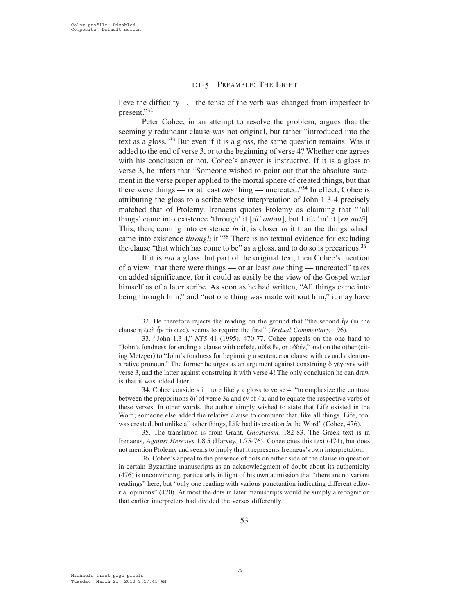lieve the difficulty . . . the tense of the verb was changed from imperfect to present."32

Peter Cohee, in an attempt to resolve the problem, argues that the seemingly redundant clause was not original, but rather "introduced into the text as a gloss."33 But even if it is a gloss, the same question remains. Was it added to the end of verse 3, or to the beginning of verse 4? Whether one agrees with his conclusion or not, Cohee's answer is instructive. If it is a gloss to verse 3, he infers that "Someone wished to point out that the absolute statement in the verse proper applied to the mortal sphere of created things, but that there were things — or at least *one* thing — uncreated."34 In effect, Cohee is attributing the gloss to a scribe whose interpretation of John 1:3-4 precisely matched that of Ptolemy. Irenaeus quotes Ptolemy as claiming that "'all things' came into existence 'through' it [*di*' *autou*], but Life 'in' it [*en auto*]. This, then, coming into existence *in* it, is closer *in* it than the things which came into existence *through* it."<sup>35</sup> There is no textual evidence for excluding the clause "that which has come to be" as a gloss, and to do so is precarious.36

If it is *not* a gloss, but part of the original text, then Cohee's mention of a view "that there were things — or at least *one* thing — uncreated" takes on added significance, for it could as easily be the view of the Gospel writer himself as of a later scribe. As soon as he had written, "All things came into being through him," and "not one thing was made without him," it may have

32. He therefore rejects the reading on the ground that "the second  $\tilde{p}$ " (in the clause ή ζωή ἦν τὸ φῶς), seems to require the first" (*Textual Commentary*, 196).

33. "John 1.3-4," *NTS* 41 (1995), 470-77. Cohee appeals on the one hand to "John's fondness for ending a clause with  $o\delta\hat{\varepsilon}$ <sub>c</sub>,  $o\delta\delta\hat{\varepsilon}$   $\zeta$ , or  $o\delta\delta\hat{\varepsilon}$ ," and on the other (citing Metzger) to "John's fondness for beginning a sentence or clause with  $\dot{\epsilon}v$  and a demonstrative pronoun." The former he urges as an argument against construing  $\delta$  γέγονεν with verse 3, and the latter against construing it with verse 4! The only conclusion he can draw is that it was added later.

34. Cohee considers it more likely a gloss to verse 4, "to emphasize the contrast between the prepositions  $\delta i'$  of verse 3a and  $\dot{\epsilon}$  v of 4a, and to equate the respective verbs of these verses. In other words, the author simply wished to state that Life existed in the Word; someone else added the relative clause to comment that, like all things, Life, too, was created, but unlike all other things, Life had its creation *in* the Word" (Cohee, 476).

35. The translation is from Grant, *Gnosticism,* 182-83. The Greek text is in Irenaeus, *Against Heresies* 1.8.5 (Harvey, 1.75-76). Cohee cites this text (474), but does not mention Ptolemy and seems to imply that it represents Irenaeus's own interpretation.

36. Cohee's appeal to the presence of dots on either side of the clause in question in certain Byzantine manuscripts as an acknowledgment of doubt about its authenticity (476) is unconvincing, particularly in light of his own admission that "there are no variant readings" here, but "only one reading with various punctuation indicating different editorial opinions" (470). At most the dots in later manuscripts would be simply a recognition that earlier interpreters had divided the verses differently.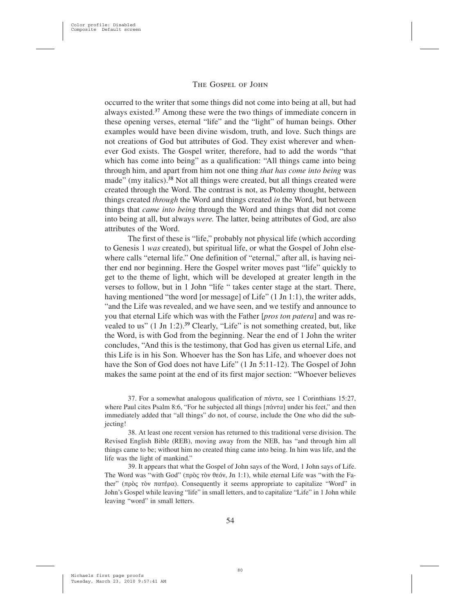occurred to the writer that some things did not come into being at all, but had always existed.37 Among these were the two things of immediate concern in these opening verses, eternal "life" and the "light" of human beings. Other examples would have been divine wisdom, truth, and love. Such things are not creations of God but attributes of God. They exist wherever and whenever God exists. The Gospel writer, therefore, had to add the words "that which has come into being" as a qualification: "All things came into being through him, and apart from him not one thing *that has come into being* was made" (my italics).<sup>38</sup> Not all things were created, but all things created were created through the Word. The contrast is not, as Ptolemy thought, between things created *through* the Word and things created *in* the Word, but between things that *came into being* through the Word and things that did not come into being at all, but always *were.* The latter, being attributes of God, are also attributes of the Word.

The first of these is "life," probably not physical life (which according to Genesis 1 *was* created), but spiritual life, or what the Gospel of John elsewhere calls "eternal life." One definition of "eternal," after all, is having neither end nor beginning. Here the Gospel writer moves past "life" quickly to get to the theme of light, which will be developed at greater length in the verses to follow, but in 1 John "life " takes center stage at the start. There, having mentioned "the word [or message] of Life" (1 Jn 1:1), the writer adds, "and the Life was revealed, and we have seen, and we testify and announce to you that eternal Life which was with the Father [*pros ton patera*] and was revealed to us"  $(1 \text{ In } 1:2)$ .<sup>39</sup> Clearly, "Life" is not something created, but, like the Word, is with God from the beginning. Near the end of 1 John the writer concludes, "And this is the testimony, that God has given us eternal Life, and this Life is in his Son. Whoever has the Son has Life, and whoever does not have the Son of God does not have Life" (1 Jn 5:11-12). The Gospel of John makes the same point at the end of its first major section: "Whoever believes

37. For a somewhat analogous qualification of  $\pi \alpha v \tau \alpha$ , see 1 Corinthians 15:27, where Paul cites Psalm 8:6, "For he subjected all things  $[\pi\alpha v\tau\alpha]$  under his feet," and then immediately added that "all things" do not, of course, include the One who did the subjecting!

38. At least one recent version has returned to this traditional verse division. The Revised English Bible (REB), moving away from the NEB, has "and through him all things came to be; without him no created thing came into being. In him was life, and the life was the light of mankind."

39. It appears that what the Gospel of John says of the Word, 1 John says of Life. The Word was "with God" ( $\pi \rho \delta \varsigma$   $\tau \delta \nu$   $\theta \epsilon \delta \nu$ , Jn 1:1), while eternal Life was "with the Father" ( $\pi \rho \delta \varsigma$   $\tau \delta \nu \pi \alpha \tau \epsilon \rho \alpha$ ). Consequently it seems appropriate to capitalize "Word" in John's Gospel while leaving "life" in small letters, and to capitalize "Life" in 1 John while leaving "word" in small letters.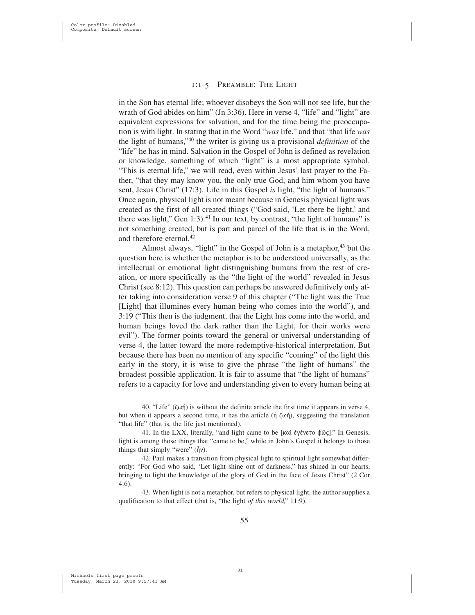in the Son has eternal life; whoever disobeys the Son will not see life, but the wrath of God abides on him" (Jn 3:36). Here in verse 4, "life" and "light" are equivalent expressions for salvation, and for the time being the preoccupation is with light. In stating that in the Word "*was* life," and that "that life *was* the light of humans,"40 the writer is giving us a provisional *definition* of the "life" he has in mind. Salvation in the Gospel of John is defined as revelation or knowledge, something of which "light" is a most appropriate symbol. "This is eternal life," we will read, even within Jesus' last prayer to the Father, "that they may know you, the only true God, and him whom you have sent, Jesus Christ" (17:3). Life in this Gospel *is* light, "the light of humans." Once again, physical light is not meant because in Genesis physical light was created as the first of all created things ("God said, 'Let there be light,' and there was light," Gen  $1:3$ ).<sup>41</sup> In our text, by contrast, "the light of humans" is not something created, but is part and parcel of the life that is in the Word, and therefore eternal.42

Almost always, "light" in the Gospel of John is a metaphor,<sup>43</sup> but the question here is whether the metaphor is to be understood universally, as the intellectual or emotional light distinguishing humans from the rest of creation, or more specifically as the "the light of the world" revealed in Jesus Christ (see 8:12). This question can perhaps be answered definitively only after taking into consideration verse 9 of this chapter ("The light was the True [Light] that illumines every human being who comes into the world"), and 3:19 ("This then is the judgment, that the Light has come into the world, and human beings loved the dark rather than the Light, for their works were evil"). The former points toward the general or universal understanding of verse 4, the latter toward the more redemptive-historical interpretation. But because there has been no mention of any specific "coming" of the light this early in the story, it is wise to give the phrase "the light of humans" the broadest possible application. It is fair to assume that "the light of humans" refers to a capacity for love and understanding given to every human being at

40. "Life" ( $\zeta \omega \eta$ ) is without the definite article the first time it appears in verse 4, but when it appears a second time, it has the article ( $\hat{\eta} \zeta \omega \hat{\eta}$ ), suggesting the translation "that life" (that is, the life just mentioned).

41. In the LXX, literally, "and light came to be  $[\kappa \alpha \dot{\kappa}]$  ( $\delta \psi \dot{\kappa}$ ) [iif Geness, light is among those things that "came to be," while in John's Gospel it belongs to those things that simply "were"  $(\tilde{\hat{\eta}}v)$ .

42. Paul makes a transition from physical light to spiritual light somewhat differently: "For God who said, 'Let light shine out of darkness," has shined in our hearts, bringing to light the knowledge of the glory of God in the face of Jesus Christ" (2 Cor 4:6).

43. When light is not a metaphor, but refers to physical light, the author supplies a qualification to that effect (that is, "the light *of this world,*" 11:9).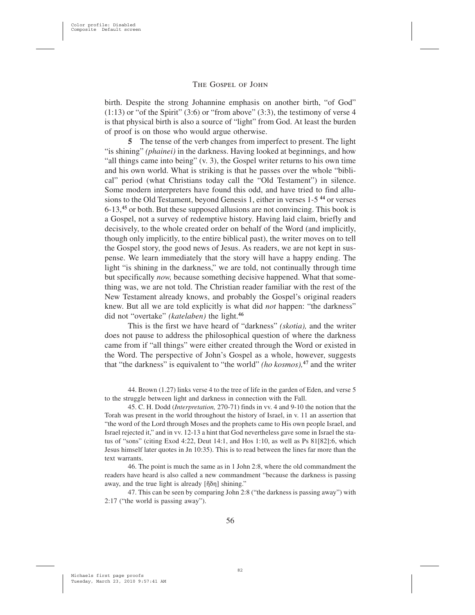birth. Despite the strong Johannine emphasis on another birth, "of God"  $(1:13)$  or "of the Spirit"  $(3:6)$  or "from above"  $(3:3)$ , the testimony of verse 4 is that physical birth is also a source of "light" from God. At least the burden of proof is on those who would argue otherwise.

**5** The tense of the verb changes from imperfect to present. The light "is shining" *(phainei)* in the darkness. Having looked at beginnings, and how "all things came into being" (v. 3), the Gospel writer returns to his own time and his own world. What is striking is that he passes over the whole "biblical" period (what Christians today call the "Old Testament") in silence. Some modern interpreters have found this odd, and have tried to find allusions to the Old Testament, beyond Genesis 1, either in verses 1-5 44 or verses 6-13,45 or both. But these supposed allusions are not convincing. This book is a Gospel, not a survey of redemptive history. Having laid claim, briefly and decisively, to the whole created order on behalf of the Word (and implicitly, though only implicitly, to the entire biblical past), the writer moves on to tell the Gospel story, the good news of Jesus. As readers, we are not kept in suspense. We learn immediately that the story will have a happy ending. The light "is shining in the darkness," we are told, not continually through time but specifically *now,* because something decisive happened. What that something was, we are not told. The Christian reader familiar with the rest of the New Testament already knows, and probably the Gospel's original readers knew. But all we are told explicitly is what did *not* happen: "the darkness" did not "overtake" *(katelaben)* the light.46

This is the first we have heard of "darkness" *(skotia),* and the writer does not pause to address the philosophical question of where the darkness came from if "all things" were either created through the Word or existed in the Word. The perspective of John's Gospel as a whole, however, suggests that "the darkness" is equivalent to "the world" *(ho kosmos),*47 and the writer

44. Brown (1.27) links verse 4 to the tree of life in the garden of Eden, and verse 5 to the struggle between light and darkness in connection with the Fall.

45. C. H. Dodd (*Interpretation,* 270-71) finds in vv. 4 and 9-10 the notion that the Torah was present in the world throughout the history of Israel, in v. 11 an assertion that "the word of the Lord through Moses and the prophets came to His own people Israel, and Israel rejected it," and in vv. 12-13 a hint that God nevertheless gave some in Israel the status of "sons" (citing Exod 4:22, Deut 14:1, and Hos 1:10, as well as Ps 81[82]:6, which Jesus himself later quotes in Jn 10:35). This is to read between the lines far more than the text warrants.

46. The point is much the same as in 1 John 2:8, where the old commandment the readers have heard is also called a new commandment "because the darkness is passing away, and the true light is already  $[\hat{\eta} \delta \eta]$  shining."

47. This can be seen by comparing John 2:8 ("the darkness is passing away") with 2:17 ("the world is passing away").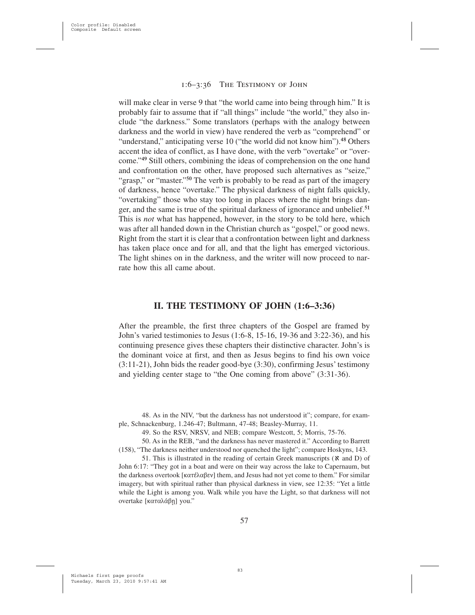will make clear in verse 9 that "the world came into being through him." It is probably fair to assume that if "all things" include "the world," they also include "the darkness." Some translators (perhaps with the analogy between darkness and the world in view) have rendered the verb as "comprehend" or "understand," anticipating verse 10 ("the world did not know him").<sup>48</sup> Others accent the idea of conflict, as I have done, with the verb "overtake" or "overcome."49 Still others, combining the ideas of comprehension on the one hand and confrontation on the other, have proposed such alternatives as "seize," "grasp," or "master."<sup>50</sup> The verb is probably to be read as part of the imagery of darkness, hence "overtake." The physical darkness of night falls quickly, "overtaking" those who stay too long in places where the night brings danger, and the same is true of the spiritual darkness of ignorance and unbelief.<sup>51</sup> This is *not* what has happened, however, in the story to be told here, which was after all handed down in the Christian church as "gospel," or good news. Right from the start it is clear that a confrontation between light and darkness has taken place once and for all, and that the light has emerged victorious. The light shines on in the darkness, and the writer will now proceed to narrate how this all came about.

## **II. THE TESTIMONY OF JOHN (1:6–3:36)**

After the preamble, the first three chapters of the Gospel are framed by John's varied testimonies to Jesus (1:6-8, 15-16, 19-36 and 3:22-36), and his continuing presence gives these chapters their distinctive character. John's is the dominant voice at first, and then as Jesus begins to find his own voice (3:11-21), John bids the reader good-bye (3:30), confirming Jesus' testimony and yielding center stage to "the One coming from above" (3:31-36).

48. As in the NIV, "but the darkness has not understood it"; compare, for example, Schnackenburg, 1.246-47; Bultmann, 47-48; Beasley-Murray, 11.

49. So the RSV, NRSV, and NEB; compare Westcott, 5; Morris, 75-76.

50. As in the REB, "and the darkness has never mastered it." According to Barrett (158), "The darkness neither understood nor quenched the light"; compare Hoskyns, 143.

51. This is illustrated in the reading of certain Greek manuscripts  $(X \text{ and } D)$  of John 6:17: "They got in a boat and were on their way across the lake to Capernaum, but the darkness overtook [ $\kappa \alpha \tau \hat{\epsilon} \lambda \alpha \beta \epsilon v$ ] them, and Jesus had not yet come to them." For similar imagery, but with spiritual rather than physical darkness in view, see 12:35: "Yet a little while the Light is among you. Walk while you have the Light, so that darkness will not overtake [καταλάβη] you."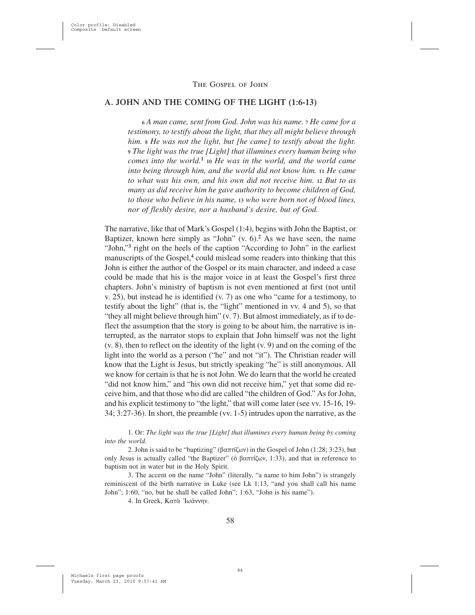### **A. JOHN AND THE COMING OF THE LIGHT (1:6-13)**

*6 A man came, sent from God. John was his name. 7 He came for a testimony, to testify about the light, that they all might believe through him. 8 He was not the light, but [he came] to testify about the light. 9 The light was the true [Light] that illumines every human being who comes into the world.1 10 He was in the world, and the world came into being through him, and the world did not know him. 11 He came to what was his own, and his own did not receive him. 12 But to as many as did receive him he gave authority to become children of God, to those who believe in his name, 13 who were born not of blood lines, nor of fleshly desire, nor a husband's desire, but of God.*

The narrative, like that of Mark's Gospel (1:4), begins with John the Baptist, or Baptizer, known here simply as "John"  $(v, 6)$ .<sup>2</sup> As we have seen, the name "John,"3 right on the heels of the caption "According to John" in the earliest manuscripts of the Gospel,<sup>4</sup> could mislead some readers into thinking that this John is either the author of the Gospel or its main character, and indeed a case could be made that his is the major voice in at least the Gospel's first three chapters. John's ministry of baptism is not even mentioned at first (not until v. 25), but instead he is identified (v. 7) as one who "came for a testimony, to testify about the light" (that is, the "light" mentioned in vv. 4 and 5), so that "they all might believe through him" (v. 7). But almost immediately, as if to deflect the assumption that the story is going to be about him, the narrative is interrupted, as the narrator stops to explain that John himself was not the light (v. 8), then to reflect on the identity of the light (v. 9) and on the coming of the light into the world as a person ("he" and not "it"). The Christian reader will know that the Light is Jesus, but strictly speaking "he" is still anonymous. All we know for certain is that he is not John. We do learn that the world he created "did not know him," and "his own did not receive him," yet that some did receive him, and that those who did are called "the children of God." As for John, and his explicit testimony to "the light," that will come later (see vv. 15-16, 19- 34; 3:27-36). In short, the preamble (vv. 1-5) intrudes upon the narrative, as the

1. Or: *The light was the true [Light] that illumines every human being by coming into the world.*

2. John is said to be "baptizing" ( $\beta \alpha \pi \tau \zeta \omega \nu$ ) in the Gospel of John (1:28; 3:23), but only Jesus is actually called "the Baptizer" ( $\delta$   $\beta \alpha \pi \tau \zeta \omega v$ , 1:33), and that in reference to baptism not in water but in the Holy Spirit.

3. The accent on the name "John" (literally, "a name to him John") is strangely reminiscent of the birth narrative in Luke (see Lk 1:13, "and you shall call his name John"; 1:60, "no, but he shall be called John"; 1:63, "John is his name").

4. In Greek, Κατὰ Ἰωάννην.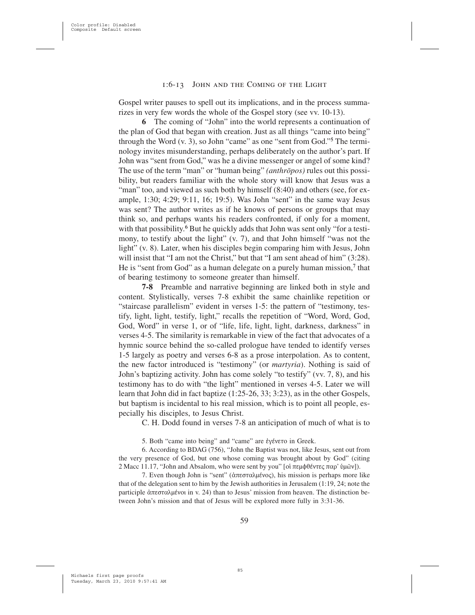Gospel writer pauses to spell out its implications, and in the process summarizes in very few words the whole of the Gospel story (see vv. 10-13).

**6** The coming of "John" into the world represents a continuation of the plan of God that began with creation. Just as all things "came into being" through the Word (v. 3), so John "came" as one "sent from God."5 The terminology invites misunderstanding, perhaps deliberately on the author's part. If John was "sent from God," was he a divine messenger or angel of some kind? The use of the term "man" or "human being" *(anthropos)* rules out this possibility, but readers familiar with the whole story will know that Jesus was a "man" too, and viewed as such both by himself (8:40) and others (see, for example, 1:30; 4:29; 9:11, 16; 19:5). Was John "sent" in the same way Jesus was sent? The author writes as if he knows of persons or groups that may think so, and perhaps wants his readers confronted, if only for a moment, with that possibility.<sup>6</sup> But he quickly adds that John was sent only "for a testimony, to testify about the light" (v. 7), and that John himself "was not the light" (v. 8). Later, when his disciples begin comparing him with Jesus, John will insist that "I am not the Christ," but that "I am sent ahead of him" (3:28). He is "sent from God" as a human delegate on a purely human mission,<sup>7</sup> that of bearing testimony to someone greater than himself.

**7-8** Preamble and narrative beginning are linked both in style and content. Stylistically, verses 7-8 exhibit the same chainlike repetition or "staircase parallelism" evident in verses 1-5: the pattern of "testimony, testify, light, light, testify, light," recalls the repetition of "Word, Word, God, God, Word" in verse 1, or of "life, life, light, light, darkness, darkness" in verses 4-5. The similarity is remarkable in view of the fact that advocates of a hymnic source behind the so-called prologue have tended to identify verses 1-5 largely as poetry and verses 6-8 as a prose interpolation. As to content, the new factor introduced is "testimony" (or *martyria*). Nothing is said of John's baptizing activity. John has come solely "to testify" (vv. 7, 8), and his testimony has to do with "the light" mentioned in verses 4-5. Later we will learn that John did in fact baptize (1:25-26, 33; 3:23), as in the other Gospels, but baptism is incidental to his real mission, which is to point all people, especially his disciples, to Jesus Christ.

C. H. Dodd found in verses 7-8 an anticipation of much of what is to

5. Both "came into being" and "came" are  $\epsilon$  $\gamma \epsilon$ vero in Greek.

6. According to BDAG (756), "John the Baptist was not, like Jesus, sent out from the very presence of God, but one whose coming was brought about by God" (citing 2 Macc 11.17, "John and Absalom, who were sent by you" [οί πεμφθέντες παρ' ὑμῶν]).

7. Even though John is "sent" ( $\hat{\alpha} \pi \epsilon \sigma \tau \alpha \lambda \mu \epsilon \nu o \varsigma$ ), his mission is perhaps more like that of the delegation sent to him by the Jewish authorities in Jerusalem (1:19, 24; note the participle  $\alpha \pi \epsilon \sigma \tau \alpha \lambda \mu \epsilon$  in v. 24) than to Jesus' mission from heaven. The distinction between John's mission and that of Jesus will be explored more fully in 3:31-36.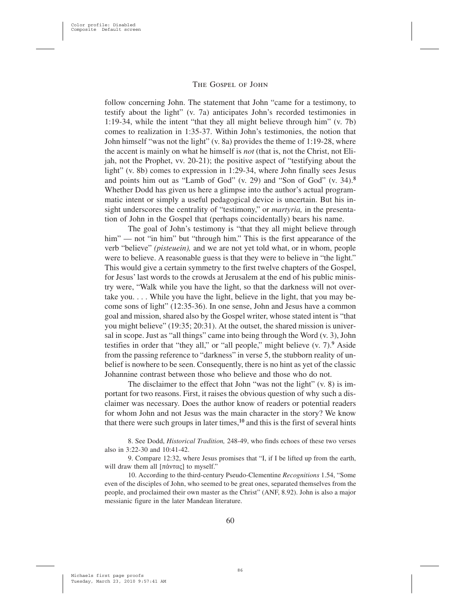follow concerning John. The statement that John "came for a testimony, to testify about the light" (v. 7a) anticipates John's recorded testimonies in 1:19-34, while the intent "that they all might believe through him" (v. 7b) comes to realization in 1:35-37. Within John's testimonies, the notion that John himself "was not the light" (v. 8a) provides the theme of 1:19-28, where the accent is mainly on what he himself is *not* (that is, not the Christ, not Elijah, not the Prophet, vv. 20-21); the positive aspect of "testifying about the light" (v. 8b) comes to expression in 1:29-34, where John finally sees Jesus and points him out as "Lamb of God" (v. 29) and "Son of God" (v. 34).8 Whether Dodd has given us here a glimpse into the author's actual programmatic intent or simply a useful pedagogical device is uncertain. But his insight underscores the centrality of "testimony," or *martyria,* in the presentation of John in the Gospel that (perhaps coincidentally) bears his name.

The goal of John's testimony is "that they all might believe through him" — not "in him" but "through him." This is the first appearance of the verb "believe" *(pisteuein),* and we are not yet told what, or in whom, people were to believe. A reasonable guess is that they were to believe in "the light." This would give a certain symmetry to the first twelve chapters of the Gospel, for Jesus' last words to the crowds at Jerusalem at the end of his public ministry were, "Walk while you have the light, so that the darkness will not overtake you. . . . While you have the light, believe in the light, that you may become sons of light" (12:35-36). In one sense, John and Jesus have a common goal and mission, shared also by the Gospel writer, whose stated intent is "that you might believe" (19:35; 20:31). At the outset, the shared mission is universal in scope. Just as "all things" came into being through the Word (v. 3), John testifies in order that "they all," or "all people," might believe  $(v. 7)$ . Aside from the passing reference to "darkness" in verse 5, the stubborn reality of unbelief is nowhere to be seen. Consequently, there is no hint as yet of the classic Johannine contrast between those who believe and those who do not.

The disclaimer to the effect that John "was not the light" (v. 8) is important for two reasons. First, it raises the obvious question of why such a disclaimer was necessary. Does the author know of readers or potential readers for whom John and not Jesus was the main character in the story? We know that there were such groups in later times, $10$  and this is the first of several hints

8. See Dodd, *Historical Tradition,* 248-49, who finds echoes of these two verses also in 3:22-30 and 10:41-42.

9. Compare 12:32, where Jesus promises that "I, if I be lifted up from the earth, will draw them all  $[\pi \alpha \nu \tau \alpha \zeta]$  to myself."

10. According to the third-century Pseudo-Clementine *Recognitions* 1.54, "Some even of the disciples of John, who seemed to be great ones, separated themselves from the people, and proclaimed their own master as the Christ" (ANF, 8.92). John is also a major messianic figure in the later Mandean literature.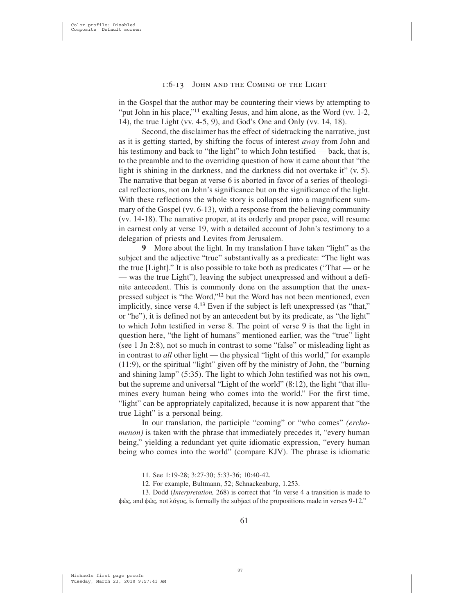in the Gospel that the author may be countering their views by attempting to "put John in his place,"<sup>11</sup> exalting Jesus, and him alone, as the Word (vv. 1-2, 14), the true Light (vv. 4-5, 9), and God's One and Only (vv. 14, 18).

Second, the disclaimer has the effect of sidetracking the narrative, just as it is getting started, by shifting the focus of interest *away* from John and his testimony and back to "the light" to which John testified — back, that is, to the preamble and to the overriding question of how it came about that "the light is shining in the darkness, and the darkness did not overtake it" (v. 5). The narrative that began at verse 6 is aborted in favor of a series of theological reflections, not on John's significance but on the significance of the light. With these reflections the whole story is collapsed into a magnificent summary of the Gospel (vv. 6-13), with a response from the believing community (vv. 14-18). The narrative proper, at its orderly and proper pace, will resume in earnest only at verse 19, with a detailed account of John's testimony to a delegation of priests and Levites from Jerusalem.

**9** More about the light. In my translation I have taken "light" as the subject and the adjective "true" substantivally as a predicate: "The light was the true [Light]." It is also possible to take both as predicates ("That — or he — was the true Light"), leaving the subject unexpressed and without a definite antecedent. This is commonly done on the assumption that the unexpressed subject is "the Word,"12 but the Word has not been mentioned, even implicitly, since verse 4.13 Even if the subject is left unexpressed (as "that," or "he"), it is defined not by an antecedent but by its predicate, as "the light" to which John testified in verse 8. The point of verse 9 is that the light in question here, "the light of humans" mentioned earlier, was the "true" light (see 1 Jn 2:8), not so much in contrast to some "false" or misleading light as in contrast to *all* other light — the physical "light of this world," for example (11:9), or the spiritual "light" given off by the ministry of John, the "burning and shining lamp" (5:35). The light to which John testified was not his own, but the supreme and universal "Light of the world" (8:12), the light "that illumines every human being who comes into the world." For the first time, "light" can be appropriately capitalized, because it is now apparent that "the true Light" is a personal being.

In our translation, the participle "coming" or "who comes" *(erchomenon*) is taken with the phrase that immediately precedes it, "every human being," yielding a redundant yet quite idiomatic expression, "every human being who comes into the world" (compare KJV). The phrase is idiomatic

13. Dodd (*Interpretation,* 268) is correct that "In verse 4 a transition is made to  $\phi$  $\tilde{\omega}$ c, and  $\phi$  $\tilde{\omega}$ c, not  $\lambda \phi$  $\gamma$ oc, is formally the subject of the propositions made in verses 9-12."

<sup>11.</sup> See 1:19-28; 3:27-30; 5:33-36; 10:40-42.

<sup>12.</sup> For example, Bultmann, 52; Schnackenburg, 1.253.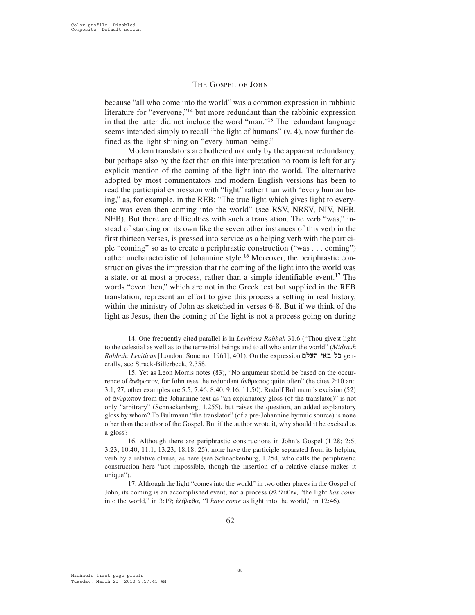because "all who come into the world" was a common expression in rabbinic literature for "everyone,"14 but more redundant than the rabbinic expression in that the latter did not include the word "man."15 The redundant language seems intended simply to recall "the light of humans" (v. 4), now further defined as the light shining on "every human being."

Modern translators are bothered not only by the apparent redundancy, but perhaps also by the fact that on this interpretation no room is left for any explicit mention of the coming of the light into the world. The alternative adopted by most commentators and modern English versions has been to read the participial expression with "light" rather than with "every human being," as, for example, in the REB: "The true light which gives light to everyone was even then coming into the world" (see RSV, NRSV, NIV, NEB, NEB). But there are difficulties with such a translation. The verb "was," instead of standing on its own like the seven other instances of this verb in the first thirteen verses, is pressed into service as a helping verb with the participle "coming" so as to create a periphrastic construction ("was . . . coming") rather uncharacteristic of Johannine style.16 Moreover, the periphrastic construction gives the impression that the coming of the light into the world was a state, or at most a process, rather than a simple identifiable event.17 The words "even then," which are not in the Greek text but supplied in the REB translation, represent an effort to give this process a setting in real history, within the ministry of John as sketched in verses 6-8. But if we think of the light as Jesus, then the coming of the light is not a process going on during

14. One frequently cited parallel is in *Leviticus Rabbah* 31.6 ("Thou givest light to the celestial as well as to the terrestrial beings and to all who enter the world" (*Midrash Rabbah: Leviticus* [London: Soncino, 1961], 401). On the expression **בל באי העלם** generally, see Strack-Billerbeck, 2.358.

15. Yet as Leon Morris notes (83), "No argument should be based on the occurrence of ἄνθρωπον, for John uses the redundant ἄνθρωπος quite often" (he cites 2:10 and 3:1, 27; other examples are 5:5; 7:46; 8:40; 9:16; 11:50). Rudolf Bultmann's excision (52) of ἄνθρωπον from the Johannine text as "an explanatory gloss (of the translator)" is not only "arbitrary" (Schnackenburg, 1.255), but raises the question, an added explanatory gloss by whom? To Bultmann "the translator" (of a pre-Johannine hymnic source) is none other than the author of the Gospel. But if the author wrote it, why should it be excised as a gloss?

16. Although there are periphrastic constructions in John's Gospel (1:28; 2:6; 3:23; 10:40; 11:1; 13:23; 18:18, 25), none have the participle separated from its helping verb by a relative clause, as here (see Schnackenburg, 1.254, who calls the periphrastic construction here "not impossible, though the insertion of a relative clause makes it unique").

17. Although the light "comes into the world" in two other places in the Gospel of John, its coming is an accomplished event, not a process (ἐλήλυθεν, "the light *has come* into the world," in 3:19;  $\epsilon \lambda \eta \lambda \nu \theta \alpha$ , "I *have come* as light into the world," in 12:46).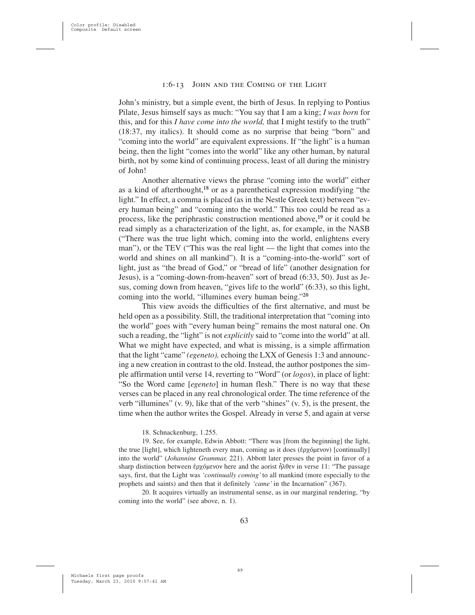John's ministry, but a simple event, the birth of Jesus. In replying to Pontius Pilate, Jesus himself says as much: "You say that I am a king; *I was born* for this, and for this *I have come into the world,* that I might testify to the truth" (18:37, my italics). It should come as no surprise that being "born" and "coming into the world" are equivalent expressions. If "the light" is a human being, then the light "comes into the world" like any other human, by natural birth, not by some kind of continuing process, least of all during the ministry of John!

Another alternative views the phrase "coming into the world" either as a kind of afterthought,18 or as a parenthetical expression modifying "the light." In effect, a comma is placed (as in the Nestle Greek text) between "every human being" and "coming into the world." This too could be read as a process, like the periphrastic construction mentioned above,  $19$  or it could be read simply as a characterization of the light, as, for example, in the NASB ("There was the true light which, coming into the world, enlightens every man"), or the TEV ("This was the real light — the light that comes into the world and shines on all mankind"). It is a "coming-into-the-world" sort of light, just as "the bread of God," or "bread of life" (another designation for Jesus), is a "coming-down-from-heaven" sort of bread (6:33, 50). Just as Jesus, coming down from heaven, "gives life to the world" (6:33), so this light, coming into the world, "illumines every human being."20

This view avoids the difficulties of the first alternative, and must be held open as a possibility. Still, the traditional interpretation that "coming into the world" goes with "every human being" remains the most natural one. On such a reading, the "light" is not *explicitly* said to "come into the world" at all. What we might have expected, and what is missing, is a simple affirmation that the light "came" *(egeneto),* echoing the LXX of Genesis 1:3 and announcing a new creation in contrast to the old. Instead, the author postpones the simple affirmation until verse 14, reverting to "Word" (or *logos*), in place of light: "So the Word came [*egeneto*] in human flesh." There is no way that these verses can be placed in any real chronological order. The time reference of the verb "illumines" (v. 9), like that of the verb "shines" (v. 5), is the present, the time when the author writes the Gospel. Already in verse 5, and again at verse

18. Schnackenburg, 1.255.

19. See, for example, Edwin Abbott: "There was [from the beginning] the light, the true [light], which lighteneth every man, coming as it does  $(\epsilon \rho \chi \phi \mu \epsilon \nu \sigma)$  [continually] into the world" (*Johannine Grammar,* 221). Abbott later presses the point in favor of a sharp distinction between  $\dot{\epsilon}$  px option here and the aorist  $\tilde{\eta}$ ldev in verse 11: "The passage says, first, that the Light was *'continually coming'*to all mankind (more especially to the prophets and saints) and then that it definitely *'came'* in the Incarnation" (367).

20. It acquires virtually an instrumental sense, as in our marginal rendering, "by coming into the world" (see above, n. 1).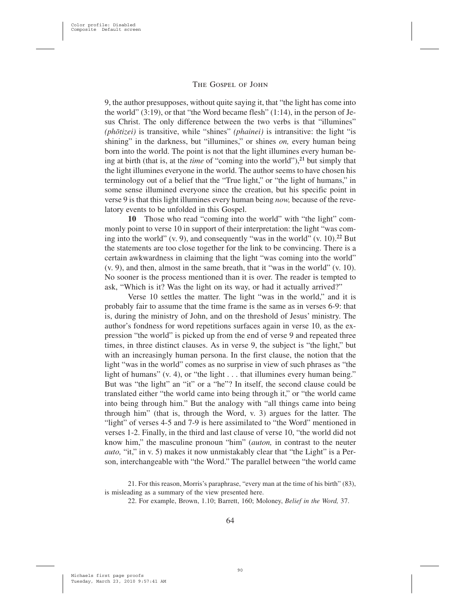9, the author presupposes, without quite saying it, that "the light has come into the world" (3:19), or that "the Word became flesh" (1:14), in the person of Jesus Christ. The only difference between the two verbs is that "illumines" *(phōtizei)* is transitive, while "shines" *(phainei)* is intransitive: the light "is shining" in the darkness, but "illumines," or shines *on,* every human being born into the world. The point is not that the light illumines every human being at birth (that is, at the *time* of "coming into the world"),<sup>21</sup> but simply that the light illumines everyone in the world. The author seems to have chosen his terminology out of a belief that the "True light," or "the light of humans," in some sense illumined everyone since the creation, but his specific point in verse 9 is that this light illumines every human being *now,* because of the revelatory events to be unfolded in this Gospel.

**10** Those who read "coming into the world" with "the light" commonly point to verse 10 in support of their interpretation: the light "was coming into the world"  $(v, 9)$ , and consequently "was in the world"  $(v, 10)$ .<sup>22</sup> But the statements are too close together for the link to be convincing. There is a certain awkwardness in claiming that the light "was coming into the world" (v. 9), and then, almost in the same breath, that it "was in the world" (v. 10). No sooner is the process mentioned than it is over. The reader is tempted to ask, "Which is it? Was the light on its way, or had it actually arrived?"

Verse 10 settles the matter. The light "was in the world," and it is probably fair to assume that the time frame is the same as in verses 6-9: that is, during the ministry of John, and on the threshold of Jesus' ministry. The author's fondness for word repetitions surfaces again in verse 10, as the expression "the world" is picked up from the end of verse 9 and repeated three times, in three distinct clauses. As in verse 9, the subject is "the light," but with an increasingly human persona. In the first clause, the notion that the light "was in the world" comes as no surprise in view of such phrases as "the light of humans" (v. 4), or "the light . . . that illumines every human being." But was "the light" an "it" or a "he"? In itself, the second clause could be translated either "the world came into being through it," or "the world came into being through him." But the analogy with "all things came into being through him" (that is, through the Word, v. 3) argues for the latter. The "light" of verses 4-5 and 7-9 is here assimilated to "the Word" mentioned in verses 1-2. Finally, in the third and last clause of verse 10, "the world did not know him," the masculine pronoun "him" (*auton,* in contrast to the neuter *auto*, "it," in v. 5) makes it now unmistakably clear that "the Light" is a Person, interchangeable with "the Word." The parallel between "the world came

<sup>21.</sup> For this reason, Morris's paraphrase, "every man at the time of his birth" (83), is misleading as a summary of the view presented here.

<sup>22.</sup> For example, Brown, 1.10; Barrett, 160; Moloney, *Belief in the Word,* 37.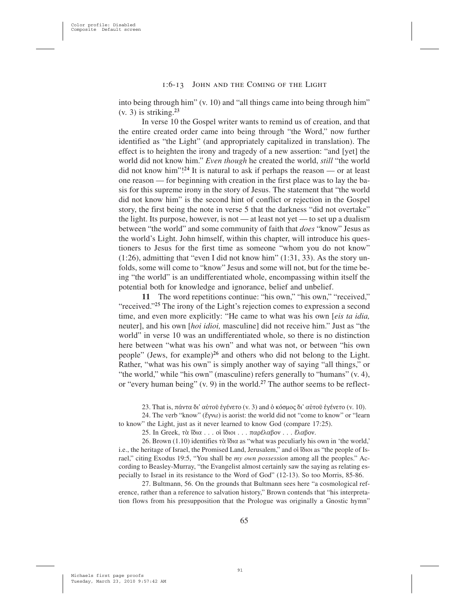into being through him" (v. 10) and "all things came into being through him"  $(v. 3)$  is striking.<sup>23</sup>

In verse 10 the Gospel writer wants to remind us of creation, and that the entire created order came into being through "the Word," now further identified as "the Light" (and appropriately capitalized in translation). The effect is to heighten the irony and tragedy of a new assertion: "and [yet] the world did not know him." *Even though* he created the world, *still* "the world did not know him"!<sup>24</sup> It is natural to ask if perhaps the reason — or at least one reason — for beginning with creation in the first place was to lay the basis for this supreme irony in the story of Jesus. The statement that "the world did not know him" is the second hint of conflict or rejection in the Gospel story, the first being the note in verse 5 that the darkness "did not overtake" the light. Its purpose, however, is not — at least not yet — to set up a dualism between "the world" and some community of faith that *does* "know" Jesus as the world's Light. John himself, within this chapter, will introduce his questioners to Jesus for the first time as someone "whom you do not know" (1:26), admitting that "even I did not know him" (1:31, 33). As the story unfolds, some will come to "know" Jesus and some will not, but for the time being "the world" is an undifferentiated whole, encompassing within itself the potential both for knowledge and ignorance, belief and unbelief.

**11** The word repetitions continue: "his own," "his own," "received," "received."25 The irony of the Light's rejection comes to expression a second time, and even more explicitly: "He came to what was his own [*eis ta idia,* neuter], and his own [*hoi idioi,* masculine] did not receive him." Just as "the world" in verse 10 was an undifferentiated whole, so there is no distinction here between "what was his own" and what was not, or between "his own people" (Jews, for example)26 and others who did not belong to the Light. Rather, "what was his own" is simply another way of saying "all things," or "the world," while "his own" (masculine) refers generally to "humans" (v. 4), or "every human being"  $(v, 9)$  in the world.<sup>27</sup> The author seems to be reflect-

23. That is, πάντα δι' αὐτοῦ ἐγένετο (v. 3) and ὁ κόσμος δι' αὐτοῦ ἐγένετο (v. 10).

24. The verb "know" ( $\xi$ yv $\omega$ ) is aorist: the world did not "come to know" or "learn to know" the Light, just as it never learned to know God (compare 17:25).

25. In Greek, τὰ ἴδια ... οἱ ἴδιοι ... παρέλαβον ... ἔλαβον.

26. Brown (1.10) identifies  $\tau\alpha$  *i*  $\delta\alpha$  as "what was peculiarly his own in 'the world,' i.e., the heritage of Israel, the Promised Land, Jerusalem," and of ioto as "the people of Israel," citing Exodus 19:5, "You shall be *my own possession* among all the peoples." According to Beasley-Murray, "the Evangelist almost certainly saw the saying as relating especially to Israel in its resistance to the Word of God" (12-13). So too Morris, 85-86.

27. Bultmann, 56. On the grounds that Bultmann sees here "a cosmological reference, rather than a reference to salvation history," Brown contends that "his interpretation flows from his presupposition that the Prologue was originally a Gnostic hymn"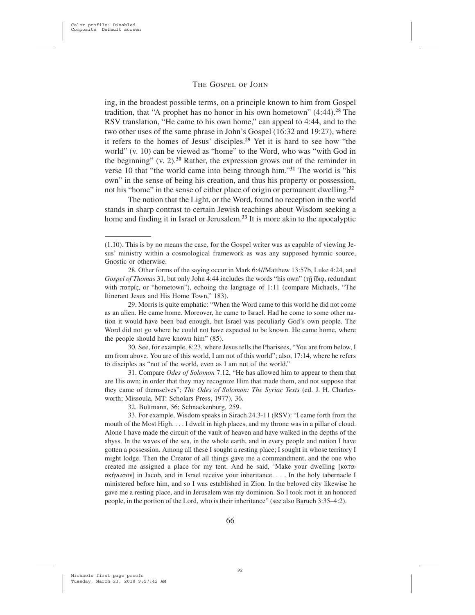### The Gospel of John

ing, in the broadest possible terms, on a principle known to him from Gospel tradition, that "A prophet has no honor in his own hometown"  $(4:44)$ .<sup>28</sup> The RSV translation, "He came to his own home," can appeal to 4:44, and to the two other uses of the same phrase in John's Gospel (16:32 and 19:27), where it refers to the homes of Jesus' disciples.29 Yet it is hard to see how "the world" (v. 10) can be viewed as "home" to the Word, who was "with God in the beginning"  $(v, 2)$ .<sup>30</sup> Rather, the expression grows out of the reminder in verse 10 that "the world came into being through him."31 The world is "his own" in the sense of being his creation, and thus his property or possession, not his "home" in the sense of either place of origin or permanent dwelling.<sup>32</sup>

The notion that the Light, or the Word, found no reception in the world stands in sharp contrast to certain Jewish teachings about Wisdom seeking a home and finding it in Israel or Jerusalem.<sup>33</sup> It is more akin to the apocalyptic

29. Morris is quite emphatic: "When the Word came to this world he did not come as an alien. He came home. Moreover, he came to Israel. Had he come to some other nation it would have been bad enough, but Israel was peculiarly God's own people. The Word did not go where he could not have expected to be known. He came home, where the people should have known him" (85).

30. See, for example, 8:23, where Jesus tells the Pharisees, "You are from below, I am from above. You are of this world, I am not of this world"; also, 17:14, where he refers to disciples as "not of the world, even as I am not of the world."

31. Compare *Odes of Solomon* 7.12, "He has allowed him to appear to them that are His own; in order that they may recognize Him that made them, and not suppose that they came of themselves"; *The Odes of Solomon: The Syriac Texts* (ed. J. H. Charlesworth; Missoula, MT: Scholars Press, 1977), 36.

32. Bultmann, 56; Schnackenburg, 259.

33. For example, Wisdom speaks in Sirach 24.3-11 (RSV): "I came forth from the mouth of the Most High....I dwelt in high places, and my throne was in a pillar of cloud. Alone I have made the circuit of the vault of heaven and have walked in the depths of the abyss. In the waves of the sea, in the whole earth, and in every people and nation I have gotten a possession. Among all these I sought a resting place; I sought in whose territory I might lodge. Then the Creator of all things gave me a commandment, and the one who created me assigned a place for my tent. And he said, 'Make your dwelling  $\lceil \kappa \alpha \tau \alpha - \kappa \rangle$ σκήνωσον] in Jacob, and in Israel receive your inheritance. . . . In the holy tabernacle I ministered before him, and so I was established in Zion. In the beloved city likewise he gave me a resting place, and in Jerusalem was my dominion. So I took root in an honored people, in the portion of the Lord, who is their inheritance" (see also Baruch 3:35–4:2).

<sup>(1.10).</sup> This is by no means the case, for the Gospel writer was as capable of viewing Jesus' ministry within a cosmological framework as was any supposed hymnic source, Gnostic or otherwise.

<sup>28.</sup> Other forms of the saying occur in Mark 6:4//Matthew 13:57b, Luke 4:24, and *Gospel of Thomas* 31, but only John 4:44 includes the words "his own" (τη ἴδια, redundant with  $\pi \alpha \tau \rho \zeta$ , or "hometown"), echoing the language of 1:11 (compare Michaels, "The Itinerant Jesus and His Home Town," 183).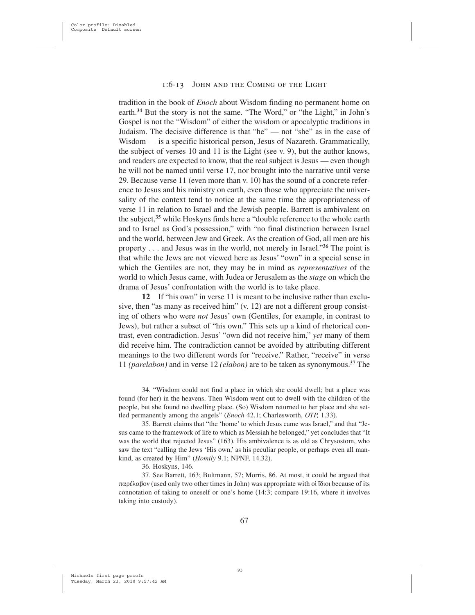tradition in the book of *Enoch* about Wisdom finding no permanent home on earth.34 But the story is not the same. "The Word," or "the Light," in John's Gospel is not the "Wisdom" of either the wisdom or apocalyptic traditions in Judaism. The decisive difference is that "he" — not "she" as in the case of Wisdom — is a specific historical person, Jesus of Nazareth. Grammatically, the subject of verses 10 and 11 is the Light (see v. 9), but the author knows, and readers are expected to know, that the real subject is Jesus — even though he will not be named until verse 17, nor brought into the narrative until verse 29. Because verse 11 (even more than v. 10) has the sound of a concrete reference to Jesus and his ministry on earth, even those who appreciate the universality of the context tend to notice at the same time the appropriateness of verse 11 in relation to Israel and the Jewish people. Barrett is ambivalent on the subject,<sup>35</sup> while Hoskyns finds here a "double reference to the whole earth and to Israel as God's possession," with "no final distinction between Israel and the world, between Jew and Greek. As the creation of God, all men are his property . . . and Jesus was in the world, not merely in Israel."36 The point is that while the Jews are not viewed here as Jesus' "own" in a special sense in which the Gentiles are not, they may be in mind as *representatives* of the world to which Jesus came, with Judea or Jerusalem as the *stage* on which the drama of Jesus' confrontation with the world is to take place.

**12** If "his own" in verse 11 is meant to be inclusive rather than exclusive, then "as many as received him" (v. 12) are not a different group consisting of others who were *not* Jesus' own (Gentiles, for example, in contrast to Jews), but rather a subset of "his own." This sets up a kind of rhetorical contrast, even contradiction. Jesus' "own did not receive him," *yet* many of them did receive him. The contradiction cannot be avoided by attributing different meanings to the two different words for "receive." Rather, "receive" in verse 11 *(parelabon)* and in verse 12 *(elabon)* are to be taken as synonymous.37 The

34. "Wisdom could not find a place in which she could dwell; but a place was found (for her) in the heavens. Then Wisdom went out to dwell with the children of the people, but she found no dwelling place. (So) Wisdom returned to her place and she settled permanently among the angels" (*Enoch* 42.1; Charlesworth, *OTP,* 1.33).

35. Barrett claims that "the 'home' to which Jesus came was Israel," and that "Jesus came to the framework of life to which as Messiah he belonged," yet concludes that "It was the world that rejected Jesus" (163). His ambivalence is as old as Chrysostom, who saw the text "calling the Jews 'His own,' as his peculiar people, or perhaps even all mankind, as created by Him" (*Homily* 9.1; NPNF, 14.32).

36. Hoskyns, 146.

37. See Barrett, 163; Bultmann, 57; Morris, 86. At most, it could be argued that  $\pi\alpha\rho\epsilon\lambda\alpha\beta$  (used only two other times in John) was appropriate with of  $\delta\alpha$  and because of its connotation of taking to oneself or one's home (14:3; compare 19:16, where it involves taking into custody).

Michaels first page proofs Tuesday, March 23, 2010 9:57:42 AM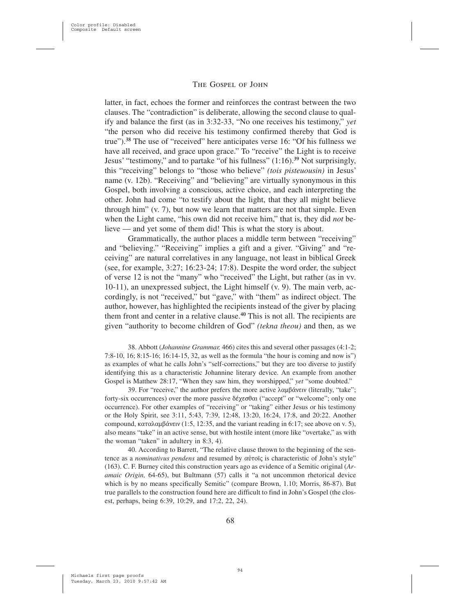latter, in fact, echoes the former and reinforces the contrast between the two clauses. The "contradiction" is deliberate, allowing the second clause to qualify and balance the first (as in 3:32-33, "No one receives his testimony," *yet* "the person who did receive his testimony confirmed thereby that God is true").38 The use of "received" here anticipates verse 16: "Of his fullness we have all received, and grace upon grace." To "receive" the Light is to receive Jesus' "testimony," and to partake "of his fullness"  $(1:16)$ .<sup>39</sup> Not surprisingly, this "receiving" belongs to "those who believe" *(tois pisteuousin)* in Jesus' name (v. 12b). "Receiving" and "believing" are virtually synonymous in this Gospel, both involving a conscious, active choice, and each interpreting the other. John had come "to testify about the light, that they all might believe through him" (v. 7), but now we learn that matters are not that simple. Even when the Light came, "his own did not receive him," that is, they did *not* believe — and yet some of them did! This is what the story is about.

Grammatically, the author places a middle term between "receiving" and "believing." "Receiving" implies a gift and a giver. "Giving" and "receiving" are natural correlatives in any language, not least in biblical Greek (see, for example, 3:27; 16:23-24; 17:8). Despite the word order, the subject of verse 12 is not the "many" who "received" the Light, but rather (as in vv. 10-11), an unexpressed subject, the Light himself (v. 9). The main verb, accordingly, is not "received," but "gave," with "them" as indirect object. The author, however, has highlighted the recipients instead of the giver by placing them front and center in a relative clause.40 This is not all. The recipients are given "authority to become children of God" *(tekna theou)* and then, as we

38. Abbott (*Johannine Grammar,* 466) cites this and several other passages (4:1-2; 7:8-10, 16; 8:15-16; 16:14-15, 32, as well as the formula "the hour is coming and now is") as examples of what he calls John's "self-corrections," but they are too diverse to justify identifying this as a characteristic Johannine literary device. An example from another Gospel is Matthew 28:17, "When they saw him, they worshipped," *yet* "some doubted."

39. For "receive," the author prefers the more active  $\lambda \alpha \mu \beta \dot{\alpha}$  very (literally, "take"; forty-six occurrences) over the more passive δέχεσθαι ("accept" or "welcome"; only one occurrence). For other examples of "receiving" or "taking" either Jesus or his testimony or the Holy Spirit, see 3:11, 5:43, 7:39, 12:48, 13:20, 16:24, 17:8, and 20:22. Another compound,  $\kappa \alpha \tau \alpha \lambda \alpha \mu \beta \dot{\alpha}$  veive (1:5, 12:35, and the variant reading in 6:17; see above on v. 5), also means "take" in an active sense, but with hostile intent (more like "overtake," as with the woman "taken" in adultery in 8:3, 4).

40. According to Barrett, "The relative clause thrown to the beginning of the sentence as a *nominativus pendens* and resumed by αὐτοῖς is characteristic of John's style" (163). C. F. Burney cited this construction years ago as evidence of a Semitic original (*Aramaic Origin,* 64-65), but Bultmann (57) calls it "a not uncommon rhetorical device which is by no means specifically Semitic" (compare Brown, 1.10; Morris, 86-87). But true parallels to the construction found here are difficult to find in John's Gospel (the closest, perhaps, being 6:39, 10:29, and 17:2, 22, 24).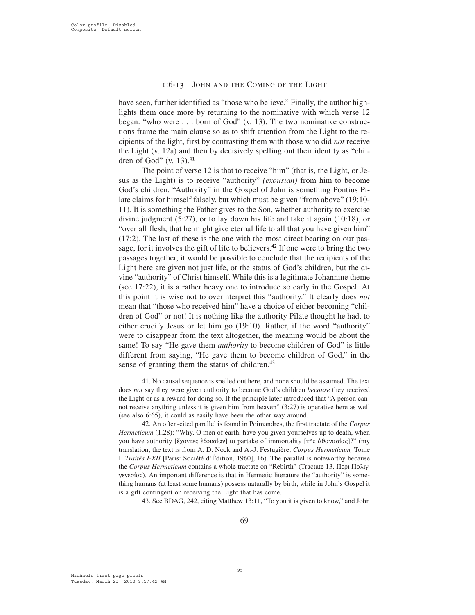have seen, further identified as "those who believe." Finally, the author highlights them once more by returning to the nominative with which verse 12 began: "who were... born of God" (v. 13). The two nominative constructions frame the main clause so as to shift attention from the Light to the recipients of the light, first by contrasting them with those who did *not* receive the Light (v. 12a) and then by decisively spelling out their identity as "children of God" (v. 13). $41$ 

The point of verse 12 is that to receive "him" (that is, the Light, or Jesus as the Light) is to receive "authority" *(exousian)* from him to become God's children. "Authority" in the Gospel of John is something Pontius Pilate claims for himself falsely, but which must be given "from above" (19:10- 11). It is something the Father gives to the Son, whether authority to exercise divine judgment (5:27), or to lay down his life and take it again (10:18), or "over all flesh, that he might give eternal life to all that you have given him" (17:2). The last of these is the one with the most direct bearing on our passage, for it involves the gift of life to believers.<sup>42</sup> If one were to bring the two passages together, it would be possible to conclude that the recipients of the Light here are given not just life, or the status of God's children, but the divine "authority" of Christ himself. While this is a legitimate Johannine theme (see 17:22), it is a rather heavy one to introduce so early in the Gospel. At this point it is wise not to overinterpret this "authority." It clearly does *not* mean that "those who received him" have a choice of either becoming "children of God" or not! It is nothing like the authority Pilate thought he had, to either crucify Jesus or let him go (19:10). Rather, if the word "authority" were to disappear from the text altogether, the meaning would be about the same! To say "He gave them *authority* to become children of God" is little different from saying, "He gave them to become children of God," in the sense of granting them the status of children.<sup>43</sup>

41. No causal sequence is spelled out here, and none should be assumed. The text does *not* say they were given authority to become God's children *because* they received the Light or as a reward for doing so. If the principle later introduced that "A person cannot receive anything unless it is given him from heaven" (3:27) is operative here as well (see also 6:65), it could as easily have been the other way around.

42. An often-cited parallel is found in Poimandres, the first tractate of the *Corpus Hermeticum* (1.28): "Why, O men of earth, have you given yourselves up to death, when you have authority [ἔχοντες ἐξουσίαν] to partake of immortality [τῆς ἀθανασίας]?" (my translation; the text is from A. D. Nock and A.-J. Festugière, *Corpus Hermeticum,* Tome I: *Traités I-XII* [Paris: Société d'Édition, 1960], 16). The parallel is noteworthy because the *Corpus Hermeticum* contains a whole tractate on "Rebirth" (Tractate 13, Περὶ Παλιγ- $\gamma$ ενεσίας). An important difference is that in Hermetic literature the "authority" is something humans (at least some humans) possess naturally by birth, while in John's Gospel it is a gift contingent on receiving the Light that has come.

43. See BDAG, 242, citing Matthew 13:11, "To you it is given to know," and John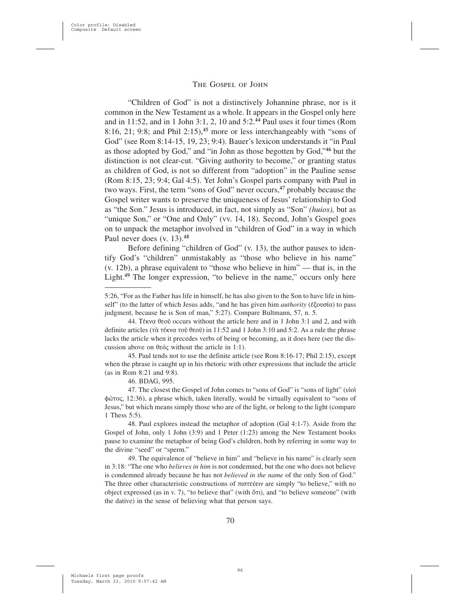"Children of God" is not a distinctively Johannine phrase, nor is it common in the New Testament as a whole. It appears in the Gospel only here and in 11:52, and in 1 John 3:1, 2, 10 and  $5:2<sup>44</sup>$  Paul uses it four times (Rom 8:16, 21; 9:8; and Phil 2:15), $45$  more or less interchangeably with "sons of God" (see Rom 8:14-15, 19, 23; 9:4). Bauer's lexicon understands it "in Paul as those adopted by God," and "in John as those begotten by God,"46 but the distinction is not clear-cut. "Giving authority to become," or granting status as children of God, is not so different from "adoption" in the Pauline sense (Rom 8:15, 23; 9:4; Gal 4:5). Yet John's Gospel parts company with Paul in two ways. First, the term "sons of God" never occurs,<sup>47</sup> probably because the Gospel writer wants to preserve the uniqueness of Jesus' relationship to God as "the Son." Jesus is introduced, in fact, not simply as "Son" *(huios),* but as "unique Son," or "One and Only" (vv. 14, 18). Second, John's Gospel goes on to unpack the metaphor involved in "children of God" in a way in which Paul never does (v. 13).<sup>48</sup>

Before defining "children of God" (v. 13), the author pauses to identify God's "children" unmistakably as "those who believe in his name" (v. 12b), a phrase equivalent to "those who believe in him" — that is, in the Light.<sup>49</sup> The longer expression, "to believe in the name," occurs only here

45. Paul tends not to use the definite article (see Rom 8:16-17; Phil 2:15), except when the phrase is caught up in his rhetoric with other expressions that include the article (as in Rom 8:21 and 9:8).

46. BDAG, 995.

47. The closest the Gospel of John comes to "sons of God" is "sons of light" (vio)  $\phi$  $\tilde{\omega}$ ro $\varsigma$ , 12:36), a phrase which, taken literally, would be virtually equivalent to "sons of Jesus," but which means simply those who are of the light, or belong to the light (compare 1 Thess 5:5).

48. Paul explores instead the metaphor of adoption (Gal 4:1-7). Aside from the Gospel of John, only 1 John (3:9) and 1 Peter (1:23) among the New Testament books pause to examine the metaphor of being God's children, both by referring in some way to the divine "seed" or "sperm."

49. The equivalence of "believe in him" and "believe in his name" is clearly seen in 3:18: "The one who *believes in him* is not condemned, but the one who does not believe is condemned already because he has not *believed in the name* of the only Son of God." The three other characteristic constructions of  $\pi$  is the simply "to believe," with no object expressed (as in v. 7), "to believe that" (with  $\delta \tau$ ), and "to believe someone" (with the dative) in the sense of believing what that person says.

<sup>5:26, &</sup>quot;For as the Father has life in himself, he has also given to the Son to have life in himself" (to the latter of which Jesus adds, "and he has given him *authority* ( $\dot{\epsilon} \xi$ ovo $\dot{\alpha}$ ) to pass judgment, because he is Son of man," 5:27). Compare Bultmann, 57, n. 5.

<sup>44.</sup> Tέκνα θεοῦ occurs without the article here and in 1 John 3:1 and 2, and with definite articles ( $\tau \alpha \tau \epsilon \kappa v \alpha \tau \omega \theta \epsilon \omega \tilde{v}$ ) in 11:52 and 1 John 3:10 and 5:2. As a rule the phrase lacks the article when it precedes verbs of being or becoming, as it does here (see the discussion above on  $\theta \in \phi \in \mathcal{C}$  without the article in 1:1).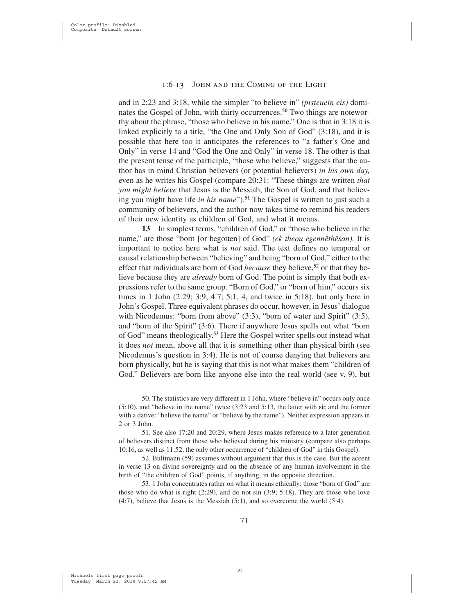and in 2:23 and 3:18, while the simpler "to believe in" *(pisteuein eis)* dominates the Gospel of John, with thirty occurrences.50 Two things are noteworthy about the phrase, "those who believe in his name." One is that in 3:18 it is linked explicitly to a title, "the One and Only Son of God" (3:18), and it is possible that here too it anticipates the references to "a father's One and Only" in verse 14 and "God the One and Only" in verse 18. The other is that the present tense of the participle, "those who believe," suggests that the author has in mind Christian believers (or potential believers) *in his own day,* even as he writes his Gospel (compare 20:31: "These things are written *that you might believe* that Jesus is the Messiah, the Son of God, and that believing you might have life *in his name*").<sup>51</sup> The Gospel is written to just such a community of believers, and the author now takes time to remind his readers of their new identity as children of God, and what it means.

**13** In simplest terms, "children of God," or "those who believe in the name," are those "born [or begotten] of God" *(ek theou egennēthēsan)*. It is important to notice here what is *not* said. The text defines no temporal or causal relationship between "believing" and being "born of God," either to the effect that individuals are born of God *because* they believe,<sup>52</sup> or that they believe because they are *already* born of God. The point is simply that both expressions refer to the same group. "Born of God," or "born of him," occurs six times in 1 John (2:29; 3:9; 4:7; 5:1, 4, and twice in 5:18), but only here in John's Gospel. Three equivalent phrases do occur, however, in Jesus' dialogue with Nicodemus: "born from above" (3:3), "born of water and Spirit" (3:5), and "born of the Spirit" (3:6). There if anywhere Jesus spells out what "born of God" means theologically.53 Here the Gospel writer spells out instead what it does *not* mean, above all that it is something other than physical birth (see Nicodemus's question in 3:4). He is not of course denying that believers are born physically, but he is saying that this is not what makes them "children of God." Believers are born like anyone else into the real world (see v. 9), but

50. The statistics are very different in 1 John, where "believe in" occurs only once  $(5:10)$ , and "believe in the name" twice  $(3:23 \text{ and } 5:13)$ , the latter with  $\epsilon \dot{\epsilon}$  and the former with a dative: "believe the name" or "believe by the name"). Neither expression appears in 2 or 3 John.

51. See also 17:20 and 20:29, where Jesus makes reference to a later generation of believers distinct from those who believed during his ministry (compare also perhaps 10:16, as well as 11:52, the only other occurrence of "children of God" in this Gospel).

52. Bultmann (59) assumes without argument that this is the case. But the accent in verse 13 on divine sovereignty and on the absence of any human involvement in the birth of "the children of God" points, if anything, in the opposite direction.

53. 1 John concentrates rather on what it means ethically: those "born of God" are those who do what is right  $(2.29)$ , and do not sin  $(3.9; 5.18)$ . They are those who love (4:7), believe that Jesus is the Messiah (5:1), and so overcome the world (5:4).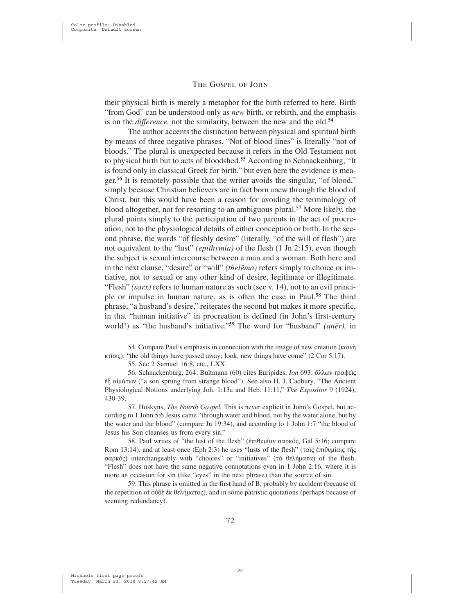their physical birth is merely a metaphor for the birth referred to here. Birth "from God" can be understood only as *new* birth, or rebirth, and the emphasis is on the *difference*, not the similarity, between the new and the old.<sup>54</sup>

The author accents the distinction between physical and spiritual birth by means of three negative phrases. "Not of blood lines" is literally "not of bloods." The plural is unexpected because it refers in the Old Testament not to physical birth but to acts of bloodshed.55 According to Schnackenburg, "It is found only in classical Greek for birth," but even here the evidence is meager.56 It is remotely possible that the writer avoids the singular, "of blood," simply because Christian believers are in fact born anew through the blood of Christ, but this would have been a reason for avoiding the terminology of blood altogether, not for resorting to an ambiguous plural.57 More likely, the plural points simply to the participation of two parents in the act of procreation, not to the physiological details of either conception or birth. In the second phrase, the words "of fleshly desire" (literally, "of the will of flesh") are not equivalent to the "lust" *(epithymia)* of the flesh (1 Jn 2:15), even though the subject is sexual intercourse between a man and a woman. Both here and in the next clause, "desire" or "will" *(thelēma)* refers simply to choice or initiative, not to sexual or any other kind of desire, legitimate or illegitimate. "Flesh" *(sarx)* refers to human nature as such (see v. 14), not to an evil principle or impulse in human nature, as is often the case in Paul.58 The third phrase, "a husband's desire," reiterates the second but makes it more specific, in that "human initiative" in procreation is defined (in John's first-century world!) as "the husband's initiative."<sup>59</sup> The word for "husband" *(an* $\bar{e}$ r), in

54. Compare Paul's emphasis in connection with the image of new creation  $(\kappa \alpha \nu \dot{\eta})$  $k\tau(\sigma\zeta)$ : "the old things have passed away; look, new things have come" (2 Cor 5:17).

55. See 2 Samuel 16:8, etc., LXX.

56. Schnackenburg, 264; Bultmann (60) cites Euripides, *Ion* 693: ἄλλων τραφεὶς έξ αίμάτων ("a son sprung from strange blood"). See also H. J. Cadbury, "The Ancient Physiological Notions underlying Joh. 1:13a and Heb. 11:11," *The Expositor* 9 (1924), 430-39.

57. Hoskyns, *The Fourth Gospel.* This is never explicit in John's Gospel, but according to 1 John 5:6 Jesus came "through water and blood, not by the water alone, but by the water and the blood" (compare Jn 19:34), and according to 1 John 1:7 "the blood of Jesus his Son cleanses us from every sin."

58. Paul writes of "the lust of the flesh" (επιθυμίαν σαρκός, Gal 5:16; compare Rom 13:14), and at least once (Eph 2:3) he uses "lusts of the flesh" ( $\tau\alpha\tilde{\tau}\zeta\tilde{\tau}$   $\tau\alpha\tilde{\tau}\zeta\tilde{\tau}$ ) σαρκός) interchangeably with "choices" or "initiatives" (τὰ θελήματα) of the flesh. "Flesh" does not have the same negative connotations even in 1 John 2:16, where it is more an occasion for sin (like "eyes" in the next phrase) than the source of sin.

59. This phrase is omitted in the first hand of B, probably by accident (because of the repetition of  $\phi \delta \delta \dot{\epsilon}$   $\kappa \theta \epsilon \lambda \dot{\eta} \mu \alpha \tau \delta \varsigma$ ), and in some patristic quotations (perhaps because of seeming redundancy).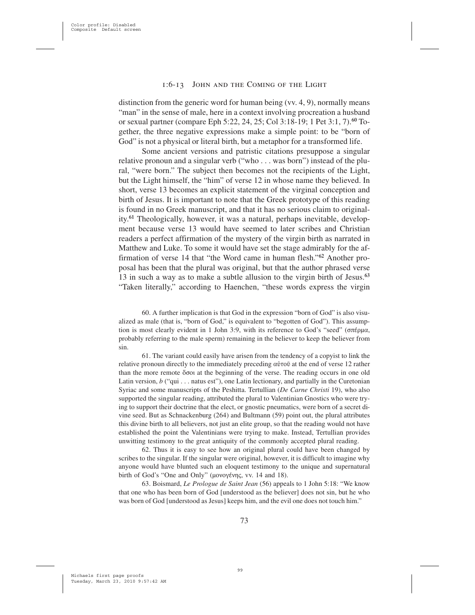distinction from the generic word for human being (vv. 4, 9), normally means "man" in the sense of male, here in a context involving procreation a husband or sexual partner (compare Eph 5:22, 24, 25; Col 3:18-19; 1 Pet 3:1, 7).60 Together, the three negative expressions make a simple point: to be "born of God" is not a physical or literal birth, but a metaphor for a transformed life.

Some ancient versions and patristic citations presuppose a singular relative pronoun and a singular verb ("who . . . was born") instead of the plural, "were born." The subject then becomes not the recipients of the Light, but the Light himself, the "him" of verse 12 in whose name they believed. In short, verse 13 becomes an explicit statement of the virginal conception and birth of Jesus. It is important to note that the Greek prototype of this reading is found in no Greek manuscript, and that it has no serious claim to originality.61 Theologically, however, it was a natural, perhaps inevitable, development because verse 13 would have seemed to later scribes and Christian readers a perfect affirmation of the mystery of the virgin birth as narrated in Matthew and Luke. To some it would have set the stage admirably for the affirmation of verse 14 that "the Word came in human flesh."62 Another proposal has been that the plural was original, but that the author phrased verse 13 in such a way as to make a subtle allusion to the virgin birth of Jesus.63 "Taken literally," according to Haenchen, "these words express the virgin

60. A further implication is that God in the expression "born of God" is also visualized as male (that is, "born of God," is equivalent to "begotten of God"). This assumption is most clearly evident in 1 John 3:9, with its reference to God's "seed" ( $\sigma \pi \epsilon \rho \mu \alpha$ , probably referring to the male sperm) remaining in the believer to keep the believer from sin.

61. The variant could easily have arisen from the tendency of a copyist to link the relative pronoun directly to the immediately preceding  $\alpha\dot{\sigma}\sigma\ddot{\sigma}$  at the end of verse 12 rather than the more remote  $\delta \sigma$  at the beginning of the verse. The reading occurs in one old Latin version,  $b$  ("qui... natus est"), one Latin lectionary, and partially in the Curetonian Syriac and some manuscripts of the Peshitta. Tertullian (*De Carne Christi* 19), who also supported the singular reading, attributed the plural to Valentinian Gnostics who were trying to support their doctrine that the elect, or gnostic pneumatics, were born of a secret divine seed. But as Schnackenburg (264) and Bultmann (59) point out, the plural attributes this divine birth to all believers, not just an elite group, so that the reading would not have established the point the Valentinians were trying to make. Instead, Tertullian provides unwitting testimony to the great antiquity of the commonly accepted plural reading.

62. Thus it is easy to see how an original plural could have been changed by scribes to the singular. If the singular were original, however, it is difficult to imagine why anyone would have blunted such an eloquent testimony to the unique and supernatural birth of God's "One and Only" (μονογένης, vv. 14 and 18).

63. Boismard, *Le Prologue de Saint Jean* (56) appeals to 1 John 5:18: "We know that one who has been born of God [understood as the believer] does not sin, but he who was born of God [understood as Jesus] keeps him, and the evil one does not touch him."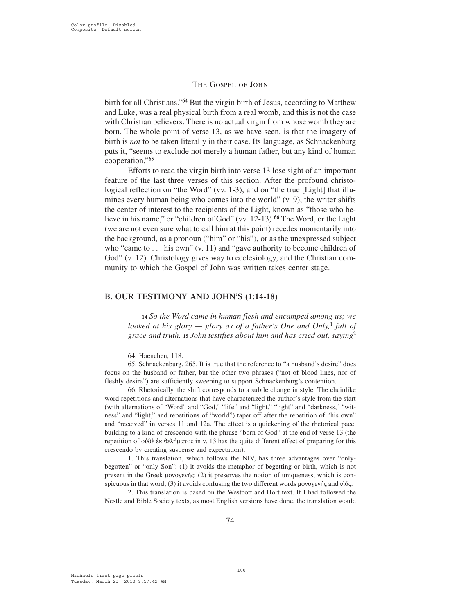birth for all Christians."64 But the virgin birth of Jesus, according to Matthew and Luke, was a real physical birth from a real womb, and this is not the case with Christian believers. There is no actual virgin from whose womb they are born. The whole point of verse 13, as we have seen, is that the imagery of birth is *not* to be taken literally in their case. Its language, as Schnackenburg puts it, "seems to exclude not merely a human father, but any kind of human cooperation."65

Efforts to read the virgin birth into verse 13 lose sight of an important feature of the last three verses of this section. After the profound christological reflection on "the Word" (vv. 1-3), and on "the true [Light] that illumines every human being who comes into the world" (v. 9), the writer shifts the center of interest to the recipients of the Light, known as "those who believe in his name," or "children of God" (vv. 12-13).<sup>66</sup> The Word, or the Light (we are not even sure what to call him at this point) recedes momentarily into the background, as a pronoun ("him" or "his"), or as the unexpressed subject who "came to . . . his own" (v. 11) and "gave authority to become children of God" (v. 12). Christology gives way to ecclesiology, and the Christian community to which the Gospel of John was written takes center stage.

### **B. OUR TESTIMONY AND JOHN'S (1:14-18)**

*14 So the Word came in human flesh and encamped among us; we looked at his glory — glory as of a father's One and Only,1 full of grace and truth. 15 John testifies about him and has cried out, saying2*

64. Haenchen, 118.

65. Schnackenburg, 265. It is true that the reference to "a husband's desire" does focus on the husband or father, but the other two phrases ("not of blood lines, nor of fleshly desire") are sufficiently sweeping to support Schnackenburg's contention.

66. Rhetorically, the shift corresponds to a subtle change in style. The chainlike word repetitions and alternations that have characterized the author's style from the start (with alternations of "Word" and "God," "life" and "light," "light" and "darkness," "witness" and "light," and repetitions of "world") taper off after the repetition of "his own" and "received" in verses 11 and 12a. The effect is a quickening of the rhetorical pace, building to a kind of crescendo with the phrase "born of God" at the end of verse 13 (the repetition of οὐδὲ ἐκ θελήματος in v. 13 has the quite different effect of preparing for this crescendo by creating suspense and expectation).

1. This translation, which follows the NIV, has three advantages over "onlybegotten" or "only Son": (1) it avoids the metaphor of begetting or birth, which is not present in the Greek  $\mu$ ονογενής; (2) it preserves the notion of uniqueness, which is conspicuous in that word; (3) it avoids confusing the two different words  $\mu$ ovo $\gamma \epsilon \gamma$  and  $\nu \delta \zeta$ .

2. This translation is based on the Westcott and Hort text. If I had followed the Nestle and Bible Society texts, as most English versions have done, the translation would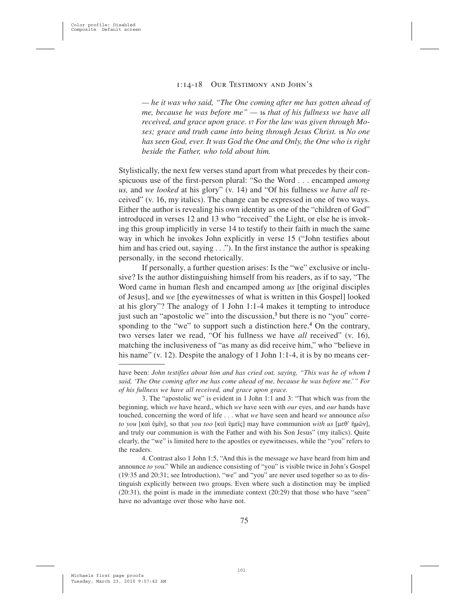*— he it was who said, "The One coming after me has gotten ahead of me, because he was before me" — 16 that of his fullness we have all received, and grace upon grace. 17 For the law was given through Moses; grace and truth came into being through Jesus Christ. 18 No one has seen God, ever. It was God the One and Only, the One who is right beside the Father, who told about him.*

Stylistically, the next few verses stand apart from what precedes by their conspicuous use of the first-person plural: "So the Word... encamped *among us,* and *we looked* at his glory" (v. 14) and "Of his fullness *we have all* received" (v. 16, my italics). The change can be expressed in one of two ways. Either the author is revealing his own identity as one of the "children of God" introduced in verses 12 and 13 who "received" the Light, or else he is invoking this group implicitly in verse 14 to testify to their faith in much the same way in which he invokes John explicitly in verse 15 ("John testifies about him and has cried out, saying . . ."). In the first instance the author is speaking personally, in the second rhetorically.

If personally, a further question arises: Is the "we" exclusive or inclusive? Is the author distinguishing himself from his readers, as if to say, "The Word came in human flesh and encamped among *us* [the original disciples of Jesus], and *we* [the eyewitnesses of what is written in this Gospel] looked at his glory"? The analogy of 1 John 1:1-4 makes it tempting to introduce just such an "apostolic we" into the discussion,<sup>3</sup> but there is no "you" corresponding to the "we" to support such a distinction here.<sup>4</sup> On the contrary, two verses later we read, "Of his fullness we have *all* received" (v. 16), matching the inclusiveness of "as many as did receive him," who "believe in his name" (v. 12). Despite the analogy of 1 John 1:1-4, it is by no means cer-

have been: *John testifies about him and has cried out, saying, "This was he of whom I said, 'The One coming after me has come ahead of me, because he was before me.'" For of his fullness we have all received, and grace upon grace.*

3. The "apostolic we" is evident in 1 John 1:1 and 3: "That which was from the beginning, which *we* have heard,, which *we* have seen with *our* eyes, and *our* hands have touched, concerning the word of life... what *we* have seen and heard *we* announce *also to you* [kαὶ ὑμῖν], so that *you too* [kαὶ ὑμεῖς] may have communion *with us* [μεθ' ἡμῶν], and truly our communion is with the Father and with his Son Jesus" (my italics). Quite clearly, the "we" is limited here to the apostles or eyewitnesses, while the "you" refers to the readers.

4. Contrast also 1 John 1:5, "And this is the message *we* have heard from him and announce *to you.*" While an audience consisting of "you" is visible twice in John's Gospel (19:35 and 20:31; see Introduction), "we" and "you" are never used together so as to distinguish explicitly between two groups. Even where such a distinction may be implied (20:31), the point is made in the immediate context (20:29) that those who have "seen" have no advantage over those who have not.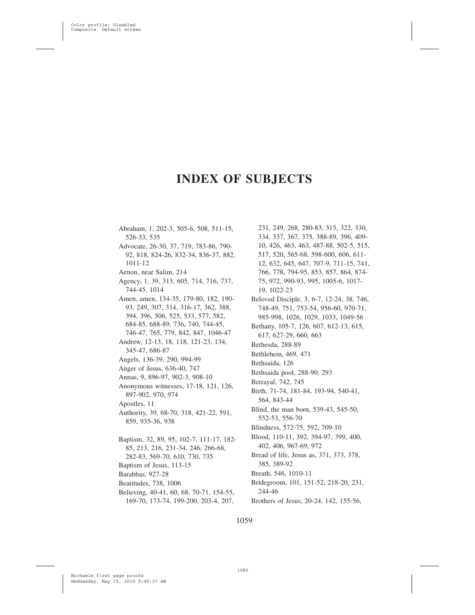## **INDEX OF SUBJECTS**

Abraham, 1, 202-3, 505-6, 508, 511-15, 526-33, 535

- Advocate, 26-30, 37, 719, 783-86, 790- 92, 818, 824-26, 832-34, 836-37, 882, 1011-12
- Aenon, near Salim, 214

Agency, 1, 39, 313, 605, 714, 716, 737, 744-45, 1014

Amen, amen, 134-35, 179-80, 182, 190- 93, 249, 307, 314, 316-17, 362, 388, 394, 396, 506, 525, 533, 577, 582, 684-85, 688-89, 736, 740, 744-45, 746-47, 765, 779, 842, 847, 1046-47

- Andrew, 12-13, 18, 118, 121-23, 134, 345-47, 686-87
- Angels, 136-39, 290, 994-99
- Anger of Jesus, 636-40, 747
- Annas, 9, 896-97, 902-3, 908-10
- Anonymous witnesses, 17-18, 121, 126, 897-902, 970, 974
- Apostles, 11
- Authority, 39, 68-70, 318, 421-22, 591, 859, 935-36, 938

Baptism, 32, 89, 95, 102-7, 111-17, 182- 85, 213, 216, 231-34, 246, 266-68, 282-83, 569-70, 610, 730, 735

- Baptism of Jesus, 113-15
- Barabbas, 927-28
- Beatitudes, 738, 1006
- Believing, 40-41, 60, 68, 70-71, 154-55, 169-70, 173-74, 199-200, 203-4, 207,

231, 249, 268, 280-83, 315, 322, 330, 334, 337, 367, 375, 388-89, 396, 409- 10, 426, 463, 463, 487-88, 502-5, 515, 517, 520, 565-68, 598-600, 606, 611- 12, 632, 645, 647, 707-9, 711-15, 741, 766, 778, 794-95, 853, 857, 864, 874- 75, 972, 990-93, 995, 1005-6, 1017- 19, 1022-23

- Beloved Disciple, 3, 6-7, 12-24, 38, 746, 748-49, 751, 753-54, 956-60, 970-71, 985-998, 1026, 1029, 1033, 1049-56
- Bethany, 105-7, 126, 607, 612-13, 615, 617, 627-29, 660, 663
- Bethesda, 288-89
- Bethlehem, 469, 471
- Bethsaida, 126
- Bethsaida pool, 288-90, 293
- Betrayal, 742, 745
- Birth, 71-74, 181-84, 193-94, 540-41, 564, 843-44
- Blind, the man born, 539-43, 545-50, 552-53, 556-70
- Blindness, 572-75, 592, 709-10
- Blood, 110-11, 392, 394-97, 399, 400, 402, 406, 967-69, 972
- Bread of life, Jesus as, 371, 373, 378, 385, 389-92
- Breath, 546, 1010-11
- Bridegroom, 101, 151-52, 218-20, 231, 244-46
- Brothers of Jesus, 20-24, 142, 155-56,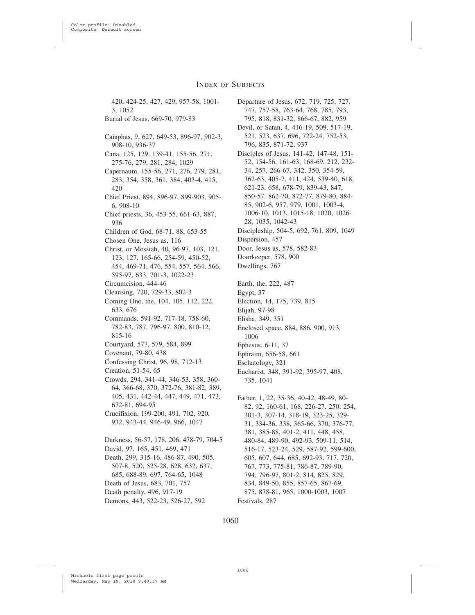420, 424-25, 427, 429, 957-58, 1001- 3, 1052 Burial of Jesus, 669-70, 979-83 Caiaphas, 9, 627, 649-53, 896-97, 902-3, 908-10, 936-37 Cana, 125, 129, 139-41, 155-56, 271, 275-76, 279, 281, 284, 1029 Capernaum, 155-56, 271, 276, 279, 281, 283, 354, 358, 361, 384, 403-4, 415, 420 Chief Priest, 894, 896-97, 899-903, 905- 6, 908-10 Chief priests, 36, 453-55, 661-63, 887, 936 Children of God, 68-71, 88, 653-55 Chosen One, Jesus as, 116 Christ, or Messiah, 40, 96-97, 103, 121, 123, 127, 165-66, 254-59, 450-52, 454, 469-71, 476, 554, 557, 564, 566, 595-97, 633, 701-3, 1022-23 Circumcision, 444-46 Cleansing, 720, 729-33, 802-3 Coming One, the, 104, 105, 112, 222, 633, 676 Commands, 591-92, 717-18, 758-60, 782-83, 787, 796-97, 800, 810-12, 815-16 Courtyard, 577, 579, 584, 899 Covenant, 79-80, 438 Confessing Christ, 96, 98, 712-13 Creation, 51-54, 65 Crowds, 294, 341-44, 346-53, 358, 360- 64, 366-68, 370, 372-76, 381-82, 389, 405, 431, 442-44, 447, 449, 471, 473, 672-81, 694-95 Crucifixion, 199-200, 491, 702, 920, 932, 943-44, 946-49, 966, 1047 Darkness, 56-57, 178, 206, 478-79, 704-5 David, 97, 165, 451, 469, 471 Death, 299, 315-16, 486-87, 490, 505, 507-8, 520, 525-28, 628, 632, 637, 685, 688-89, 697, 764-65, 1048 Death of Jesus, 683, 701, 757 Death penalty, 496, 917-19 Demons, 443, 522-23, 526-27, 592

Departure of Jesus, 672, 719, 725, 727, 747, 757-58, 763-64, 768, 785, 793, 795, 818, 831-32, 866-67, 882, 959

Devil, or Satan, 4, 416-19, 509, 517-19, 521, 523, 637, 696, 722-24, 752-53, 796, 835, 871-72, 937

Disciples of Jesus, 141-42, 147-48, 151- 52, 154-56, 161-63, 168-69, 212, 232- 34, 257, 266-67, 342, 350, 354-59, 362-63, 405-7, 411, 424, 539-40, 618, 621-23, 658, 678-79, 839-43, 847, 850-57. 862-70, 872-77, 879-80, 884- 85, 902-6, 957, 979, 1001, 1003-4, 1006-10, 1013, 1015-18, 1020, 1026- 28, 1035, 1042-43 Discipleship, 504-5, 692, 761, 809, 1049 Dispersion, 457

Door, Jesus as, 578, 582-83

Doorkeeper, 578, 900

Dwellings, 767

Earth, the, 222, 487

Egypt, 37

Election, 14, 175, 739, 815

Elijah, 97-98

Elisha, 349, 351

Enclosed space, 884, 886, 900, 913, 1006

Ephesus, 6-11, 37

Ephraim, 656-58, 661

Eschatology, 321

Eucharist, 348, 391-92, 395-97, 408, 735, 1041

Father, 1, 22, 35-36, 40-42, 48-49, 80- 82, 92, 160-61, 168, 226-27, 250, 254, 301-3, 307-14, 318-19, 323-25, 329- 31, 334-36, 338, 365-66, 370, 376-77, 381, 385-88, 401-2, 411, 448, 458, 480-84, 489-90, 492-93, 509-11, 514, 516-17, 523-24, 529, 587-92, 599-600, 605, 607, 644, 685, 692-93, 717, 720, 767, 773, 775-81, 786-87, 789-90, 794, 796-97, 801-2, 814, 825, 829, 834, 849-50, 855, 857-65, 867-69, 875, 878-81, 965, 1000-1003, 1007 Festivals, 287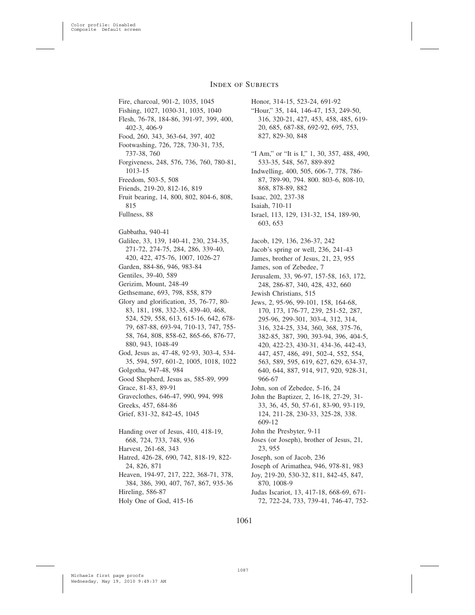Fire, charcoal, 901-2, 1035, 1045 Fishing, 1027, 1030-31, 1035, 1040 Flesh, 76-78, 184-86, 391-97, 399, 400, 402-3, 406-9 Food, 260, 343, 363-64, 397, 402 Footwashing, 726, 728, 730-31, 735, 737-38, 760 Forgiveness, 248, 576, 736, 760, 780-81, 1013-15 Freedom, 503-5, 508 Friends, 219-20, 812-16, 819 Fruit bearing, 14, 800, 802, 804-6, 808, 815 Fullness, 88 Gabbatha, 940-41 Galilee, 33, 139, 140-41, 230, 234-35, 271-72, 274-75, 284, 286, 339-40, 420, 422, 475-76, 1007, 1026-27 Garden, 884-86, 946, 983-84 Gentiles, 39-40, 589 Gerizim, Mount, 248-49 Gethsemane, 693, 798, 858, 879 Glory and glorification, 35, 76-77, 80- 83, 181, 198, 332-35, 439-40, 468, 524, 529, 558, 613, 615-16, 642, 678- 79, 687-88, 693-94, 710-13, 747, 755- 58, 764, 808, 858-62, 865-66, 876-77, 880, 943, 1048-49 God, Jesus as, 47-48, 92-93, 303-4, 534- 35, 594, 597, 601-2, 1005, 1018, 1022 Golgotha, 947-48, 984 Good Shepherd, Jesus as, 585-89, 999 Grace, 81-83, 89-91 Graveclothes, 646-47, 990, 994, 998 Greeks, 457, 684-86 Grief, 831-32, 842-45, 1045 Handing over of Jesus, 410, 418-19, 668, 724, 733, 748, 936 Harvest, 261-68, 343 Hatred, 426-28, 690, 742, 818-19, 822- 24, 826, 871 Heaven, 194-97, 217, 222, 368-71, 378, 384, 386, 390, 407, 767, 867, 935-36 Hireling, 586-87 Holy One of God, 415-16

Honor, 314-15, 523-24, 691-92 "Hour," 35, 144, 146-47, 153, 249-50, 316, 320-21, 427, 453, 458, 485, 619- 20, 685, 687-88, 692-92, 695, 753, 827, 829-30, 848 "I Am," or "It is I," 1, 30, 357, 488, 490, 533-35, 548, 567, 889-892 Indwelling, 400, 505, 606-7, 778, 786- 87, 789-90, 794. 800. 803-6, 808-10, 868, 878-89, 882 Isaac, 202, 237-38 Isaiah, 710-11 Israel, 113, 129, 131-32, 154, 189-90, 603, 653 Jacob, 129, 136, 236-37, 242 Jacob's spring or well, 236, 241-43 James, brother of Jesus, 21, 23, 955 James, son of Zebedee, 7 Jerusalem, 33, 96-97, 157-58, 163, 172, 248, 286-87, 340, 428, 432, 660 Jewish Christians, 515 Jews, 2, 95-96, 99-101, 158, 164-68, 170, 173, 176-77, 239, 251-52, 287, 295-96, 299-301, 303-4, 312, 314, 316, 324-25, 334, 360, 368, 375-76, 382-85, 387, 390, 393-94, 396, 404-5, 420, 422-23, 430-31, 434-36, 442-43, 447, 457, 486, 491, 502-4, 552, 554, 563, 589, 595, 619, 627, 629, 634-37, 640, 644, 887, 914, 917, 920, 928-31, 966-67 John, son of Zebedee, 5-16, 24 John the Baptizer, 2, 16-18, 27-29, 31- 33, 36, 45, 50, 57-61, 83-90, 93-119, 124, 211-28, 230-33, 325-28, 338. 609-12 John the Presbyter, 9-11 Joses (or Joseph), brother of Jesus, 21, 23, 955 Joseph, son of Jacob, 236 Joseph of Arimathea, 946, 978-81, 983 Joy, 219-20, 530-32, 811, 842-45, 847, 870, 1008-9 Judas Iscariot, 13, 417-18, 668-69, 671- 72, 722-24, 733, 739-41, 746-47, 752-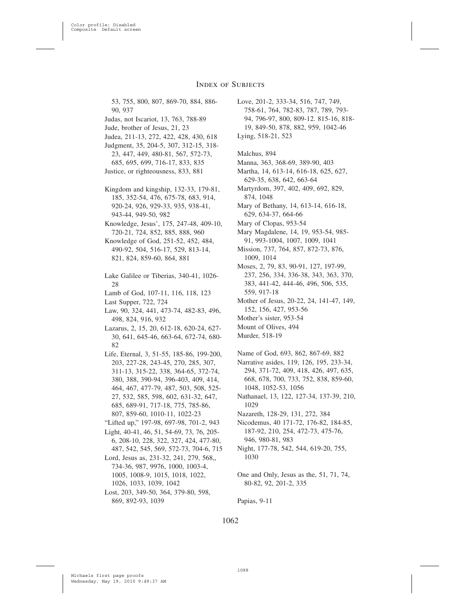53, 755, 800, 807, 869-70, 884, 886- 90, 937 Judas, not Iscariot, 13, 763, 788-89 Jude, brother of Jesus, 21, 23 Judea, 211-13, 272, 422, 428, 430, 618 Judgment, 35, 204-5, 307, 312-15, 318- 23, 447, 449, 480-81, 567, 572-73, 685, 695, 699, 716-17, 833, 835 Justice, or righteousness, 833, 881 Kingdom and kingship, 132-33, 179-81, 185, 352-54, 476, 675-78, 683, 914, 920-24, 926, 929-33, 935, 938-41, 943-44, 949-50, 982 Knowledge, Jesus', 175, 247-48, 409-10, 720-21, 724, 852, 885, 888, 960 Knowledge of God, 251-52, 452, 484, 490-92, 504, 516-17, 529, 813-14, 821, 824, 859-60, 864, 881 Lake Galilee or Tiberias, 340-41, 1026- 28 Lamb of God, 107-11, 116, 118, 123 Last Supper, 722, 724 Law, 90, 324, 441, 473-74, 482-83, 496, 498, 824, 916, 932 Lazarus, 2, 15, 20, 612-18, 620-24, 627- 30, 641, 645-46, 663-64, 672-74, 680- 82 Life, Eternal, 3, 51-55, 185-86, 199-200, 203, 227-28, 243-45, 270, 285, 307, 311-13, 315-22, 338, 364-65, 372-74, 380, 388, 390-94, 396-403, 409, 414, 464, 467, 477-79, 487, 503, 508, 525- 27, 532, 585, 598, 602, 631-32, 647, 685, 689-91, 717-18, 775, 785-86, 807, 859-60, 1010-11, 1022-23 "Lifted up," 197-98, 697-98, 701-2, 943 Light, 40-41, 46, 51, 54-69, 73, 76, 205- 6, 208-10, 228, 322, 327, 424, 477-80, 487, 542, 545, 569, 572-73, 704-6, 715 Lord, Jesus as, 231-32, 241, 279, 568,, 734-36, 987, 9976, 1000, 1003-4, 1005, 1008-9, 1015, 1018, 1022, 1026, 1033, 1039, 1042 Lost, 203, 349-50, 364, 379-80, 598, 869, 892-93, 1039

Love, 201-2, 333-34, 516, 747, 749, 758-61, 764, 782-83, 787, 789, 793- 94, 796-97, 800, 809-12. 815-16, 818- 19, 849-50, 878, 882, 959, 1042-46 Lying, 518-21, 523

- Malchus, 894
- Manna, 363, 368-69, 389-90, 403
- Martha, 14, 613-14, 616-18, 625, 627, 629-35, 638, 642, 663-64
- Martyrdom, 397, 402, 409, 692, 829, 874, 1048
- Mary of Bethany, 14, 613-14, 616-18, 629, 634-37, 664-66
- Mary of Clopas, 953-54
- Mary Magdalene, 14, 19, 953-54, 985- 91, 993-1004, 1007, 1009, 1041
- Mission, 737, 764, 857, 872-73, 876, 1009, 1014
- Moses, 2, 79, 83, 90-91, 127, 197-99, 237, 256, 334, 336-38, 343, 363, 370, 383, 441-42, 444-46, 496, 506, 535, 559, 917-18
- Mother of Jesus, 20-22, 24, 141-47, 149, 152, 156, 427, 953-56
- Mother's sister, 953-54
- Mount of Olives, 494
- Murder, 518-19
- Name of God, 693, 862, 867-69, 882
- Narrative asides, 119, 126, 195, 233-34, 294, 371-72, 409, 418, 426, 497, 635, 668, 678, 700, 733, 752, 838, 859-60, 1048, 1052-53, 1056
- Nathanael, 13, 122, 127-34, 137-39, 210, 1029
- Nazareth, 128-29, 131, 272, 384
- Nicodemus, 40 171-72, 176-82, 184-85, 187-92, 210, 254, 472-73, 475-76, 946, 980-81, 983
- Night, 177-78, 542, 544, 619-20, 755, 1030
- One and Only, Jesus as the, 51, 71, 74, 80-82, 92, 201-2, 335

Papias, 9-11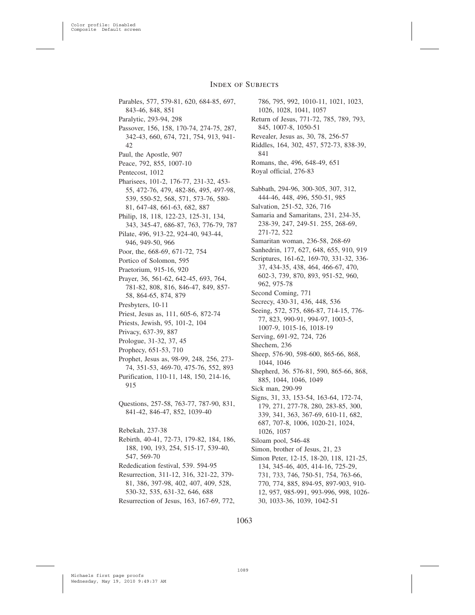Parables, 577, 579-81, 620, 684-85, 697, 843-46, 848, 851 Paralytic, 293-94, 298 Passover, 156, 158, 170-74, 274-75, 287, 342-43, 660, 674, 721, 754, 913, 941- 42 Paul, the Apostle, 907 Peace, 792, 855, 1007-10 Pentecost, 1012 Pharisees, 101-2, 176-77, 231-32, 453- 55, 472-76, 479, 482-86, 495, 497-98, 539, 550-52, 568, 571, 573-76, 580- 81, 647-48, 661-63, 682, 887 Philip, 18, 118, 122-23, 125-31, 134, 343, 345-47, 686-87, 763, 776-79, 787 Pilate, 496, 913-22, 924-40, 943-44, 946, 949-50, 966 Poor, the, 668-69, 671-72, 754 Portico of Solomon, 595 Praetorium, 915-16, 920 Prayer, 36, 561-62, 642-45, 693, 764, 781-82, 808, 816, 846-47, 849, 857- 58, 864-65, 874, 879 Presbyters, 10-11 Priest, Jesus as, 111, 605-6, 872-74 Priests, Jewish, 95, 101-2, 104 Privacy, 637-39, 887 Prologue, 31-32, 37, 45 Prophecy, 651-53, 710 Prophet, Jesus as, 98-99, 248, 256, 273- 74, 351-53, 469-70, 475-76, 552, 893 Purification, 110-11, 148, 150, 214-16, 915 Questions, 257-58, 763-77, 787-90, 831, 841-42, 846-47, 852, 1039-40 Rebekah, 237-38 Rebirth, 40-41, 72-73, 179-82, 184, 186, 188, 190, 193, 254, 515-17, 539-40, 547, 569-70 Rededication festival, 539. 594-95 Resurrection, 311-12, 316, 321-22, 379- 81, 386, 397-98, 402, 407, 409, 528, 530-32, 535, 631-32, 646, 688 Resurrection of Jesus, 163, 167-69, 772,

786, 795, 992, 1010-11, 1021, 1023, 1026, 1028, 1041, 1057 Return of Jesus, 771-72, 785, 789, 793, 845, 1007-8, 1050-51 Revealer, Jesus as, 30, 78, 256-57 Riddles, 164, 302, 457, 572-73, 838-39, 841 Romans, the, 496, 648-49, 651 Royal official, 276-83 Sabbath, 294-96, 300-305, 307, 312, 444-46, 448, 496, 550-51, 985 Salvation, 251-52, 326, 716 Samaria and Samaritans, 231, 234-35, 238-39, 247, 249-51. 255, 268-69, 271-72, 522 Samaritan woman, 236-58, 268-69 Sanhedrin, 177, 627, 648, 655, 910, 919 Scriptures, 161-62, 169-70, 331-32, 336- 37, 434-35, 438, 464, 466-67, 470, 602-3, 739, 870, 893, 951-52, 960, 962, 975-78 Second Coming, 771 Secrecy, 430-31, 436, 448, 536 Seeing, 572, 575, 686-87, 714-15, 776- 77, 823, 990-91, 994-97, 1003-5, 1007-9, 1015-16, 1018-19 Serving, 691-92, 724, 726 Shechem, 236 Sheep, 576-90, 598-600, 865-66, 868, 1044, 1046 Shepherd, 36. 576-81, 590, 865-66, 868, 885, 1044, 1046, 1049 Sick man, 290-99 Signs, 31, 33, 153-54, 163-64, 172-74, 179, 271, 277-78, 280, 283-85, 300, 339, 341, 363, 367-69, 610-11, 682, 687, 707-8, 1006, 1020-21, 1024, 1026, 1057 Siloam pool, 546-48 Simon, brother of Jesus, 21, 23 Simon Peter, 12-15, 18-20, 118, 121-25, 134, 345-46, 405, 414-16, 725-29, 731, 733, 746, 750-51, 754, 763-66, 770, 774, 885, 894-95, 897-903, 910- 12, 957, 985-991, 993-996, 998, 1026- 30, 1033-36, 1039, 1042-51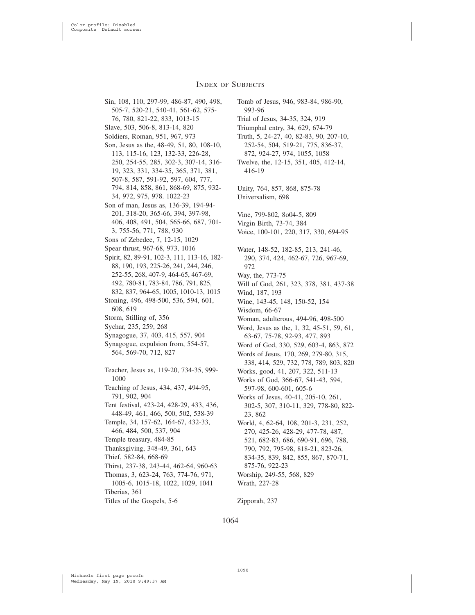#### Index of Subjects

- Sin, 108, 110, 297-99, 486-87, 490, 498, 505-7, 520-21, 540-41, 561-62, 575- 76, 780, 821-22, 833, 1013-15
- Slave, 503, 506-8, 813-14, 820
- Soldiers, Roman, 951, 967, 973
- 
- Son, Jesus as the, 48-49, 51, 80, 108-10, 113, 115-16, 123, 132-33, 226-28, 250, 254-55, 285, 302-3, 307-14, 316- 19, 323, 331, 334-35, 365, 371, 381, 507-8, 587, 591-92, 597, 604, 777, 794, 814, 858, 861, 868-69, 875, 932- 34, 972, 975, 978. 1022-23
- Son of man, Jesus as, 136-39, 194-94- 201, 318-20, 365-66, 394, 397-98, 406, 408, 491, 504, 565-66, 687, 701- 3, 755-56, 771, 788, 930
- Sons of Zebedee, 7, 12-15, 1029
- Spear thrust, 967-68, 973, 1016
- Spirit, 82, 89-91, 102-3, 111, 113-16, 182- 88, 190, 193, 225-26, 241, 244, 246, 252-55, 268, 407-9, 464-65, 467-69, 492, 780-81, 783-84, 786, 791, 825, 832, 837, 964-65, 1005, 1010-13, 1015
- Stoning, 496, 498-500, 536, 594, 601, 608, 619
- Storm, Stilling of, 356
- Sychar, 235, 259, 268
- Synagogue, 37, 403, 415, 557, 904
- Synagogue, expulsion from, 554-57, 564, 569-70, 712, 827
- Teacher, Jesus as, 119-20, 734-35, 999- 1000
- Teaching of Jesus, 434, 437, 494-95, 791, 902, 904
- Tent festival, 423-24, 428-29, 433, 436, 448-49, 461, 466, 500, 502, 538-39
- Temple, 34, 157-62, 164-67, 432-33, 466, 484, 500, 537, 904
- Temple treasury, 484-85
- Thanksgiving, 348-49, 361, 643
- Thief, 582-84, 668-69
- Thirst, 237-38, 243-44, 462-64, 960-63
- Thomas, 3, 623-24, 763, 774-76, 971, 1005-6, 1015-18, 1022, 1029, 1041 Tiberias, 361 Titles of the Gospels, 5-6

Tomb of Jesus, 946, 983-84, 986-90, 993-96 Trial of Jesus, 34-35, 324, 919 Triumphal entry, 34, 629, 674-79 Truth, 5, 24-27, 40, 82-83, 90, 207-10, 252-54, 504, 519-21, 775, 836-37, 872, 924-27, 974, 1055, 1058 Twelve, the, 12-15, 351, 405, 412-14, 416-19 Unity, 764, 857, 868, 875-78 Universalism, 698 Vine, 799-802, 8o04-5, 809 Virgin Birth, 73-74, 384 Voice, 100-101, 220, 317, 330, 694-95 Water, 148-52, 182-85, 213, 241-46, 290, 374, 424, 462-67, 726, 967-69, 972 Way, the, 773-75 Will of God, 261, 323, 378, 381, 437-38 Wind, 187, 193 Wine, 143-45, 148, 150-52, 154 Wisdom, 66-67 Woman, adulterous, 494-96, 498-500 Word, Jesus as the, 1, 32, 45-51, 59, 61, 63-67, 75-78, 92-93, 477, 893 Word of God, 330, 529, 603-4, 863, 872 Words of Jesus, 170, 269, 279-80, 315, 338, 414, 529, 732, 778, 789, 803, 820 Works, good, 41, 207, 322, 511-13 Works of God, 366-67, 541-43, 594, 597-98, 600-601, 605-6 Works of Jesus, 40-41, 205-10, 261, 302-5, 307, 310-11, 329, 778-80, 822- 23, 862 World, 4, 62-64, 108, 201-3, 231, 252, 270, 425-26, 428-29, 477-78, 487, 521, 682-83, 686, 690-91, 696, 788, 790, 792, 795-98, 818-21, 823-26, 834-35, 839, 842, 855, 867, 870-71, 875-76, 922-23 Worship, 249-55, 568, 829 Wrath, 227-28

Zipporah, 237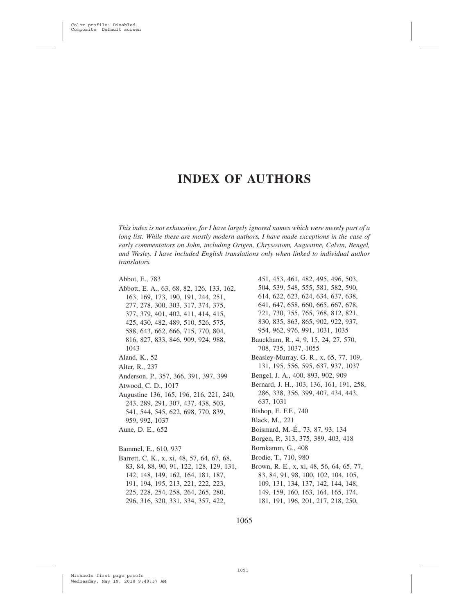# **INDEX OF AUTHORS**

*This index is not exhaustive, for I have largely ignored names which were merely part of a long list. While these are mostly modern authors, I have made exceptions in the case of early commentators on John, including Origen, Chrysostom, Augustine, Calvin, Bengel, and Wesley. I have included English translations only when linked to individual author translators.*

Abbot, E., 783 Abbott, E. A., 63, 68, 82, 126, 133, 162, 163, 169, 173, 190, 191, 244, 251, 277, 278, 300, 303, 317, 374, 375, 377, 379, 401, 402, 411, 414, 415, 425, 430, 482, 489, 510, 526, 575, 588, 643, 662, 666, 715, 770, 804, 816, 827, 833, 846, 909, 924, 988, 1043 Aland, K., 52 Alter, R., 237 Anderson, P., 357, 366, 391, 397, 399 Atwood, C. D., 1017 Augustine 136, 165, 196, 216, 221, 240, 243, 289, 291, 307, 437, 438, 503, 541, 544, 545, 622, 698, 770, 839, 959, 992, 1037 Aune, D. E., 652 Bammel, E., 610, 937 Barrett, C. K., x, xi, 48, 57, 64, 67, 68, 83, 84, 88, 90, 91, 122, 128, 129, 131, 142, 148, 149, 162, 164, 181, 187, 191, 194, 195, 213, 221, 222, 223, 225, 228, 254, 258, 264, 265, 280, 296, 316, 320, 331, 334, 357, 422,

451, 453, 461, 482, 495, 496, 503, 504, 539, 548, 555, 581, 582, 590, 614, 622, 623, 624, 634, 637, 638, 641, 647, 658, 660, 665, 667, 678, 721, 730, 755, 765, 768, 812, 821, 830, 835, 863, 865, 902, 922, 937, 954, 962, 976, 991, 1031, 1035 Bauckham, R., 4, 9, 15, 24, 27, 570, 708, 735, 1037, 1055 Beasley-Murray, G. R., x, 65, 77, 109, 131, 195, 556, 595, 637, 937, 1037 Bengel, J. A., 400, 893, 902, 909 Bernard, J. H., 103, 136, 161, 191, 258, 286, 338, 356, 399, 407, 434, 443, 637, 1031 Bishop, E. F.F., 740 Black, M., 221 Boismard, M.-É., 73, 87, 93, 134 Borgen, P., 313, 375, 389, 403, 418 Bornkamm, G., 408 Brodie, T., 710, 980 Brown, R. E., x, xi, 48, 56, 64, 65, 77, 83, 84, 91, 98, 100, 102, 104, 105, 109, 131, 134, 137, 142, 144, 148, 149, 159, 160, 163, 164, 165, 174, 181, 191, 196, 201, 217, 218, 250,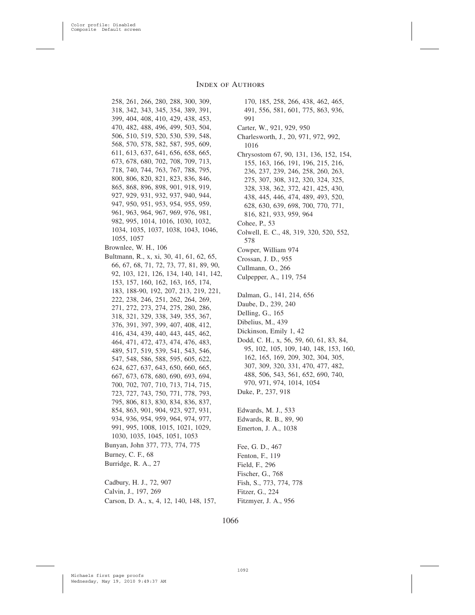258, 261, 266, 280, 288, 300, 309, 318, 342, 343, 345, 354, 389, 391, 399, 404, 408, 410, 429, 438, 453, 470, 482, 488, 496, 499, 503, 504, 506, 510, 519, 520, 530, 539, 548, 568, 570, 578, 582, 587, 595, 609, 611, 613, 637, 641, 656, 658, 665, 673, 678, 680, 702, 708, 709, 713, 718, 740, 744, 763, 767, 788, 795, 800, 806, 820, 821, 823, 836, 846, 865, 868, 896, 898, 901, 918, 919, 927, 929, 931, 932, 937, 940, 944, 947, 950, 951, 953, 954, 955, 959, 961, 963, 964, 967, 969, 976, 981, 982, 995, 1014, 1016, 1030, 1032, 1034, 1035, 1037, 1038, 1043, 1046, 1055, 1057 Brownlee, W. H., 106 Bultmann, R., x, xi, 30, 41, 61, 62, 65, 66, 67, 68, 71, 72, 73, 77, 81, 89, 90, 92, 103, 121, 126, 134, 140, 141, 142, 153, 157, 160, 162, 163, 165, 174, 183, 188-90, 192, 207, 213, 219, 221, 222, 238, 246, 251, 262, 264, 269, 271, 272, 273, 274, 275, 280, 286, 318, 321, 329, 338, 349, 355, 367, 376, 391, 397, 399, 407, 408, 412, 416, 434, 439, 440, 443, 445, 462, 464, 471, 472, 473, 474, 476, 483, 489, 517, 519, 539, 541, 543, 546, 547, 548, 586, 588, 595, 605, 622, 624, 627, 637, 643, 650, 660, 665, 667, 673, 678, 680, 690, 693, 694, 700, 702, 707, 710, 713, 714, 715, 723, 727, 743, 750, 771, 778, 793, 795, 806, 813, 830, 834, 836, 837, 854, 863, 901, 904, 923, 927, 931, 934, 936, 954, 959, 964, 974, 977, 991, 995, 1008, 1015, 1021, 1029, 1030, 1035, 1045, 1051, 1053 Bunyan, John 377, 773, 774, 775 Burney, C. F., 68 Burridge, R. A., 27 Cadbury, H. J., 72, 907 Calvin, J., 197, 269 Carson, D. A., x, 4, 12, 140, 148, 157,

170, 185, 258, 266, 438, 462, 465, 491, 556, 581, 601, 775, 863, 936, 991 Carter, W., 921, 929, 950 Charlesworth, J., 20, 971, 972, 992, 1016 Chrysostom 67, 90, 131, 136, 152, 154, 155, 163, 166, 191, 196, 215, 216, 236, 237, 239, 246, 258, 260, 263, 275, 307, 308, 312, 320, 324, 325, 328, 338, 362, 372, 421, 425, 430, 438, 445, 446, 474, 489, 493, 520, 628, 630, 639, 698, 700, 770, 771, 816, 821, 933, 959, 964 Cohee, P., 53 Colwell, E. C., 48, 319, 320, 520, 552, 578 Cowper, William 974 Crossan, J. D., 955 Cullmann, O., 266 Culpepper, A., 119, 754 Dalman, G., 141, 214, 656 Daube, D., 239, 240 Delling, G., 165 Dibelius, M., 439 Dickinson, Emily 1, 42 Dodd, C. H., x, 56, 59, 60, 61, 83, 84, 95, 102, 105, 109, 140, 148, 153, 160, 162, 165, 169, 209, 302, 304, 305, 307, 309, 320, 331, 470, 477, 482, 488, 506, 543, 561, 652, 690, 740, 970, 971, 974, 1014, 1054 Duke, P., 237, 918 Edwards, M. J., 533 Edwards, R. B., 89, 90 Emerton, J. A., 1038 Fee, G. D., 467 Fenton, F., 119 Field, F., 296 Fischer, G., 768 Fish, S., 773, 774, 778 Fitzer, G., 224 Fitzmyer, J. A., 956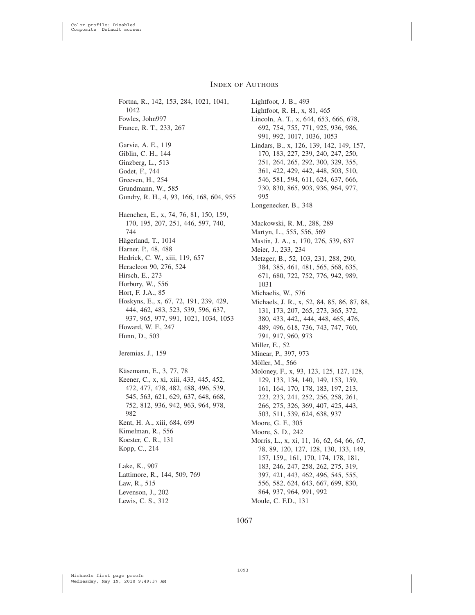Fortna, R., 142, 153, 284, 1021, 1041, 1042 Fowles, John997 France, R. T., 233, 267 Garvie, A. E., 119 Giblin, C. H., 144 Ginzberg, L., 513 Godet, F., 744 Greeven, H., 254 Grundmann, W., 585 Gundry, R. H., 4, 93, 166, 168, 604, 955 Haenchen, E., x, 74, 76, 81, 150, 159, 170, 195, 207, 251, 446, 597, 740, 744 Hägerland, T., 1014 Harner, P., 48, 488 Hedrick, C. W., xiii, 119, 657 Heracleon 90, 276, 524 Hirsch, E., 273 Horbury, W., 556 Hort, F. J.A., 85 Hoskyns, E., x, 67, 72, 191, 239, 429, 444, 462, 483, 523, 539, 596, 637, 937, 965, 977, 991, 1021, 1034, 1053 Howard, W. F., 247 Hunn, D., 503 Jeremias, J., 159 Käsemann, E., 3, 77, 78 Keener, C., x, xi, xiii, 433, 445, 452, 472, 477, 478, 482, 488, 496, 539, 545, 563, 621, 629, 637, 648, 668, 752, 812, 936, 942, 963, 964, 978, 982 Kent, H. A., xiii, 684, 699 Kimelman, R., 556 Koester, C. R., 131 Kopp, C., 214 Lake, K., 907 Lattimore, R., 144, 509, 769 Law, R., 515 Levenson, J., 202 Lewis, C. S., 312

Lightfoot, J. B., 493 Lightfoot, R. H., x, 81, 465 Lincoln, A. T., x, 644, 653, 666, 678, 692, 754, 755, 771, 925, 936, 986, 991, 992, 1017, 1036, 1053 Lindars, B., x, 126, 139, 142, 149, 157, 170, 183, 227, 239, 240, 247, 250, 251, 264, 265, 292, 300, 329, 355, 361, 422, 429, 442, 448, 503, 510, 546, 581, 594, 611, 624, 637, 666, 730, 830, 865, 903, 936, 964, 977, 995 Longenecker, B., 348 Mackowski, R. M., 288, 289 Martyn, L., 555, 556, 569 Mastin, J. A., x, 170, 276, 539, 637 Meier, J., 233, 234 Metzger, B., 52, 103, 231, 288, 290, 384, 385, 461, 481, 565, 568, 635, 671, 680, 722, 752, 776, 942, 989, 1031 Michaelis, W., 576 Michaels, J. R., x, 52, 84, 85, 86, 87, 88, 131, 173, 207, 265, 273, 365, 372, 380, 433, 442,, 444, 448, 465, 476, 489, 496, 618, 736, 743, 747, 760, 791, 917, 960, 973 Miller, E., 52 Minear, P., 397, 973 Möller, M., 566 Moloney, F., x, 93, 123, 125, 127, 128, 129, 133, 134, 140, 149, 153, 159, 161, 164, 170, 178, 183, 197, 213, 223, 233, 241, 252, 256, 258, 261, 266, 275, 326, 369, 407, 425, 443, 503, 511, 539, 624, 638, 937 Moore, G. F., 305 Moore, S. D., 242 Morris, L., x, xi, 11, 16, 62, 64, 66, 67, 78, 89, 120, 127, 128, 130, 133, 149, 157, 159,, 161, 170, 174, 178, 181, 183, 246, 247, 258, 262, 275, 319, 397, 421, 443, 462, 496, 545, 555, 556, 582, 624, 643, 667, 699, 830, 864, 937, 964, 991, 992 Moule, C. F.D., 131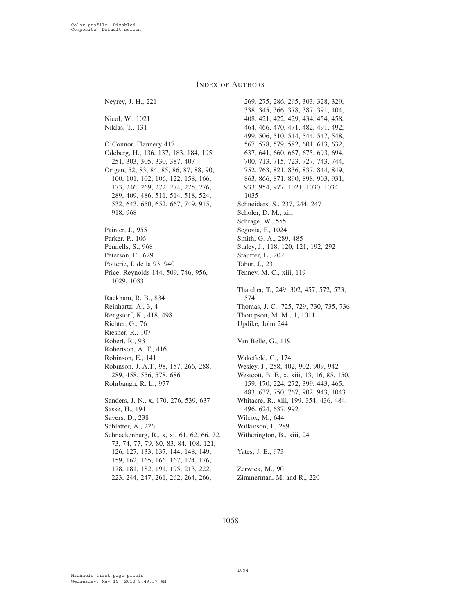Neyrey, J. H., 221 Nicol, W., 1021 Niklas, T., 131 O'Connor, Flannery 417 Odeberg, H., 136, 137, 183, 184, 195, 251, 303, 305, 330, 387, 407 Origen, 52, 83, 84, 85, 86, 87, 88, 90, 100, 101, 102, 106, 122, 158, 166, 173, 246, 269, 272, 274, 275, 276, 289, 409, 486, 511, 514, 518, 524, 532, 643, 650, 652, 667, 749, 915, 918, 968 Painter, J., 955 Parker, P., 106 Pennells, S., 968 Peterson, E., 629 Potterie, I. de la 93, 940 Price, Reynolds 144, 509, 746, 956, 1029, 1033 Rackham, R. B., 834 Reinhartz, A., 3, 4 Rengstorf, K., 418, 498 Richter, G., 76 Riesner, R., 107 Robert, R., 93 Robertson, A. T., 416 Robinson, E., 141 Robinson, J. A.T., 98, 157, 266, 288, 289, 458, 556, 578, 686 Rohrbaugh, R. L., 977 Sanders, J. N., x, 170, 276, 539, 637 Sasse, H., 194 Sayers, D., 238 Schlatter, A., 226 Schnackenburg, R., x, xi, 61, 62, 66, 72, 73, 74, 77, 79, 80, 83, 84, 108, 121, 126, 127, 133, 137, 144, 148, 149, 159, 162, 165, 166, 167, 174, 176, 178, 181, 182, 191, 195, 213, 222, 223, 244, 247, 261, 262, 264, 266,

269, 275, 286, 295, 303, 328, 329, 338, 345, 366, 378, 387, 391, 404, 408, 421, 422, 429, 434, 454, 458, 464, 466, 470, 471, 482, 491, 492, 499, 506, 510, 514, 544, 547, 548, 567, 578, 579, 582, 601, 613, 632, 637, 641, 660, 667, 675, 693, 694, 700, 713, 715, 723, 727, 743, 744, 752, 763, 821, 836, 837, 844, 849, 863, 866, 871, 890, 898, 903, 931, 933, 954, 977, 1021, 1030, 1034, 1035 Schneiders, S., 237, 244, 247 Scholer, D. M., xiii Schrage, W., 555 Segovia, F., 1024 Smith, G. A., 289, 485 Staley, J., 118, 120, 121, 192, 292 Stauffer, E., 202 Tabor, J., 23 Tenney, M. C., xiii, 119 Thatcher, T., 249, 302, 457, 572, 573, 574 Thomas, J. C., 725, 729, 730, 735, 736 Thompson, M. M., 1, 1011 Updike, John 244 Van Belle, G., 119 Wakefield, G., 174 Wesley, J., 258, 402, 902, 909, 942 Westcott, B. F., x, xiii, 13, 16, 85, 150, 159, 170, 224, 272, 399, 443, 465, 483, 637, 750, 767, 902, 943, 1043 Whitacre, R., xiii, 199, 354, 436, 484, 496, 624, 637, 992 Wilcox, M., 644 Wilkinson, J., 289 Witherington, B., xiii, 24 Yates, J. E., 973 Zerwick, M., 90

#### 1068

Zimmerman, M. and R., 220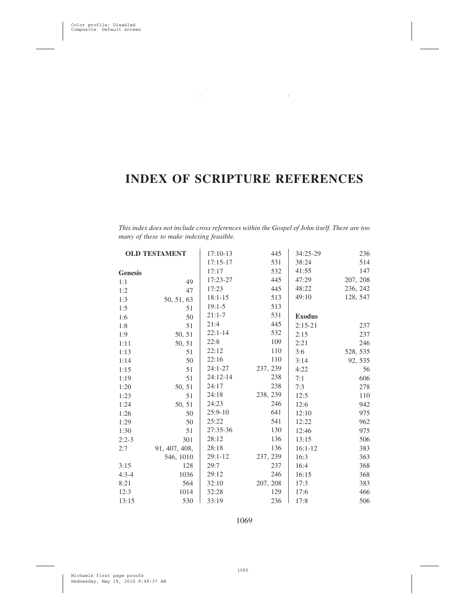## **INDEX OF SCRIPTURE REFERENCES**

l,

l,

*This index does not include cross references within the Gospel of John itself. There are too many of these to make indexing feasible.*

|                | <b>OLD TESTAMENT</b> | 17:10-13    | 445      | 34:25-29      | 236      |
|----------------|----------------------|-------------|----------|---------------|----------|
|                |                      | $17:15-17$  | 531      | 38:24         | 514      |
| <b>Genesis</b> |                      | 17:17       | 532      | 41:55         | 147      |
| 1:1            | 49                   | 17:23-27    | 445      | 47:29         | 207, 208 |
| 1:2            | 47                   | 17:23       | 445      | 48:22         | 236, 242 |
| 1:3            | 50, 51, 63           | $18:1 - 15$ | 513      | 49:10         | 128, 547 |
| 1:5            | 51                   | $19:1 - 5$  | 513      |               |          |
| 1:6            | 50                   | $21:1 - 7$  | 531      | <b>Exodus</b> |          |
| 1:8            | 51                   | 21:4        | 445      | $2:15-21$     | 237      |
| 1:9            | 50, 51               | $22:1-14$   | 532      | 2:15          | 237      |
| 1:11           | 50, 51               | 22:8        | 109      | 2:21          | 246      |
| 1:13           | 51                   | 22:12       | 110      | 3:6           | 528, 535 |
| 1:14           | 50                   | 22:16       | 110      | 3:14          | 92, 535  |
| 1:15           | 51                   | $24:1 - 27$ | 237, 239 | 4:22          | 56       |
| 1:19           | 51                   | 24:12-14    | 238      | 7:1           | 606      |
| 1:20           | 50, 51               | 24:17       | 238      | 7:3           | 278      |
| 1:23           | 51                   | 24:18       | 238, 239 | 12:5          | 110      |
| 1:24           | 50, 51               | 24:23       | 246      | 12:6          | 942      |
| 1:26           | 50                   | $25:9-10$   | 641      | 12:10         | 975      |
| 1:29           | 50                   | 25:22       | 541      | 12:22         | 962      |
| 1:30           | 51                   | 27:35-36    | 130      | 12:46         | 975      |
| $2:2-3$        | 301                  | 28:12       | 136      | 13:15         | 506      |
| 2:7            | 91, 407, 408,        | 28:18       | 136      | $16:1-12$     | 383      |
|                | 546, 1010            | $29:1-12$   | 237, 239 | 16:3          | 363      |
| 3:15           | 128                  | 29:7        | 237      | 16:4          | 368      |
| $4:3-4$        | 1036                 | 29:12       | 246      | 16:15         | 368      |
| 8:21           | 564                  | 32:10       | 207, 208 | 17:3          | 383      |
| 12:3           | 1014                 | 32:28       | 129      | 17:6          | 466      |
| 13:15          | 530                  | 33:19       | 236      | 17:8          | 506      |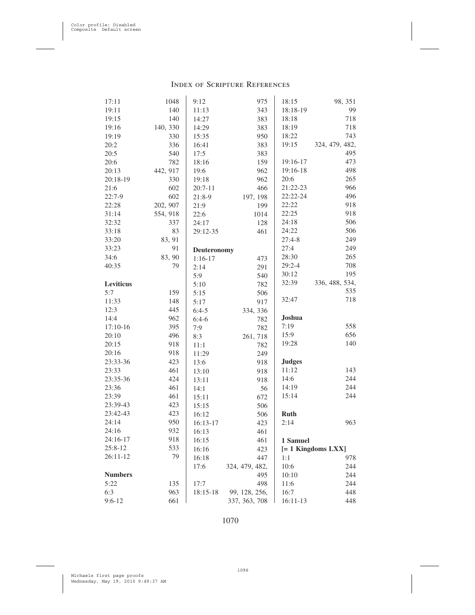| 17:11          | 1048     | 9:12        | 975            | 18:15         | 98, 351              |
|----------------|----------|-------------|----------------|---------------|----------------------|
| 19:11          | 140      | 11:13       | 343            | 18:18-19      | 99                   |
| 19:15          | 140      | 14:27       | 383            | 18:18         | 718                  |
| 19:16          | 140, 330 | 14:29       | 383            | 18:19         | 718                  |
| 19:19          | 330      | 15:35       | 950            | 18:22         | 743                  |
| 20:2           | 336      | 16:41       | 383            | 19:15         | 324, 479, 482,       |
| 20:5           | 540      | 17:5        | 383            |               | 495                  |
| 20:6           | 782      | 18:16       | 159            | 19:16-17      | 473                  |
| 20:13          | 442, 917 | 19:6        | 962            | 19:16-18      | 498                  |
| 20:18-19       | 330      | 19:18       | 962            | 20:6          | 265                  |
| 21:6           | 602      | $20:7 - 11$ | 466            | 21:22-23      | 966                  |
| 22:7-9         | 602      | 21:8-9      | 197, 198       | 22:22-24      | 496                  |
| 22:28          | 202, 907 | 21:9        | 199            | 22:22         | 918                  |
| 31:14          | 554, 918 | 22:6        | 1014           | 22:25         | 918                  |
| 32:32          | 337      | 24:17       | 128            | 24:18         | 506                  |
| 33:18          | 83       | 29:12-35    | 461            | 24:22         | 506                  |
| 33:20          | 83, 91   |             |                | $27:4-8$      | 249                  |
| 33:23          | 91       | Deuteronomy |                | 27:4          | 249                  |
| 34:6           | 83, 90   | $1:16 - 17$ | 473            | 28:30         | 265                  |
| 40:35          | 79       | 2:14        | 291            | 29:2-4        | 708                  |
|                |          | 5:9         | 540            | 30:12         | 195                  |
| Leviticus      |          | 5:10        | 782            | 32:39         | 336, 488, 534,       |
| 5:7            | 159      | 5:15        | 506            |               | 535                  |
| 11:33          | 148      | 5:17        | 917            | 32:47         | 718                  |
| 12:3           | 445      | $6:4-5$     | 334, 336       |               |                      |
| 14:4           | 962      | $6:4-6$     | 782            | Joshua        |                      |
| 17:10-16       | 395      | 7:9         | 782            | 7:19          | 558                  |
| 20:10          | 496      | 8:3         | 261, 718       | 15:9          | 656                  |
| 20:15          | 918      | 11:1        | 782            | 19:28         | 140                  |
| 20:16          | 918      | 11:29       | 249            |               |                      |
| 23:33-36       | 423      | 13:6        | 918            | <b>Judges</b> |                      |
| 23:33          | 461      | 13:10       | 918            | 11:12         | 143                  |
| 23:35-36       | 424      | 13:11       | 918            | 14:6          | 244                  |
| 23:36          | 461      | 14:1        | 56             | 14:19         | 244                  |
| 23:39          | 461      | 15:11       | 672            | 15:14         | 244                  |
| 23:39-43       | 423      | 15:15       | 506            |               |                      |
| 23:42-43       | 423      | 16:12       | 506            | <b>Ruth</b>   |                      |
| 24:14          | 950      | 16:13-17    | 423            | 2:14          | 963                  |
| 24:16          | 932      | 16:13       | 461            |               |                      |
| 24:16-17       | 918      | 16:15       | 461            | 1 Samuel      |                      |
| $25:8-12$      | 533      | 16:16       | 423            |               | $[= 1$ Kingdoms LXX] |
| $26:11-12$     | 79       | 16:18       | 447            | 1:1           | 978                  |
|                |          | 17:6        | 324, 479, 482, | 10:6          | 244                  |
| <b>Numbers</b> |          |             | 495            | 10:10         | 244                  |
| 5:22           | 135      | 17:7        | 498            | 11:6          | 244                  |
| 6:3            | 963      | 18:15-18    | 99, 128, 256,  | 16:7          | 448                  |
| $9:6 - 12$     | 661      |             | 337, 363, 708  | 16:11-13      | 448                  |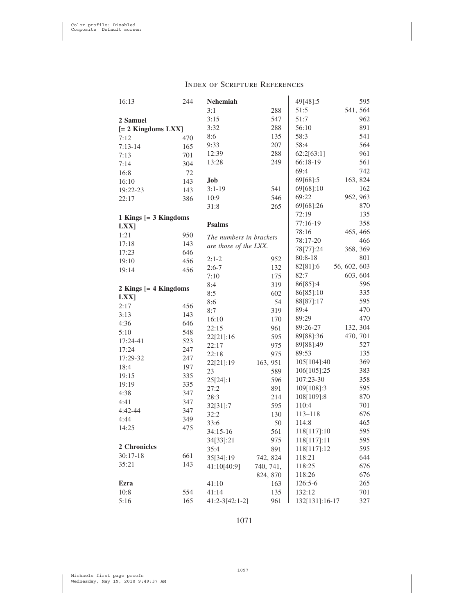| 16:13                    | 244 | <b>Nehemiah</b>         |           | 49[48]:5       | 595          |
|--------------------------|-----|-------------------------|-----------|----------------|--------------|
|                          |     | 3:1                     | 288       | 51:5           | 541, 564     |
| 2 Samuel                 |     | 3:15                    | 547       | 51:7           | 962          |
| $[= 2$ Kingdoms LXX]     |     | 3:32                    | 288       | 56:10          | 891          |
| 7:12                     | 470 | 8:6                     | 135       | 58:3           | 541          |
| $7:13-14$                | 165 | 9:33                    | 207       | 58:4           | 564          |
| 7:13                     | 701 | 12:39                   | 288       | 62:2[63:1]     | 961          |
| 7:14                     | 304 | 13:28                   | 249       | 66:18-19       | 561          |
| 16:8                     | 72  |                         |           | 69:4           | 742          |
| 16:10                    | 143 | Job                     |           | 69[68]:5       | 163, 824     |
| 19:22-23                 | 143 | $3:1-19$                | 541       | 69[68]:10      | 162          |
| 22:17                    | 386 | 10:9                    | 546       | 69:22          | 962, 963     |
|                          |     | 31:8                    | 265       | 69[68]:26      | 870          |
| 1 Kings $[= 3$ Kingdoms  |     |                         |           | 72:19          | 135          |
| LXX]                     |     | <b>Psalms</b>           |           | 77:16-19       | 358          |
| 1:21                     | 950 |                         |           | 78:16          | 465, 466     |
| 17:18                    | 143 | The numbers in brackets |           | 78:17-20       | 466          |
| 17:23                    | 646 | are those of the LXX.   |           | 78[77]:24      | 368, 369     |
| 19:10                    | 456 | $2:1-2$                 | 952       | $80:8-18$      | 801          |
| 19:14                    | 456 | $2:6 - 7$               | 132       | 82[81]:6       | 56, 602, 603 |
|                          |     | 7:10                    | 175       | 82:7           | 603, 604     |
|                          |     | 8:4                     | 319       | 86[85]:4       | 596          |
| $2$ Kings $= 4$ Kingdoms |     | 8:5                     | 602       | 86[85]:10      | 335          |
| LXX]                     |     | 8:6                     | 54        | 88[87]:17      | 595          |
| 2:17                     | 456 | 8:7                     | 319       | 89:4           | 470          |
| 3:13                     | 143 | 16:10                   | 170       | 89:29          | 470          |
| 4:36                     | 646 | 22:15                   | 961       | 89:26-27       | 132, 304     |
| 5:10                     | 548 | 22[21]:16               | 595       | 89[88]:36      | 470, 701     |
| 17:24-41                 | 523 | 22:17                   | 975       | 89[88]:49      | 527          |
| 17:24                    | 247 | 22:18                   | 975       | 89:53          | 135          |
| 17:29-32                 | 247 | 22[21]:19               | 163, 951  | 105[104]:40    | 369          |
| 18:4                     | 197 | 23                      | 589       | 106[105]:25    | 383          |
| 19:15                    | 335 | 25[24]:1                | 596       | 107:23-30      | 358          |
| 19:19                    | 335 | 27:2                    | 891       | 109[108]:3     | 595          |
| 4:38                     | 347 | 28:3                    | 214       | 108[109]:8     | 870          |
| 4:41                     | 347 | 32[31]:7                | 595       | 110:4          | 701          |
| $4:42-44$                | 347 | 32:2                    | 130       | 113-118        | 676          |
| 4:44                     | 349 | 33:6                    | 50        | 114:8          | 465          |
| 14:25                    | 475 | 34:15-16                | 561       | 118[117]:10    | 595          |
|                          |     | 34[33]:21               | 975       | 118[117]:11    | 595          |
| 2 Chronicles             |     | 35:4                    | 891       | 118[117]:12    | 595          |
| $30:17-18$               | 661 | 35[34]:19               | 742, 824  | 118:21         | 644          |
| 35:21                    | 143 | 41:10[40:9]             | 740, 741, | 118:25         | 676          |
|                          |     |                         | 824, 870  | 118:26         | 676          |
| Ezra                     |     | 41:10                   | 163       | 126:5-6        | 265          |
| 10:8                     | 554 | 41:14                   | 135       | 132:12         | 701          |
| 5:16                     | 165 | $41:2-3[42:1-2]$        | 961       | 132[131]:16-17 | 327          |
|                          |     |                         |           |                |              |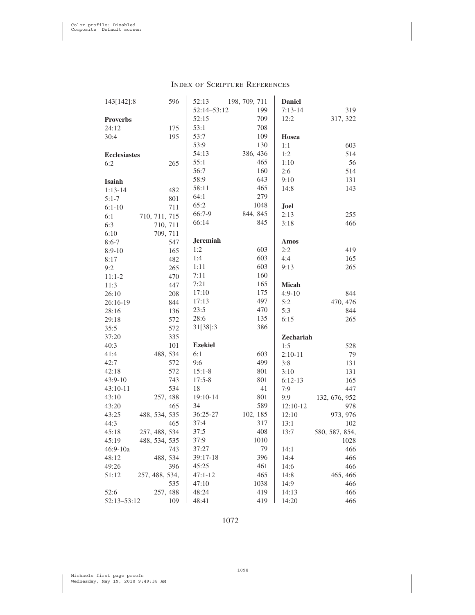| 143[142]:8          | 596            | 52:13           | 198, 709, 711 | <b>Daniel</b> |                |
|---------------------|----------------|-----------------|---------------|---------------|----------------|
|                     |                | 52:14-53:12     | 199           | $7:13-14$     | 319            |
| <b>Proverbs</b>     |                | 52:15           | 709           | 12:2          | 317, 322       |
| 24:12               | 175            | 53:1            | 708           |               |                |
| 30:4                | 195            | 53:7            | 109           | Hosea         |                |
|                     |                | 53:9            | 130           | 1:1           | 603            |
| <b>Ecclesiastes</b> |                | 54:13           | 386, 436      | 1:2           | 514            |
| 6:2                 | 265            | 55:1            | 465           | 1:10          | 56             |
|                     |                | 56:7            | 160           | 2:6           | 514            |
| Isaiah              |                | 58:9            | 643           | 9:10          | 131            |
| $1:13 - 14$         | 482            | 58:11           | 465           | 14:8          | 143            |
| $5:1 - 7$           | 801            | 64:1            | 279           |               |                |
| $6:1-10$            | 711            | 65:2            | 1048          | Joel          |                |
| 6:1                 | 710, 711, 715  | 66:7-9          | 844, 845      | 2:13          | 255            |
| 6:3                 | 710, 711       | 66:14           | 845           | 3:18          | 466            |
| 6:10                | 709, 711       |                 |               |               |                |
| $8:6 - 7$           | 547            | <b>Jeremiah</b> |               | Amos          |                |
| $8:9-10$            | 165            | 1:2             | 603           | 2:2           | 419            |
| 8:17                | 482            | 1:4             | 603           | 4:4           | 165            |
| 9:2                 | 265            | 1:11            | 603           | 9:13          | 265            |
| $11:1-2$            | 470            | 7:11            | 160           |               |                |
| 11:3                | 447            | 7:21            | 165           | Micah         |                |
| 26:10               | 208            | 17:10           | 175           | $4:9-10$      | 844            |
| 26:16-19            | 844            | 17:13           | 497           | 5:2           | 470, 476       |
| 28:16               | 136            | 23:5            | 470           | 5:3           | 844            |
| 29:18               | 572            | 28:6            | 135           | 6:15          | 265            |
| 35:5                | 572            | 31[38]:3        | 386           |               |                |
| 37:20               | 335            |                 |               | Zechariah     |                |
| 40:3                | 101            | <b>Ezekiel</b>  |               | 1:5           | 528            |
| 41:4                | 488, 534       | 6:1             | 603           | $2:10-11$     | 79             |
| 42:7                | 572            | 9:6             | 499           | 3:8           | 131            |
| 42:18               | 572            | $15:1-8$        | 801           | 3:10          | 131            |
| $43:9-10$           | 743            | $17:5 - 8$      | 801           | $6:12-13$     | 165            |
| 43:10-11            | 534            | 18              | 41            | 7:9           | 447            |
| 43:10               | 257, 488       | 19:10-14        | 801           | 9:9           | 132, 676, 952  |
| 43:20               | 465            | 34              | 589           | 12:10-12      | 978            |
| 43:25               | 488, 534, 535  | 36:25-27        | 102, 185      | 12:10         | 973, 976       |
| 44:3                | 465            | 37:4            | 317           | 13:1          | 102            |
| 45:18               | 257, 488, 534  | 37:5            | 408           | 13:7          | 580, 587, 854, |
| 45:19               | 488, 534, 535  | 37:9            | 1010          |               | 1028           |
| 46:9-10a            | 743            | 37:27           | 79            | 14:1          | 466            |
| 48:12               | 488, 534       | 39:17-18        | 396           | 14:4          | 466            |
| 49:26               | 396            | 45:25           | 461           | 14:6          | 466            |
| 51:12               | 257, 488, 534, | $47:1 - 12$     | 465           | 14:8          | 465, 466       |
|                     | 535            | 47:10           | 1038          | 14:9          | 466            |
| 52:6                | 257, 488       | 48:24           | 419           | 14:13         | 466            |
| 52:13-53:12         | 109            | 48:41           | 419           | 14:20         | 466            |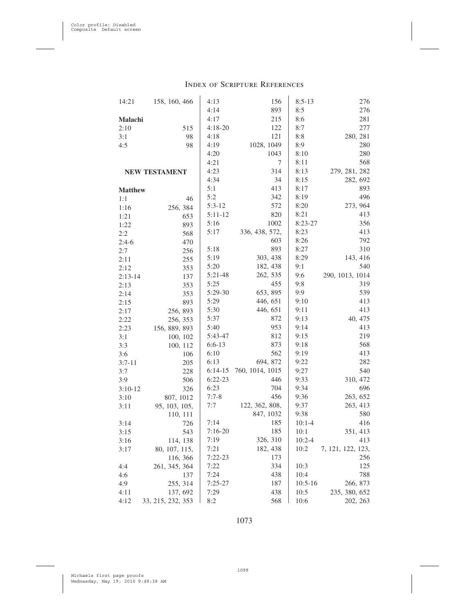| 14:21          | 158, 160, 466        | 4:13       | 156             | $8:5-13$   | 276               |
|----------------|----------------------|------------|-----------------|------------|-------------------|
|                |                      | 4:14       | 893             | 8:5        | 276               |
| Malachi        |                      | 4:17       | 215             | 8:6        | 281               |
| 2:10           | 515                  | $4:18-20$  | 122             | 8:7        | 277               |
| 3:1            | 98                   | 4:18       | 121             | 8:8        | 280, 281          |
| 4:5            | 98                   | 4:19       | 1028, 1049      | 8:9        | 280               |
|                |                      | 4:20       | 1043            | 8:10       | 280               |
|                |                      | 4:21       | 7               | 8:11       | 568               |
|                | <b>NEW TESTAMENT</b> | 4:23       | 314             | 8:13       | 279, 281, 282     |
|                |                      | 4:34       | 34              | 8:15       | 282, 692          |
| <b>Matthew</b> |                      | 5:1        | 413             | 8:17       | 893               |
| 1:1            | 46                   | 5:2        | 342             | 8:19       | 496               |
| 1:16           | 256, 384             | $5:3-12$   | 572             | 8:20       | 273, 964          |
| 1:21           | 653                  | $5:11-12$  | 820             | 8:21       | 413               |
| 1:22           | 893                  | 5:16       | 1002            | $8:23-27$  | 356               |
| 2:2            | 568                  | 5:17       | 336, 438, 572,  | 8:23       | 413               |
| $2:4-6$        | 470                  |            | 603             | 8:26       | 792               |
| 2:7            | 256                  | 5:18       | 893             | 8:27       | 310               |
| 2:11           | 255                  | 5:19       | 303, 438        | 8:29       | 143, 416          |
| 2:12           | 353                  | 5:20       | 182, 438        | 9:1        | 540               |
| $2:13-14$      | 137                  | $5:21-48$  | 262, 535        | 9:6        | 290, 1013, 1014   |
| 2:13           | 353                  | 5:25       | 455             | 9:8        | 319               |
| 2:14           | 353                  | 5:29-30    | 653, 895        | 9:9        | 539               |
| 2:15           | 893                  | 5:29       | 446, 651        | 9:10       | 413               |
| 2:17           | 256, 893             | 5:30       | 446, 651        | 9:11       | 413               |
| 2:22           | 256, 353             | 5:37       | 872             | 9:13       | 40, 475           |
| 2:23           | 156, 889, 893        | 5:40       | 953             | 9:14       | 413               |
| 3:1            | 100, 102             | 5:43-47    | 812             | 9:15       | 219               |
| 3:3            | 100, 112             | $6:6 - 13$ | 873             | 9:18       | 568               |
| 3:6            | 106                  | 6:10       | 562             | 9:19       | 413               |
| $3:7-11$       | 205                  | 6:13       | 694, 872        | 9:22       | 282               |
| 3:7            | 228                  | $6:14-15$  | 760, 1014, 1015 | 9:27       | 540               |
| 3:9            | 506                  | $6:22-23$  | 446             | 9:33       | 310, 472          |
| $3:10-12$      | 326                  | 6:23       | 704             | 9:34       | 696               |
| 3:10           | 807, 1012            | $7:7-8$    | 456             | 9:36       | 263, 652          |
| 3:11           | 95, 103, 105,        | 7:7        | 122, 362, 808,  | 9:37       | 263, 413          |
|                | 110, 111             |            | 847, 1032       | 9:38       | 580               |
| 3:14           | 726                  | 7:14       | 185             | $10:1-4$   | 416               |
| 3:15           | 543                  | $7:16-20$  | 185             | 10:1       | 351, 413          |
| 3:16           | 114, 138             | 7:19       | 326, 310        | $10:2 - 4$ | 413               |
| 3:17           | 80, 107, 115,        | 7:21       | 182, 438        | 10:2       | 7, 121, 122, 123, |
|                | 116, 366             | $7:22-23$  | 173             |            | 256               |
| 4:4            | 261, 345, 364        | 7:22       | 334             | 10:3       | 125               |
| 4:6            | 137                  | 7:24       | 438             | 10:4       | 788               |
| 4:9            | 255, 314             | $7:25-27$  | 187             | $10:5-16$  | 266, 873          |
| 4:11           | 137, 692             | 7:29       | 438             | 10:5       | 235, 380, 652     |
| 4:12           | 33, 215, 232, 353    | 8:2        | 568             | 10:6       | 202, 263          |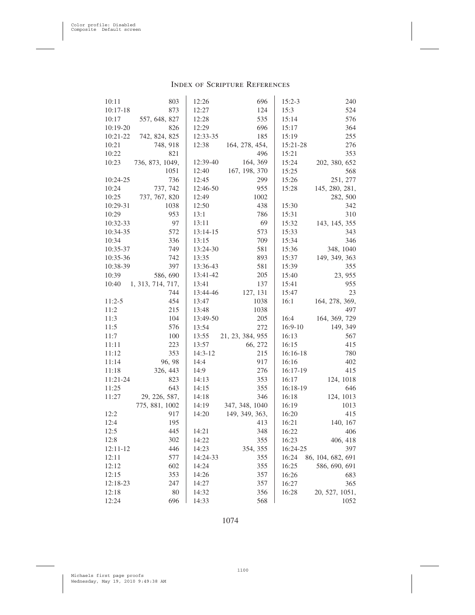| 10:11      | 803               | 12:26     | 696              | $15:2-3$  | 240               |
|------------|-------------------|-----------|------------------|-----------|-------------------|
| $10:17-18$ | 873               | 12:27     | 124              | 15:3      | 524               |
| 10:17      | 557, 648, 827     | 12:28     | 535              | 15:14     | 576               |
| 10:19-20   | 826               | 12:29     | 696              | 15:17     | 364               |
| $10:21-22$ | 742, 824, 825     | 12:33-35  | 185              | 15:19     | 255               |
| 10:21      | 748, 918          | 12:38     | 164, 278, 454,   | 15:21-28  | 276               |
| 10:22      | 821               |           | 496              | 15:21     | 353               |
| 10:23      | 736, 873, 1049,   | 12:39-40  | 164, 369         | 15:24     | 202, 380, 652     |
|            | 1051              | 12:40     | 167, 198, 370    | 15:25     | 568               |
| 10:24-25   | 736               | 12:45     | 299              | 15:26     | 251, 277          |
| 10:24      | 737, 742          | 12:46-50  | 955              | 15:28     | 145, 280, 281,    |
| 10:25      | 737, 767, 820     | 12:49     | 1002             |           | 282, 500          |
| 10:29-31   | 1038              | 12:50     | 438              | 15:30     | 342               |
| 10:29      | 953               | 13:1      | 786              | 15:31     | 310               |
| 10:32-33   | 97                | 13:11     | 69               | 15:32     | 143, 145, 355     |
| 10:34-35   | 572               | 13:14-15  | 573              | 15:33     | 343               |
| 10:34      | 336               | 13:15     | 709              | 15:34     | 346               |
| 10:35-37   | 749               | 13:24-30  | 581              | 15:36     | 348, 1040         |
| 10:35-36   | 742               | 13:35     | 893              | 15:37     | 149, 349, 363     |
| 10:38-39   | 397               | 13:36-43  | 581              | 15:39     | 355               |
| 10:39      | 586, 690          | 13:41-42  | 205              | 15:40     | 23, 955           |
| 10:40      | 1, 313, 714, 717, | 13:41     | 137              | 15:41     | 955               |
|            | 744               | 13:44-46  | 127, 131         | 15:47     | 23                |
| $11:2-5$   | 454               | 13:47     | 1038             | 16:1      | 164, 278, 369,    |
| 11:2       | 215               | 13:48     | 1038             |           | 497               |
| 11:3       | 104               | 13:49-50  | 205              | 16:4      | 164, 369, 729     |
| 11:5       | 576               | 13:54     | 272              | $16:9-10$ | 149, 349          |
| 11:7       | 100               | 13:55     | 21, 23, 384, 955 | 16:13     | 567               |
| 11:11      | 223               | 13:57     | 66, 272          | 16:15     | 415               |
| 11:12      | 353               | $14:3-12$ | 215              | 16:16-18  | 780               |
| 11:14      | 96, 98            | 14:4      | 917              | 16:16     | 402               |
| 11:18      | 326, 443          | 14:9      | 276              | 16:17-19  | 415               |
| 11:21-24   | 823               | 14:13     | 353              | 16:17     | 124, 1018         |
| 11:25      | 643               | 14:15     | 355              | 16:18-19  | 646               |
| 11:27      | 29, 226, 587,     | 14:18     | 346              | 16:18     | 124, 1013         |
|            | 775, 881, 1002    | 14:19     | 347, 348, 1040   | 16:19     | 1013              |
| 12:2       | 917               | 14:20     | 149, 349, 363,   | 16:20     | 415               |
| 12:4       | 195               |           | 413              | 16:21     | 140, 167          |
| 12:5       | 445               | 14:21     | 348              | 16:22     | 406               |
| 12:8       | 302               | 14:22     | 355              | 16:23     | 406, 418          |
| 12:11-12   | 446               | 14:23     | 354, 355         | 16:24-25  | 397               |
| 12:11      | 577               | 14:24-33  | 355              | 16:24     | 86, 104, 682, 691 |
| 12:12      | 602               | 14:24     | 355              | 16:25     | 586, 690, 691     |
| 12:15      | 353               | 14:26     | 357              | 16:26     | 683               |
| 12:18-23   | 247               | 14:27     | 357              | 16:27     | 365               |
| 12:18      | $80\,$            | 14:32     | 356              | 16:28     | 20, 527, 1051,    |
| 12:24      | 696               | 14:33     | 568              |           | 1052              |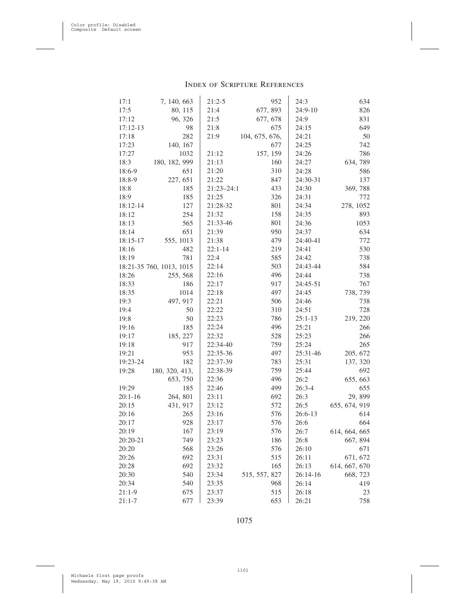| 17:1       | 7, 140, 663              | $21:2-5$    | 952            | 24:3      | 634           |
|------------|--------------------------|-------------|----------------|-----------|---------------|
| 17:5       | 80, 115                  | 21:4        | 677, 893       | 24:9-10   | 826           |
| 17:12      | 96, 326                  | 21:5        | 677, 678       | 24:9      | 831           |
| $17:12-13$ | 98                       | 21:8        | 675            | 24:15     | 649           |
| 17:18      | 282                      | 21:9        | 104, 675, 676, | 24:21     | 50            |
| 17:23      | 140, 167                 |             | 677            | 24:25     | 742           |
| 17:27      | 1032                     | 21:12       | 157, 159       | 24:26     | 786           |
| 18:3       | 180, 182, 999            | 21:13       | 160            | 24:27     | 634, 789      |
| 18:6-9     | 651                      | 21:20       | 310            | 24:28     | 586           |
| 18:8-9     | 227, 651                 | 21:22       | 847            | 24:30-31  | 137           |
| 18:8       | 185                      | 21:23-24:1  | 433            | 24:30     | 369, 788      |
| 18:9       | 185                      | 21:25       | 326            | 24:31     | 772           |
| 18:12-14   | 127                      | 21:28-32    | 801            | 24:34     | 278, 1052     |
| 18:12      | 254                      | 21:32       | 158            | 24:35     | 893           |
| 18:13      | 565                      | 21:33-46    | 801            | 24:36     | 1053          |
| 18:14      | 651                      | 21:39       | 950            | 24:37     | 634           |
| $18:15-17$ | 555, 1013                | 21:38       | 479            | 24:40-41  | 772           |
| 18:16      | 482                      | $22:1 - 14$ | 219            | 24:41     | 530           |
| 18:19      | 781                      | 22:4        | 585            | 24:42     | 738           |
|            | 18:21-35 760, 1013, 1015 | 22:14       | 503            | 24:43-44  | 584           |
| 18:26      | 255, 568                 | 22:16       | 496            | 24:44     | 738           |
| 18:33      | 186                      | 22:17       | 917            | 24:45-51  | 767           |
| 18:35      | 1014                     | 22:18       | 497            | 24:45     | 738, 739      |
| 19:3       | 497, 917                 | 22:21       | 506            | 24:46     | 738           |
| 19:4       | 50                       | 22:22       | 310            | 24:51     | 728           |
| 19:8       | 50                       | 22:23       | 786            | $25:1-13$ | 219, 220      |
| 19:16      | 185                      | 22:24       | 496            | 25:21     | 266           |
| 19:17      | 185, 227                 | 22:32       | 528            | 25:23     | 266           |
| 19:18      | 917                      | 22:34-40    | 759            | 25:24     | 265           |
| 19:21      | 953                      | 22:35-36    | 497            | 25:31-46  | 205, 672      |
| 19:23-24   | 182                      | 22:37-39    | 783            | 25:31     | 137, 320      |
| 19:28      | 180, 320, 413,           | 22:38-39    | 759            | 25:44     | 692           |
|            | 653, 750                 | 22:36       | 496            | 26:2      | 655, 663      |
| 19:29      | 185                      | 22:46       | 499            | $26:3-4$  | 655           |
| $20:1-16$  | 264, 801                 | 23:11       | 692            | 26:3      | 29,899        |
| 20:15      | 431, 917                 | 23:12       | 572            | 26:5      | 655, 674, 919 |
| 20:16      | 265                      | 23:16       | 576            | 26:6-13   | 614           |
| 20:17      | 928                      | 23:17       | 576            | 26:6      | 664           |
| 20:19      | 167                      | 23:19       | 576            | 26:7      | 614, 664, 665 |
| 20:20-21   | 749                      | 23:23       | 186            | 26:8      | 667, 894      |
| 20:20      | 568                      | 23:26       | 576            | 26:10     | 671           |
| 20:26      | 692                      | 23:31       | 515            | 26:11     | 671, 672      |
| 20:28      | 692                      | 23:32       | 165            | 26:13     | 614, 667, 670 |
| 20:30      | 540                      | 23:34       | 515, 557, 827  | 26:14-16  | 668, 723      |
| 20:34      | 540                      | 23:35       | 968            | 26:14     | 419           |
| $21:1-9$   | 675                      | 23:37       | 515            | 26:18     | 23            |
| $21:1 - 7$ | 677                      | 23:39       | 653            | 26:21     | 758           |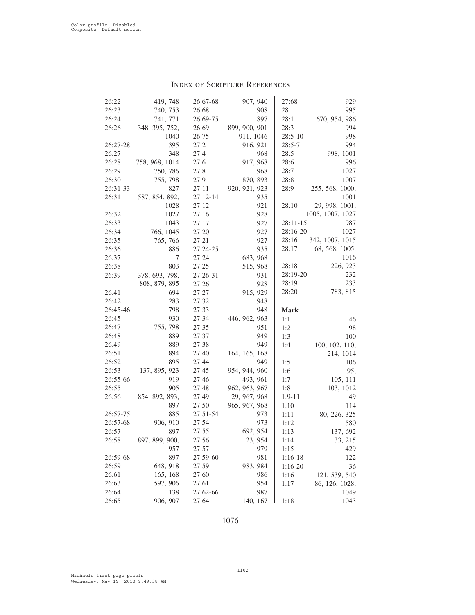| 26:22    | 419, 748       | 26:67-68   | 907, 940      | 27:68       | 929              |
|----------|----------------|------------|---------------|-------------|------------------|
| 26:23    | 740, 753       | 26:68      | 908           | 28          | 995              |
| 26:24    | 741, 771       | 26:69-75   | 897           | 28:1        | 670, 954, 986    |
| 26:26    | 348, 395, 752, | 26:69      | 899, 900, 901 | 28:3        | 994              |
|          | 1040           | 26:75      | 911, 1046     | $28:5 - 10$ | 998              |
| 26:27-28 | 395            | 27:2       | 916, 921      | $28:5 - 7$  | 994              |
| 26:27    | 348            | 27:4       | 968           | 28:5        | 998, 1001        |
| 26:28    | 758, 968, 1014 | 27:6       | 917, 968      | 28:6        | 996              |
| 26:29    | 750, 786       | 27:8       | 968           | 28:7        | 1027             |
| 26:30    | 755, 798       | 27:9       | 870, 893      | 28:8        | 1007             |
| 26:31-33 | 827            | 27:11      | 920, 921, 923 | 28:9        | 255, 568, 1000,  |
| 26:31    | 587, 854, 892, | $27:12-14$ | 935           |             | 1001             |
|          | 1028           | 27:12      | 921           | 28:10       | 29, 998, 1001,   |
| 26:32    | 1027           | 27:16      | 928           |             | 1005, 1007, 1027 |
| 26:33    | 1043           | 27:17      | 927           | 28:11-15    | 987              |
| 26:34    | 766, 1045      | 27:20      | 927           | 28:16-20    | 1027             |
| 26:35    | 765, 766       | 27:21      | 927           | 28:16       | 342, 1007, 1015  |
| 26:36    | 886            | 27:24-25   | 935           | 28:17       | 68, 568, 1005,   |
| 26:37    | 7              | 27:24      | 683, 968      |             | 1016             |
| 26:38    | 803            | 27:25      | 515, 968      | 28:18       | 226, 923         |
| 26:39    | 378, 693, 798, | 27:26-31   | 931           | 28:19-20    | 232              |
|          | 808, 879, 895  | 27:26      | 928           | 28:19       | 233              |
| 26:41    | 694            | 27:27      | 915, 929      | 28:20       | 783, 815         |
| 26:42    | 283            | 27:32      | 948           |             |                  |
| 26:45-46 | 798            | 27:33      | 948           | <b>Mark</b> |                  |
| 26:45    | 930            | 27:34      | 446, 962, 963 | 1:1         | 46               |
| 26:47    | 755, 798       | 27:35      | 951           | 1:2         | 98               |
| 26:48    | 889            | 27:37      | 949           | 1:3         | 100              |
| 26:49    | 889            | 27:38      | 949           | 1:4         | 100, 102, 110,   |
| 26:51    | 894            | 27:40      | 164, 165, 168 |             | 214, 1014        |
| 26:52    | 895            | 27:44      | 949           | 1:5         | 106              |
| 26:53    | 137, 895, 923  | 27:45      | 954, 944, 960 | 1:6         | 95,              |
| 26:55-66 | 919            | 27:46      | 493, 961      | 1:7         | 105, 111         |
| 26:55    | 905            | 27:48      | 962, 963, 967 | 1:8         | 103, 1012        |
| 26:56    | 854, 892, 893, | 27:49      | 29, 967, 968  | $1:9-11$    | 49               |
|          | 897            | 27:50      | 965, 967, 968 | 1:10        | 114              |
| 26:57-75 | 885            | 27:51-54   | 973           | 1:11        | 80, 226, 325     |
| 26:57-68 | 906, 910       | 27:54      | 973           | 1:12        | 580              |
| 26:57    | 897            | 27:55      | 692, 954      | 1:13        | 137, 692         |
| 26:58    | 897, 899, 900, | 27:56      | 23, 954       | 1:14        | 33, 215          |
|          | 957            | 27:57      | 979           | 1:15        | 429              |
| 26:59-68 | 897            | 27:59-60   | 981           | $1:16-18$   | 122              |
| 26:59    | 648, 918       | 27:59      | 983, 984      | $1:16-20$   | 36               |
| 26:61    | 165, 168       | 27:60      | 986           | 1:16        | 121, 539, 540    |
| 26:63    | 597, 906       | 27:61      | 954           | 1:17        | 86, 126, 1028,   |
| 26:64    | 138            | 27:62-66   | 987           |             | 1049             |
| 26:65    | 906, 907       | 27:64      | 140, 167      | 1:18        | 1043             |
|          |                |            |               |             |                  |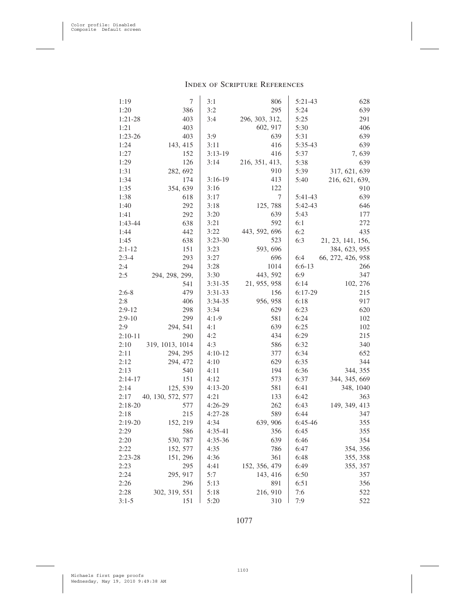| 1:19      | 7                 | 3:1       | 806            | 5:21-43    | 628               |
|-----------|-------------------|-----------|----------------|------------|-------------------|
| 1:20      | 386               | 3:2       | 295            | 5:24       | 639               |
| $1:21-28$ | 403               | 3:4       | 296, 303, 312, | 5:25       | 291               |
| 1:21      | 403               |           | 602, 917       | 5:30       | 406               |
| 1:23-26   | 403               | 3:9       | 639            | 5:31       | 639               |
| 1:24      | 143, 415          | 3:11      | 416            | 5:35-43    | 639               |
| 1:27      | 152               | $3:13-19$ | 416            | 5:37       | 7,639             |
| 1:29      | 126               | 3:14      | 216, 351, 413, | 5:38       | 639               |
| 1:31      | 282, 692          |           | 910            | 5:39       | 317, 621, 639     |
| 1:34      | 174               | $3:16-19$ | 413            | 5:40       | 216, 621, 639,    |
| 1:35      | 354, 639          | 3:16      | 122            |            | 910               |
| 1:38      | 618               | 3:17      | $\overline{7}$ | 5:41-43    | 639               |
| 1:40      | 292               | 3:18      | 125, 788       | 5:42-43    | 646               |
| 1:41      | 292               | 3:20      | 639            | 5:43       | 177               |
| 1:43-44   | 638               | 3:21      | 592            | 6:1        | 272               |
| 1:44      | 442               | 3:22      | 443, 592, 696  | 6:2        | 435               |
| 1:45      | 638               | $3:23-30$ | 523            | 6:3        | 21, 23, 141, 156, |
| $2:1-12$  | 151               | 3:23      | 593, 696       |            | 384, 623, 955     |
| $2:3-4$   | 293               | 3:27      | 696            | 6:4        | 66, 272, 426, 958 |
| 2:4       | 294               | 3:28      | 1014           | $6:6 - 13$ | 266               |
| 2:5       | 294, 298, 299,    | 3:30      | 443, 592       | 6:9        | 347               |
|           | 541               | 3:31-35   | 21, 955, 958   | 6:14       | 102, 276          |
| $2:6-8$   | 479               | $3:31-33$ | 156            | $6:17-29$  | 215               |
| 2:8       | 406               | 3:34-35   | 956, 958       | 6:18       | 917               |
| $2:9-12$  | 298               | 3:34      | 629            | 6:23       | 620               |
| $2:9-10$  | 299               | $4:1-9$   | 581            | 6:24       | 102               |
| 2:9       | 294, 541          | 4:1       | 639            | 6:25       | 102               |
| $2:10-11$ | 290               | 4:2       | 434            | 6:29       | 215               |
| 2:10      | 319, 1013, 1014   | 4:3       | 586            | 6:32       | 340               |
| 2:11      | 294, 295          | $4:10-12$ | 377            | 6:34       | 652               |
| 2:12      | 294, 472          | 4:10      | 629            | 6:35       | 344               |
| 2:13      | 540               | 4:11      | 194            | 6:36       | 344, 355          |
| $2:14-17$ | 151               | 4:12      | 573            | 6:37       | 344, 345, 669     |
| 2:14      | 125, 539          | $4:13-20$ | 581            | 6:41       | 348, 1040         |
| 2:17      | 40, 130, 572, 577 | 4:21      | 133            | 6:42       | 363               |
| $2:18-20$ | 577               | 4:26-29   | 262            | 6:43       | 149, 349, 413     |
| 2:18      | 215               | $4:27-28$ | 589            | 6:44       | 347               |
| $2:19-20$ | 152, 219          | 4:34      | 639, 906       | 6:45-46    | 355               |
| 2:29      | 586               | $4:35-41$ | 356            | 6:45       | 355               |
| 2:20      | 530, 787          | 4:35-36   | 639            | 6:46       | 354               |
| 2:22      | 152, 577          | 4:35      | 786            | 6:47       | 354, 356          |
| $2:23-28$ | 151, 296          | 4:36      | 361            | 6:48       | 355, 358          |
| 2:23      | 295               | 4:41      | 152, 356, 479  | 6:49       | 355, 357          |
| 2:24      | 295, 917          | 5:7       | 143, 416       | 6:50       | 357               |
| 2:26      | 296               | 5:13      | 891            | 6:51       | 356               |
| 2:28      | 302, 319, 551     | 5:18      | 216, 910       | 7:6        | 522               |
| $3:1-5$   | 151               | 5:20      | 310            | 7:9        | 522               |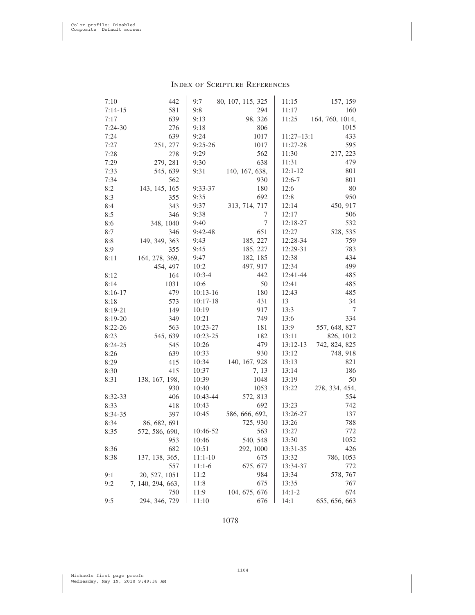| 7:10      | 442               | 9:7        | 80, 107, 115, 325 | 11:15          | 157, 159        |
|-----------|-------------------|------------|-------------------|----------------|-----------------|
| $7:14-15$ | 581               | 9:8        | 294               | 11:17          | 160             |
| 7:17      | 639               | 9:13       | 98, 326           | 11:25          | 164, 760, 1014, |
| $7:24-30$ | 276               | 9:18       | 806               |                | 1015            |
| 7:24      | 639               | 9:24       | 1017              | $11:27 - 13:1$ | 433             |
| 7:27      | 251, 277          | $9:25-26$  | 1017              | 11:27-28       | 595             |
| 7:28      | 278               | 9:29       | 562               | 11:30          | 217, 223        |
| 7:29      | 279, 281          | 9:30       | 638               | 11:31          | 479             |
| 7:33      | 545, 639          | 9:31       | 140, 167, 638,    | $12:1-12$      | 801             |
| 7:34      | 562               |            | 930               | $12:6-7$       | 801             |
| 8:2       | 143, 145, 165     | 9:33-37    | 180               | 12:6           | 80              |
| 8:3       | 355               | 9:35       | 692               | 12:8           | 950             |
| 8:4       | 343               | 9:37       | 313, 714, 717     | 12:14          | 450, 917        |
| 8:5       | 346               | 9:38       | 7                 | 12:17          | 506             |
| 8:6       | 348, 1040         | 9:40       | 7                 | 12:18-27       | 532             |
| 8:7       | 346               | $9:42-48$  | 651               | 12:27          | 528, 535        |
| 8:8       | 149, 349, 363     | 9:43       | 185, 227          | 12:28-34       | 759             |
| 8:9       | 355               | 9:45       | 185, 227          | 12:29-31       | 783             |
| 8:11      | 164, 278, 369,    | 9:47       | 182, 185          | 12:38          | 434             |
|           | 454, 497          | 10:2       | 497, 917          | 12:34          | 499             |
| 8:12      | 164               | $10:3-4$   | 442               | 12:41-44       | 485             |
| 8:14      | 1031              | 10:6       | 50                | 12:41          | 485             |
| $8:16-17$ | 479               | $10:13-16$ | 180               | 12:43          | 485             |
| 8:18      | 573               | $10:17-18$ | 431               | 13             | 34              |
| $8:19-21$ | 149               | 10:19      | 917               | 13:3           | 7               |
| 8:19-20   | 349               | 10:21      | 749               | 13:6           | 334             |
| $8:22-26$ | 563               | 10:23-27   | 181               | 13:9           | 557, 648, 827   |
| 8:23      | 545, 639          | 10:23-25   | 182               | 13:11          | 826, 1012       |
| $8:24-25$ | 545               | 10:26      | 479               | $13:12-13$     | 742, 824, 825   |
| 8:26      | 639               | 10:33      | 930               | 13:12          | 748, 918        |
| 8:29      | 415               | 10:34      | 140, 167, 928     | 13:13          | 821             |
| 8:30      | 415               | 10:37      | 7, 13             | 13:14          | 186             |
| 8:31      | 138, 167, 198,    | 10:39      | 1048              | 13:19          | 50              |
|           | 930               | 10:40      | 1053              | 13:22          | 278, 334, 454,  |
| 8:32-33   | 406               | 10:43-44   | 572, 813          |                | 554             |
| 8:33      | 418               | 10:43      | 692               | 13:23          | 742             |
| 8:34-35   | 397               | 10:45      | 586, 666, 692,    | 13:26-27       | 137             |
| 8:34      | 86, 682, 691      |            | 725, 930          | 13:26          | 788             |
| 8:35      | 572, 586, 690,    | 10:46-52   | 563               | 13:27          | 772             |
|           | 953               | 10:46      | 540, 548          | 13:30          | 1052            |
| 8:36      | 682               | 10:51      | 292, 1000         | 13:31-35       | 426             |
| 8:38      | 137, 138, 365,    | $11:1-10$  | 675               | 13:32          | 786, 1053       |
|           | 557               | $11:1-6$   | 675, 677          | 13:34-37       | 772             |
| 9:1       | 20, 527, 1051     | 11:2       | 984               | 13:34          | 578, 767        |
| 9:2       | 7, 140, 294, 663, | 11:8       | 675               | 13:35          | 767             |
|           | 750               | 11:9       | 104, 675, 676     | $14:1-2$       | 674             |
| 9:5       | 294, 346, 729     | 11:10      | 676               | 14:1           | 655, 656, 663   |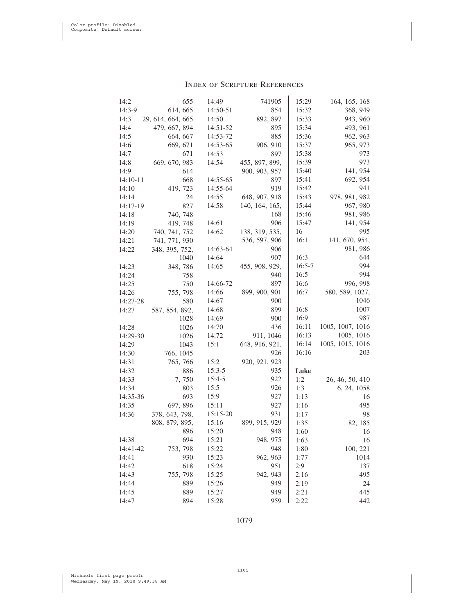| 14:2         | 655               | 14:49    | 741905         | 15:29      | 164, 165, 168    |
|--------------|-------------------|----------|----------------|------------|------------------|
| 14:3-9       | 614, 665          | 14:50-51 | 854            | 15:32      | 368, 949         |
| 14:3         | 29, 614, 664, 665 | 14:50    | 892, 897       | 15:33      | 943, 960         |
| 14:4         | 479, 667, 894     | 14:51-52 | 895            | 15:34      | 493, 961         |
| 14:5         | 664, 667          | 14:53-72 | 885            | 15:36      | 962, 963         |
| 14:6         | 669, 671          | 14:53-65 | 906, 910       | 15:37      | 965, 973         |
| 14:7         | 671               | 14:53    | 897            | 15:38      | 973              |
| 14:8         | 669, 670, 983     | 14:54    | 455, 897, 899, | 15:39      | 973              |
| 14:9         | 614               |          | 900, 903, 957  | 15:40      | 141, 954         |
| $14:10 - 11$ | 668               | 14:55-65 | 897            | 15:41      | 692, 954         |
| 14:10        | 419, 723          | 14:55-64 | 919            | 15:42      | 941              |
| 14:14        | 24                | 14:55    | 648, 907, 918  | 15:43      | 978, 981, 982    |
| 14:17-19     | 827               | 14:58    | 140, 164, 165, | 15:44      | 967, 980         |
| 14:18        | 740, 748          |          | 168            | 15:46      | 981, 986         |
| 14:19        | 419, 748          | 14:61    | 906            | 15:47      | 141, 954         |
| 14:20        | 740, 741, 752     | 14:62    | 138, 319, 535, | 16         | 995              |
| 14:21        | 741, 771, 930     |          | 536, 597, 906  | 16:1       | 141, 670, 954,   |
| 14:22        | 348, 395, 752,    | 14:63-64 | 906            |            | 981, 986         |
|              | 1040              | 14:64    | 907            | 16:3       | 644              |
| 14:23        | 348, 786          | 14:65    | 455, 908, 929, | $16:5 - 7$ | 994              |
| 14:24        | 758               |          | 940            | 16:5       | 994              |
| 14:25        | 750               | 14:66-72 | 897            | 16:6       | 996, 998         |
| 14:26        | 755, 798          | 14:66    | 899, 900, 901  | 16:7       | 580, 589, 1027,  |
| 14:27-28     | 580               | 14:67    | 900            |            | 1046             |
| 14:27        | 587, 854, 892,    | 14:68    | 899            | 16:8       | 1007             |
|              | 1028              | 14:69    | 900            | 16:9       | 987              |
| 14:28        | 1026              | 14:70    | 436            | 16:11      | 1005, 1007, 1016 |
| 14:29-30     | 1026              | 14:72    | 911, 1046      | 16:13      | 1005, 1016       |
| 14:29        | 1043              | 15:1     | 648, 916, 921, | 16:14      | 1005, 1015, 1016 |
| 14:30        | 766, 1045         |          | 926            | 16:16      | 203              |
| 14:31        | 765, 766          | 15:2     | 920, 921, 923  |            |                  |
| 14:32        | 886               | $15:3-5$ | 935            | Luke       |                  |
| 14:33        | 7,750             | $15:4-5$ | 922            | 1:2        | 26, 46, 50, 410  |
| 14:34        | 803               | 15:5     | 926            | 1:3        | 6, 24, 1058      |
| 14:35-36     | 693               | 15:9     | 927            | 1:13       | 16               |
| 14:35        | 697, 896          | 15:11    | 927            | 1:16       | 495              |
| 14:36        | 378, 643, 798,    | 15:15-20 | 931            | 1:17       | 98               |
|              | 808, 879, 895,    | 15:16    | 899, 915, 929  | 1:35       | 82, 185          |
|              | 896               | 15:20    | 948            | 1:60       | 16               |
| 14:38        | 694               | 15:21    | 948, 975       | 1:63       | 16               |
| 14:41-42     | 753, 798          | 15:22    | 948            | 1:80       | 100, 221         |
| 14:41        | 930               | 15:23    | 962, 963       | 1:77       | 1014             |
| 14:42        | 618               | 15:24    | 951            | 2:9        | 137              |
| 14:43        | 755, 798          | 15:25    | 942, 943       | 2:16       | 495              |
| 14:44        | 889               | 15:26    | 949            | 2:19       | 24               |
| 14:45        | 889               | 15:27    | 949            | 2:21       | 445              |
| 14:47        | 894               | 15:28    | 959            | 2:22       | 442              |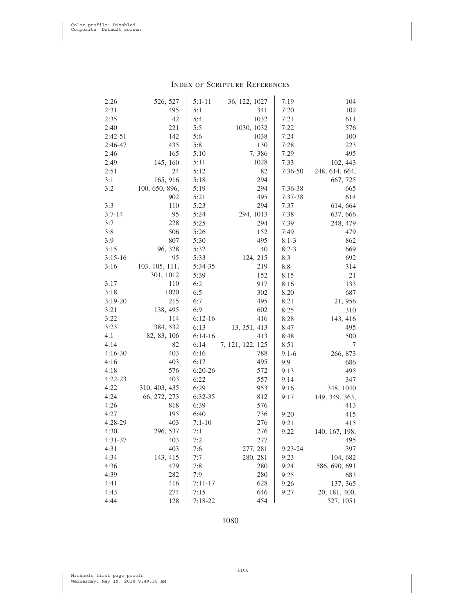| 2:26      | 526, 527       | $5:1-11$    | 36, 122, 1027    | 7:19    | 104            |
|-----------|----------------|-------------|------------------|---------|----------------|
| 2:31      | 495            | 5:1         | 341              | 7:20    | 102            |
| 2:35      | 42             | 5:4         | 1032             | 7:21    | 611            |
| 2:40      | 221            | 5:5         | 1030, 1032       | 7:22    | 576            |
| $2:42-51$ | 142            | 5:6         | 1038             | 7:24    | 100            |
| 2:46-47   | 435            | 5:8         | 130              | 7:28    | 223            |
| 2:46      | 165            | 5:10        | 7,386            | 7:29    | 495            |
| 2:49      | 145, 160       | 5:11        | 1028             | 7:33    | 102, 443       |
| 2:51      | 24             | 5:12        | 82               | 7:36-50 | 248, 614, 664, |
| 3:1       | 165, 916       | 5:18        | 294              |         | 667, 725       |
| 3:2       | 100, 650, 896, | 5:19        | 294              | 7:36-38 | 665            |
|           | 902            | 5:21        | 495              | 7:37-38 | 614            |
| 3:3       | 110            | 5:23        | 294              | 7:37    | 614, 664       |
| $3:7-14$  | 95             | 5:24        | 294, 1013        | 7:38    | 637, 666       |
| 3:7       | 228            | 5:25        | 294              | 7:39    | 248, 479       |
| 3:8       | 506            | 5:26        | 152              | 7:49    | 479            |
| 3:9       | 807            | 5:30        | 495              | $8:1-3$ | 862            |
| 3:15      | 96, 328        | 5:32        | 40               | $8:2-3$ | 669            |
| $3:15-16$ | 95             | 5:33        | 124, 215         | 8:3     | 692            |
| 3:16      | 103, 105, 111, | 5:34-35     | 219              | 8:8     | 314            |
|           | 301, 1012      | 5:39        | 152              | 8:15    | 21             |
| 3:17      | 110            | 6:2         | 917              | 8:16    | 133            |
| 3:18      | 1020           | 6:5         | 302              | 8:20    | 687            |
| $3:19-20$ | 215            | 6:7         | 495              | 8:21    | 21, 956        |
| 3:21      | 138, 495       | 6:9         | 602              | 8:25    | 310            |
| 3:22      | 114            | $6:12-16$   | 416              | 8:28    | 143, 416       |
| 3:23      | 384, 532       | 6:13        | 13, 351, 413     | 8:47    | 495            |
| 4:1       | 82, 83, 106    | $6:14-16$   | 413              | 8:48    | 500            |
| 4:14      | 82             | 6:14        | 7, 121, 122, 125 | 8:51    | 7              |
| $4:16-30$ | 403            | 6:16        | 788              | $9:1-6$ | 266, 873       |
| 4:16      | 403            | 6:17        | 495              | 9:9     | 686            |
| 4:18      | 576            | $6:20-26$   | 572              | 9:13    | 495            |
| $4:22-23$ | 403            | 6:22        | 557              | 9:14    | 347            |
| 4:22      | 310, 403, 435  | 6:29        | 953              | 9:16    | 348, 1040      |
| 4:24      | 66, 272, 273   | 6:32-35     | 812              | 9:17    | 149, 349, 363, |
| 4:26      | 818            | 6:39        | 576              |         | 413            |
| 4:27      | 195            | 6:40        | 736              | 9:20    | 415            |
| 4:28-29   | 403            | $7:1-10$    | 276              | 9:21    | 415            |
| 4:30      | 296, 537       | 7:1         | 276              | 9:22    | 140, 167, 198, |
| $4:31-37$ | 403            | 7:2         | 277              |         | 495            |
| 4:31      | 403            | 7:6         | 277, 281         | 9:23-24 | 397            |
| 4:34      | 143, 415       | 7:7         | 280, 281         | 9:23    | 104, 682       |
| 4:36      | 479            | 7:8         | 280              | 9:24    | 586, 690, 691  |
| 4:39      | 282            | 7:9         | 280              | 9:25    | 683            |
| 4:41      | 416            | $7:11 - 17$ | 628              | 9:26    | 137, 365       |
| 4:43      | 274            | 7:15        | 646              | 9:27    | 20, 181, 400,  |
| 4:44      | 128            | $7:18-22$   | 454              |         | 527, 1051      |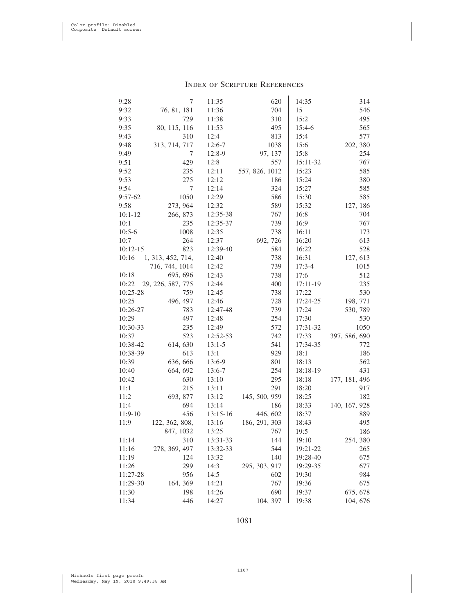| 9:28       | 7                 | 11:35    | 620            | 14:35    | 314           |
|------------|-------------------|----------|----------------|----------|---------------|
| 9:32       | 76, 81, 181       | 11:36    | 704            | 15       | 546           |
| 9:33       | 729               | 11:38    | 310            | 15:2     | 495           |
| 9:35       | 80, 115, 116      | 11:53    | 495            | 15:4-6   | 565           |
| 9:43       | 310               | 12:4     | 813            | 15:4     | 577           |
| 9:48       | 313, 714, 717     | 12:6-7   | 1038           | 15:6     | 202, 380      |
| 9:49       | 7                 | 12:8-9   | 97, 137        | 15:8     | 254           |
| 9:51       | 429               | 12:8     | 557            | 15:11-32 | 767           |
| 9:52       | 235               | 12:11    | 557, 826, 1012 | 15:23    | 585           |
| 9:53       | 275               | 12:12    | 186            | 15:24    | 380           |
| 9:54       | 7                 | 12:14    | 324            | 15:27    | 585           |
| $9:57-62$  | 1050              | 12:29    | 586            | 15:30    | 585           |
| 9:58       | 273, 964          | 12:32    | 589            | 15:32    | 127, 186      |
| $10:1-12$  | 266, 873          | 12:35-38 | 767            | 16:8     | 704           |
| 10:1       | 235               | 12:35-37 | 739            | 16:9     | 767           |
| $10:5-6$   | 1008              | 12:35    | 738            | 16:11    | 173           |
| 10:7       | 264               | 12:37    | 692, 726       | 16:20    | 613           |
| $10:12-15$ | 823               | 12:39-40 | 584            | 16:22    | 528           |
| 10:16      | 1, 313, 452, 714, | 12:40    | 738            | 16:31    | 127, 613      |
|            | 716, 744, 1014    | 12:42    | 739            | $17:3-4$ | 1015          |
| 10:18      | 695, 696          | 12:43    | 738            | 17:6     | 512           |
| 10:22      | 29, 226, 587, 775 | 12:44    | 400            | 17:11-19 | 235           |
| 10:25-28   | 759               | 12:45    | 738            | 17:22    | 530           |
| 10:25      | 496, 497          | 12:46    | 728            | 17:24-25 | 198, 771      |
| 10:26-27   | 783               | 12:47-48 | 739            | 17:24    | 530, 789      |
| 10:29      | 497               | 12:48    | 254            | 17:30    | 530           |
| 10:30-33   | 235               | 12:49    | 572            | 17:31-32 | 1050          |
| 10:37      | 523               | 12:52-53 | 742            | 17:33    | 397, 586, 690 |
| 10:38-42   | 614, 630          | $13:1-5$ | 541            | 17:34-35 | 772           |
| 10:38-39   | 613               | 13:1     | 929            | 18:1     | 186           |
| 10:39      | 636, 666          | 13:6-9   | 801            | 18:13    | 562           |
| 10:40      | 664, 692          | 13:6-7   | 254            | 18:18-19 | 431           |
| 10:42      | 630               | 13:10    | 295            | 18:18    | 177, 181, 496 |
| 11:1       | 215               | 13:11    | 291            | 18:20    | 917           |
| 11:2       | 693, 877          | 13:12    | 145, 500, 959  | 18:25    | 182           |
| 11:4       | 694               | 13:14    | 186            | 18:33    | 140, 167, 928 |
| $11:9-10$  | 456               | 13:15-16 | 446, 602       | 18:37    | 889           |
| 11:9       | 122, 362, 808,    | 13:16    | 186, 291, 303  | 18:43    | 495           |
|            | 847, 1032         | 13:25    | 767            | 19:5     | 186           |
| 11:14      | 310               | 13:31-33 | 144            | 19:10    | 254, 380      |
| 11:16      | 278, 369, 497     | 13:32-33 | 544            | 19:21-22 | 265           |
| 11:19      | 124               | 13:32    | 140            | 19:28-40 | 675           |
| 11:26      | 299               | 14:3     | 295, 303, 917  | 19:29-35 | 677           |
| 11:27-28   | 956               | 14:5     | 602            | 19:30    | 984           |
| 11:29-30   | 164, 369          | 14:21    | 767            | 19:36    | 675           |
| 11:30      | 198               | 14:26    | 690            | 19:37    | 675, 678      |
| 11:34      | 446               | 14:27    | 104, 397       | 19:38    | 104, 676      |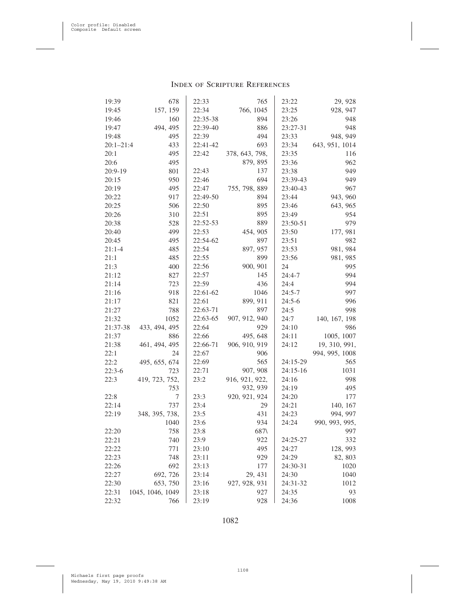| 19:39         | 678              | 22:33    | 765            | 23:22      | 29, 928        |
|---------------|------------------|----------|----------------|------------|----------------|
| 19:45         | 157, 159         | 22:34    | 766, 1045      | 23:25      | 928, 947       |
| 19:46         | 160              | 22:35-38 | 894            | 23:26      | 948            |
| 19:47         | 494, 495         | 22:39-40 | 886            | 23:27-31   | 948            |
| 19:48         | 495              | 22:39    | 494            | 23:33      | 948, 949       |
| $20:1 - 21:4$ | 433              | 22:41-42 | 693            | 23:34      | 643, 951, 1014 |
| 20:1          | 495              | 22:42    | 378, 643, 798, | 23:35      | 116            |
| 20:6          | 495              |          | 879, 895       | 23:36      | 962            |
| 20:9-19       | 801              | 22:43    | 137            | 23:38      | 949            |
| 20:15         | 950              | 22:46    | 694            | 23:39-43   | 949            |
| 20:19         | 495              | 22:47    | 755, 798, 889  | 23:40-43   | 967            |
| 20:22         | 917              | 22:49-50 | 894            | 23:44      | 943, 960       |
| 20:25         | 506              | 22:50    | 895            | 23:46      | 643, 965       |
| 20:26         | 310              | 22:51    | 895            | 23:49      | 954            |
| 20:38         | 528              | 22:52-53 | 889            | 23:50-51   | 979            |
| 20:40         | 499              | 22:53    | 454, 905       | 23:50      | 177, 981       |
| 20:45         | 495              | 22:54-62 | 897            | 23:51      | 982            |
| $21:1 - 4$    | 485              | 22:54    | 897, 957       | 23:53      | 981, 984       |
| 21:1          | 485              | 22:55    | 899            | 23:56      | 981, 985       |
| 21:3          | 400              | 22:56    | 900, 901       | 24         | 995            |
| 21:12         | 827              | 22:57    | 145            | $24:4 - 7$ | 994            |
| 21:14         | 723              | 22:59    | 436            | 24:4       | 994            |
| 21:16         | 918              | 22:61-62 | 1046           | $24:5 - 7$ | 997            |
| 21:17         | 821              | 22:61    | 899.911        | $24:5-6$   | 996            |
| 21:27         | 788              | 22:63-71 | 897            | 24:5       | 998            |
| 21:32         | 1052             | 22:63-65 | 907, 912, 940  | 24:7       | 140, 167, 198  |
| 21:37-38      | 433, 494, 495    | 22:64    | 929            | 24:10      | 986            |
| 21:37         | 886              | 22:66    | 495, 648       | 24:11      | 1005, 1007     |
| 21:38         | 461, 494, 495    | 22:66-71 | 906, 910, 919  | 24:12      | 19, 310, 991,  |
| 22:1          | 24               | 22:67    | 906            |            | 994, 995, 1008 |
| 22:2          | 495, 655, 674    | 22:69    | 565            | 24:15-29   | 565            |
| $22:3-6$      | 723              | 22:71    | 907, 908       | $24:15-16$ | 1031           |
| 22:3          | 419, 723, 752,   | 23:2     | 916, 921, 922, | 24:16      | 998            |
|               | 753              |          | 932, 939       | 24:19      | 495            |
| 22:8          | 7                | 23:3     | 920, 921, 924  | 24:20      | 177            |
| 22:14         | 737              | 23:4     | 29             | 24:21      | 140, 167       |
| 22:19         | 348, 395, 738,   | 23:5     | 431            | 24:23      | 994, 997       |
|               | 1040             | 23:6     | 934            | 24:24      | 990, 993, 995, |
| 22:20         | 758              | 23:8     | 687\           |            | 997            |
| 22:21         | 740              | 23:9     | 922            | $24:25-27$ | 332            |
| 22:22         | 771              | 23:10    | 495            | 24:27      | 128, 993       |
| 22:23         | 748              | 23:11    | 929            | 24:29      | 82, 803        |
| 22:26         | 692              | 23:13    | 177            | 24:30-31   | 1020           |
| 22:27         | 692, 726         | 23:14    | 29, 431        | 24:30      | 1040           |
| 22:30         | 653, 750         | 23:16    | 927, 928, 931  | 24:31-32   | 1012           |
| 22:31         | 1045, 1046, 1049 | 23:18    | 927            | 24:35      | 93             |
| 22:32         | 766              | 23:19    | 928            | 24:36      | 1008           |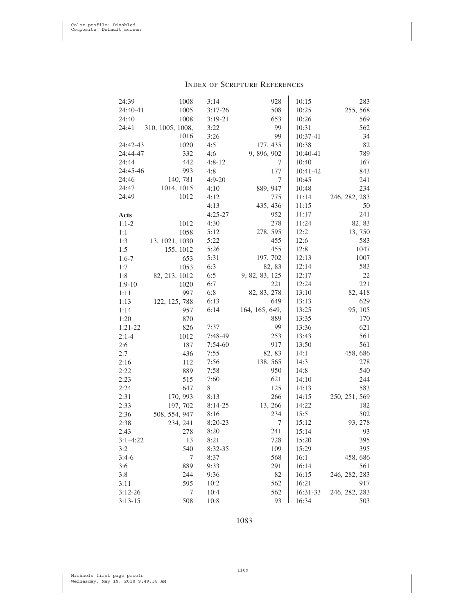| 24:39        | 1008             | 3:14        | 928            | 10:15    | 283           |
|--------------|------------------|-------------|----------------|----------|---------------|
| 24:40-41     | 1005             | $3:17 - 26$ | 508            | 10:25    | 255, 568      |
| 24:40        | 1008             | $3:19-21$   | 653            | 10:26    | 569           |
| 24:41        | 310, 1005, 1008, | 3:22        | 99             | 10:31    | 562           |
|              | 1016             | 3:26        | 99             | 10:37-41 | 34            |
| 24:42-43     | 1020             | 4:5         | 177, 435       | 10:38    | 82            |
| 24:44-47     | 332              | 4:6         | 9, 896, 902    | 10:40-41 | 789           |
| 24:44        | 442              | $4:8-12$    | 7              | 10:40    | 167           |
| 24:45-46     | 993              | 4:8         | 177            | 10:41-42 | 843           |
| 24:46        | 140, 781         | $4:9 - 20$  | 7              | 10:45    | 241           |
| 24:47        | 1014, 1015       | 4:10        | 889, 947       | 10:48    | 234           |
| 24:49        | 1012             | 4:12        | 775            | 11:14    | 246, 282, 283 |
|              |                  | 4:13        | 435, 436       | 11:15    | 50            |
| Acts         |                  | 4:25-27     | 952            | 11:17    | 241           |
| $1:1-2$      | 1012             | 4:30        | 278            | 11:24    | 82, 83        |
| 1:1          | 1058             | 5:12        | 278, 595       | 12:2     | 13, 750       |
| 1:3          | 13, 1021, 1030   | 5:22        | 455            | 12:6     | 583           |
| 1:5          | 155, 1012        | 5:26        | 455            | 12:8     | 1047          |
| $1:6-7$      | 653              | 5:31        | 197, 702       | 12:13    | 1007          |
| 1:7          | 1053             | 6:3         | 82, 83         | 12:14    | 583           |
| 1:8          | 82, 213, 1012    | 6:5         | 9, 82, 83, 125 | 12:17    | 22            |
| $1:9-10$     | 1020             | 6:7         | 221            | 12:24    | 221           |
| 1:11         | 997              | 6:8         | 82, 83, 278    | 13:10    | 82, 418       |
| 1:13         | 122, 125, 788    | 6:13        | 649            | 13:13    | 629           |
| 1:14         | 957              | 6:14        | 164, 165, 649, | 13:25    | 95, 105       |
| 1:20         | 870              |             | 889            | 13:35    | 170           |
| $1:21-22$    | 826              | 7:37        | 99             | 13:36    | 621           |
| $2:1 - 4$    | 1012             | 7:48-49     | 253            | 13:43    | 561           |
| 2:6          | 187              | $7:54-60$   | 917            | 13:50    | 561           |
| 2:7          | 436              | 7:55        | 82, 83         | 14:1     | 458, 686      |
| 2:16         | 112              | 7:56        | 138, 565       | 14:3     | 278           |
| 2:22         | 889              | 7:58        | 950            | 14:8     | 540           |
| 2:23         | 515              | 7:60        | 621            | 14:10    | 244           |
| 2:24         | 647              | 8           | 125            | 14:13    | 583           |
| 2:31         | 170, 993         | 8:13        | 266            | 14:15    | 250, 251, 569 |
| 2:33         | 197, 702         | $8:14-25$   | 13, 266        | 14:22    | 182           |
| 2:36         | 508, 554, 947    | 8:16        | 234            | 15:5     | 502           |
| 2:38         | 234, 241         | $8:20-23$   | 7              | 15:12    | 93, 278       |
| 2:43         | 278              | 8:20        | 241            | 15:14    | 93            |
| $3:1 - 4:22$ | 13               | 8:21        | 728            | 15:20    | 395           |
| 3:2          | 540              | 8:32-35     | 109            | 15:29    | 395           |
| $3:4-6$      | 7                | 8:37        | 568            | 16:1     | 458, 686      |
| 3:6          | 889              | 9:33        | 291            | 16:14    | 561           |
| 3:8          | 244              | 9:36        | 82             | 16:15    | 246, 282, 283 |
| 3:11         | 595              | 10:2        | 562            | 16:21    | 917           |
| $3:12-26$    | 7                | 10:4        | 562            | 16:31-33 | 246, 282, 283 |
| $3:13-15$    | 508              | 10:8        | 93             | 16:34    | 503           |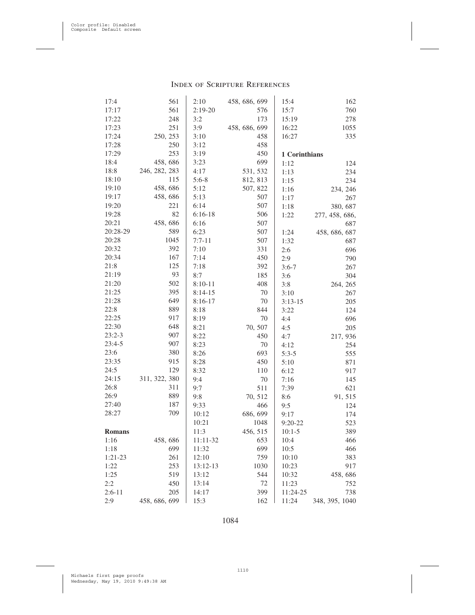| 17:4          | 561           | 2:10      | 458, 686, 699 | 15:4          | 162            |
|---------------|---------------|-----------|---------------|---------------|----------------|
| 17:17         | 561           | $2:19-20$ | 576           | 15:7          | 760            |
| 17:22         | 248           | 3:2       | 173           | 15:19         | 278            |
| 17:23         | 251           | 3:9       | 458, 686, 699 | 16:22         | 1055           |
| 17:24         | 250, 253      | 3:10      | 458           | 16:27         | 335            |
| 17:28         | 250           | 3:12      | 458           |               |                |
| 17:29         | 253           | 3:19      | 450           | 1 Corinthians |                |
| 18:4          | 458, 686      | 3:23      | 699           | 1:12          | 124            |
| 18:8          | 246, 282, 283 | 4:17      | 531, 532      | 1:13          | 234            |
| 18:10         | 115           | $5:6-8$   | 812, 813      | 1:15          | 234            |
| 19:10         | 458, 686      | 5:12      | 507, 822      | 1:16          | 234, 246       |
| 19:17         | 458, 686      | 5:13      | 507           | 1:17          | 267            |
| 19:20         | 221           | 6:14      | 507           | 1:18          | 380, 687       |
| 19:28         | 82            | $6:16-18$ | 506           | 1:22          | 277, 458, 686, |
| 20:21         | 458, 686      | 6:16      | 507           |               | 687            |
| 20:28-29      | 589           | 6:23      | 507           | 1:24          | 458, 686, 687  |
| 20:28         | 1045          | $7:7-11$  | 507           | 1:32          | 687            |
| 20:32         | 392           | 7:10      | 331           | 2:6           | 696            |
| 20:34         | 167           | 7:14      | 450           | 2:9           | 790            |
| 21:8          | 125           | 7:18      | 392           | $3:6 - 7$     | 267            |
| 21:19         | 93            | 8:7       | 185           | 3:6           | 304            |
| 21:20         | 502           | $8:10-11$ | 408           | 3:8           | 264, 265       |
| 21:25         | 395           | $8:14-15$ | 70            | 3:10          | 267            |
| 21:28         | 649           | $8:16-17$ | 70            | $3:13-15$     | 205            |
| 22:8          | 889           | 8:18      | 844           | 3:22          | 124            |
| 22:25         | 917           | 8:19      | 70            | 4:4           | 696            |
| 22:30         | 648           | 8:21      | 70, 507       | 4:5           | 205            |
| $23:2-3$      | 907           | 8:22      | 450           | 4:7           | 217, 936       |
| $23:4-5$      | 907           | 8:23      | 70            | 4:12          | 254            |
| 23:6          | 380           | 8:26      | 693           | $5:3-5$       | 555            |
| 23:35         | 915           | 8:28      | 450           | 5:10          | 871            |
| 24:5          | 129           | 8:32      | 110           | 6:12          | 917            |
| 24:15         | 311, 322, 380 | 9:4       | 70            | 7:16          | 145            |
| 26:8          | 311           | 9:7       | 511           | 7:39          | 621            |
| 26:9          | 889           | 9:8       | 70, 512       | 8:6           | 91, 515        |
| 27:40         | 187           | 9:33      | 466           | 9:5           | 124            |
| 28:27         | 709           | 10:12     | 686, 699      | 9:17          | 174            |
|               |               | 10:21     | 1048          | $9:20-22$     | 523            |
| <b>Romans</b> |               | 11:3      | 456, 515      | $10:1-5$      | 389            |
| 1:16          | 458, 686      | 11:11-32  | 653           | 10:4          | 466            |
| 1:18          | 699           | 11:32     | 699           | 10:5          | 466            |
| $1:21-23$     | 261           | 12:10     | 759           | 10:10         | 383            |
| 1:22          | 253           | 13:12-13  | 1030          | 10:23         | 917            |
| 1:25          | 519           | 13:12     | 544           | 10:32         | 458, 686       |
| 2:2           | 450           | 13:14     | 72            | 11:23         | 752            |
| $2:6-11$      | 205           | 14:17     | 399           | 11:24-25      | 738            |
| 2:9           | 458, 686, 699 | 15:3      | 162           | 11:24         | 348, 395, 1040 |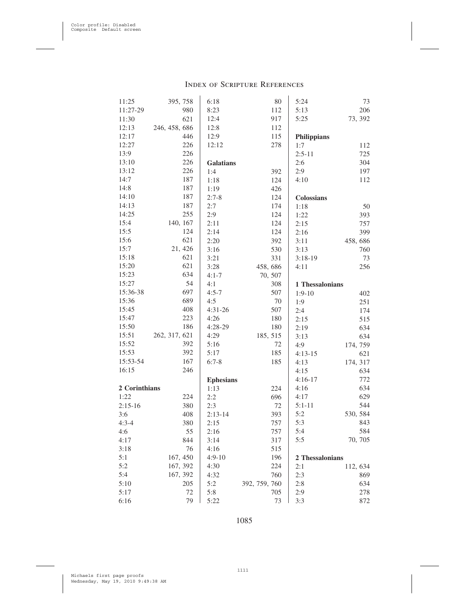| 11:25         | 395, 758      | 6:18             | 80            | 5:24              | 73       |
|---------------|---------------|------------------|---------------|-------------------|----------|
| 11:27-29      | 980           | 8:23             | 112           | 5:13              | 206      |
| 11:30         | 621           | 12:4             | 917           | 5:25              | 73, 392  |
| 12:13         | 246, 458, 686 | 12:8             | 112           |                   |          |
| 12:17         | 446           | 12:9             | 115           | Philippians       |          |
| 12:27         | 226           | 12:12            | 278           | 1:7               | 112      |
| 13:9          | 226           |                  |               | $2:5-11$          | 725      |
| 13:10         | 226           | <b>Galatians</b> |               | 2:6               | 304      |
| 13:12         | 226           | 1:4              | 392           | 2:9               | 197      |
| 14:7          | 187           | 1:18             | 124           | 4:10              | 112      |
| 14:8          | 187           | 1:19             | 426           |                   |          |
| 14:10         | 187           | $2:7-8$          | 124           | <b>Colossians</b> |          |
| 14:13         | 187           | 2:7              | 174           | 1:18              | 50       |
| 14:25         | 255           | 2:9              | 124           | 1:22              | 393      |
| 15:4          | 140, 167      | 2:11             | 124           | 2:15              | 757      |
| 15:5          | 124           | 2:14             | 124           | 2:16              | 399      |
| 15:6          | 621           | 2:20             | 392           | 3:11              | 458, 686 |
| 15:7          | 21, 426       | 3:16             | 530           | 3:13              | 760      |
| 15:18         | 621           | 3:21             | 331           | $3:18-19$         | 73       |
| 15:20         | 621           | 3:28             | 458, 686      | 4:11              | 256      |
| 15:23         | 634           | $4:1 - 7$        | 70, 507       |                   |          |
| 15:27         | 54            | 4:1              | 308           | 1 Thessalonians   |          |
| 15:36-38      | 697           | $4:5 - 7$        | 507           | $1:9-10$          | 402      |
| 15:36         | 689           | 4:5              | 70            | 1:9               | 251      |
| 15:45         | 408           | $4:31-26$        | 507           | 2:4               | 174      |
| 15:47         | 223           | 4:26             | 180           | 2:15              | 515      |
| 15:50         | 186           | 4:28-29          | 180           | 2:19              | 634      |
| 15:51         | 262, 317, 621 | 4:29             | 185, 515      | 3:13              | 634      |
| 15:52         | 392           | 5:16             | 72            | 4:9               | 174, 759 |
| 15:53         | 392           | 5:17             | 185           | $4:13-15$         | 621      |
| 15:53-54      | 167           | $6:7-8$          | 185           | 4:13              | 174, 317 |
| 16:15         | 246           |                  |               | 4:15              | 634      |
|               |               | <b>Ephesians</b> |               | $4:16-17$         | 772      |
| 2 Corinthians |               | 1:13             | 224           | 4:16              | 634      |
| 1:22          | 224           | 2:2              | 696           | 4:17              | 629      |
| $2:15-16$     | 380           | 2:3              | $72\,$        | $5:1 - 11$        | 544      |
| 3:6           | 408           | $2:13 - 14$      | 393           | 5:2               | 530, 584 |
| $4:3-4$       | 380           | 2:15             | 757           | 5:3               | 843      |
| 4:6           | 55            | 2:16             | 757           | 5:4               | 584      |
| 4:17          | 844           | 3:14             | 317           | 5:5               | 70, 705  |
| 3:18          | 76            | 4:16             | 515           |                   |          |
| 5:1           | 167, 450      | $4:9-10$         | 196           | 2 Thessalonians   |          |
| 5:2           | 167, 392      | 4:30             | 224           | 2:1               | 112, 634 |
| 5:4           | 167, 392      | 4:32             | 760           | 2:3               | 869      |
| 5:10          | 205           | 5:2              | 392, 759, 760 | 2:8               | 634      |
| 5:17          | 72            | 5:8              | 705           | 2:9               | 278      |
| 6:16          | 79            | 5:22             | 73            | 3:3               | 872      |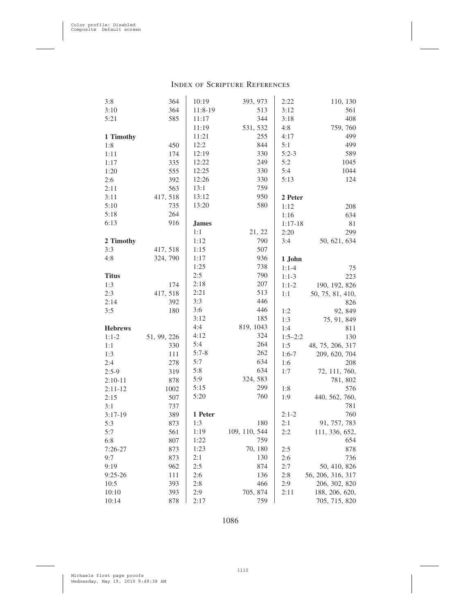| 3:8            | 364         | 10:19        | 393, 973      | 2:22        | 110, 130          |
|----------------|-------------|--------------|---------------|-------------|-------------------|
| 3:10           | 364         | 11:8-19      | 513           | 3:12        | 561               |
| 5:21           | 585         | 11:17        | 344           | 3:18        | 408               |
|                |             | 11:19        | 531, 532      | 4:8         | 759, 760          |
| 1 Timothy      |             | 11:21        | 255           | 4:17        | 499               |
| 1:8            | 450         | 12:2         | 844           | 5:1         | 499               |
| 1:11           | 174         | 12:19        | 330           | $5:2-3$     | 589               |
| 1:17           | 335         | 12:22        | 249           | 5:2         | 1045              |
| 1:20           | 555         | 12:25        | 330           | 5:4         | 1044              |
| 2:6            | 392         | 12:26        | 330           | 5:13        | 124               |
| 2:11           | 563         | 13:1         | 759           |             |                   |
| 3:11           | 417, 518    | 13:12        | 950           | 2 Peter     |                   |
| 5:10           | 735         | 13:20        | 580           | 1:12        | 208               |
| 5:18           | 264         |              |               | 1:16        | 634               |
| 6:13           | 916         | <b>James</b> |               | $1:17-18$   | 81                |
|                |             | 1:1          | 21, 22        | 2:20        | 299               |
| 2 Timothy      |             | 1:12         | 790           | 3:4         | 50, 621, 634      |
| 3:3            | 417, 518    | 1:15         | 507           |             |                   |
| 4:8            | 324, 790    | 1:17         | 936           | 1 John      |                   |
|                |             | 1:25         | 738           | $1:1 - 4$   | 75                |
| <b>Titus</b>   |             | 2:5          | 790           | $1:1-3$     | 223               |
| 1:3            | 174         | 2:18         | 207           | $1:1-2$     | 190, 192, 826     |
| 2:3            | 417, 518    | 2:21         | 513           | 1:1         | 50, 75, 81, 410,  |
| 2:14           | 392         | 3:3          | 446           |             | 826               |
| 3:5            | 180         | 3:6          | 446           | 1:2         | 92, 849           |
|                |             | 3:12         | 185           | 1:3         | 75, 91, 849       |
| <b>Hebrews</b> |             | 4:4          | 819, 1043     | 1:4         | 811               |
| $1:1-2$        | 51, 99, 226 | 4:12         | 324           | $1:5 - 2:2$ | 130               |
| 1:1            | 330         | 5:4          | 264           | 1:5         | 48, 75, 206, 317  |
| 1:3            | 111         | $5:7-8$      | 262           | $1:6-7$     | 209, 620, 704     |
| 2:4            | 278         | 5:7          | 634           | 1:6         | 208               |
| $2:5-9$        | 319         | 5:8          | 634           | 1:7         | 72, 111, 760,     |
| $2:10-11$      | 878         | 5:9          | 324, 583      |             | 781, 802          |
| $2:11-12$      | 1002        | 5:15         | 299           | 1:8         | 576               |
| 2:15           | 507         | 5:20         | 760           | 1:9         | 440, 562, 760,    |
| 3:1            | 737         |              |               |             | 781               |
| $3:17-19$      | 389         | 1 Peter      |               | $2:1-2$     | 760               |
| 5:3            | 873         | 1:3          | 180           | 2:1         | 91, 757, 783      |
| 5:7            | 561         | 1:19         | 109, 110, 544 | 2:2         | 111, 336, 652,    |
| 6:8            | 807         | 1:22         | 759           |             | 654               |
| $7:26-27$      | 873         | 1:23         | 70, 180       | 2:5         | 878               |
| 9:7            | 873         | 2:1          | 130           | 2:6         | 736               |
| 9:19           | 962         | 2:5          | 874           | 2:7         | 50, 410, 826      |
| $9:25-26$      | 111         | 2:6          | 136           | 2:8         | 56, 206, 316, 317 |
| 10:5           | 393         | 2:8          | 466           | 2:9         | 206, 302, 820     |
| 10:10          | 393         | 2:9          | 705, 874      | 2:11        | 188, 206, 620,    |
| 10:14          | 878         | 2:17         | 759           |             | 705, 715, 820     |
|                |             |              |               |             |                   |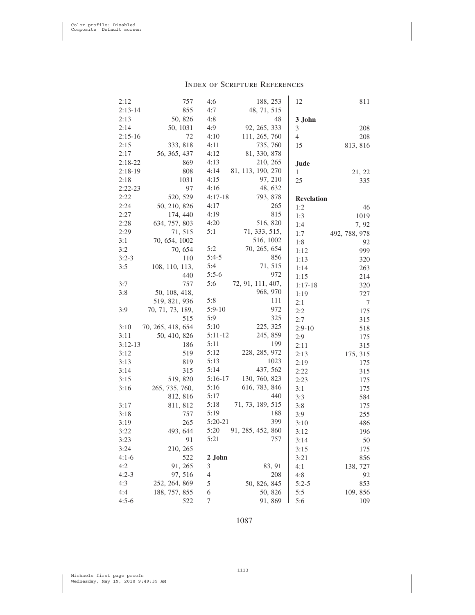| 2:12      | 757               | 4:6<br>188, 253            | 12<br>811              |
|-----------|-------------------|----------------------------|------------------------|
| $2:13-14$ | 855               | 4:7<br>48, 71, 515         |                        |
| 2:13      | 50, 826           | 4:8<br>48                  | 3 John                 |
| 2:14      | 50, 1031          | 4:9<br>92, 265, 333        | 3<br>208               |
| $2:15-16$ | 72                | 111, 265, 760<br>4:10      | $\overline{4}$<br>208  |
| 2:15      | 333, 818          | 735, 760<br>4:11           | 15<br>813, 816         |
| 2:17      | 56, 365, 437      | 81, 330, 878<br>4:12       |                        |
| $2:18-22$ | 869               | 4:13<br>210, 265           | Jude                   |
| $2:18-19$ | 808               | 4:14<br>81, 113, 190, 270  | $\mathbf{1}$<br>21, 22 |
| 2:18      | 1031              | 4:15<br>97, 210            | 25<br>335              |
| $2:22-23$ | 97                | 4:16<br>48, 632            |                        |
| 2:22      | 520, 529          | $4:17-18$<br>793, 878      | <b>Revelation</b>      |
| 2:24      | 50, 210, 826      | 4:17<br>265                | 1:2<br>46              |
| 2:27      | 174, 440          | 815<br>4:19                | 1:3<br>1019            |
| 2:28      | 634, 757, 803     | 4:20<br>516, 820           | 7, 92<br>1:4           |
| 2:29      | 71, 515           | 5:1<br>71, 333, 515,       | 1:7<br>492, 788, 978   |
| 3:1       | 70, 654, 1002     | 516, 1002                  | 1:8<br>92              |
| 3:2       | 70, 654           | 5:2<br>70, 265, 654        | 999<br>1:12            |
| $3:2-3$   | 110               | $5:4-5$<br>856             | 320<br>1:13            |
| 3:5       | 108, 110, 113,    | 5:4<br>71, 515             | 1:14<br>263            |
|           | 440               | 972<br>$5:5-6$             | 1:15<br>214            |
| 3:7       | 757               | 5:6<br>72, 91, 111, 407,   | 320<br>$1:17-18$       |
| 3:8       | 50, 108, 418,     | 968, 970                   | 1:19<br>727            |
|           | 519, 821, 936     | 5:8<br>111                 | 2:1<br>7               |
| 3:9       | 70, 71, 73, 189,  | $5:9-10$<br>972            | 2:2<br>175             |
|           | 515               | 5:9<br>325                 | 2:7<br>315             |
| 3:10      | 70, 265, 418, 654 | 5:10<br>225, 325           | $2:9-10$<br>518        |
| 3:11      | 50, 410, 826      | $5:11-12$<br>245, 859      | 2:9<br>175             |
| $3:12-13$ | 186               | 5:11<br>199                | 2:11<br>315            |
| 3:12      | 519               | 5:12<br>228, 285, 972      | 2:13<br>175, 315       |
| 3:13      | 819               | 5:13<br>1023               | 2:19<br>175            |
| 3:14      | 315               | 5:14<br>437, 562           | 2:22<br>315            |
| 3:15      | 519, 820          | 130, 760, 823<br>$5:16-17$ | 2:23<br>175            |
| 3:16      | 265, 735, 760,    | 5:16<br>616, 783, 846      | 3:1<br>175             |
|           | 812, 816          | 5:17<br>440                | 3:3<br>584             |
| 3:17      | 811, 812          | 5:18<br>71, 73, 189, 515   | 3:8<br>175             |
| 3:18      | 757               | 5:19<br>188                | 3:9<br>255             |
| 3:19      | 265               | $5:20-21$<br>399           | 3:10<br>486            |
| 3:22      | 493, 644          | 5:20<br>91, 285, 452, 860  | 3:12<br>196            |
| 3:23      | 91                | 5:21<br>757                | 50<br>3:14             |
| 3:24      | 210, 265          |                            | 3:15<br>175            |
| $4:1-6$   | 522               | 2 John                     | 3:21<br>856            |
| 4:2       | 91, 265           | 3<br>83, 91                | 4:1<br>138, 727        |
| $4:2-3$   | 97, 516           | $\overline{4}$<br>208      | 4:8<br>92              |
| 4:3       | 252, 264, 869     | 50, 826, 845<br>5          | 853<br>$5:2-5$         |
| 4:4       | 188, 757, 855     | 50, 826<br>6               | 109, 856<br>5:5        |
| $4:5-6$   | 522               | 7<br>91,869                | 5:6<br>109             |
|           |                   |                            |                        |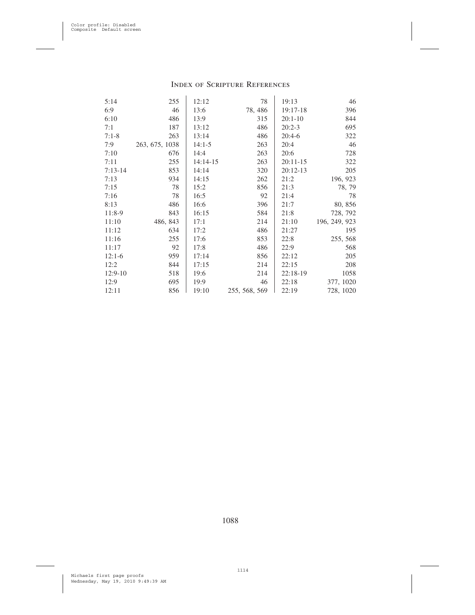| 5:14      | 255            | 12:12    | 78            | 19:13      | 46            |
|-----------|----------------|----------|---------------|------------|---------------|
| 6:9       | 46             | 13:6     | 78, 486       | 19:17-18   | 396           |
| 6:10      | 486            | 13:9     | 315           | $20:1-10$  | 844           |
| 7:1       | 187            | 13:12    | 486           | $20:2-3$   | 695           |
| $7:1-8$   | 263            | 13:14    | 486           | $20:4-6$   | 322           |
| 7:9       | 263, 675, 1038 | $14:1-5$ | 263           | 20:4       | 46            |
| 7:10      | 676            | 14:4     | 263           | 20:6       | 728           |
| 7:11      | 255            | 14:14-15 | 263           | $20:11-15$ | 322           |
| $7:13-14$ | 853            | 14:14    | 320           | $20:12-13$ | 205           |
| 7:13      | 934            | 14:15    | 262           | 21:2       | 196, 923      |
| 7:15      | 78             | 15:2     | 856           | 21:3       | 78, 79        |
| 7:16      | 78             | 16:5     | 92            | 21:4       | 78            |
| 8:13      | 486            | 16:6     | 396           | 21:7       | 80, 856       |
| $11:8-9$  | 843            | 16:15    | 584           | 21:8       | 728, 792      |
| 11:10     | 486, 843       | 17:1     | 214           | 21:10      | 196, 249, 923 |
| 11:12     | 634            | 17:2     | 486           | 21:27      | 195           |
| 11:16     | 255            | 17:6     | 853           | 22:8       | 255, 568      |
| 11:17     | 92             | 17:8     | 486           | 22:9       | 568           |
| $12:1-6$  | 959            | 17:14    | 856           | 22:12      | 205           |
| 12:2      | 844            | 17:15    | 214           | 22:15      | 208           |
| $12:9-10$ | 518            | 19:6     | 214           | $22:18-19$ | 1058          |
| 12:9      | 695            | 19:9     | 46            | 22:18      | 377, 1020     |
| 12:11     | 856            | 19:10    | 255, 568, 569 | 22:19      | 728, 1020     |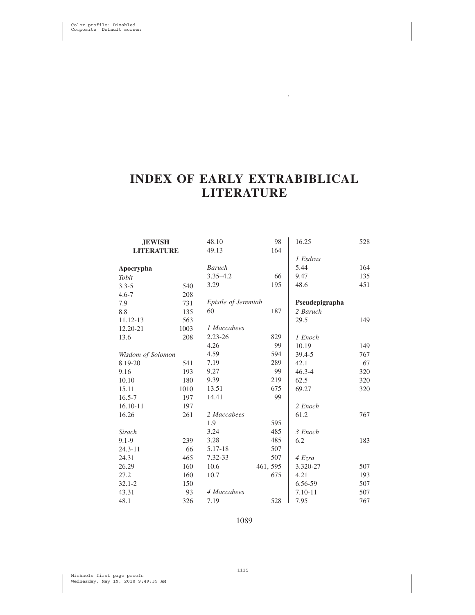# **INDEX OF EARLY EXTRABIBLICAL LITERATURE**

 $\sim 10^{11}$ 

 $\mathcal{L}^{\text{max}}$  and  $\mathcal{L}^{\text{max}}$ 

| <b>JEWISH</b>     |      | 48.10               | 98       | 16.25          | 528 |
|-------------------|------|---------------------|----------|----------------|-----|
| <b>LITERATURE</b> |      | 49.13               | 164      |                |     |
|                   |      |                     |          | 1 Esdras       |     |
| Apocrypha         |      | Baruch              |          | 5.44           | 164 |
| Tobit             |      | $3.35 - 4.2$        | 66       | 9.47           | 135 |
| $3.3 - 5$         | 540  | 3.29                | 195      | 48.6           | 451 |
| $4.6 - 7$         | 208  |                     |          |                |     |
| 7.9               | 731  | Epistle of Jeremiah |          | Pseudepigrapha |     |
| 8.8               | 135  | 60                  | 187      | 2 Baruch       |     |
| 11.12-13          | 563  |                     |          | 29.5           | 149 |
| 12.20-21          | 1003 | 1 Maccabees         |          |                |     |
| 13.6              | 208  | $2.23 - 26$         | 829      | 1 Enoch        |     |
|                   |      | 4.26                | 99       | 10.19          | 149 |
| Wisdom of Solomon |      | 4.59                | 594      | 39.4-5         | 767 |
| 8.19-20           | 541  | 7.19                | 289      | 42.1           | 67  |
| 9.16              | 193  | 9.27                | 99       | $46.3 - 4$     | 320 |
| 10.10             | 180  | 9.39                | 219      | 62.5           | 320 |
| 15.11             | 1010 | 13.51               | 675      | 69.27          | 320 |
| $16.5 - 7$        | 197  | 14.41               | 99       |                |     |
| 16.10-11          | 197  |                     |          | 2 Enoch        |     |
| 16.26             | 261  | 2 Maccabees         |          | 61.2           | 767 |
|                   |      | 1.9                 | 595      |                |     |
| Sirach            |      | 3.24                | 485      | 3 Enoch        |     |
| $9.1 - 9$         | 239  | 3.28                | 485      | 6.2            | 183 |
| $24.3 - 11$       | 66   | 5.17-18             | 507      |                |     |
| 24.31             | 465  | 7.32-33             | 507      | 4 Ezra         |     |
| 26.29             | 160  | 10.6                | 461, 595 | 3.320-27       | 507 |
| 27.2              | 160  | 10.7                | 675      | 4.21           | 193 |
| $32.1 - 2$        | 150  |                     |          | 6.56-59        | 507 |
| 43.31             | 93   | 4 Maccabees         |          | $7.10 - 11$    | 507 |
| 48.1              | 326  | 7.19                | 528      | 7.95           | 767 |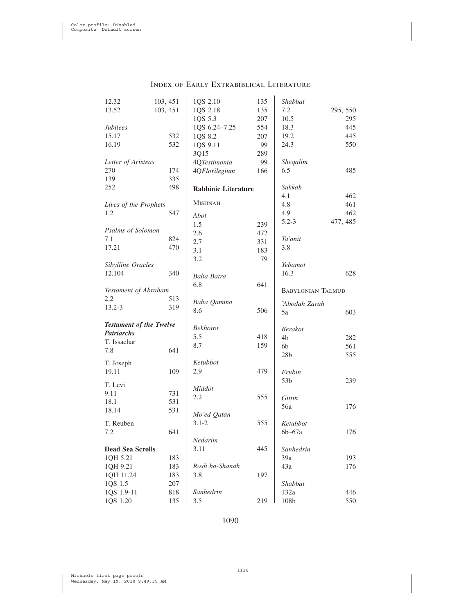| 12.32                   | 103, 451                       | 1QS 2.10                   | 135 | Shabbat                  |          |
|-------------------------|--------------------------------|----------------------------|-----|--------------------------|----------|
| 13.52                   | 103, 451                       | 1QS 2.18                   | 135 | 7.2                      | 295, 550 |
|                         |                                | 1QS 5.3                    | 207 | 10.5                     | 295      |
| <b>Jubilees</b>         |                                | 1QS 6.24-7.25              | 554 | 18.3                     | 445      |
| 15.17                   | 532                            | 1QS 8.2                    | 207 | 19.2                     | 445      |
| 16.19                   | 532                            | 1QS 9.11                   | 99  | 24.3                     | 550      |
|                         |                                | 3Q15                       | 289 |                          |          |
| Letter of Aristeas      |                                | 4QTestimonia               | 99  | <b>Shegalim</b>          |          |
| 270                     | 174                            | 4QFlorilegium              | 166 | 6.5                      | 485      |
| 139                     | 335                            |                            |     |                          |          |
| 252                     | 498                            | <b>Rabbinic Literature</b> |     | Sukkah                   |          |
|                         |                                |                            |     | 4.1                      | 462      |
| Lives of the Prophets   |                                | <b>MISHNAH</b>             |     | 4.8                      | 461      |
| 1.2                     | 547                            | Abot                       |     | 4.9                      | 462      |
|                         |                                | 1.5                        | 239 | $5.2 - 3$                | 477, 485 |
| Psalms of Solomon       |                                | 2.6                        | 472 |                          |          |
| 7.1                     | 824                            | 2.7                        | 331 | Ta'anit                  |          |
| 17.21                   | 470                            | 3.1                        | 183 | 3.8                      |          |
|                         |                                | 3.2                        | 79  |                          |          |
| Sibylline Oracles       |                                |                            |     | Yebamot                  |          |
| 12.104                  | 340                            | Baba Batra                 |     | 16.3                     | 628      |
|                         |                                | 6.8                        | 641 |                          |          |
| Testament of Abraham    |                                |                            |     | <b>BABYLONIAN TALMUD</b> |          |
| 2.2                     | 513                            | Baba Qamma                 |     | Abodah Zarah             |          |
| $13.2 - 3$              | 319                            | 8.6                        | 506 |                          | 603      |
|                         |                                |                            |     | 5a                       |          |
|                         | <b>Testament of the Twelve</b> | <b>Bekhorot</b>            |     | <b>Berakot</b>           |          |
| <b>Patriarchs</b>       |                                | 5.5                        | 418 | 4b                       | 282      |
| T. Issachar             |                                | 8.7                        | 159 | 6b                       | 561      |
| 7.8                     | 641                            |                            |     | 28 <sub>b</sub>          | 555      |
| T. Joseph               |                                | Ketubbot                   |     |                          |          |
| 19.11                   | 109                            | 2.9                        | 479 | Erubin                   |          |
|                         |                                |                            |     | 53 <sub>b</sub>          | 239      |
| T. Levi                 |                                | Middot                     |     |                          |          |
| 9.11                    | 731                            | 2.2                        | 555 |                          |          |
| 18.1                    | 531                            |                            |     | Gittin<br>56a            | 176      |
| 18.14                   | 531                            | Mo'ed Qatan                |     |                          |          |
| T. Reuben               |                                | $3.1 - 2$                  | 555 |                          |          |
| 7.2                     | 641                            |                            |     | Ketubbot<br>$6b-67a$     | 176      |
|                         |                                | Nedarim                    |     |                          |          |
| <b>Dead Sea Scrolls</b> |                                | 3.11                       | 445 | Sanhedrin                |          |
|                         |                                |                            |     |                          |          |
| 1QH 5.21<br>1QH 9.21    | 183                            | Rosh ha-Shanah             |     | 39a<br>43a               | 193      |
|                         | 183                            |                            |     |                          | 176      |
| 1QH 11.24               | 183                            | 3.8                        | 197 |                          |          |
| 1QS 1.5                 | 207                            |                            |     | Shabbat                  |          |
| 1QS 1.9-11              | 818                            | Sanhedrin                  |     | 132a                     | 446      |
| 1QS 1.20                | 135                            | 3.5                        | 219 | 108b                     | 550      |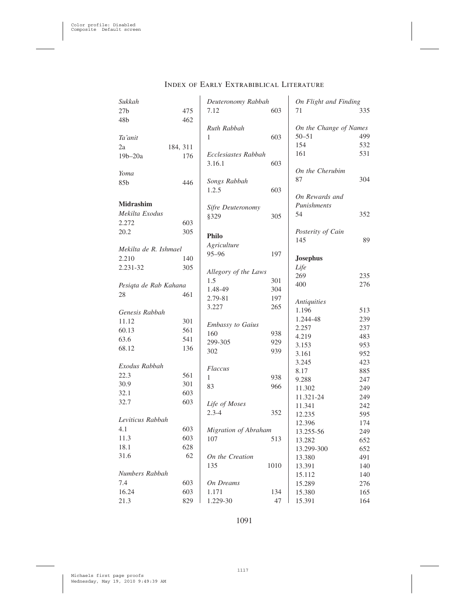| Sukkah                |          | Deuteronomy Rabbah      |      | On Flight and Finding  |     |
|-----------------------|----------|-------------------------|------|------------------------|-----|
| 27 <sub>b</sub>       | 475      | 7.12                    | 603  | 71                     | 335 |
| 48b                   | 462      |                         |      |                        |     |
|                       |          | Ruth Rabbah             |      | On the Change of Names |     |
| Ta'anit               |          | 1                       | 603  | $50 - 51$              | 499 |
| 2a                    | 184, 311 |                         |      | 154                    | 532 |
| $19b - 20a$           | 176      | Ecclesiastes Rabbah     |      | 161                    | 531 |
|                       |          | 3.16.1                  | 603  |                        |     |
| Yoma                  |          |                         |      | On the Cherubim        |     |
| 85b                   | 446      | Songs Rabbah            |      | 87                     | 304 |
|                       |          | 1.2.5                   | 603  |                        |     |
|                       |          |                         |      | On Rewards and         |     |
| <b>Midrashim</b>      |          | Sifre Deuteronomy       |      | Punishments            |     |
| Mekilta Exodus        |          | §329                    | 305  | 54                     | 352 |
| 2.272                 | 603      |                         |      |                        |     |
| 20.2                  | 305      | <b>Philo</b>            |      | Posterity of Cain      |     |
|                       |          |                         |      | 145                    | 89  |
| Mekilta de R. Ishmael |          | Agriculture             |      |                        |     |
| 2.210                 | 140      | $95 - 96$               | 197  | <b>Josephus</b>        |     |
| 2.231-32              | 305      |                         |      | Life                   |     |
|                       |          | Allegory of the Laws    |      | 269                    | 235 |
| Pesigta de Rab Kahana |          | 1.5                     | 301  | 400                    | 276 |
| 28                    | 461      | 1.48-49                 | 304  |                        |     |
|                       |          | 2.79-81                 | 197  | <b>Antiquities</b>     |     |
| Genesis Rabbah        |          | 3.227                   | 265  | 1.196                  | 513 |
| 11.12                 | 301      |                         |      | 1.244-48               | 239 |
| 60.13                 | 561      | <b>Embassy</b> to Gaius |      | 2.257                  | 237 |
| 63.6                  | 541      | 160                     | 938  | 4.219                  | 483 |
| 68.12                 | 136      | 299-305                 | 929  | 3.153                  | 953 |
|                       |          | 302                     | 939  | 3.161                  | 952 |
| Exodus Rabbah         |          |                         |      | 3.245                  | 423 |
| 22.3                  | 561      | <b>Flaccus</b>          |      | 8.17                   | 885 |
| 30.9                  | 301      | 1                       | 938  | 9.288                  | 247 |
| 32.1                  | 603      | 83                      | 966  | 11.302                 | 249 |
| 32.7                  | 603      |                         |      | 11.321-24              | 249 |
|                       |          | Life of Moses           |      | 11.341                 | 242 |
| Leviticus Rabbah      |          | $2.3 - 4$               | 352  | 12.235                 | 595 |
|                       |          |                         |      | 12.396                 | 174 |
| 4.1                   | 603      | Migration of Abraham    |      | 13.255-56              | 249 |
| 11.3                  | 603      | 107                     | 513  | 13.282                 | 652 |
| 18.1                  | 628      |                         |      | 13.299-300             | 652 |
| 31.6                  | 62       | On the Creation         |      | 13.380                 | 491 |
|                       |          | 135                     | 1010 | 13.391                 | 140 |
| Numbers Rabbah        |          |                         |      | 15.112                 | 140 |
| 7.4                   | 603      | On Dreams               |      | 15.289                 | 276 |
| 16.24                 | 603      | 1.171                   | 134  | 15.380                 | 165 |
| 21.3                  | 829      | 1.229-30                | 47   | 15.391                 | 164 |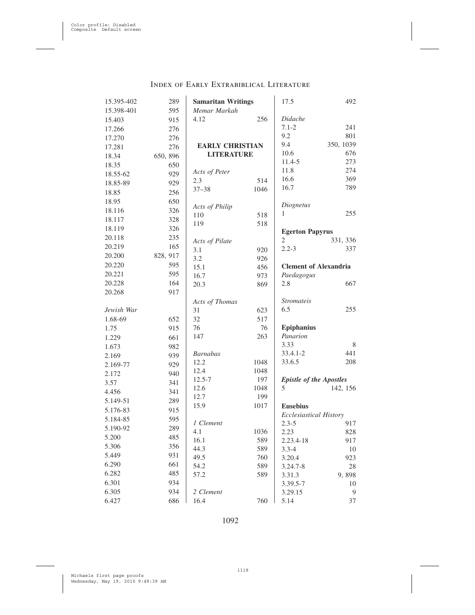| 15.395-402 | 289      | <b>Samaritan Writings</b> |      | 17.5                           | 492       |
|------------|----------|---------------------------|------|--------------------------------|-----------|
| 15.398-401 | 595      | Memar Markah              |      |                                |           |
| 15.403     | 915      | 4.12                      | 256  | Didache                        |           |
| 17.266     | 276      |                           |      | $7.1 - 2$                      | 241       |
| 17.270     | 276      |                           |      | 9.2                            | 801       |
| 17.281     | 276      | <b>EARLY CHRISTIAN</b>    |      | 9.4                            | 350, 1039 |
| 18.34      | 650, 896 | <b>LITERATURE</b>         |      | 10.6                           | 676       |
| 18.35      | 650      |                           |      | $11.4 - 5$                     | 273       |
| 18.55-62   | 929      | Acts of Peter             |      | 11.8                           | 274       |
| 18.85-89   | 929      | 2.3                       | 514  | 16.6                           | 369       |
| 18.85      | 256      | $37 - 38$                 | 1046 | 16.7                           | 789       |
| 18.95      | 650      |                           |      |                                |           |
| 18.116     | 326      | <b>Acts of Philip</b>     |      | Diognetus                      |           |
| 18.117     | 328      | 110                       | 518  | 1                              | 255       |
| 18.119     | 326      | 119                       | 518  |                                |           |
|            |          |                           |      | <b>Egerton Papyrus</b>         |           |
| 20.118     | 235      | Acts of Pilate            |      | 2                              | 331, 336  |
| 20.219     | 165      | 3.1                       | 920  | $2.2 - 3$                      | 337       |
| 20.200     | 828, 917 | 3.2                       | 926  |                                |           |
| 20.220     | 595      | 15.1                      | 456  | <b>Clement of Alexandria</b>   |           |
| 20.221     | 595      | 16.7                      | 973  | Paedagogus                     |           |
| 20.228     | 164      | 20.3                      | 869  | 2.8                            | 667       |
| 20.268     | 917      |                           |      |                                |           |
|            |          | Acts of Thomas            |      | <b>Stromateis</b>              |           |
| Jewish War |          | 31                        | 623  | 6.5                            | 255       |
| 1.68-69    | 652      | 32                        | 517  |                                |           |
| 1.75       | 915      | 76                        | 76   | <b>Epiphanius</b>              |           |
| 1.229      | 661      | 147                       | 263  | Panarion                       |           |
| 1.673      | 982      |                           |      | 3.33                           | 8         |
| 2.169      | 939      | <b>Barnabas</b>           |      | 33.4.1-2                       | 441       |
| 2.169-77   | 929      | 12.2                      | 1048 | 33.6.5                         | 208       |
| 2.172      | 940      | 12.4                      | 1048 |                                |           |
| 3.57       | 341      | $12.5 - 7$                | 197  | <b>Epistle of the Apostles</b> |           |
| 4.456      | 341      | 12.6                      | 1048 | 5                              | 142, 156  |
| 5.149-51   |          | 12.7                      | 199  |                                |           |
|            | 289      | 15.9                      | 1017 | <b>Eusebius</b>                |           |
| 5.176-83   | 915      |                           |      | <b>Ecclesiastical History</b>  |           |
| 5.184-85   | 595      | 1 Clement                 |      | $2.3 - 5$                      | 917       |
| 5.190-92   | 289      | 4.1                       | 1036 | 2.23                           | 828       |
| 5.200      | 485      | 16.1                      | 589  | 2.23.4-18                      | 917       |
| 5.306      | 356      | 44.3                      | 589  | $3.3 - 4$                      | 10        |
| 5.449      | 931      | 49.5                      | 760  | 3.20.4                         | 923       |
| 6.290      | 661      | 54.2                      | 589  | 3.24.7-8                       | 28        |
| 6.282      | 485      | 57.2                      | 589  | 3.31.3                         | 9,898     |
| 6.301      | 934      |                           |      | 3.39.5-7                       | 10        |
| 6.305      | 934      | 2 Clement                 |      | 3.29.15                        | 9         |
| 6.427      | 686      | 16.4                      | 760  | 5.14                           | 37        |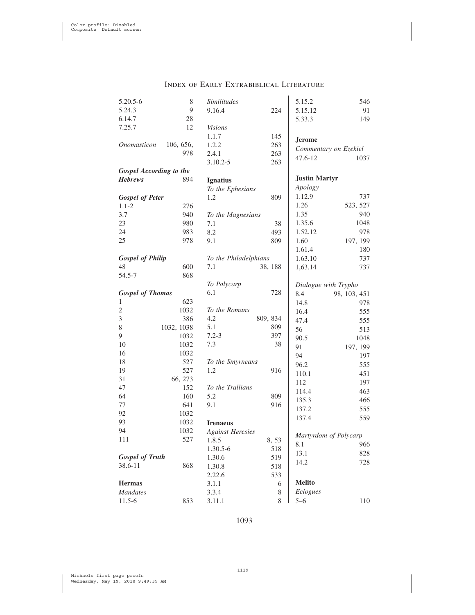| 5.20.5-6                       | 8          | Similitudes                             |          | 5.15.2               | 546                   |
|--------------------------------|------------|-----------------------------------------|----------|----------------------|-----------------------|
| 5.24.3                         | 9          | 9.16.4                                  | 224      | 5.15.12              | 91                    |
| 6.14.7                         | 28         |                                         |          | 5.33.3               | 149                   |
| 7.25.7                         | 12         | <i>Visions</i>                          |          |                      |                       |
|                                |            | 1.1.7                                   | 145      | <b>Jerome</b>        |                       |
| Onomasticon                    | 106, 656,  | 1.2.2                                   | 263      |                      | Commentary on Ezekiel |
|                                | 978        | 2.4.1                                   | 263      | 47.6-12              | 1037                  |
|                                |            | $3.10.2 - 5$                            | 263      |                      |                       |
| <b>Gospel According to the</b> |            |                                         |          |                      |                       |
| <b>Hebrews</b>                 | 894        | <b>Justin Martyr</b><br><b>Ignatius</b> |          |                      |                       |
|                                |            | To the Ephesians                        |          | Apology              |                       |
| <b>Gospel of Peter</b>         |            | 1.2                                     | 809      | 1.12.9               | 737                   |
| $1.1 - 2$                      | 276        |                                         |          | 1.26                 | 523, 527              |
| 3.7                            | 940        | To the Magnesians                       |          | 1.35                 | 940                   |
| 23                             | 980        | 7.1                                     | 38       | 1.35.6               | 1048                  |
| 24                             | 983        | 8.2                                     | 493      | 1.52.12              | 978                   |
| 25                             | 978        | 9.1                                     | 809      | 1.60                 | 197, 199              |
|                                |            |                                         |          | 1.61.4               | 180                   |
| <b>Gospel of Philip</b>        |            | To the Philadelphians                   |          | 1.63.10              | 737                   |
| 48                             | 600        | 7.1                                     | 38, 188  | 1,63.14              | 737                   |
| 54.5-7                         | 868        |                                         |          |                      |                       |
|                                |            | To Polycarp                             |          | Dialogue with Trypho |                       |
| <b>Gospel of Thomas</b>        |            | 6.1                                     | 728      | 8.4                  | 98, 103, 451          |
| 1                              | 623        |                                         |          | 14.8                 | 978                   |
| $\overline{c}$                 | 1032       | To the Romans                           |          | 16.4                 | 555                   |
| 3                              | 386        | 4.2                                     | 809, 834 | 47.4                 | 555                   |
| $8\,$                          | 1032, 1038 | 5.1                                     | 809      | 56                   |                       |
| 9                              | 1032       | $7.2 - 3$                               | 397      |                      | 513                   |
| 10                             | 1032       | 7.3                                     | 38       | 90.5                 | 1048                  |
| 16                             | 1032       |                                         |          | 91                   | 197, 199              |
| 18                             | 527        | To the Smyrneans                        |          | 94                   | 197                   |
| 19                             | 527        | 1.2                                     | 916      | 96.2                 | 555                   |
| 31                             | 66, 273    |                                         |          | 110.1                | 451                   |
| 47                             | 152        | To the Trallians                        |          | 112                  | 197                   |
| 64                             | 160        | 5.2                                     | 809      | 114.4                | 463                   |
| 77                             | 641        | 9.1                                     | 916      | 135.3                | 466                   |
| 92                             | 1032       |                                         |          | 137.2                | 555                   |
| 93                             | 1032       | <b>Irenaeus</b>                         |          | 137.4                | 559                   |
| 94                             | 1032       | <b>Against Heresies</b>                 |          |                      |                       |
| 111                            | 527        | 1.8.5                                   | 8,53     |                      | Martyrdom of Polycarp |
|                                |            | 1.30.5-6                                | 518      | 8.1                  | 966                   |
| <b>Gospel of Truth</b>         |            | 1.30.6                                  | 519      | 13.1                 | 828                   |
| 38.6-11                        | 868        | 1.30.8                                  | 518      | 14.2                 | 728                   |
|                                |            | 2.22.6                                  | 533      |                      |                       |
| <b>Hermas</b>                  |            | 3.1.1                                   | 6        | <b>Melito</b>        |                       |
| <b>Mandates</b>                |            | 3.3.4                                   | 8        | Eclogues             |                       |
| $11.5 - 6$                     | 853        | 3.11.1                                  | 8        | $5 - 6$              | 110                   |
|                                |            |                                         |          |                      |                       |